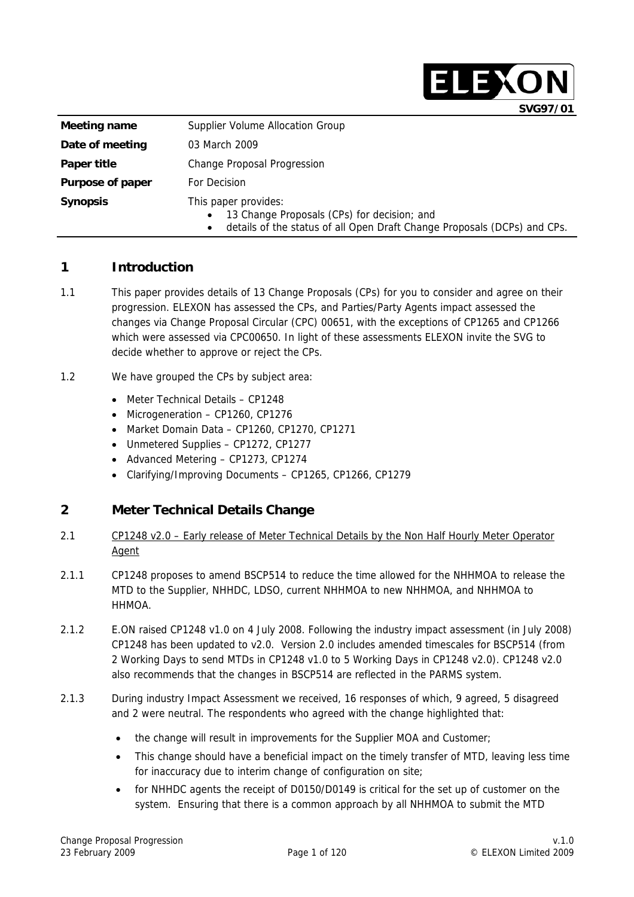|                         | SVG97/01                                                                                                                                                                  |
|-------------------------|---------------------------------------------------------------------------------------------------------------------------------------------------------------------------|
| Meeting name            | Supplier Volume Allocation Group                                                                                                                                          |
| Date of meeting         | 03 March 2009                                                                                                                                                             |
| Paper title             | <b>Change Proposal Progression</b>                                                                                                                                        |
| <b>Purpose of paper</b> | For Decision                                                                                                                                                              |
| <b>Synopsis</b>         | This paper provides:<br>13 Change Proposals (CPs) for decision; and<br>$\bullet$<br>details of the status of all Open Draft Change Proposals (DCPs) and CPs.<br>$\bullet$ |

### **1 Introduction**

- 1.1 This paper provides details of 13 Change Proposals (CPs) for you to consider and agree on their progression. ELEXON has assessed the CPs, and Parties/Party Agents impact assessed the changes via Change Proposal Circular (CPC) 00651, with the exceptions of CP1265 and CP1266 which were assessed via CPC00650. In light of these assessments ELEXON invite the SVG to decide whether to approve or reject the CPs.
- 1.2 We have grouped the CPs by subject area:
	- Meter Technical Details CP1248
	- Microgeneration CP1260, CP1276
	- Market Domain Data CP1260, CP1270, CP1271
	- Unmetered Supplies CP1272, CP1277
	- Advanced Metering CP1273, CP1274
	- Clarifying/Improving Documents CP1265, CP1266, CP1279

#### **2 Meter Technical Details Change**

- 2.1 CP1248 v2.0 Early release of Meter Technical Details by the Non Half Hourly Meter Operator Agent
- 2.1.1 CP1248 proposes to amend BSCP514 to reduce the time allowed for the NHHMOA to release the MTD to the Supplier, NHHDC, LDSO, current NHHMOA to new NHHMOA, and NHHMOA to **HHMOA**
- 2.1.2 E.ON raised CP1248 v1.0 on 4 July 2008. Following the industry impact assessment (in July 2008) CP1248 has been updated to v2.0. Version 2.0 includes amended timescales for BSCP514 (from 2 Working Days to send MTDs in CP1248 v1.0 to 5 Working Days in CP1248 v2.0). CP1248 v2.0 also recommends that the changes in BSCP514 are reflected in the PARMS system.
- 2.1.3 During industry Impact Assessment we received, 16 responses of which, 9 agreed, 5 disagreed and 2 were neutral. The respondents who agreed with the change highlighted that:
	- the change will result in improvements for the Supplier MOA and Customer;
	- This change should have a beneficial impact on the timely transfer of MTD, leaving less time for inaccuracy due to interim change of configuration on site;
	- for NHHDC agents the receipt of D0150/D0149 is critical for the set up of customer on the system. Ensuring that there is a common approach by all NHHMOA to submit the MTD

ELEXON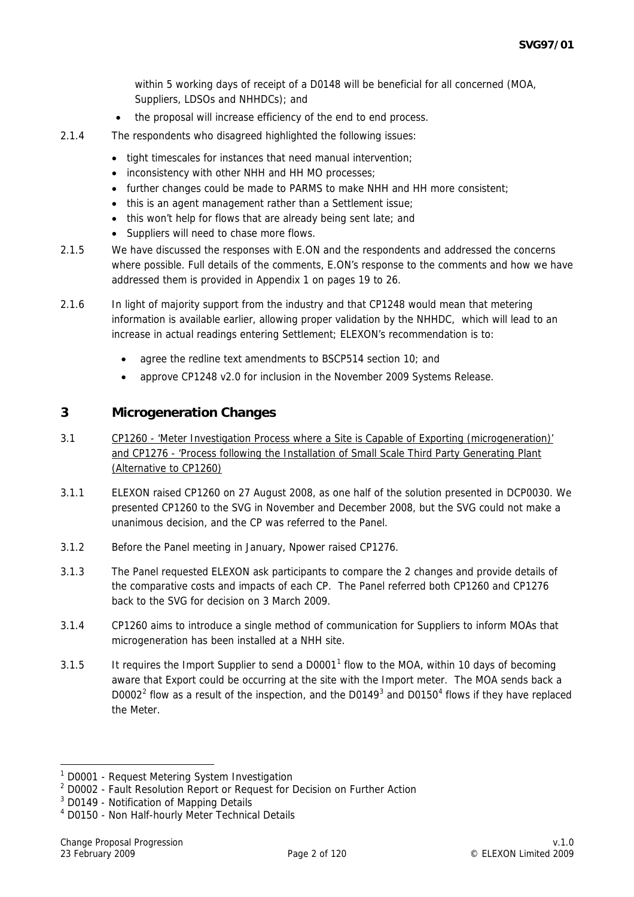within 5 working days of receipt of a D0148 will be beneficial for all concerned (MOA, Suppliers, LDSOs and NHHDCs); and

- the proposal will increase efficiency of the end to end process.
- 2.1.4 The respondents who disagreed highlighted the following issues:
	- tight timescales for instances that need manual intervention;
	- inconsistency with other NHH and HH MO processes;
	- further changes could be made to PARMS to make NHH and HH more consistent:
	- this is an agent management rather than a Settlement issue;
	- this won't help for flows that are already being sent late; and
	- Suppliers will need to chase more flows.
- 2.1.5 We have discussed the responses with E.ON and the respondents and addressed the concerns where possible. Full details of the comments, E.ON's response to the comments and how we have addressed them is provided in Appendix 1 on pages 19 to 26.
- 2.1.6 In light of majority support from the industry and that CP1248 would mean that metering information is available earlier, allowing proper validation by the NHHDC, which will lead to an increase in actual readings entering Settlement; ELEXON's recommendation is to:
	- agree the redline text amendments to BSCP514 section 10; and
	- approve CP1248 v2.0 for inclusion in the November 2009 Systems Release.

#### **3 Microgeneration Changes**

- 3.1 CP1260 'Meter Investigation Process where a Site is Capable of Exporting (microgeneration)' and CP1276 - 'Process following the Installation of Small Scale Third Party Generating Plant (Alternative to CP1260)
- 3.1.1 ELEXON raised CP1260 on 27 August 2008, as one half of the solution presented in DCP0030. We presented CP1260 to the SVG in November and December 2008, but the SVG could not make a unanimous decision, and the CP was referred to the Panel.
- 3.1.2 Before the Panel meeting in January, Npower raised CP1276.
- 3.1.3 The Panel requested ELEXON ask participants to compare the 2 changes and provide details of the comparative costs and impacts of each CP. The Panel referred both CP1260 and CP1276 back to the SVG for decision on 3 March 2009.
- 3.1.4 CP1260 aims to introduce a single method of communication for Suppliers to inform MOAs that microgeneration has been installed at a NHH site.
- 3.[1](#page-1-0).5 It requires the Import Supplier to send a D0001<sup>1</sup> flow to the MOA, within 10 days of becoming aware that Export could be occurring at the site with the Import meter. The MOA sends back a D000[2](#page-1-1)<sup>2</sup> flow as a result of the inspection, and the D0149<sup>[3](#page-1-2)</sup> and D0150<sup>[4](#page-1-3)</sup> flows if they have replaced the Meter.

<sup>1</sup> D0001 - Request Metering System Investigation

<sup>&</sup>lt;sup>2</sup> D0002 - Fault Resolution Report or Request for Decision on Further Action

<sup>&</sup>lt;sup>3</sup> D0149 - Notification of Mapping Details

<span id="page-1-3"></span><span id="page-1-2"></span><span id="page-1-1"></span><span id="page-1-0"></span><sup>4</sup> D0150 - Non Half-hourly Meter Technical Details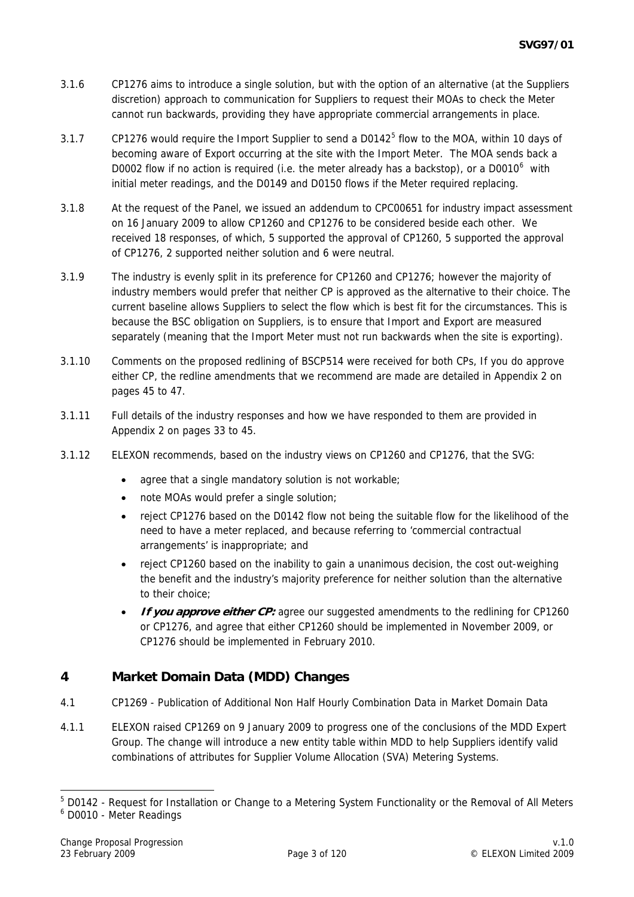- 3.1.6 CP1276 aims to introduce a single solution, but with the option of an alternative (at the Suppliers discretion) approach to communication for Suppliers to request their MOAs to check the Meter cannot run backwards, providing they have appropriate commercial arrangements in place.
- 3.1.7 CP1276 would require the Import Supplier to send a D0142 $<sup>5</sup>$  $<sup>5</sup>$  $<sup>5</sup>$  flow to the MOA, within 10 days of</sup> becoming aware of Export occurring at the site with the Import Meter. The MOA sends back a D0002 flow if no action is required (i.e. the meter already has a backstop), or a D0010 $^6$  $^6$  with initial meter readings, and the D0149 and D0150 flows if the Meter required replacing.
- 3.1.8 At the request of the Panel, we issued an addendum to CPC00651 for industry impact assessment on 16 January 2009 to allow CP1260 and CP1276 to be considered beside each other. We received 18 responses, of which, 5 supported the approval of CP1260, 5 supported the approval of CP1276, 2 supported neither solution and 6 were neutral.
- 3.1.9 The industry is evenly split in its preference for CP1260 and CP1276; however the majority of industry members would prefer that neither CP is approved as the alternative to their choice. The current baseline allows Suppliers to select the flow which is best fit for the circumstances. This is because the BSC obligation on Suppliers, is to ensure that Import and Export are measured separately (meaning that the Import Meter must not run backwards when the site is exporting).
- 3.1.10 Comments on the proposed redlining of BSCP514 were received for both CPs, If you do approve either CP, the redline amendments that we recommend are made are detailed in Appendix 2 on pages 45 to 47.
- 3.1.11 Full details of the industry responses and how we have responded to them are provided in Appendix 2 on pages 33 to 45.
- 3.1.12 ELEXON recommends, based on the industry views on CP1260 and CP1276, that the SVG:
	- agree that a single mandatory solution is not workable;
	- note MOAs would prefer a single solution;
	- reject CP1276 based on the D0142 flow not being the suitable flow for the likelihood of the need to have a meter replaced, and because referring to 'commercial contractual arrangements' is inappropriate; and
	- reject CP1260 based on the inability to gain a unanimous decision, the cost out-weighing the benefit and the industry's majority preference for neither solution than the alternative to their choice;
	- **If you approve either CP:** agree our suggested amendments to the redlining for CP1260 or CP1276, and agree that either CP1260 should be implemented in November 2009, or CP1276 should be implemented in February 2010.

## **4 Market Domain Data (MDD) Changes**

- 4.1 CP1269 Publication of Additional Non Half Hourly Combination Data in Market Domain Data
- 4.1.1 ELEXON raised CP1269 on 9 January 2009 to progress one of the conclusions of the MDD Expert Group. The change will introduce a new entity table within MDD to help Suppliers identify valid combinations of attributes for Supplier Volume Allocation (SVA) Metering Systems.

-

<span id="page-2-0"></span><sup>&</sup>lt;sup>5</sup> D0142 - Request for Installation or Change to a Metering System Functionality or the Removal of All Meters

<span id="page-2-1"></span><sup>6</sup> D0010 - Meter Readings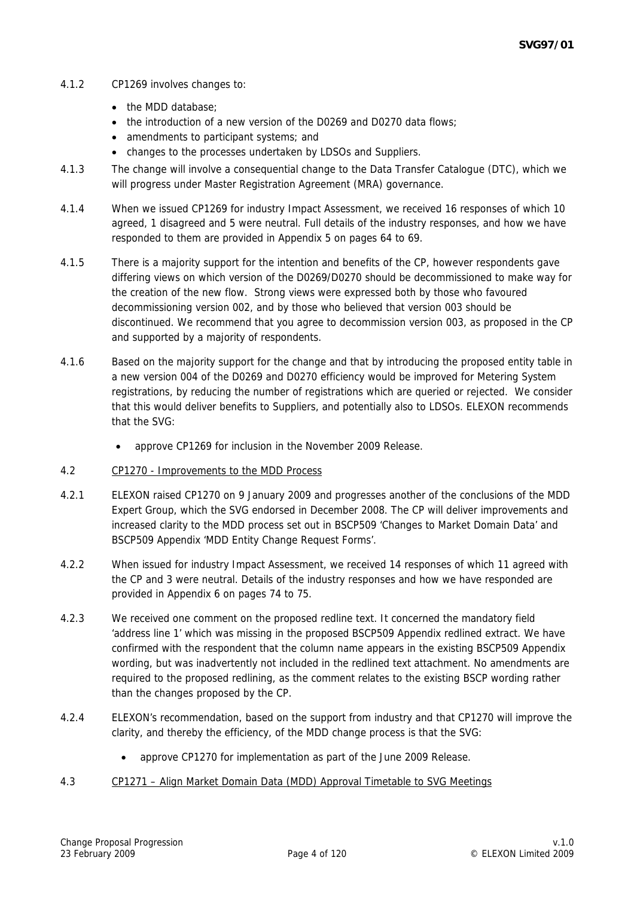#### 4.1.2 CP1269 involves changes to:

- the MDD database:
- the introduction of a new version of the D0269 and D0270 data flows:
- amendments to participant systems; and
- changes to the processes undertaken by LDSOs and Suppliers.
- 4.1.3 The change will involve a consequential change to the Data Transfer Catalogue (DTC), which we will progress under Master Registration Agreement (MRA) governance.
- 4.1.4 When we issued CP1269 for industry Impact Assessment, we received 16 responses of which 10 agreed, 1 disagreed and 5 were neutral. Full details of the industry responses, and how we have responded to them are provided in Appendix 5 on pages 64 to 69.
- 4.1.5 There is a majority support for the intention and benefits of the CP, however respondents gave differing views on which version of the D0269/D0270 should be decommissioned to make way for the creation of the new flow. Strong views were expressed both by those who favoured decommissioning version 002, and by those who believed that version 003 should be discontinued. We recommend that you agree to decommission version 003, as proposed in the CP and supported by a majority of respondents.
- 4.1.6 Based on the majority support for the change and that by introducing the proposed entity table in a new version 004 of the D0269 and D0270 efficiency would be improved for Metering System registrations, by reducing the number of registrations which are queried or rejected. We consider that this would deliver benefits to Suppliers, and potentially also to LDSOs. ELEXON recommends that the SVG:
	- approve CP1269 for inclusion in the November 2009 Release.
- 4.2 CP1270 Improvements to the MDD Process
- 4.2.1 ELEXON raised CP1270 on 9 January 2009 and progresses another of the conclusions of the MDD Expert Group, which the SVG endorsed in December 2008. The CP will deliver improvements and increased clarity to the MDD process set out in BSCP509 'Changes to Market Domain Data' and BSCP509 Appendix 'MDD Entity Change Request Forms'.
- 4.2.2 When issued for industry Impact Assessment, we received 14 responses of which 11 agreed with the CP and 3 were neutral. Details of the industry responses and how we have responded are provided in Appendix 6 on pages 74 to 75.
- 4.2.3 We received one comment on the proposed redline text. It concerned the mandatory field 'address line 1' which was missing in the proposed BSCP509 Appendix redlined extract. We have confirmed with the respondent that the column name appears in the existing BSCP509 Appendix wording, but was inadvertently not included in the redlined text attachment. No amendments are required to the proposed redlining, as the comment relates to the existing BSCP wording rather than the changes proposed by the CP.
- 4.2.4 ELEXON's recommendation, based on the support from industry and that CP1270 will improve the clarity, and thereby the efficiency, of the MDD change process is that the SVG:
	- approve CP1270 for implementation as part of the June 2009 Release.
- 4.3 CP1271 Align Market Domain Data (MDD) Approval Timetable to SVG Meetings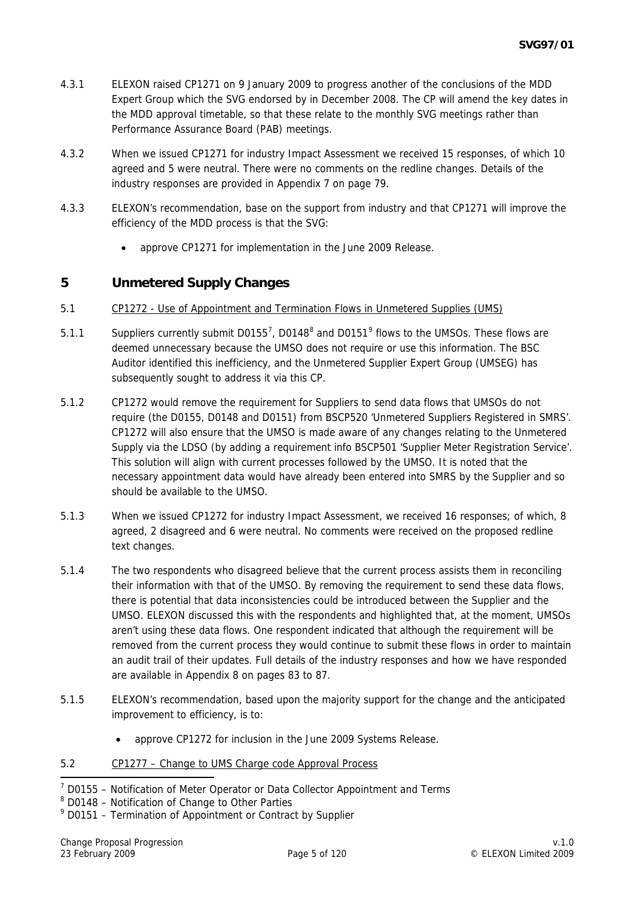- 4.3.1 ELEXON raised CP1271 on 9 January 2009 to progress another of the conclusions of the MDD Expert Group which the SVG endorsed by in December 2008. The CP will amend the key dates in the MDD approval timetable, so that these relate to the monthly SVG meetings rather than Performance Assurance Board (PAB) meetings.
- 4.3.2 When we issued CP1271 for industry Impact Assessment we received 15 responses, of which 10 agreed and 5 were neutral. There were no comments on the redline changes. Details of the industry responses are provided in Appendix 7 on page 79.
- 4.3.3 ELEXON's recommendation, base on the support from industry and that CP1271 will improve the efficiency of the MDD process is that the SVG:
	- approve CP1271 for implementation in the June 2009 Release.

## **5 Unmetered Supply Changes**

- 5.1 CP1272 Use of Appointment and Termination Flows in Unmetered Supplies (UMS)
- 5.1.1 Suppliers currently submit D0155<sup>[7](#page-4-0)</sup>, D014[8](#page-4-1)<sup>8</sup> and D0151<sup>[9](#page-4-2)</sup> flows to the UMSOs. These flows are deemed unnecessary because the UMSO does not require or use this information. The BSC Auditor identified this inefficiency, and the Unmetered Supplier Expert Group (UMSEG) has subsequently sought to address it via this CP.
- 5.1.2 CP1272 would remove the requirement for Suppliers to send data flows that UMSOs do not require (the D0155, D0148 and D0151) from BSCP520 'Unmetered Suppliers Registered in SMRS'. CP1272 will also ensure that the UMSO is made aware of any changes relating to the Unmetered Supply via the LDSO (by adding a requirement info BSCP501 'Supplier Meter Registration Service'. This solution will align with current processes followed by the UMSO. It is noted that the necessary appointment data would have already been entered into SMRS by the Supplier and so should be available to the UMSO.
- 5.1.3 When we issued CP1272 for industry Impact Assessment, we received 16 responses; of which, 8 agreed, 2 disagreed and 6 were neutral. No comments were received on the proposed redline text changes.
- 5.1.4 The two respondents who disagreed believe that the current process assists them in reconciling their information with that of the UMSO. By removing the requirement to send these data flows, there is potential that data inconsistencies could be introduced between the Supplier and the UMSO. ELEXON discussed this with the respondents and highlighted that, at the moment, UMSOs aren't using these data flows. One respondent indicated that although the requirement will be removed from the current process they would continue to submit these flows in order to maintain an audit trail of their updates. Full details of the industry responses and how we have responded are available in Appendix 8 on pages 83 to 87.
- 5.1.5 ELEXON's recommendation, based upon the majority support for the change and the anticipated improvement to efficiency, is to:
	- approve CP1272 for inclusion in the June 2009 Systems Release.
- 5.2 CP1277 Change to UMS Charge code Approval Process

<span id="page-4-0"></span><sup>-</sup> $7$  D0155 – Notification of Meter Operator or Data Collector Appointment and Terms

<span id="page-4-1"></span><sup>&</sup>lt;sup>8</sup> D0148 - Notification of Change to Other Parties

<span id="page-4-2"></span><sup>&</sup>lt;sup>9</sup> D0151 – Termination of Appointment or Contract by Supplier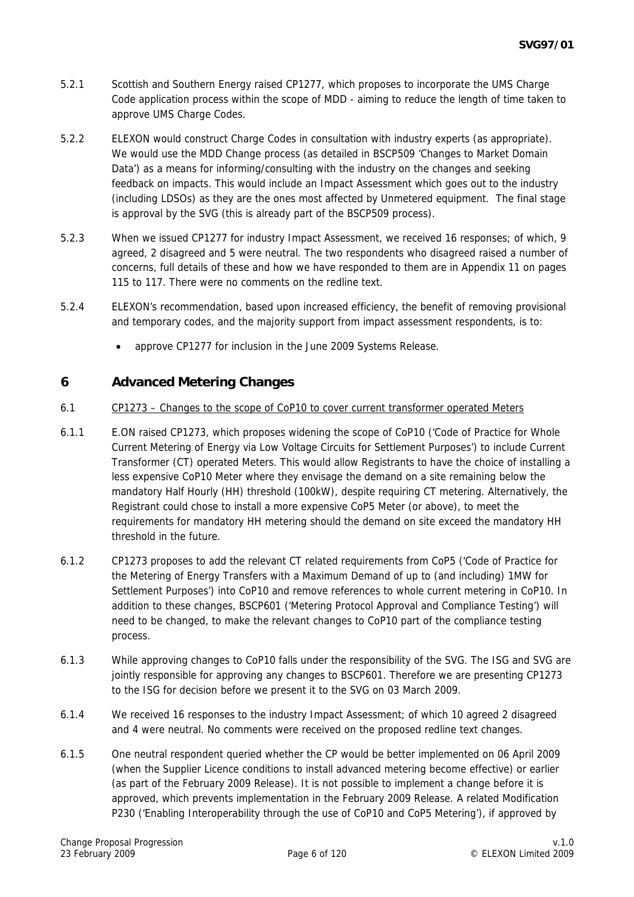- 5.2.1 Scottish and Southern Energy raised CP1277, which proposes to incorporate the UMS Charge Code application process within the scope of MDD - aiming to reduce the length of time taken to approve UMS Charge Codes.
- 5.2.2 ELEXON would construct Charge Codes in consultation with industry experts (as appropriate). We would use the MDD Change process (as detailed in BSCP509 'Changes to Market Domain Data') as a means for informing/consulting with the industry on the changes and seeking feedback on impacts. This would include an Impact Assessment which goes out to the industry (including LDSOs) as they are the ones most affected by Unmetered equipment. The final stage is approval by the SVG (this is already part of the BSCP509 process).
- 5.2.3 When we issued CP1277 for industry Impact Assessment, we received 16 responses; of which, 9 agreed, 2 disagreed and 5 were neutral. The two respondents who disagreed raised a number of concerns, full details of these and how we have responded to them are in Appendix 11 on pages 115 to 117. There were no comments on the redline text.
- 5.2.4 ELEXON's recommendation, based upon increased efficiency, the benefit of removing provisional and temporary codes, and the majority support from impact assessment respondents, is to:
	- approve CP1277 for inclusion in the June 2009 Systems Release.

# **6 Advanced Metering Changes**

#### 6.1 CP1273 – Changes to the scope of CoP10 to cover current transformer operated Meters

- 6.1.1 E.ON raised CP1273, which proposes widening the scope of CoP10 ('Code of Practice for Whole Current Metering of Energy via Low Voltage Circuits for Settlement Purposes') to include Current Transformer (CT) operated Meters. This would allow Registrants to have the choice of installing a less expensive CoP10 Meter where they envisage the demand on a site remaining below the mandatory Half Hourly (HH) threshold (100kW), despite requiring CT metering. Alternatively, the Registrant could chose to install a more expensive CoP5 Meter (or above), to meet the requirements for mandatory HH metering should the demand on site exceed the mandatory HH threshold in the future.
- 6.1.2 CP1273 proposes to add the relevant CT related requirements from CoP5 ('Code of Practice for the Metering of Energy Transfers with a Maximum Demand of up to (and including) 1MW for Settlement Purposes') into CoP10 and remove references to whole current metering in CoP10. In addition to these changes, BSCP601 ('Metering Protocol Approval and Compliance Testing') will need to be changed, to make the relevant changes to CoP10 part of the compliance testing process.
- 6.1.3 While approving changes to CoP10 falls under the responsibility of the SVG. The ISG and SVG are jointly responsible for approving any changes to BSCP601. Therefore we are presenting CP1273 to the ISG for decision before we present it to the SVG on 03 March 2009.
- 6.1.4 We received 16 responses to the industry Impact Assessment; of which 10 agreed 2 disagreed and 4 were neutral. No comments were received on the proposed redline text changes.
- 6.1.5 One neutral respondent queried whether the CP would be better implemented on 06 April 2009 (when the Supplier Licence conditions to install advanced metering become effective) or earlier (as part of the February 2009 Release). It is not possible to implement a change before it is approved, which prevents implementation in the February 2009 Release. A related Modification P230 ('Enabling Interoperability through the use of CoP10 and CoP5 Metering'), if approved by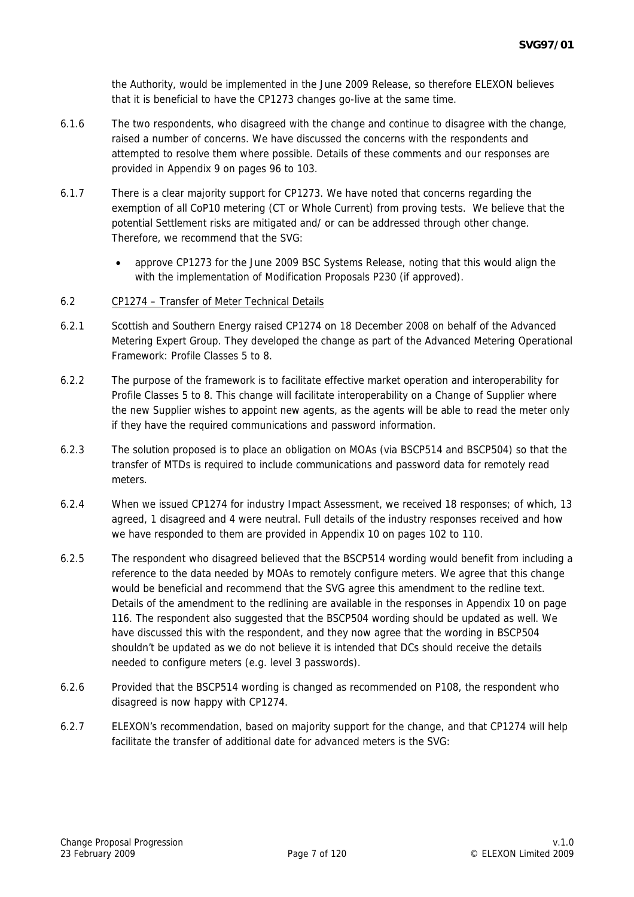the Authority, would be implemented in the June 2009 Release, so therefore ELEXON believes that it is beneficial to have the CP1273 changes go-live at the same time.

- 6.1.6 The two respondents, who disagreed with the change and continue to disagree with the change, raised a number of concerns. We have discussed the concerns with the respondents and attempted to resolve them where possible. Details of these comments and our responses are provided in Appendix 9 on pages 96 to 103.
- 6.1.7 There is a clear majority support for CP1273. We have noted that concerns regarding the exemption of all CoP10 metering (CT or Whole Current) from proving tests. We believe that the potential Settlement risks are mitigated and/ or can be addressed through other change. Therefore, we recommend that the SVG:
	- approve CP1273 for the June 2009 BSC Systems Release, noting that this would align the with the implementation of Modification Proposals P230 (if approved).
- 6.2 CP1274 Transfer of Meter Technical Details
- 6.2.1 Scottish and Southern Energy raised CP1274 on 18 December 2008 on behalf of the Advanced Metering Expert Group. They developed the change as part of the Advanced Metering Operational Framework: Profile Classes 5 to 8.
- 6.2.2 The purpose of the framework is to facilitate effective market operation and interoperability for Profile Classes 5 to 8. This change will facilitate interoperability on a Change of Supplier where the new Supplier wishes to appoint new agents, as the agents will be able to read the meter only if they have the required communications and password information.
- 6.2.3 The solution proposed is to place an obligation on MOAs (via BSCP514 and BSCP504) so that the transfer of MTDs is required to include communications and password data for remotely read meters.
- 6.2.4 When we issued CP1274 for industry Impact Assessment, we received 18 responses; of which, 13 agreed, 1 disagreed and 4 were neutral. Full details of the industry responses received and how we have responded to them are provided in Appendix 10 on pages 102 to 110.
- 6.2.5 The respondent who disagreed believed that the BSCP514 wording would benefit from including a reference to the data needed by MOAs to remotely configure meters. We agree that this change would be beneficial and recommend that the SVG agree this amendment to the redline text. Details of the amendment to the redlining are available in the responses in Appendix 10 on page 116. The respondent also suggested that the BSCP504 wording should be updated as well. We have discussed this with the respondent, and they now agree that the wording in BSCP504 shouldn't be updated as we do not believe it is intended that DCs should receive the details needed to configure meters (e.g. level 3 passwords).
- 6.2.6 Provided that the BSCP514 wording is changed as recommended on P108, the respondent who disagreed is now happy with CP1274.
- 6.2.7 ELEXON's recommendation, based on majority support for the change, and that CP1274 will help facilitate the transfer of additional date for advanced meters is the SVG: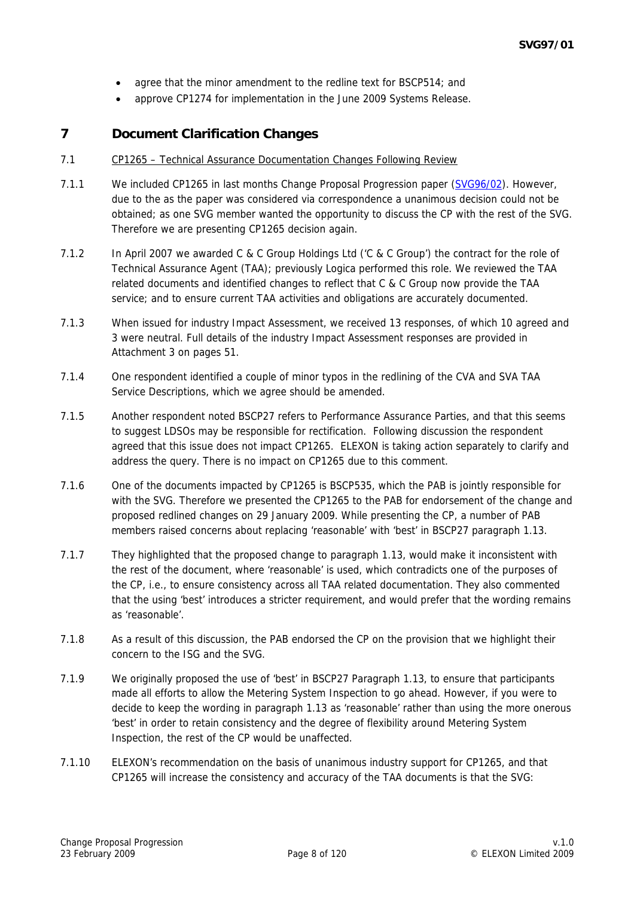- agree that the minor amendment to the redline text for BSCP514; and
- approve CP1274 for implementation in the June 2009 Systems Release.

# **7 Document Clarification Changes**

#### 7.1 CP1265 – Technical Assurance Documentation Changes Following Review

- 7.1.1 We included CP1265 in last months Change Proposal Progression paper [\(SVG96/02](http://www.elexon.co.uk/documents/BSC_Panel_and_Panel_Committees/SVG_Meeting_2008_-_096_-_Papers/SVG96_02_v1.0.pdf)). However, due to the as the paper was considered via correspondence a unanimous decision could not be obtained; as one SVG member wanted the opportunity to discuss the CP with the rest of the SVG. Therefore we are presenting CP1265 decision again.
- 7.1.2 In April 2007 we awarded C & C Group Holdings Ltd ('C & C Group') the contract for the role of Technical Assurance Agent (TAA); previously Logica performed this role. We reviewed the TAA related documents and identified changes to reflect that C & C Group now provide the TAA service; and to ensure current TAA activities and obligations are accurately documented.
- 7.1.3 When issued for industry Impact Assessment, we received 13 responses, of which 10 agreed and 3 were neutral. Full details of the industry Impact Assessment responses are provided in Attachment 3 on pages 51.
- 7.1.4 One respondent identified a couple of minor typos in the redlining of the CVA and SVA TAA Service Descriptions, which we agree should be amended.
- 7.1.5 Another respondent noted BSCP27 refers to Performance Assurance Parties, and that this seems to suggest LDSOs may be responsible for rectification. Following discussion the respondent agreed that this issue does not impact CP1265. ELEXON is taking action separately to clarify and address the query. There is no impact on CP1265 due to this comment.
- 7.1.6 One of the documents impacted by CP1265 is BSCP535, which the PAB is jointly responsible for with the SVG. Therefore we presented the CP1265 to the PAB for endorsement of the change and proposed redlined changes on 29 January 2009. While presenting the CP, a number of PAB members raised concerns about replacing 'reasonable' with 'best' in BSCP27 paragraph 1.13.
- 7.1.7 They highlighted that the proposed change to paragraph 1.13, would make it inconsistent with the rest of the document, where 'reasonable' is used, which contradicts one of the purposes of the CP, i.e., to ensure consistency across all TAA related documentation. They also commented that the using 'best' introduces a stricter requirement, and would prefer that the wording remains as 'reasonable'.
- 7.1.8 As a result of this discussion, the PAB endorsed the CP on the provision that we highlight their concern to the ISG and the SVG.
- 7.1.9 We originally proposed the use of 'best' in BSCP27 Paragraph 1.13, to ensure that participants made all efforts to allow the Metering System Inspection to go ahead. However, if you were to decide to keep the wording in paragraph 1.13 as 'reasonable' rather than using the more onerous 'best' in order to retain consistency and the degree of flexibility around Metering System Inspection, the rest of the CP would be unaffected.
- 7.1.10 ELEXON's recommendation on the basis of unanimous industry support for CP1265, and that CP1265 will increase the consistency and accuracy of the TAA documents is that the SVG: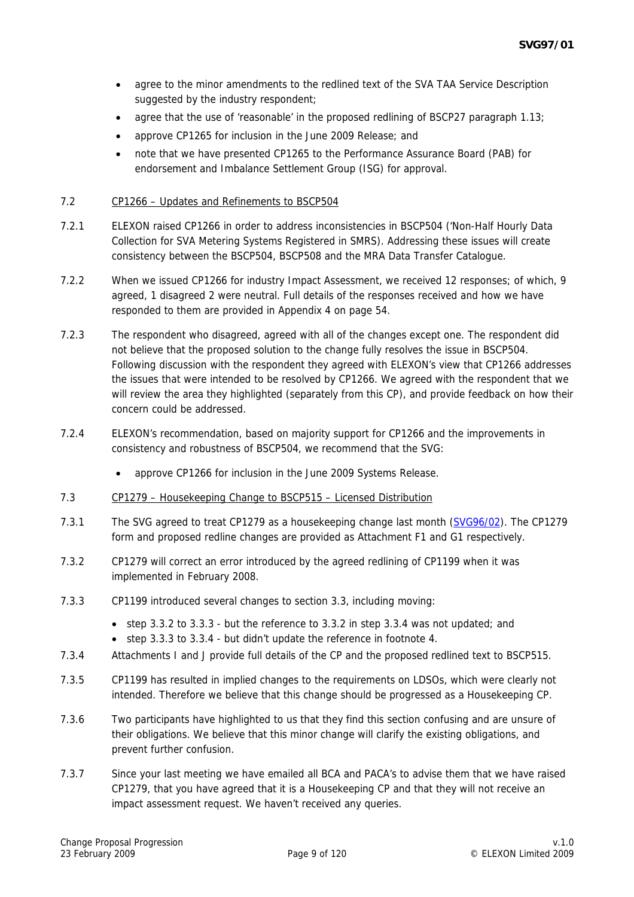- agree to the minor amendments to the redlined text of the SVA TAA Service Description suggested by the industry respondent;
- agree that the use of 'reasonable' in the proposed redlining of BSCP27 paragraph 1.13;
- approve CP1265 for inclusion in the June 2009 Release; and
- note that we have presented CP1265 to the Performance Assurance Board (PAB) for endorsement and Imbalance Settlement Group (ISG) for approval.

#### 7.2 CP1266 – Updates and Refinements to BSCP504

- 7.2.1 ELEXON raised CP1266 in order to address inconsistencies in BSCP504 ('Non-Half Hourly Data Collection for SVA Metering Systems Registered in SMRS). Addressing these issues will create consistency between the BSCP504, BSCP508 and the MRA Data Transfer Catalogue.
- 7.2.2 When we issued CP1266 for industry Impact Assessment, we received 12 responses; of which, 9 agreed, 1 disagreed 2 were neutral. Full details of the responses received and how we have responded to them are provided in Appendix 4 on page 54.
- 7.2.3 The respondent who disagreed, agreed with all of the changes except one. The respondent did not believe that the proposed solution to the change fully resolves the issue in BSCP504. Following discussion with the respondent they agreed with ELEXON's view that CP1266 addresses the issues that were intended to be resolved by CP1266. We agreed with the respondent that we will review the area they highlighted (separately from this CP), and provide feedback on how their concern could be addressed.
- 7.2.4 ELEXON's recommendation, based on majority support for CP1266 and the improvements in consistency and robustness of BSCP504, we recommend that the SVG:
	- approve CP1266 for inclusion in the June 2009 Systems Release.
- 7.3 CP1279 Housekeeping Change to BSCP515 Licensed Distribution
- 7.3.1 The SVG agreed to treat CP1279 as a housekeeping change last month ([SVG96/02](http://www.elexon.co.uk/documents/BSC_Panel_and_Panel_Committees/SVG_Meeting_2008_-_096_-_Papers/SVG96_02_v1.0.pdf)). The CP1279 form and proposed redline changes are provided as Attachment F1 and G1 respectively.
- 7.3.2 CP1279 will correct an error introduced by the agreed redlining of CP1199 when it was implemented in February 2008.
- 7.3.3 CP1199 introduced several changes to section 3.3, including moving:
	- step 3.3.2 to 3.3.3 but the reference to 3.3.2 in step 3.3.4 was not updated; and
	- step 3.3.3 to 3.3.4 but didn't update the reference in footnote 4.
- 7.3.4 Attachments I and J provide full details of the CP and the proposed redlined text to BSCP515.
- 7.3.5 CP1199 has resulted in implied changes to the requirements on LDSOs, which were clearly not intended. Therefore we believe that this change should be progressed as a Housekeeping CP.
- 7.3.6 Two participants have highlighted to us that they find this section confusing and are unsure of their obligations. We believe that this minor change will clarify the existing obligations, and prevent further confusion.
- 7.3.7 Since your last meeting we have emailed all BCA and PACA's to advise them that we have raised CP1279, that you have agreed that it is a Housekeeping CP and that they will not receive an impact assessment request. We haven't received any queries.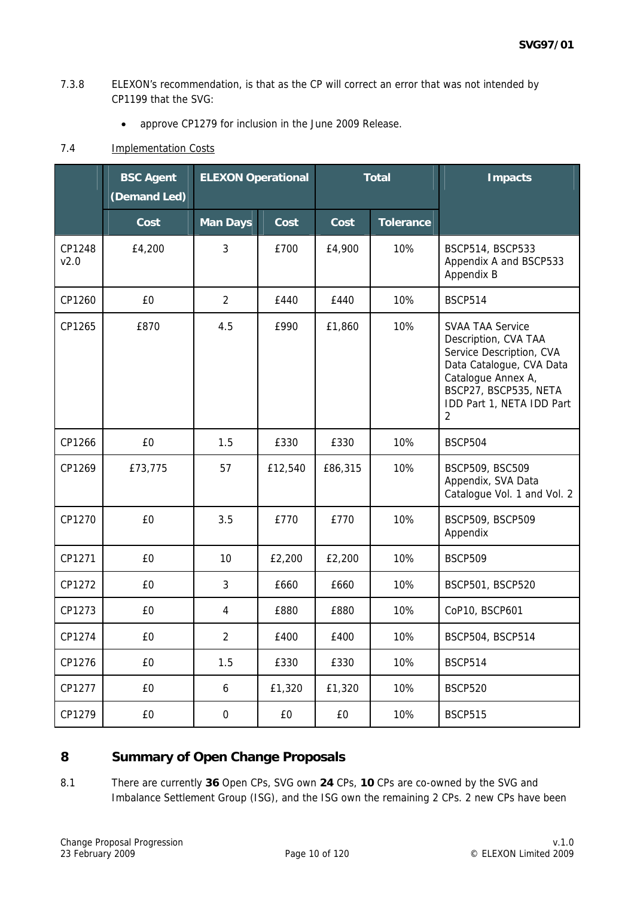#### 7.3.8 ELEXON's recommendation, is that as the CP will correct an error that was not intended by CP1199 that the SVG:

• approve CP1279 for inclusion in the June 2009 Release.

## 7.4 **Implementation Costs**

|                | <b>BSC Agent</b><br>(Demand Led) |                  |         | <b>ELEXON Operational</b><br><b>Total</b> |                  |                                                                                                                                                                                          |  | <b>Impacts</b> |
|----------------|----------------------------------|------------------|---------|-------------------------------------------|------------------|------------------------------------------------------------------------------------------------------------------------------------------------------------------------------------------|--|----------------|
|                | Cost                             | <b>Man Days</b>  | Cost    | Cost                                      | <b>Tolerance</b> |                                                                                                                                                                                          |  |                |
| CP1248<br>v2.0 | £4,200                           | 3                | £700    | £4,900                                    | 10%              | BSCP514, BSCP533<br>Appendix A and BSCP533<br>Appendix B                                                                                                                                 |  |                |
| CP1260         | £0                               | $\overline{2}$   | £440    | £440                                      | 10%              | <b>BSCP514</b>                                                                                                                                                                           |  |                |
| CP1265         | £870                             | 4.5              | £990    | £1,860                                    | 10%              | <b>SVAA TAA Service</b><br>Description, CVA TAA<br>Service Description, CVA<br>Data Catalogue, CVA Data<br>Catalogue Annex A,<br>BSCP27, BSCP535, NETA<br>IDD Part 1, NETA IDD Part<br>2 |  |                |
| CP1266         | £0                               | 1.5              | £330    | £330                                      | 10%              | <b>BSCP504</b>                                                                                                                                                                           |  |                |
| CP1269         | £73,775                          | 57               | £12,540 | £86,315                                   | 10%              | BSCP509, BSC509<br>Appendix, SVA Data<br>Catalogue Vol. 1 and Vol. 2                                                                                                                     |  |                |
| CP1270         | £0                               | 3.5              | £770    | £770                                      | 10%              | BSCP509, BSCP509<br>Appendix                                                                                                                                                             |  |                |
| CP1271         | £0                               | 10               | £2,200  | £2,200                                    | 10%              | <b>BSCP509</b>                                                                                                                                                                           |  |                |
| CP1272         | £0                               | 3                | £660    | £660                                      | 10%              | BSCP501, BSCP520                                                                                                                                                                         |  |                |
| CP1273         | £0                               | 4                | £880    | £880                                      | 10%              | CoP10, BSCP601                                                                                                                                                                           |  |                |
| CP1274         | £0                               | $\overline{2}$   | £400    | £400                                      | 10%              | BSCP504, BSCP514                                                                                                                                                                         |  |                |
| CP1276         | £0                               | 1.5              | £330    | £330                                      | 10%              | <b>BSCP514</b>                                                                                                                                                                           |  |                |
| CP1277         | £0                               | 6                | £1,320  | £1,320                                    | 10%              | <b>BSCP520</b>                                                                                                                                                                           |  |                |
| CP1279         | £0                               | $\boldsymbol{0}$ | £0      | £0                                        | 10%              | <b>BSCP515</b>                                                                                                                                                                           |  |                |

# **8 Summary of Open Change Proposals**

8.1 There are currently **36** Open CPs, SVG own **24** CPs, **10** CPs are co-owned by the SVG and Imbalance Settlement Group (ISG), and the ISG own the remaining 2 CPs. 2 new CPs have been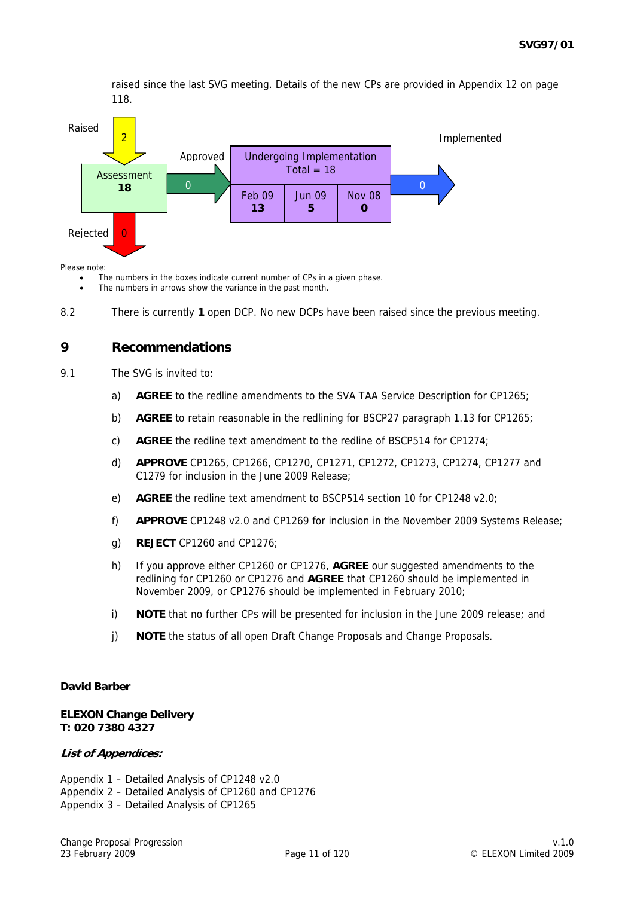raised since the last SVG meeting. Details of the new CPs are provided in Appendix 12 on page 118.



Please note:

The numbers in the boxes indicate current number of CPs in a given phase.

- The numbers in arrows show the variance in the past month.
- 8.2 There is currently **1** open DCP. No new DCPs have been raised since the previous meeting.

#### **9 Recommendations**

- 9.1 The SVG is invited to:
	- a) **AGREE** to the redline amendments to the SVA TAA Service Description for CP1265;
	- b) **AGREE** to retain reasonable in the redlining for BSCP27 paragraph 1.13 for CP1265;
	- c) **AGREE** the redline text amendment to the redline of BSCP514 for CP1274;
	- d) **APPROVE** CP1265, CP1266, CP1270, CP1271, CP1272, CP1273, CP1274, CP1277 and C1279 for inclusion in the June 2009 Release;
	- e) **AGREE** the redline text amendment to BSCP514 section 10 for CP1248 v2.0;
	- f) **APPROVE** CP1248 v2.0 and CP1269 for inclusion in the November 2009 Systems Release;
	- g) **REJECT** CP1260 and CP1276;
	- h) If you approve either CP1260 or CP1276, **AGREE** our suggested amendments to the redlining for CP1260 or CP1276 and **AGREE** that CP1260 should be implemented in November 2009, or CP1276 should be implemented in February 2010;
	- i) **NOTE** that no further CPs will be presented for inclusion in the June 2009 release; and
	- j) **NOTE** the status of all open Draft Change Proposals and Change Proposals.

#### **David Barber**

#### **ELEXON Change Delivery T: 020 7380 4327**

#### **List of Appendices:**

Appendix 1 – Detailed Analysis of CP1248 v2.0 Appendix 2 – Detailed Analysis of CP1260 and CP1276 Appendix 3 – Detailed Analysis of CP1265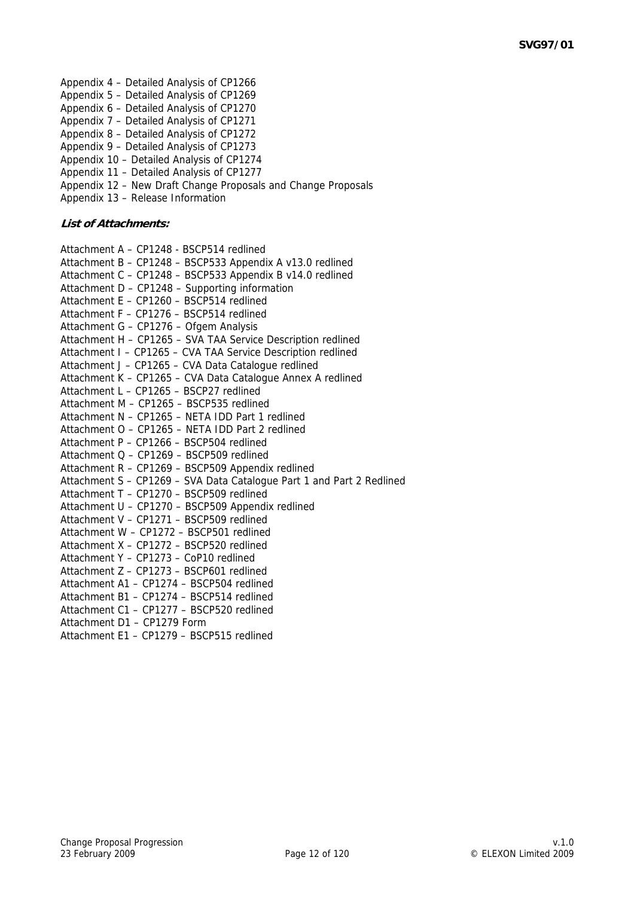- Appendix 4 Detailed Analysis of CP1266 Appendix 5 – Detailed Analysis of CP1269 Appendix 6 – Detailed Analysis of CP1270 Appendix 7 – Detailed Analysis of CP1271 Appendix 8 – Detailed Analysis of CP1272 Appendix 9 – Detailed Analysis of CP1273 Appendix 10 – Detailed Analysis of CP1274 Appendix 11 – Detailed Analysis of CP1277
- Appendix 12 New Draft Change Proposals and Change Proposals Appendix 13 – Release Information
- **List of Attachments:**

| Attachment A - CP1248 - BSCP514 redlined                              |
|-----------------------------------------------------------------------|
| Attachment B - CP1248 - BSCP533 Appendix A v13.0 redlined             |
| Attachment C - CP1248 - BSCP533 Appendix B v14.0 redlined             |
| Attachment D - CP1248 - Supporting information                        |
| Attachment E - CP1260 - BSCP514 redlined                              |
| Attachment F - CP1276 - BSCP514 redlined                              |
| Attachment G - CP1276 - Ofgem Analysis                                |
| Attachment H - CP1265 - SVA TAA Service Description redlined          |
| Attachment I - CP1265 - CVA TAA Service Description redlined          |
| Attachment J - CP1265 - CVA Data Catalogue redlined                   |
| Attachment K - CP1265 - CVA Data Catalogue Annex A redlined           |
| Attachment L - CP1265 - BSCP27 redlined                               |
| Attachment M - CP1265 - BSCP535 redlined                              |
| Attachment N - CP1265 - NETA IDD Part 1 redlined                      |
| Attachment O - CP1265 - NETA IDD Part 2 redlined                      |
| Attachment P - CP1266 - BSCP504 redlined                              |
| Attachment Q - CP1269 - BSCP509 redlined                              |
| Attachment R - CP1269 - BSCP509 Appendix redlined                     |
| Attachment S - CP1269 - SVA Data Catalogue Part 1 and Part 2 Redlined |
| Attachment T - CP1270 - BSCP509 redlined                              |
| Attachment U - CP1270 - BSCP509 Appendix redlined                     |
| Attachment V - CP1271 - BSCP509 redlined                              |
| Attachment W - CP1272 - BSCP501 redlined                              |
| Attachment X - CP1272 - BSCP520 redlined                              |
| Attachment Y - CP1273 - CoP10 redlined                                |
| Attachment Z - CP1273 - BSCP601 redlined                              |
| Attachment A1 - CP1274 - BSCP504 redlined                             |
| Attachment B1 - CP1274 - BSCP514 redlined                             |
| Attachment C1 - CP1277 - BSCP520 redlined                             |
| Attachment D1 - CP1279 Form                                           |
| Attachment E1 - CP1279 - BSCP515 redlined                             |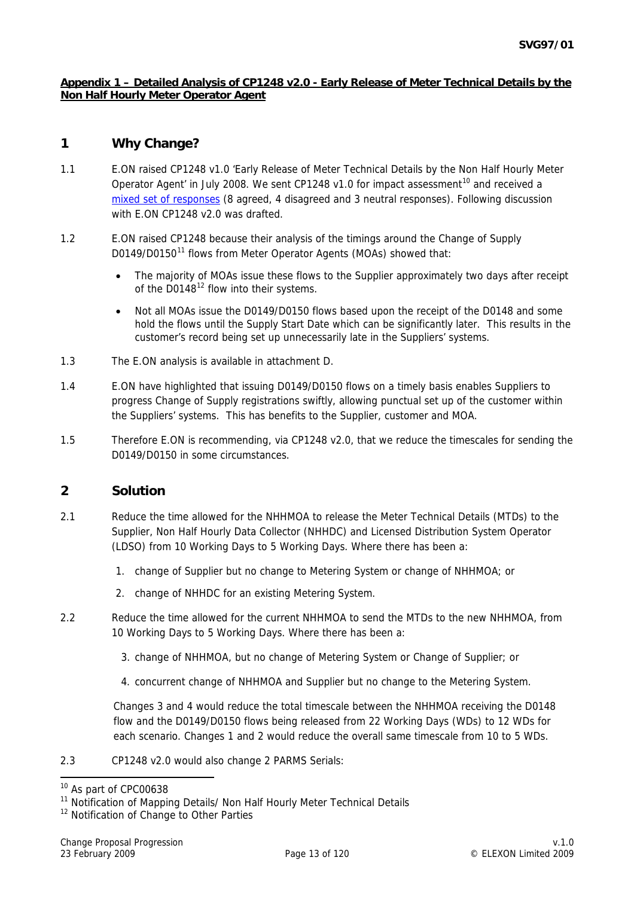#### **Appendix 1 – Detailed Analysis of CP1248 v2.0 - Early Release of Meter Technical Details by the Non Half Hourly Meter Operator Agent**

# **1 Why Change?**

- 1.1 E.ON raised CP1248 v1.0 'Early Release of Meter Technical Details by the Non Half Hourly Meter Operator Agent' in July 2008. We sent CP1248 v1.0 for impact assessment<sup>[10](#page-12-0)</sup> and received a [mixed set of responses](http://www.elexon.co.uk/documents/Change_and_Implementation/Change_Proposals_-_responses/CPC00638_responses.pdf) (8 agreed, 4 disagreed and 3 neutral responses). Following discussion with E.ON CP1248 v2.0 was drafted.
- 1.2 E.ON raised CP1248 because their analysis of the timings around the Change of Supply D0[1](#page-12-1)49/D0150<sup>11</sup> flows from Meter Operator Agents (MOAs) showed that:
	- The majority of MOAs issue these flows to the Supplier approximately two days after receipt of the  $D0148^{12}$  $D0148^{12}$  $D0148^{12}$  flow into their systems.
	- Not all MOAs issue the D0149/D0150 flows based upon the receipt of the D0148 and some hold the flows until the Supply Start Date which can be significantly later. This results in the customer's record being set up unnecessarily late in the Suppliers' systems.
- 1.3 The E.ON analysis is available in attachment D.
- 1.4 E.ON have highlighted that issuing D0149/D0150 flows on a timely basis enables Suppliers to progress Change of Supply registrations swiftly, allowing punctual set up of the customer within the Suppliers' systems. This has benefits to the Supplier, customer and MOA.
- 1.5 Therefore E.ON is recommending, via CP1248 v2.0, that we reduce the timescales for sending the D0149/D0150 in some circumstances.

#### **2 Solution**

- 2.1 Reduce the time allowed for the NHHMOA to release the Meter Technical Details (MTDs) to the Supplier, Non Half Hourly Data Collector (NHHDC) and Licensed Distribution System Operator (LDSO) from 10 Working Days to 5 Working Days. Where there has been a:
	- 1. change of Supplier but no change to Metering System or change of NHHMOA; or
	- 2. change of NHHDC for an existing Metering System.
- 2.2 Reduce the time allowed for the current NHHMOA to send the MTDs to the new NHHMOA, from 10 Working Days to 5 Working Days. Where there has been a:
	- 3. change of NHHMOA, but no change of Metering System or Change of Supplier; or
	- 4. concurrent change of NHHMOA and Supplier but no change to the Metering System.

Changes 3 and 4 would reduce the total timescale between the NHHMOA receiving the D0148 flow and the D0149/D0150 flows being released from 22 Working Days (WDs) to 12 WDs for each scenario. Changes 1 and 2 would reduce the overall same timescale from 10 to 5 WDs.

2.3 CP1248 v2.0 would also change 2 PARMS Serials:

<span id="page-12-0"></span><sup>&</sup>lt;sup>10</sup> As part of CPC00638

<span id="page-12-1"></span><sup>&</sup>lt;sup>11</sup> Notification of Mapping Details/ Non Half Hourly Meter Technical Details

<span id="page-12-2"></span><sup>&</sup>lt;sup>12</sup> Notification of Change to Other Parties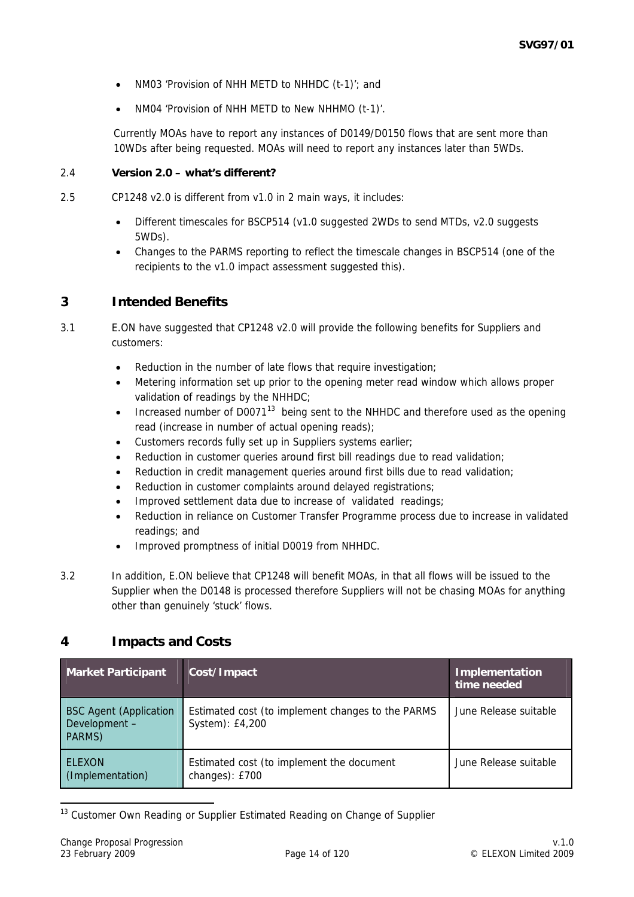- NM03 'Provision of NHH METD to NHHDC (t-1)'; and
- NM04 'Provision of NHH METD to New NHHMO (t-1)'.

Currently MOAs have to report any instances of D0149/D0150 flows that are sent more than 10WDs after being requested. MOAs will need to report any instances later than 5WDs.

#### 2.4 **Version 2.0 – what's different?**

- 2.5 CP1248 v2.0 is different from v1.0 in 2 main ways, it includes:
	- Different timescales for BSCP514 (v1.0 suggested 2WDs to send MTDs, v2.0 suggests 5WDs).
	- Changes to the PARMS reporting to reflect the timescale changes in BSCP514 (one of the recipients to the v1.0 impact assessment suggested this).

### **3 Intended Benefits**

- 3.1 E.ON have suggested that CP1248 v2.0 will provide the following benefits for Suppliers and customers:
	- Reduction in the number of late flows that require investigation;
	- Metering information set up prior to the opening meter read window which allows proper validation of readings by the NHHDC;
	- Increased number of D0071<sup>[13](#page-13-0)</sup> being sent to the NHHDC and therefore used as the opening read (increase in number of actual opening reads);
	- Customers records fully set up in Suppliers systems earlier;
	- Reduction in customer queries around first bill readings due to read validation;
	- Reduction in credit management queries around first bills due to read validation;
	- Reduction in customer complaints around delayed registrations;
	- Improved settlement data due to increase of validated readings;
	- Reduction in reliance on Customer Transfer Programme process due to increase in validated readings; and
	- Improved promptness of initial D0019 from NHHDC.
- 3.2 In addition, E.ON believe that CP1248 will benefit MOAs, in that all flows will be issued to the Supplier when the D0148 is processed therefore Suppliers will not be chasing MOAs for anything other than genuinely 'stuck' flows.

## **4 Impacts and Costs**

| Market Participant                                       | Cost/Impact                                                          | Implementation<br>time needed |
|----------------------------------------------------------|----------------------------------------------------------------------|-------------------------------|
| <b>BSC Agent (Application</b><br>Development -<br>PARMS) | Estimated cost (to implement changes to the PARMS<br>System): £4,200 | June Release suitable         |
| <b>ELEXON</b><br>(Implementation)                        | Estimated cost (to implement the document<br>changes): £700          | June Release suitable         |

<span id="page-13-0"></span><sup>13</sup> Customer Own Reading or Supplier Estimated Reading on Change of Supplier

-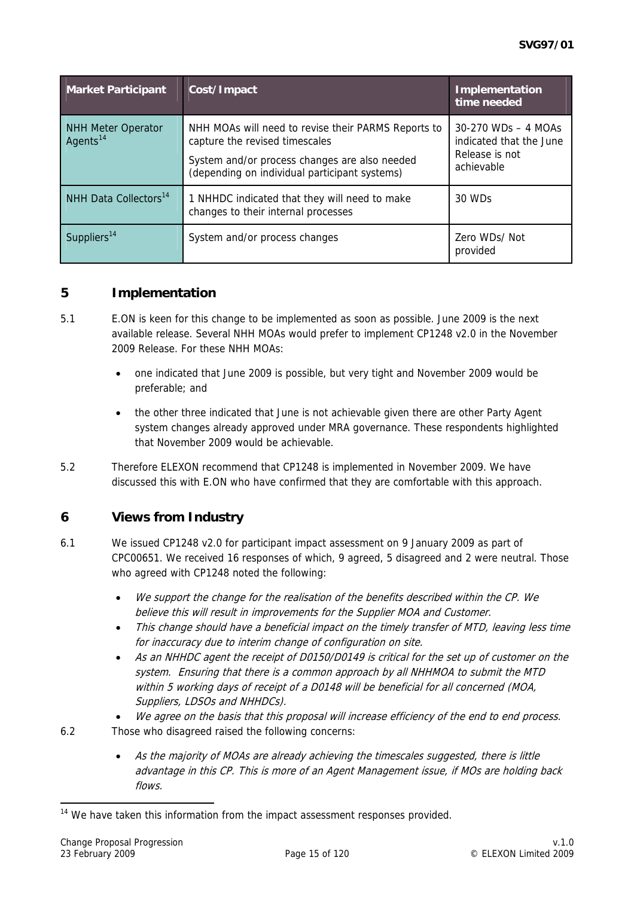<span id="page-14-1"></span>

| <b>Market Participant</b>                         | Cost/Impact                                                                                                                                                                             | Implementation<br>time needed                                                     |
|---------------------------------------------------|-----------------------------------------------------------------------------------------------------------------------------------------------------------------------------------------|-----------------------------------------------------------------------------------|
| <b>NHH Meter Operator</b><br>Agents <sup>14</sup> | NHH MOAs will need to revise their PARMS Reports to<br>capture the revised timescales<br>System and/or process changes are also needed<br>(depending on individual participant systems) | $30-270$ WDs $-4$ MOAs<br>indicated that the June<br>Release is not<br>achievable |
| NHH Data Collectors <sup>14</sup>                 | 1 NHHDC indicated that they will need to make<br>changes to their internal processes                                                                                                    | 30 WDs                                                                            |
| Suppliers <sup>14</sup>                           | System and/or process changes                                                                                                                                                           | Zero WDs/Not<br>provided                                                          |

### **5 Implementation**

- 5.1 E.ON is keen for this change to be implemented as soon as possible. June 2009 is the next available release. Several NHH MOAs would prefer to implement CP1248 v2.0 in the November 2009 Release. For these NHH MOAs:
	- one indicated that June 2009 is possible, but very tight and November 2009 would be preferable; and
	- the other three indicated that June is not achievable given there are other Party Agent system changes already approved under MRA governance. These respondents highlighted that November 2009 would be achievable.
- 5.2 Therefore ELEXON recommend that CP1248 is implemented in November 2009. We have discussed this with E.ON who have confirmed that they are comfortable with this approach.

# **6 Views from Industry**

- 6.1 We issued CP1248 v2.0 for participant impact assessment on 9 January 2009 as part of CPC00651. We received 16 responses of which, 9 agreed, 5 disagreed and 2 were neutral. Those who agreed with CP1248 noted the following:
	- We support the change for the realisation of the benefits described within the CP. We believe this will result in improvements for the Supplier MOA and Customer.
	- This change should have a beneficial impact on the timely transfer of MTD, leaving less time for inaccuracy due to interim change of configuration on site.
	- As an NHHDC agent the receipt of D0150/D0149 is critical for the set up of customer on the system. Ensuring that there is a common approach by all NHHMOA to submit the MTD within 5 working days of receipt of a D0148 will be beneficial for all concerned (MOA, Suppliers, LDSOs and NHHDCs).
	- We agree on the basis that this proposal will increase efficiency of the end to end process.

6.2 Those who disagreed raised the following concerns:

-

As the majority of MOAs are already achieving the timescales suggested, there is little advantage in this CP. This is more of an Agent Management issue, if MOs are holding back flows.

<span id="page-14-0"></span><sup>&</sup>lt;sup>14</sup> We have taken this information from the impact assessment responses provided.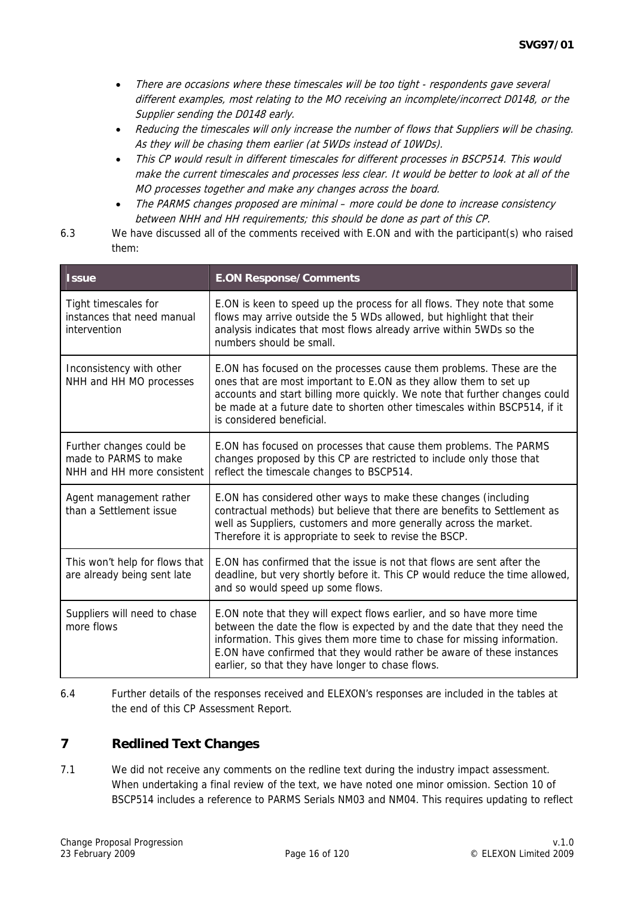- There are occasions where these timescales will be too tight respondents gave several different examples, most relating to the MO receiving an incomplete/incorrect D0148, or the Supplier sending the D0148 early.
- Reducing the timescales will only increase the number of flows that Suppliers will be chasing. As they will be chasing them earlier (at 5WDs instead of 10WDs).
- This CP would result in different timescales for different processes in BSCP514. This would make the current timescales and processes less clear. It would be better to look at all of the MO processes together and make any changes across the board.
- The PARMS changes proposed are minimal more could be done to increase consistency between NHH and HH requirements; this should be done as part of this CP.
- 6.3 We have discussed all of the comments received with E.ON and with the participant(s) who raised them:

| <b>Issue</b>                                                                    | <b>E.ON Response/Comments</b>                                                                                                                                                                                                                                                                                                                               |  |  |  |
|---------------------------------------------------------------------------------|-------------------------------------------------------------------------------------------------------------------------------------------------------------------------------------------------------------------------------------------------------------------------------------------------------------------------------------------------------------|--|--|--|
| Tight timescales for<br>instances that need manual<br>intervention              | E.ON is keen to speed up the process for all flows. They note that some<br>flows may arrive outside the 5 WDs allowed, but highlight that their<br>analysis indicates that most flows already arrive within 5WDs so the<br>numbers should be small.                                                                                                         |  |  |  |
| Inconsistency with other<br>NHH and HH MO processes                             | E.ON has focused on the processes cause them problems. These are the<br>ones that are most important to E.ON as they allow them to set up<br>accounts and start billing more quickly. We note that further changes could<br>be made at a future date to shorten other timescales within BSCP514, if it<br>is considered beneficial.                         |  |  |  |
| Further changes could be<br>made to PARMS to make<br>NHH and HH more consistent | E.ON has focused on processes that cause them problems. The PARMS<br>changes proposed by this CP are restricted to include only those that<br>reflect the timescale changes to BSCP514.                                                                                                                                                                     |  |  |  |
| Agent management rather<br>than a Settlement issue                              | E.ON has considered other ways to make these changes (including<br>contractual methods) but believe that there are benefits to Settlement as<br>well as Suppliers, customers and more generally across the market.<br>Therefore it is appropriate to seek to revise the BSCP.                                                                               |  |  |  |
| This won't help for flows that<br>are already being sent late                   | F.ON has confirmed that the issue is not that flows are sent after the<br>deadline, but very shortly before it. This CP would reduce the time allowed,<br>and so would speed up some flows.                                                                                                                                                                 |  |  |  |
| Suppliers will need to chase<br>more flows                                      | E.ON note that they will expect flows earlier, and so have more time<br>between the date the flow is expected by and the date that they need the<br>information. This gives them more time to chase for missing information.<br>E.ON have confirmed that they would rather be aware of these instances<br>earlier, so that they have longer to chase flows. |  |  |  |

6.4 Further details of the responses received and ELEXON's responses are included in the tables at the end of this CP Assessment Report.

# **7 Redlined Text Changes**

7.1 We did not receive any comments on the redline text during the industry impact assessment. When undertaking a final review of the text, we have noted one minor omission. Section 10 of BSCP514 includes a reference to PARMS Serials NM03 and NM04. This requires updating to reflect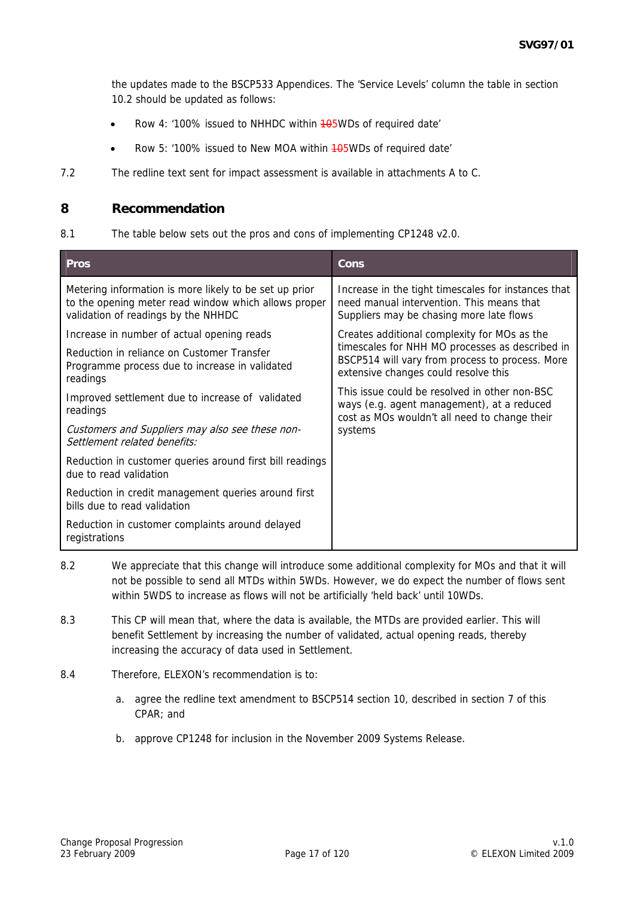the updates made to the BSCP533 Appendices. The 'Service Levels' column the table in section 10.2 should be updated as follows:

- Row 4: '100% issued to NHHDC within 405WDs of required date'
- Row 5: '100% issued to New MOA within 405WDs of required date'
- 7.2 The redline text sent for impact assessment is available in attachments A to C.

#### **8 Recommendation**

8.1 The table below sets out the pros and cons of implementing CP1248 v2.0.

| <b>Pros</b>                                                                                                                                           | Cons                                                                                                                                         |  |  |  |
|-------------------------------------------------------------------------------------------------------------------------------------------------------|----------------------------------------------------------------------------------------------------------------------------------------------|--|--|--|
| Metering information is more likely to be set up prior<br>to the opening meter read window which allows proper<br>validation of readings by the NHHDC | Increase in the tight timescales for instances that<br>need manual intervention. This means that<br>Suppliers may be chasing more late flows |  |  |  |
| Increase in number of actual opening reads                                                                                                            | Creates additional complexity for MOs as the                                                                                                 |  |  |  |
| Reduction in reliance on Customer Transfer<br>Programme process due to increase in validated<br>readings                                              | timescales for NHH MO processes as described in<br>BSCP514 will vary from process to process. More<br>extensive changes could resolve this   |  |  |  |
| Improved settlement due to increase of validated<br>readings                                                                                          | This issue could be resolved in other non-BSC<br>ways (e.g. agent management), at a reduced<br>cost as MOs wouldn't all need to change their |  |  |  |
| Customers and Suppliers may also see these non-<br>Settlement related benefits:                                                                       | systems                                                                                                                                      |  |  |  |
| Reduction in customer queries around first bill readings<br>due to read validation                                                                    |                                                                                                                                              |  |  |  |
| Reduction in credit management queries around first<br>bills due to read validation                                                                   |                                                                                                                                              |  |  |  |
| Reduction in customer complaints around delayed<br>registrations                                                                                      |                                                                                                                                              |  |  |  |

- 8.2 We appreciate that this change will introduce some additional complexity for MOs and that it will not be possible to send all MTDs within 5WDs. However, we do expect the number of flows sent within 5WDS to increase as flows will not be artificially 'held back' until 10WDs.
- 8.3 This CP will mean that, where the data is available, the MTDs are provided earlier. This will benefit Settlement by increasing the number of validated, actual opening reads, thereby increasing the accuracy of data used in Settlement.
- 8.4 Therefore, ELEXON's recommendation is to:
	- a. agree the redline text amendment to BSCP514 section 10, described in section 7 of this CPAR; and
	- b. approve CP1248 for inclusion in the November 2009 Systems Release.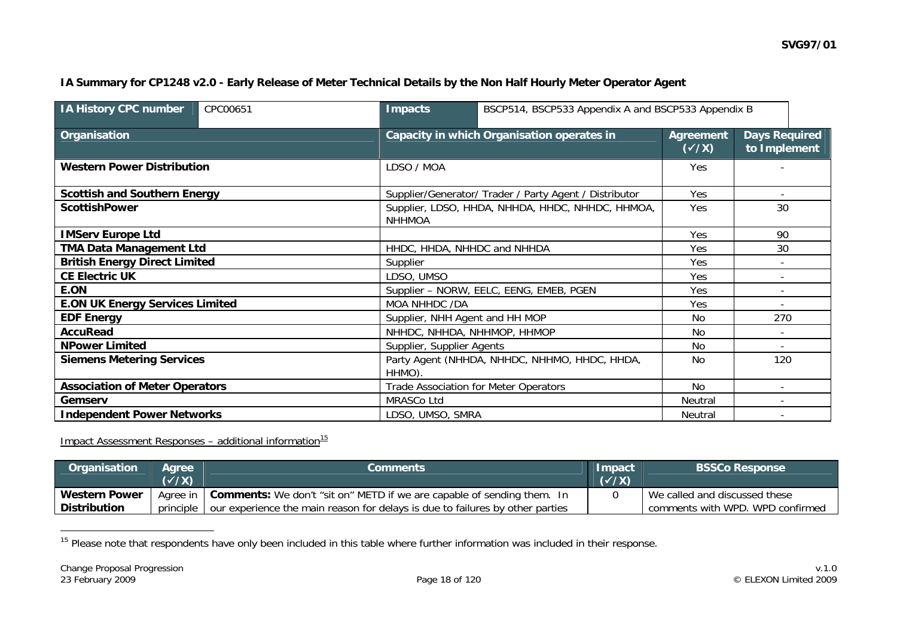#### **IA Summary for CP1248 v2.0 - Early Release of Meter Technical Details by the Non Half Hourly Meter Operator Agent**

| <b>IA History CPC number</b>           | CPC00651 | <b>Impacts</b>    | BSCP514, BSCP533 Appendix A and BSCP533 Appendix B     |                                  |                                      |
|----------------------------------------|----------|-------------------|--------------------------------------------------------|----------------------------------|--------------------------------------|
| Organisation                           |          |                   | Capacity in which Organisation operates in             | <b>Agreement</b><br>$(\sqrt{x})$ | <b>Days Required</b><br>to Implement |
| <b>Western Power Distribution</b>      |          | LDSO / MOA        |                                                        | Yes                              |                                      |
| <b>Scottish and Southern Energy</b>    |          |                   | Supplier/Generator/ Trader / Party Agent / Distributor | Yes                              |                                      |
| <b>ScottishPower</b>                   |          | <b>NHHMOA</b>     | Supplier, LDSO, HHDA, NHHDA, HHDC, NHHDC, HHMOA,       | Yes                              | 30                                   |
| <b>IMServ Europe Ltd</b>               |          |                   |                                                        | Yes                              | 90                                   |
| <b>TMA Data Management Ltd</b>         |          |                   | HHDC, HHDA, NHHDC and NHHDA                            |                                  | 30                                   |
| <b>British Energy Direct Limited</b>   |          | Supplier          |                                                        |                                  |                                      |
| <b>CE Electric UK</b>                  |          | LDSO, UMSO        |                                                        | Yes                              |                                      |
| E.ON                                   |          |                   | Supplier - NORW, EELC, EENG, EMEB, PGEN                | Yes                              |                                      |
| <b>E.ON UK Energy Services Limited</b> |          |                   | MOA NHHDC /DA                                          |                                  |                                      |
| <b>EDF Energy</b>                      |          |                   | Supplier, NHH Agent and HH MOP                         |                                  | 270                                  |
| <b>AccuRead</b>                        |          |                   | NHHDC, NHHDA, NHHMOP, HHMOP                            |                                  |                                      |
| <b>NPower Limited</b>                  |          |                   | Supplier, Supplier Agents                              |                                  | $\overline{\phantom{a}}$             |
| <b>Siemens Metering Services</b>       |          | HHMO).            | Party Agent (NHHDA, NHHDC, NHHMO, HHDC, HHDA,          |                                  | 120                                  |
| <b>Association of Meter Operators</b>  |          |                   | <b>Trade Association for Meter Operators</b>           |                                  |                                      |
| Gemserv                                |          | <b>MRASCo Ltd</b> |                                                        |                                  |                                      |
| <b>Independent Power Networks</b>      |          |                   | LDSO, UMSO, SMRA                                       |                                  |                                      |

**Impact Assessment Responses – additional information**<sup>[1](#page-17-0)5</sup>

| Organisation         | <b>Aaree</b> \<br>$(\sqrt{X})$ | <b>Comments</b>                                                                   | <b>Impact</b><br>$(\checkmark$ /X) | <b>BSSCo Response</b>            |
|----------------------|--------------------------------|-----------------------------------------------------------------------------------|------------------------------------|----------------------------------|
| <b>Western Power</b> |                                | Agree in   Comments: We don't "sit on" METD if we are capable of sending them. In |                                    | We called and discussed these    |
| l Distribution       | principle                      | our experience the main reason for delays is due to failures by other parties     |                                    | comments with WPD. WPD confirmed |

<span id="page-17-0"></span><sup>15</sup> Please note that respondents have only been included in this table where further information was included in their response.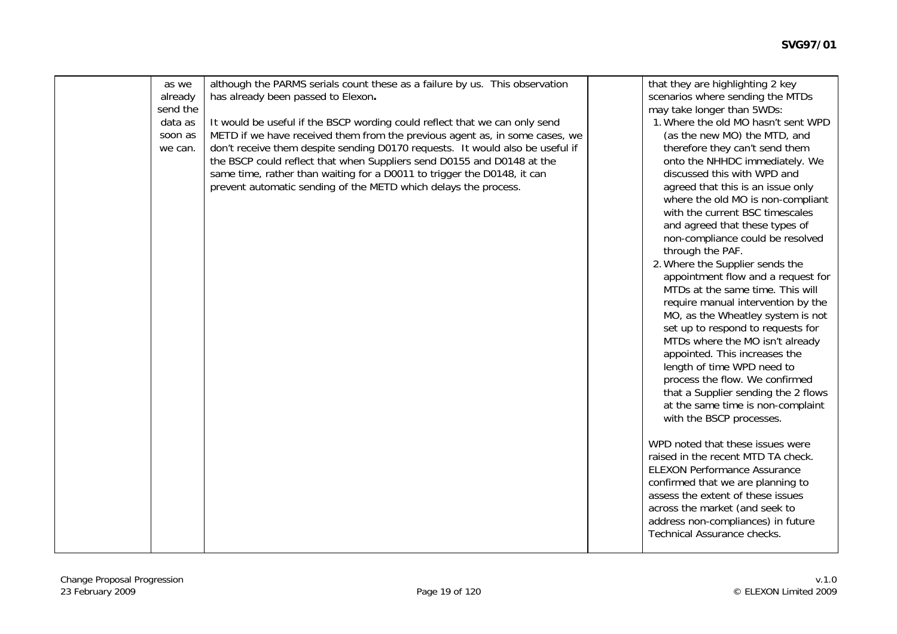| as we    | although the PARMS serials count these as a failure by us. This observation   | that they are highlighting 2 key    |
|----------|-------------------------------------------------------------------------------|-------------------------------------|
| already  | has already been passed to Elexon.                                            | scenarios where sending the MTDs    |
| send the |                                                                               | may take longer than 5WDs:          |
| data as  | It would be useful if the BSCP wording could reflect that we can only send    | 1. Where the old MO hasn't sent WPD |
| soon as  | METD if we have received them from the previous agent as, in some cases, we   | (as the new MO) the MTD, and        |
| we can.  | don't receive them despite sending D0170 requests. It would also be useful if | therefore they can't send them      |
|          | the BSCP could reflect that when Suppliers send D0155 and D0148 at the        | onto the NHHDC immediately. We      |
|          | same time, rather than waiting for a D0011 to trigger the D0148, it can       | discussed this with WPD and         |
|          | prevent automatic sending of the METD which delays the process.               | agreed that this is an issue only   |
|          |                                                                               | where the old MO is non-compliant   |
|          |                                                                               | with the current BSC timescales     |
|          |                                                                               | and agreed that these types of      |
|          |                                                                               | non-compliance could be resolved    |
|          |                                                                               | through the PAF.                    |
|          |                                                                               | 2. Where the Supplier sends the     |
|          |                                                                               | appointment flow and a request for  |
|          |                                                                               | MTDs at the same time. This will    |
|          |                                                                               | require manual intervention by the  |
|          |                                                                               | MO, as the Wheatley system is not   |
|          |                                                                               | set up to respond to requests for   |
|          |                                                                               | MTDs where the MO isn't already     |
|          |                                                                               | appointed. This increases the       |
|          |                                                                               |                                     |
|          |                                                                               | length of time WPD need to          |
|          |                                                                               | process the flow. We confirmed      |
|          |                                                                               | that a Supplier sending the 2 flows |
|          |                                                                               | at the same time is non-complaint   |
|          |                                                                               | with the BSCP processes.            |
|          |                                                                               |                                     |
|          |                                                                               | WPD noted that these issues were    |
|          |                                                                               | raised in the recent MTD TA check.  |
|          |                                                                               | <b>ELEXON Performance Assurance</b> |
|          |                                                                               | confirmed that we are planning to   |
|          |                                                                               | assess the extent of these issues   |
|          |                                                                               | across the market (and seek to      |
|          |                                                                               | address non-compliances) in future  |
|          |                                                                               | Technical Assurance checks.         |
|          |                                                                               |                                     |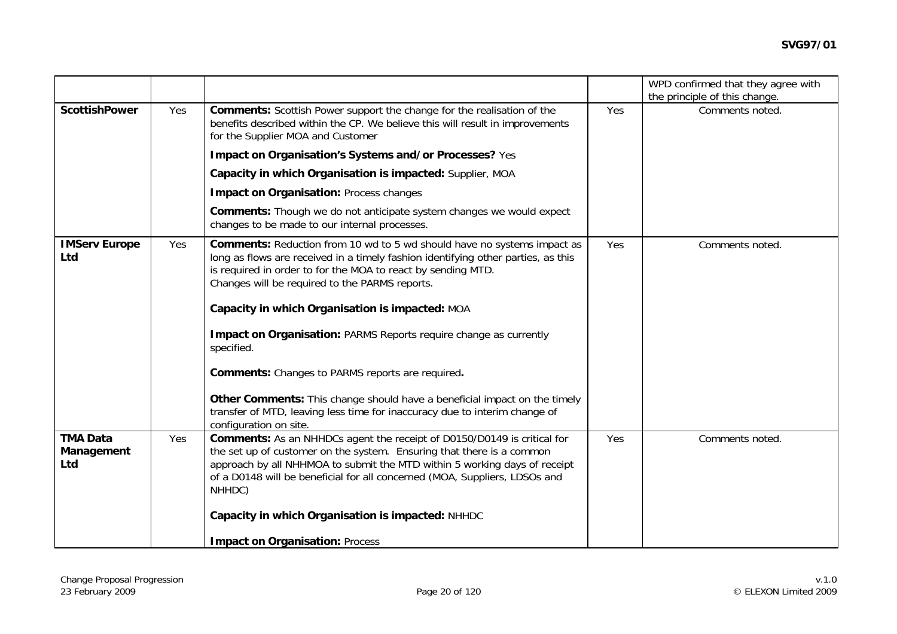|                                      |     |                                                                                                                                                                                                                                                                                                                              |     | WPD confirmed that they agree with               |
|--------------------------------------|-----|------------------------------------------------------------------------------------------------------------------------------------------------------------------------------------------------------------------------------------------------------------------------------------------------------------------------------|-----|--------------------------------------------------|
| <b>ScottishPower</b>                 | Yes | <b>Comments:</b> Scottish Power support the change for the realisation of the<br>benefits described within the CP. We believe this will result in improvements<br>for the Supplier MOA and Customer                                                                                                                          | Yes | the principle of this change.<br>Comments noted. |
|                                      |     | Impact on Organisation's Systems and/or Processes? Yes                                                                                                                                                                                                                                                                       |     |                                                  |
|                                      |     | Capacity in which Organisation is impacted: Supplier, MOA                                                                                                                                                                                                                                                                    |     |                                                  |
|                                      |     | <b>Impact on Organisation: Process changes</b>                                                                                                                                                                                                                                                                               |     |                                                  |
|                                      |     | <b>Comments:</b> Though we do not anticipate system changes we would expect<br>changes to be made to our internal processes.                                                                                                                                                                                                 |     |                                                  |
| <b>IMServ Europe</b><br>Ltd          | Yes | <b>Comments:</b> Reduction from 10 wd to 5 wd should have no systems impact as<br>long as flows are received in a timely fashion identifying other parties, as this<br>is required in order to for the MOA to react by sending MTD.<br>Changes will be required to the PARMS reports.                                        | Yes | Comments noted.                                  |
|                                      |     | Capacity in which Organisation is impacted: MOA                                                                                                                                                                                                                                                                              |     |                                                  |
|                                      |     | Impact on Organisation: PARMS Reports require change as currently<br>specified.                                                                                                                                                                                                                                              |     |                                                  |
|                                      |     | <b>Comments:</b> Changes to PARMS reports are required.                                                                                                                                                                                                                                                                      |     |                                                  |
|                                      |     | Other Comments: This change should have a beneficial impact on the timely<br>transfer of MTD, leaving less time for inaccuracy due to interim change of<br>configuration on site.                                                                                                                                            |     |                                                  |
| <b>TMA Data</b><br>Management<br>Ltd | Yes | <b>Comments:</b> As an NHHDCs agent the receipt of D0150/D0149 is critical for<br>the set up of customer on the system. Ensuring that there is a common<br>approach by all NHHMOA to submit the MTD within 5 working days of receipt<br>of a D0148 will be beneficial for all concerned (MOA, Suppliers, LDSOs and<br>NHHDC) | Yes | Comments noted.                                  |
|                                      |     | Capacity in which Organisation is impacted: NHHDC                                                                                                                                                                                                                                                                            |     |                                                  |
|                                      |     | <b>Impact on Organisation: Process</b>                                                                                                                                                                                                                                                                                       |     |                                                  |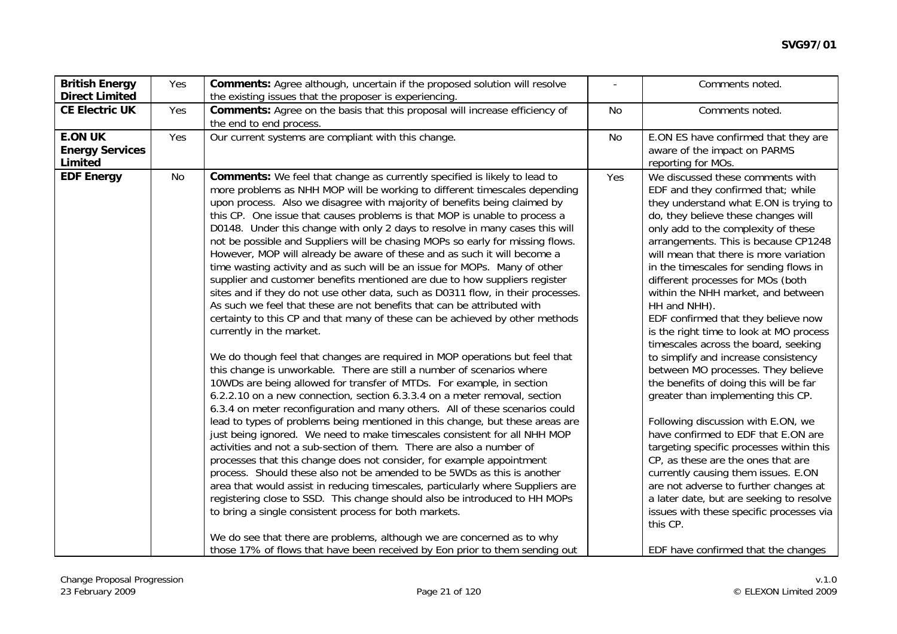| <b>British Energy</b><br><b>Direct Limited</b>      | Yes | <b>Comments:</b> Agree although, uncertain if the proposed solution will resolve<br>the existing issues that the proposer is experiencing.                                                                                                                                                                                                                                                                                                                                                                                                                                                                                                                                                                                                                                                                                                                                                                                                                                                                                                                                                                                                                                                                                                                                                                                                                                                                                                                                                                                                                                                                                                                                                                                                                                                                                                                                                                                                                                                                                                                                                                   |           | Comments noted.                                                                                                                                                                                                                                                                                                                                                                                                                                                                                                                                                                                                                                                                                                                                                                                                                                                                                                                                                                                                                                                  |
|-----------------------------------------------------|-----|--------------------------------------------------------------------------------------------------------------------------------------------------------------------------------------------------------------------------------------------------------------------------------------------------------------------------------------------------------------------------------------------------------------------------------------------------------------------------------------------------------------------------------------------------------------------------------------------------------------------------------------------------------------------------------------------------------------------------------------------------------------------------------------------------------------------------------------------------------------------------------------------------------------------------------------------------------------------------------------------------------------------------------------------------------------------------------------------------------------------------------------------------------------------------------------------------------------------------------------------------------------------------------------------------------------------------------------------------------------------------------------------------------------------------------------------------------------------------------------------------------------------------------------------------------------------------------------------------------------------------------------------------------------------------------------------------------------------------------------------------------------------------------------------------------------------------------------------------------------------------------------------------------------------------------------------------------------------------------------------------------------------------------------------------------------------------------------------------------------|-----------|------------------------------------------------------------------------------------------------------------------------------------------------------------------------------------------------------------------------------------------------------------------------------------------------------------------------------------------------------------------------------------------------------------------------------------------------------------------------------------------------------------------------------------------------------------------------------------------------------------------------------------------------------------------------------------------------------------------------------------------------------------------------------------------------------------------------------------------------------------------------------------------------------------------------------------------------------------------------------------------------------------------------------------------------------------------|
| <b>CE Electric UK</b>                               | Yes | Comments: Agree on the basis that this proposal will increase efficiency of<br>the end to end process.                                                                                                                                                                                                                                                                                                                                                                                                                                                                                                                                                                                                                                                                                                                                                                                                                                                                                                                                                                                                                                                                                                                                                                                                                                                                                                                                                                                                                                                                                                                                                                                                                                                                                                                                                                                                                                                                                                                                                                                                       | <b>No</b> | Comments noted.                                                                                                                                                                                                                                                                                                                                                                                                                                                                                                                                                                                                                                                                                                                                                                                                                                                                                                                                                                                                                                                  |
| <b>E.ON UK</b><br><b>Energy Services</b><br>Limited | Yes | Our current systems are compliant with this change.                                                                                                                                                                                                                                                                                                                                                                                                                                                                                                                                                                                                                                                                                                                                                                                                                                                                                                                                                                                                                                                                                                                                                                                                                                                                                                                                                                                                                                                                                                                                                                                                                                                                                                                                                                                                                                                                                                                                                                                                                                                          | No        | E.ON ES have confirmed that they are<br>aware of the impact on PARMS<br>reporting for MOs.                                                                                                                                                                                                                                                                                                                                                                                                                                                                                                                                                                                                                                                                                                                                                                                                                                                                                                                                                                       |
| <b>EDF Energy</b>                                   | No  | <b>Comments:</b> We feel that change as currently specified is likely to lead to<br>more problems as NHH MOP will be working to different timescales depending<br>upon process. Also we disagree with majority of benefits being claimed by<br>this CP. One issue that causes problems is that MOP is unable to process a<br>D0148. Under this change with only 2 days to resolve in many cases this will<br>not be possible and Suppliers will be chasing MOPs so early for missing flows.<br>However, MOP will already be aware of these and as such it will become a<br>time wasting activity and as such will be an issue for MOPs. Many of other<br>supplier and customer benefits mentioned are due to how suppliers register<br>sites and if they do not use other data, such as D0311 flow, in their processes.<br>As such we feel that these are not benefits that can be attributed with<br>certainty to this CP and that many of these can be achieved by other methods<br>currently in the market.<br>We do though feel that changes are required in MOP operations but feel that<br>this change is unworkable. There are still a number of scenarios where<br>10WDs are being allowed for transfer of MTDs. For example, in section<br>6.2.2.10 on a new connection, section 6.3.3.4 on a meter removal, section<br>6.3.4 on meter reconfiguration and many others. All of these scenarios could<br>lead to types of problems being mentioned in this change, but these areas are<br>just being ignored. We need to make timescales consistent for all NHH MOP<br>activities and not a sub-section of them. There are also a number of<br>processes that this change does not consider, for example appointment<br>process. Should these also not be amended to be 5WDs as this is another<br>area that would assist in reducing timescales, particularly where Suppliers are<br>registering close to SSD. This change should also be introduced to HH MOPs<br>to bring a single consistent process for both markets.<br>We do see that there are problems, although we are concerned as to why | Yes       | We discussed these comments with<br>EDF and they confirmed that; while<br>they understand what E.ON is trying to<br>do, they believe these changes will<br>only add to the complexity of these<br>arrangements. This is because CP1248<br>will mean that there is more variation<br>in the timescales for sending flows in<br>different processes for MOs (both<br>within the NHH market, and between<br>HH and NHH).<br>EDF confirmed that they believe now<br>is the right time to look at MO process<br>timescales across the board, seeking<br>to simplify and increase consistency<br>between MO processes. They believe<br>the benefits of doing this will be far<br>greater than implementing this CP.<br>Following discussion with E.ON, we<br>have confirmed to EDF that E.ON are<br>targeting specific processes within this<br>CP, as these are the ones that are<br>currently causing them issues. E.ON<br>are not adverse to further changes at<br>a later date, but are seeking to resolve<br>issues with these specific processes via<br>this CP. |
|                                                     |     | those 17% of flows that have been received by Eon prior to them sending out                                                                                                                                                                                                                                                                                                                                                                                                                                                                                                                                                                                                                                                                                                                                                                                                                                                                                                                                                                                                                                                                                                                                                                                                                                                                                                                                                                                                                                                                                                                                                                                                                                                                                                                                                                                                                                                                                                                                                                                                                                  |           | EDF have confirmed that the changes                                                                                                                                                                                                                                                                                                                                                                                                                                                                                                                                                                                                                                                                                                                                                                                                                                                                                                                                                                                                                              |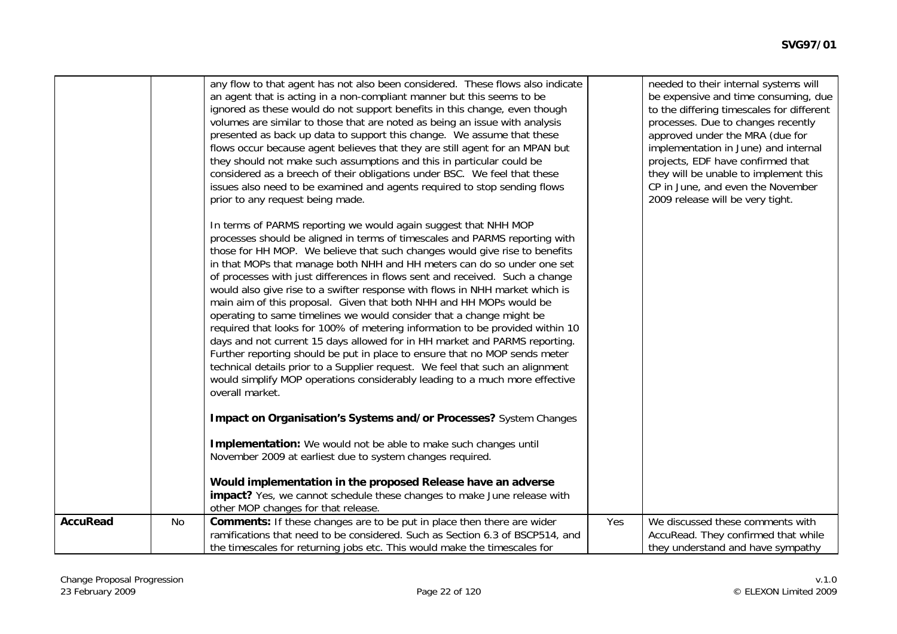|                 |    | any flow to that agent has not also been considered. These flows also indicate<br>an agent that is acting in a non-compliant manner but this seems to be<br>ignored as these would do not support benefits in this change, even though<br>volumes are similar to those that are noted as being an issue with analysis<br>presented as back up data to support this change. We assume that these<br>flows occur because agent believes that they are still agent for an MPAN but<br>they should not make such assumptions and this in particular could be<br>considered as a breech of their obligations under BSC. We feel that these<br>issues also need to be examined and agents required to stop sending flows<br>prior to any request being made.                                                                                                                                                                                                                                                                                                 |     | needed to their internal systems will<br>be expensive and time consuming, due<br>to the differing timescales for different<br>processes. Due to changes recently<br>approved under the MRA (due for<br>implementation in June) and internal<br>projects, EDF have confirmed that<br>they will be unable to implement this<br>CP in June, and even the November<br>2009 release will be very tight. |
|-----------------|----|--------------------------------------------------------------------------------------------------------------------------------------------------------------------------------------------------------------------------------------------------------------------------------------------------------------------------------------------------------------------------------------------------------------------------------------------------------------------------------------------------------------------------------------------------------------------------------------------------------------------------------------------------------------------------------------------------------------------------------------------------------------------------------------------------------------------------------------------------------------------------------------------------------------------------------------------------------------------------------------------------------------------------------------------------------|-----|----------------------------------------------------------------------------------------------------------------------------------------------------------------------------------------------------------------------------------------------------------------------------------------------------------------------------------------------------------------------------------------------------|
|                 |    | In terms of PARMS reporting we would again suggest that NHH MOP<br>processes should be aligned in terms of timescales and PARMS reporting with<br>those for HH MOP. We believe that such changes would give rise to benefits<br>in that MOPs that manage both NHH and HH meters can do so under one set<br>of processes with just differences in flows sent and received. Such a change<br>would also give rise to a swifter response with flows in NHH market which is<br>main aim of this proposal. Given that both NHH and HH MOPs would be<br>operating to same timelines we would consider that a change might be<br>required that looks for 100% of metering information to be provided within 10<br>days and not current 15 days allowed for in HH market and PARMS reporting.<br>Further reporting should be put in place to ensure that no MOP sends meter<br>technical details prior to a Supplier request. We feel that such an alignment<br>would simplify MOP operations considerably leading to a much more effective<br>overall market. |     |                                                                                                                                                                                                                                                                                                                                                                                                    |
|                 |    | Impact on Organisation's Systems and/or Processes? System Changes                                                                                                                                                                                                                                                                                                                                                                                                                                                                                                                                                                                                                                                                                                                                                                                                                                                                                                                                                                                      |     |                                                                                                                                                                                                                                                                                                                                                                                                    |
|                 |    | Implementation: We would not be able to make such changes until<br>November 2009 at earliest due to system changes required.                                                                                                                                                                                                                                                                                                                                                                                                                                                                                                                                                                                                                                                                                                                                                                                                                                                                                                                           |     |                                                                                                                                                                                                                                                                                                                                                                                                    |
|                 |    | Would implementation in the proposed Release have an adverse<br>impact? Yes, we cannot schedule these changes to make June release with<br>other MOP changes for that release.                                                                                                                                                                                                                                                                                                                                                                                                                                                                                                                                                                                                                                                                                                                                                                                                                                                                         |     |                                                                                                                                                                                                                                                                                                                                                                                                    |
| <b>AccuRead</b> | No | <b>Comments:</b> If these changes are to be put in place then there are wider<br>ramifications that need to be considered. Such as Section 6.3 of BSCP514, and<br>the timescales for returning jobs etc. This would make the timescales for                                                                                                                                                                                                                                                                                                                                                                                                                                                                                                                                                                                                                                                                                                                                                                                                            | Yes | We discussed these comments with<br>AccuRead. They confirmed that while<br>they understand and have sympathy                                                                                                                                                                                                                                                                                       |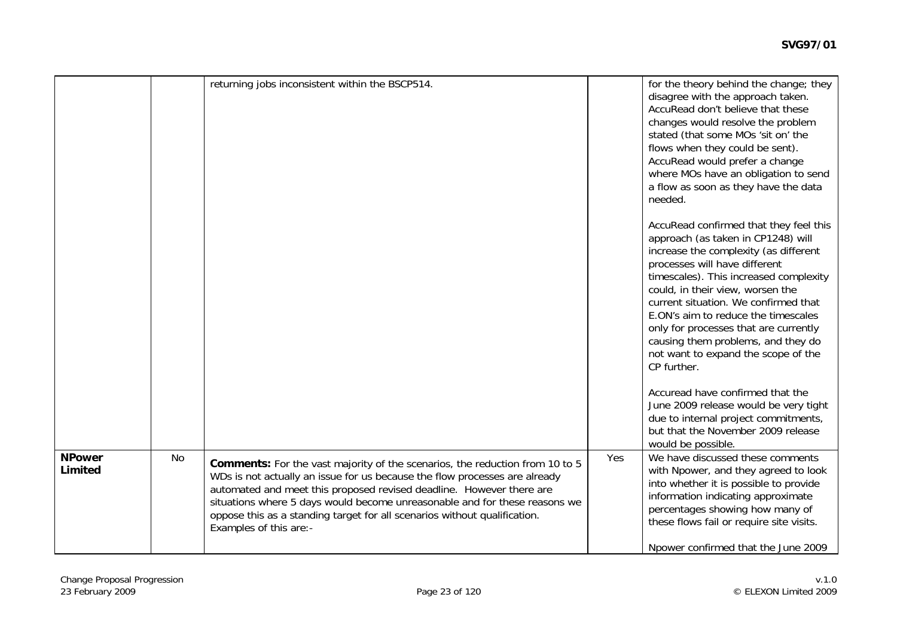|                          |    | returning jobs inconsistent within the BSCP514.                                                                                                                                                                                                                                                                                                                                                                         |     | for the theory behind the change; they<br>disagree with the approach taken.<br>AccuRead don't believe that these<br>changes would resolve the problem<br>stated (that some MOs 'sit on' the<br>flows when they could be sent).<br>AccuRead would prefer a change<br>where MOs have an obligation to send<br>a flow as soon as they have the data<br>needed.                                                                                              |
|--------------------------|----|-------------------------------------------------------------------------------------------------------------------------------------------------------------------------------------------------------------------------------------------------------------------------------------------------------------------------------------------------------------------------------------------------------------------------|-----|----------------------------------------------------------------------------------------------------------------------------------------------------------------------------------------------------------------------------------------------------------------------------------------------------------------------------------------------------------------------------------------------------------------------------------------------------------|
|                          |    |                                                                                                                                                                                                                                                                                                                                                                                                                         |     | AccuRead confirmed that they feel this<br>approach (as taken in CP1248) will<br>increase the complexity (as different<br>processes will have different<br>timescales). This increased complexity<br>could, in their view, worsen the<br>current situation. We confirmed that<br>E.ON's aim to reduce the timescales<br>only for processes that are currently<br>causing them problems, and they do<br>not want to expand the scope of the<br>CP further. |
|                          |    |                                                                                                                                                                                                                                                                                                                                                                                                                         |     | Accuread have confirmed that the<br>June 2009 release would be very tight<br>due to internal project commitments,<br>but that the November 2009 release<br>would be possible.                                                                                                                                                                                                                                                                            |
| <b>NPower</b><br>Limited | No | Comments: For the vast majority of the scenarios, the reduction from 10 to 5<br>WDs is not actually an issue for us because the flow processes are already<br>automated and meet this proposed revised deadline. However there are<br>situations where 5 days would become unreasonable and for these reasons we<br>oppose this as a standing target for all scenarios without qualification.<br>Examples of this are:- | Yes | We have discussed these comments<br>with Npower, and they agreed to look<br>into whether it is possible to provide<br>information indicating approximate<br>percentages showing how many of<br>these flows fail or require site visits.<br>Npower confirmed that the June 2009                                                                                                                                                                           |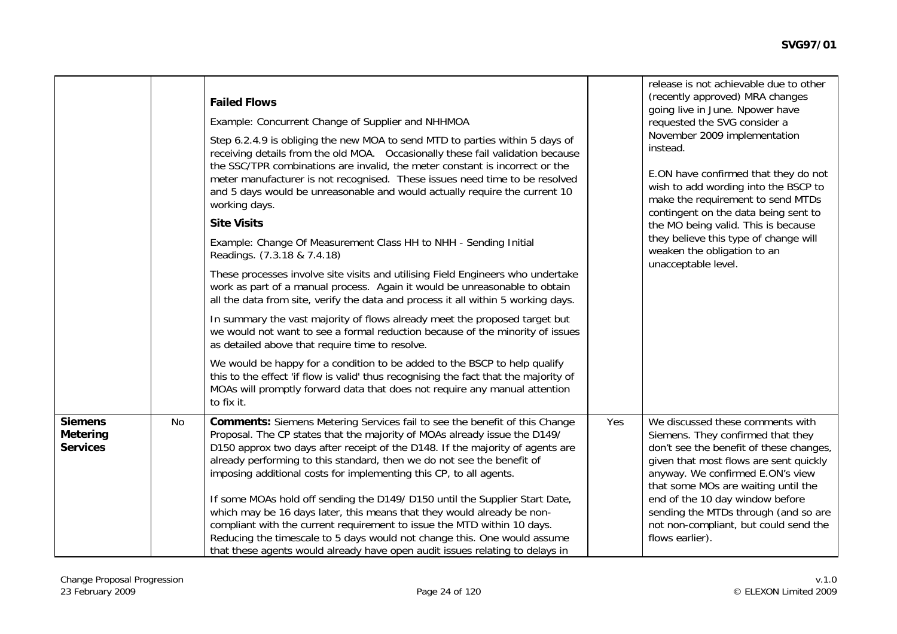|                                                      |    | <b>Failed Flows</b><br>Example: Concurrent Change of Supplier and NHHMOA<br>Step 6.2.4.9 is obliging the new MOA to send MTD to parties within 5 days of<br>receiving details from the old MOA. Occasionally these fail validation because<br>the SSC/TPR combinations are invalid, the meter constant is incorrect or the<br>meter manufacturer is not recognised. These issues need time to be resolved<br>and 5 days would be unreasonable and would actually require the current 10<br>working days.<br><b>Site Visits</b><br>Example: Change Of Measurement Class HH to NHH - Sending Initial<br>Readings. (7.3.18 & 7.4.18)<br>These processes involve site visits and utilising Field Engineers who undertake<br>work as part of a manual process. Again it would be unreasonable to obtain<br>all the data from site, verify the data and process it all within 5 working days.<br>In summary the vast majority of flows already meet the proposed target but<br>we would not want to see a formal reduction because of the minority of issues<br>as detailed above that require time to resolve.<br>We would be happy for a condition to be added to the BSCP to help qualify<br>this to the effect 'if flow is valid' thus recognising the fact that the majority of<br>MOAs will promptly forward data that does not require any manual attention<br>to fix it. |     | release is not achievable due to other<br>(recently approved) MRA changes<br>going live in June. Npower have<br>requested the SVG consider a<br>November 2009 implementation<br>instead.<br>E.ON have confirmed that they do not<br>wish to add wording into the BSCP to<br>make the requirement to send MTDs<br>contingent on the data being sent to<br>the MO being valid. This is because<br>they believe this type of change will<br>weaken the obligation to an<br>unacceptable level. |
|------------------------------------------------------|----|----------------------------------------------------------------------------------------------------------------------------------------------------------------------------------------------------------------------------------------------------------------------------------------------------------------------------------------------------------------------------------------------------------------------------------------------------------------------------------------------------------------------------------------------------------------------------------------------------------------------------------------------------------------------------------------------------------------------------------------------------------------------------------------------------------------------------------------------------------------------------------------------------------------------------------------------------------------------------------------------------------------------------------------------------------------------------------------------------------------------------------------------------------------------------------------------------------------------------------------------------------------------------------------------------------------------------------------------------------------------------|-----|---------------------------------------------------------------------------------------------------------------------------------------------------------------------------------------------------------------------------------------------------------------------------------------------------------------------------------------------------------------------------------------------------------------------------------------------------------------------------------------------|
| <b>Siemens</b><br><b>Metering</b><br><b>Services</b> | No | <b>Comments:</b> Siemens Metering Services fail to see the benefit of this Change<br>Proposal. The CP states that the majority of MOAs already issue the D149/<br>D150 approx two days after receipt of the D148. If the majority of agents are<br>already performing to this standard, then we do not see the benefit of<br>imposing additional costs for implementing this CP, to all agents.<br>If some MOAs hold off sending the D149/D150 until the Supplier Start Date,<br>which may be 16 days later, this means that they would already be non-<br>compliant with the current requirement to issue the MTD within 10 days.<br>Reducing the timescale to 5 days would not change this. One would assume<br>that these agents would already have open audit issues relating to delays in                                                                                                                                                                                                                                                                                                                                                                                                                                                                                                                                                                             | Yes | We discussed these comments with<br>Siemens. They confirmed that they<br>don't see the benefit of these changes,<br>given that most flows are sent quickly<br>anyway. We confirmed E.ON's view<br>that some MOs are waiting until the<br>end of the 10 day window before<br>sending the MTDs through (and so are<br>not non-compliant, but could send the<br>flows earlier).                                                                                                                |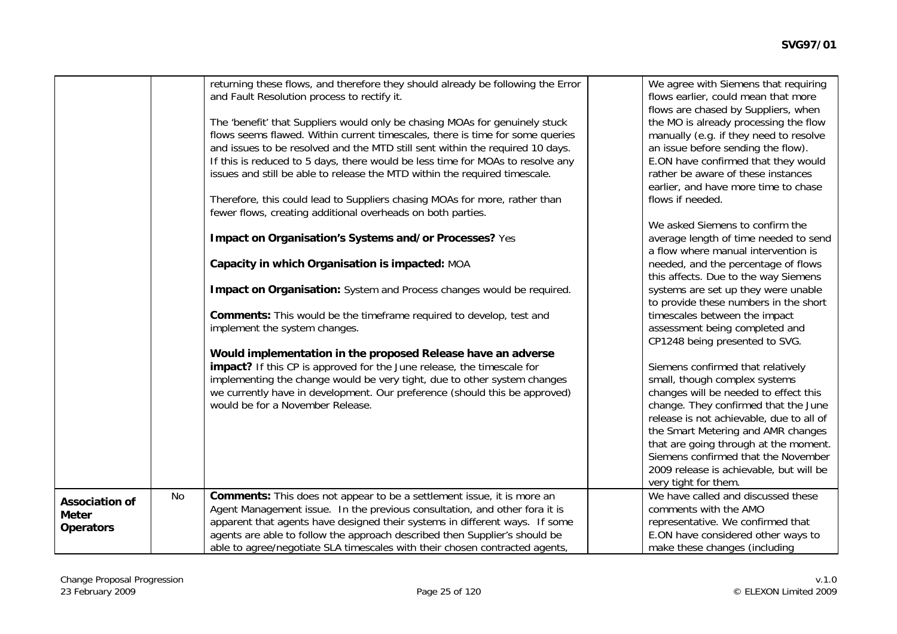|                       |    | returning these flows, and therefore they should already be following the Error<br>and Fault Resolution process to rectify it. | We agree with Siemens that requiring<br>flows earlier, could mean that more<br>flows are chased by Suppliers, when |
|-----------------------|----|--------------------------------------------------------------------------------------------------------------------------------|--------------------------------------------------------------------------------------------------------------------|
|                       |    | The 'benefit' that Suppliers would only be chasing MOAs for genuinely stuck                                                    | the MO is already processing the flow                                                                              |
|                       |    | flows seems flawed. Within current timescales, there is time for some queries                                                  | manually (e.g. if they need to resolve                                                                             |
|                       |    | and issues to be resolved and the MTD still sent within the required 10 days.                                                  | an issue before sending the flow).                                                                                 |
|                       |    | If this is reduced to 5 days, there would be less time for MOAs to resolve any                                                 | E.ON have confirmed that they would                                                                                |
|                       |    | issues and still be able to release the MTD within the required timescale.                                                     | rather be aware of these instances                                                                                 |
|                       |    |                                                                                                                                | earlier, and have more time to chase                                                                               |
|                       |    | Therefore, this could lead to Suppliers chasing MOAs for more, rather than                                                     | flows if needed.                                                                                                   |
|                       |    | fewer flows, creating additional overheads on both parties.                                                                    |                                                                                                                    |
|                       |    |                                                                                                                                | We asked Siemens to confirm the                                                                                    |
|                       |    | Impact on Organisation's Systems and/or Processes? Yes                                                                         | average length of time needed to send                                                                              |
|                       |    |                                                                                                                                | a flow where manual intervention is                                                                                |
|                       |    | Capacity in which Organisation is impacted: MOA                                                                                | needed, and the percentage of flows                                                                                |
|                       |    |                                                                                                                                | this affects. Due to the way Siemens                                                                               |
|                       |    | Impact on Organisation: System and Process changes would be required.                                                          | systems are set up they were unable                                                                                |
|                       |    |                                                                                                                                | to provide these numbers in the short                                                                              |
|                       |    | <b>Comments:</b> This would be the timeframe required to develop, test and                                                     | timescales between the impact                                                                                      |
|                       |    | implement the system changes.                                                                                                  | assessment being completed and                                                                                     |
|                       |    | Would implementation in the proposed Release have an adverse                                                                   | CP1248 being presented to SVG.                                                                                     |
|                       |    | impact? If this CP is approved for the June release, the timescale for                                                         | Siemens confirmed that relatively                                                                                  |
|                       |    | implementing the change would be very tight, due to other system changes                                                       | small, though complex systems                                                                                      |
|                       |    | we currently have in development. Our preference (should this be approved)                                                     | changes will be needed to effect this                                                                              |
|                       |    | would be for a November Release.                                                                                               | change. They confirmed that the June                                                                               |
|                       |    |                                                                                                                                | release is not achievable, due to all of                                                                           |
|                       |    |                                                                                                                                | the Smart Metering and AMR changes                                                                                 |
|                       |    |                                                                                                                                | that are going through at the moment.                                                                              |
|                       |    |                                                                                                                                | Siemens confirmed that the November                                                                                |
|                       |    |                                                                                                                                | 2009 release is achievable, but will be                                                                            |
|                       |    |                                                                                                                                | very tight for them.                                                                                               |
| <b>Association of</b> | No | <b>Comments:</b> This does not appear to be a settlement issue, it is more an                                                  | We have called and discussed these                                                                                 |
| <b>Meter</b>          |    | Agent Management issue. In the previous consultation, and other fora it is                                                     | comments with the AMO                                                                                              |
| <b>Operators</b>      |    | apparent that agents have designed their systems in different ways. If some                                                    | representative. We confirmed that                                                                                  |
|                       |    | agents are able to follow the approach described then Supplier's should be                                                     | E.ON have considered other ways to                                                                                 |
|                       |    | able to agree/negotiate SLA timescales with their chosen contracted agents,                                                    | make these changes (including                                                                                      |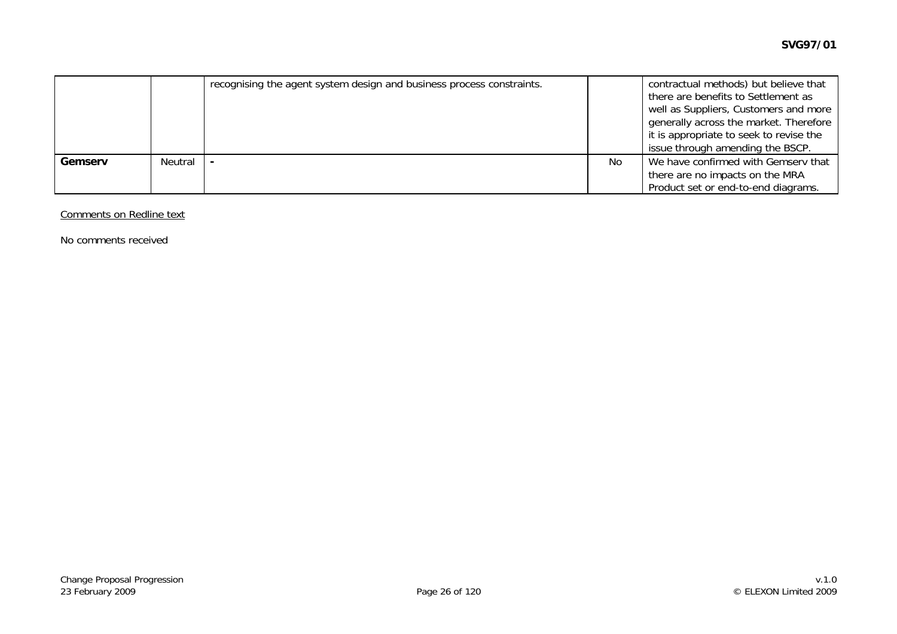|         |         | recognising the agent system design and business process constraints. |    | contractual methods) but believe that<br>there are benefits to Settlement as<br>well as Suppliers, Customers and more<br>generally across the market. Therefore<br>it is appropriate to seek to revise the<br>issue through amending the BSCP. |
|---------|---------|-----------------------------------------------------------------------|----|------------------------------------------------------------------------------------------------------------------------------------------------------------------------------------------------------------------------------------------------|
| Gemserv | Neutral |                                                                       | No | We have confirmed with Gemserv that                                                                                                                                                                                                            |
|         |         |                                                                       |    | there are no impacts on the MRA                                                                                                                                                                                                                |
|         |         |                                                                       |    | Product set or end-to-end diagrams.                                                                                                                                                                                                            |

#### Comments on Redline text

No comments received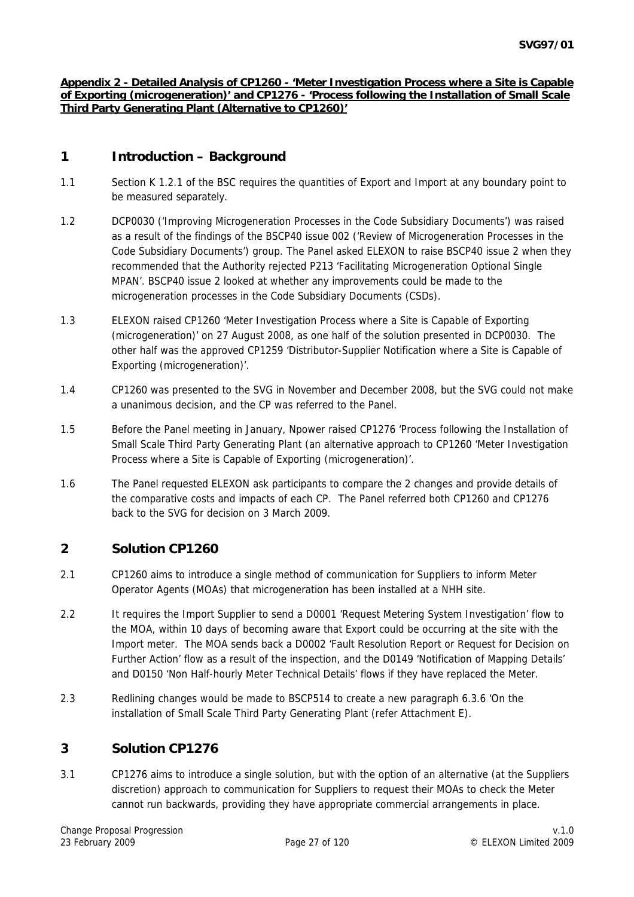#### **Appendix 2 - Detailed Analysis of CP1260 - 'Meter Investigation Process where a Site is Capable of Exporting (microgeneration)' and CP1276 - 'Process following the Installation of Small Scale Third Party Generating Plant (Alternative to CP1260)'**

# **1 Introduction – Background**

- 1.1 Section K 1.2.1 of the BSC requires the quantities of Export and Import at any boundary point to be measured separately.
- 1.2 DCP0030 ('Improving Microgeneration Processes in the Code Subsidiary Documents') was raised as a result of the findings of the BSCP40 issue 002 ('Review of Microgeneration Processes in the Code Subsidiary Documents') group. The Panel asked ELEXON to raise BSCP40 issue 2 when they recommended that the Authority rejected P213 'Facilitating Microgeneration Optional Single MPAN'. BSCP40 issue 2 looked at whether any improvements could be made to the microgeneration processes in the Code Subsidiary Documents (CSDs).
- 1.3 ELEXON raised CP1260 'Meter Investigation Process where a Site is Capable of Exporting (microgeneration)' on 27 August 2008, as one half of the solution presented in DCP0030. The other half was the approved CP1259 'Distributor-Supplier Notification where a Site is Capable of Exporting (microgeneration)'.
- 1.4 CP1260 was presented to the SVG in November and December 2008, but the SVG could not make a unanimous decision, and the CP was referred to the Panel.
- 1.5 Before the Panel meeting in January, Npower raised CP1276 'Process following the Installation of Small Scale Third Party Generating Plant (an alternative approach to CP1260 'Meter Investigation Process where a Site is Capable of Exporting (microgeneration)'.
- 1.6 The Panel requested ELEXON ask participants to compare the 2 changes and provide details of the comparative costs and impacts of each CP. The Panel referred both CP1260 and CP1276 back to the SVG for decision on 3 March 2009.

## **2 Solution CP1260**

- 2.1 CP1260 aims to introduce a single method of communication for Suppliers to inform Meter Operator Agents (MOAs) that microgeneration has been installed at a NHH site.
- 2.2 It requires the Import Supplier to send a D0001 'Request Metering System Investigation' flow to the MOA, within 10 days of becoming aware that Export could be occurring at the site with the Import meter. The MOA sends back a D0002 'Fault Resolution Report or Request for Decision on Further Action' flow as a result of the inspection, and the D0149 'Notification of Mapping Details' and D0150 'Non Half-hourly Meter Technical Details' flows if they have replaced the Meter.
- 2.3 Redlining changes would be made to BSCP514 to create a new paragraph 6.3.6 'On the installation of Small Scale Third Party Generating Plant (refer Attachment E).

## **3 Solution CP1276**

3.1 CP1276 aims to introduce a single solution, but with the option of an alternative (at the Suppliers discretion) approach to communication for Suppliers to request their MOAs to check the Meter cannot run backwards, providing they have appropriate commercial arrangements in place.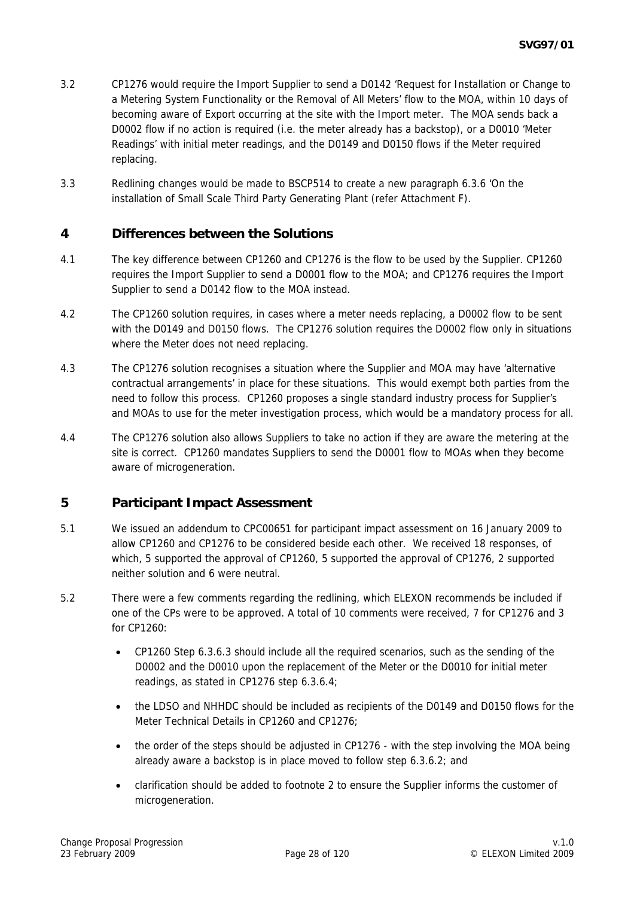- 3.2 CP1276 would require the Import Supplier to send a D0142 'Request for Installation or Change to a Metering System Functionality or the Removal of All Meters' flow to the MOA, within 10 days of becoming aware of Export occurring at the site with the Import meter. The MOA sends back a D0002 flow if no action is required (i.e. the meter already has a backstop), or a D0010 'Meter Readings' with initial meter readings, and the D0149 and D0150 flows if the Meter required replacing.
- 3.3 Redlining changes would be made to BSCP514 to create a new paragraph 6.3.6 'On the installation of Small Scale Third Party Generating Plant (refer Attachment F).

## **4 Differences between the Solutions**

- 4.1 The key difference between CP1260 and CP1276 is the flow to be used by the Supplier. CP1260 requires the Import Supplier to send a D0001 flow to the MOA; and CP1276 requires the Import Supplier to send a D0142 flow to the MOA instead.
- 4.2 The CP1260 solution requires, in cases where a meter needs replacing, a D0002 flow to be sent with the D0149 and D0150 flows. The CP1276 solution requires the D0002 flow only in situations where the Meter does not need replacing.
- 4.3 The CP1276 solution recognises a situation where the Supplier and MOA may have 'alternative contractual arrangements' in place for these situations. This would exempt both parties from the need to follow this process. CP1260 proposes a single standard industry process for Supplier's and MOAs to use for the meter investigation process, which would be a mandatory process for all.
- 4.4 The CP1276 solution also allows Suppliers to take no action if they are aware the metering at the site is correct. CP1260 mandates Suppliers to send the D0001 flow to MOAs when they become aware of microgeneration.

#### **5 Participant Impact Assessment**

- 5.1 We issued an addendum to CPC00651 for participant impact assessment on 16 January 2009 to allow CP1260 and CP1276 to be considered beside each other. We received 18 responses, of which, 5 supported the approval of CP1260, 5 supported the approval of CP1276, 2 supported neither solution and 6 were neutral.
- 5.2 There were a few comments regarding the redlining, which ELEXON recommends be included if one of the CPs were to be approved. A total of 10 comments were received, 7 for CP1276 and 3 for CP1260:
	- CP1260 Step 6.3.6.3 should include all the required scenarios, such as the sending of the D0002 and the D0010 upon the replacement of the Meter or the D0010 for initial meter readings, as stated in CP1276 step 6.3.6.4;
	- the LDSO and NHHDC should be included as recipients of the D0149 and D0150 flows for the Meter Technical Details in CP1260 and CP1276;
	- the order of the steps should be adjusted in CP1276 with the step involving the MOA being already aware a backstop is in place moved to follow step 6.3.6.2; and
	- clarification should be added to footnote 2 to ensure the Supplier informs the customer of microgeneration.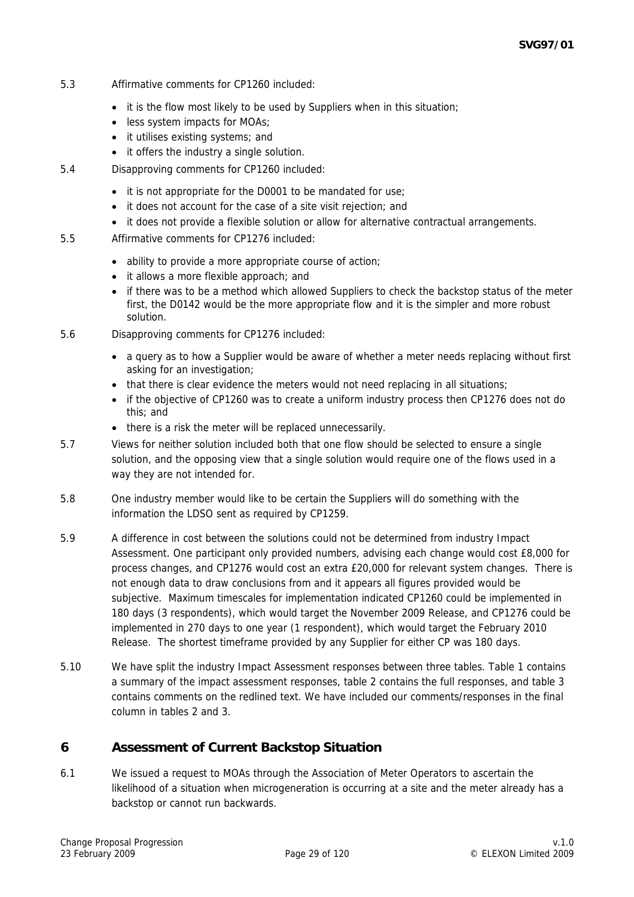- 5.3 Affirmative comments for CP1260 included:
	- it is the flow most likely to be used by Suppliers when in this situation;
	- less system impacts for MOAs;
	- it utilises existing systems; and
	- it offers the industry a single solution.
- 5.4 Disapproving comments for CP1260 included:
	- it is not appropriate for the D0001 to be mandated for use;
	- it does not account for the case of a site visit rejection; and
	- it does not provide a flexible solution or allow for alternative contractual arrangements.
- 5.5 Affirmative comments for CP1276 included:
	- ability to provide a more appropriate course of action;
	- it allows a more flexible approach; and
	- if there was to be a method which allowed Suppliers to check the backstop status of the meter first, the D0142 would be the more appropriate flow and it is the simpler and more robust solution.
- 5.6 Disapproving comments for CP1276 included:
	- a query as to how a Supplier would be aware of whether a meter needs replacing without first asking for an investigation;
	- that there is clear evidence the meters would not need replacing in all situations;
	- if the objective of CP1260 was to create a uniform industry process then CP1276 does not do this; and
	- there is a risk the meter will be replaced unnecessarily.
- 5.7 Views for neither solution included both that one flow should be selected to ensure a single solution, and the opposing view that a single solution would require one of the flows used in a way they are not intended for.
- 5.8 One industry member would like to be certain the Suppliers will do something with the information the LDSO sent as required by CP1259.
- 5.9 A difference in cost between the solutions could not be determined from industry Impact Assessment. One participant only provided numbers, advising each change would cost £8,000 for process changes, and CP1276 would cost an extra £20,000 for relevant system changes. There is not enough data to draw conclusions from and it appears all figures provided would be subjective. Maximum timescales for implementation indicated CP1260 could be implemented in 180 days (3 respondents), which would target the November 2009 Release, and CP1276 could be implemented in 270 days to one year (1 respondent), which would target the February 2010 Release. The shortest timeframe provided by any Supplier for either CP was 180 days.
- 5.10 We have split the industry Impact Assessment responses between three tables. Table 1 contains a summary of the impact assessment responses, table 2 contains the full responses, and table 3 contains comments on the redlined text. We have included our comments/responses in the final column in tables 2 and 3.

## **6 Assessment of Current Backstop Situation**

6.1 We issued a request to MOAs through the Association of Meter Operators to ascertain the likelihood of a situation when microgeneration is occurring at a site and the meter already has a backstop or cannot run backwards.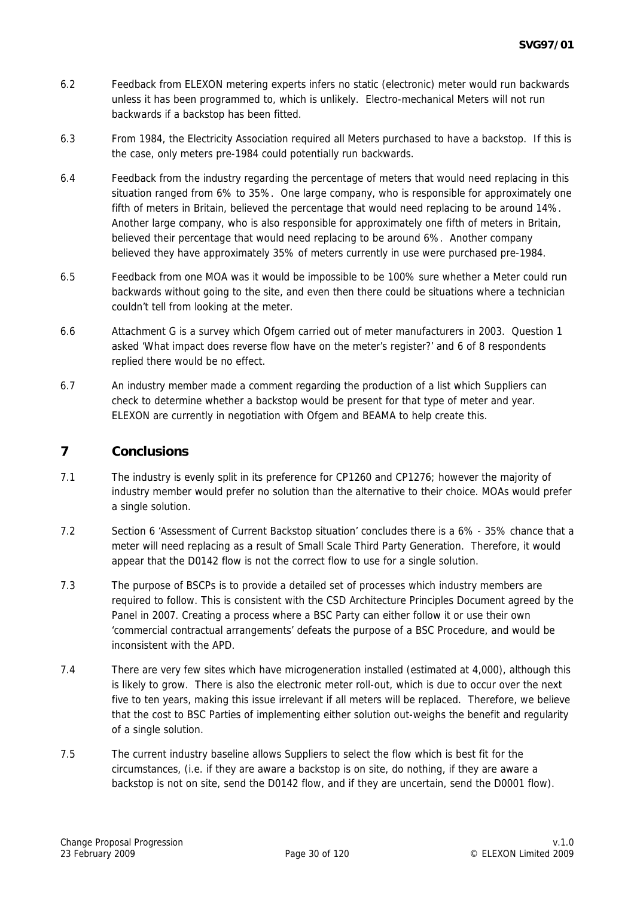- 6.2 Feedback from ELEXON metering experts infers no static (electronic) meter would run backwards unless it has been programmed to, which is unlikely. Electro-mechanical Meters will not run backwards if a backstop has been fitted.
- 6.3 From 1984, the Electricity Association required all Meters purchased to have a backstop. If this is the case, only meters pre-1984 could potentially run backwards.
- 6.4 Feedback from the industry regarding the percentage of meters that would need replacing in this situation ranged from 6% to 35%. One large company, who is responsible for approximately one fifth of meters in Britain, believed the percentage that would need replacing to be around 14%. Another large company, who is also responsible for approximately one fifth of meters in Britain, believed their percentage that would need replacing to be around 6%. Another company believed they have approximately 35% of meters currently in use were purchased pre-1984.
- 6.5 Feedback from one MOA was it would be impossible to be 100% sure whether a Meter could run backwards without going to the site, and even then there could be situations where a technician couldn't tell from looking at the meter.
- 6.6 Attachment G is a survey which Ofgem carried out of meter manufacturers in 2003. Question 1 asked 'What impact does reverse flow have on the meter's register?' and 6 of 8 respondents replied there would be no effect.
- 6.7 An industry member made a comment regarding the production of a list which Suppliers can check to determine whether a backstop would be present for that type of meter and year. ELEXON are currently in negotiation with Ofgem and BEAMA to help create this.

### **7 Conclusions**

- 7.1 The industry is evenly split in its preference for CP1260 and CP1276; however the majority of industry member would prefer no solution than the alternative to their choice. MOAs would prefer a single solution.
- 7.2 Section 6 'Assessment of Current Backstop situation' concludes there is a 6% 35% chance that a meter will need replacing as a result of Small Scale Third Party Generation. Therefore, it would appear that the D0142 flow is not the correct flow to use for a single solution.
- 7.3 The purpose of BSCPs is to provide a detailed set of processes which industry members are required to follow. This is consistent with the CSD Architecture Principles Document agreed by the Panel in 2007. Creating a process where a BSC Party can either follow it or use their own 'commercial contractual arrangements' defeats the purpose of a BSC Procedure, and would be inconsistent with the APD.
- 7.4 There are very few sites which have microgeneration installed (estimated at 4,000), although this is likely to grow. There is also the electronic meter roll-out, which is due to occur over the next five to ten years, making this issue irrelevant if all meters will be replaced. Therefore, we believe that the cost to BSC Parties of implementing either solution out-weighs the benefit and regularity of a single solution.
- 7.5 The current industry baseline allows Suppliers to select the flow which is best fit for the circumstances, (i.e. if they are aware a backstop is on site, do nothing, if they are aware a backstop is not on site, send the D0142 flow, and if they are uncertain, send the D0001 flow).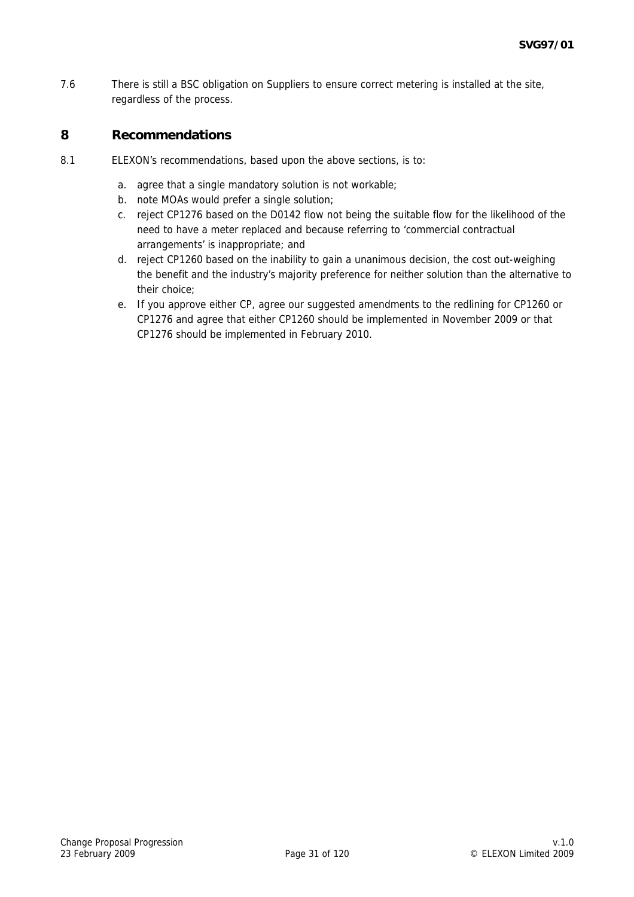7.6 There is still a BSC obligation on Suppliers to ensure correct metering is installed at the site, regardless of the process.

# **8 Recommendations**

- 8.1 ELEXON's recommendations, based upon the above sections, is to:
	- a. agree that a single mandatory solution is not workable;
	- b. note MOAs would prefer a single solution;
	- c. reject CP1276 based on the D0142 flow not being the suitable flow for the likelihood of the need to have a meter replaced and because referring to 'commercial contractual arrangements' is inappropriate; and
	- d. reject CP1260 based on the inability to gain a unanimous decision, the cost out-weighing the benefit and the industry's majority preference for neither solution than the alternative to their choice;
	- e. If you approve either CP, agree our suggested amendments to the redlining for CP1260 or CP1276 and agree that either CP1260 should be implemented in November 2009 or that CP1276 should be implemented in February 2010.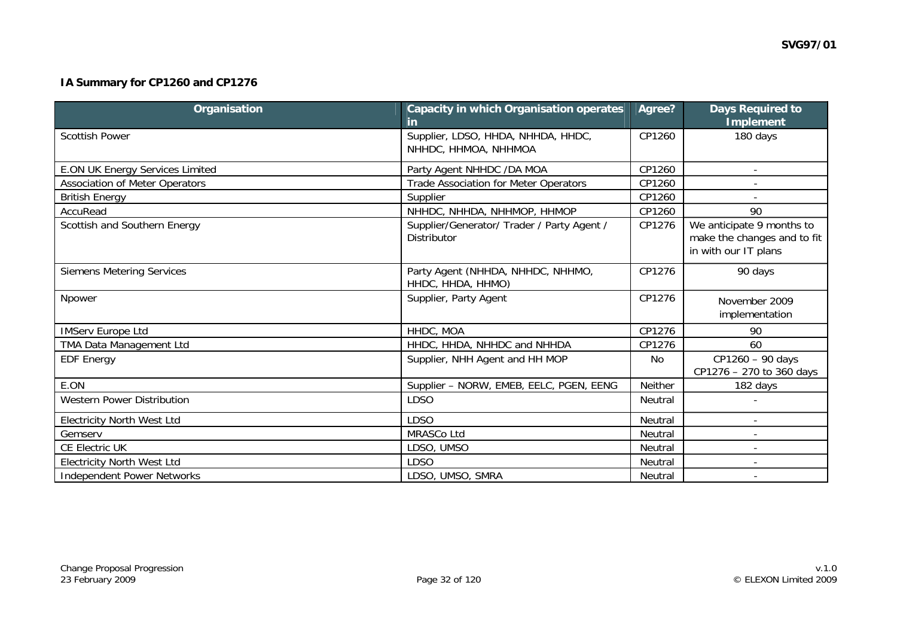# **IA Summary for CP1260 and CP1276**

| Organisation                           | <b>Capacity in which Organisation operates</b><br><u>in</u>      | Agree?         | <b>Days Required to</b><br><b>Implement</b>                                      |
|----------------------------------------|------------------------------------------------------------------|----------------|----------------------------------------------------------------------------------|
| <b>Scottish Power</b>                  | Supplier, LDSO, HHDA, NHHDA, HHDC,<br>NHHDC, HHMOA, NHHMOA       | CP1260         | 180 days                                                                         |
| <b>E.ON UK Energy Services Limited</b> | Party Agent NHHDC /DA MOA                                        | CP1260         |                                                                                  |
| Association of Meter Operators         | Trade Association for Meter Operators                            | CP1260         |                                                                                  |
| <b>British Energy</b>                  | Supplier                                                         | CP1260         |                                                                                  |
| AccuRead                               | NHHDC, NHHDA, NHHMOP, HHMOP                                      | CP1260         | 90                                                                               |
| Scottish and Southern Energy           | Supplier/Generator/ Trader / Party Agent /<br><b>Distributor</b> | CP1276         | We anticipate 9 months to<br>make the changes and to fit<br>in with our IT plans |
| <b>Siemens Metering Services</b>       | Party Agent (NHHDA, NHHDC, NHHMO,<br>HHDC, HHDA, HHMO)           | CP1276         | 90 days                                                                          |
| Npower                                 | Supplier, Party Agent                                            | CP1276         | November 2009<br>implementation                                                  |
| <b>IMServ Europe Ltd</b>               | HHDC, MOA                                                        | CP1276         | 90                                                                               |
| TMA Data Management Ltd                | HHDC, HHDA, NHHDC and NHHDA                                      | CP1276         | 60                                                                               |
| <b>EDF Energy</b>                      | Supplier, NHH Agent and HH MOP                                   | No             | CP1260 - 90 days<br>CP1276 - 270 to 360 days                                     |
| E.ON                                   | Supplier - NORW, EMEB, EELC, PGEN, EENG                          | <b>Neither</b> | 182 days                                                                         |
| <b>Western Power Distribution</b>      | <b>LDSO</b>                                                      | <b>Neutral</b> |                                                                                  |
| <b>Electricity North West Ltd</b>      | <b>LDSO</b>                                                      | Neutral        |                                                                                  |
| Gemserv                                | MRASCo Ltd                                                       | Neutral        | $\overline{\phantom{a}}$                                                         |
| CE Electric UK                         | LDSO, UMSO                                                       | Neutral        | $\overline{a}$                                                                   |
| <b>Electricity North West Ltd</b>      | <b>LDSO</b>                                                      | Neutral        |                                                                                  |
| <b>Independent Power Networks</b>      | LDSO, UMSO, SMRA                                                 | Neutral        |                                                                                  |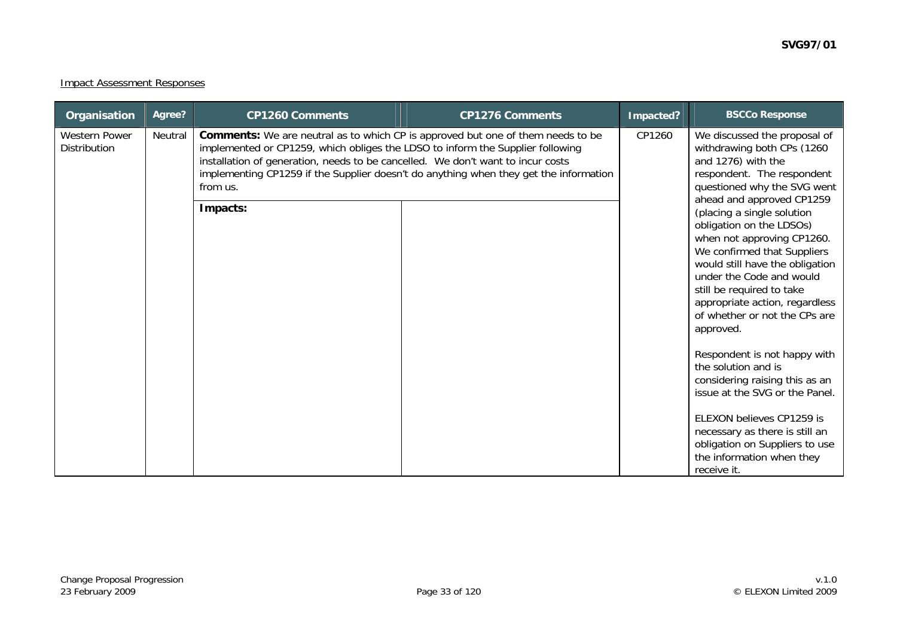#### Impact Assessment Responses

| Organisation                         | Agree?  | <b>CP1260 Comments</b>                                                                                                                                                                                                                                                              | <b>CP1276 Comments</b>                                                                | Impacted? | <b>BSCCo Response</b>                                                                                                                                                                                                                                                                                                                                                                                                                                                                                                                                                                                                                                                                                                                  |
|--------------------------------------|---------|-------------------------------------------------------------------------------------------------------------------------------------------------------------------------------------------------------------------------------------------------------------------------------------|---------------------------------------------------------------------------------------|-----------|----------------------------------------------------------------------------------------------------------------------------------------------------------------------------------------------------------------------------------------------------------------------------------------------------------------------------------------------------------------------------------------------------------------------------------------------------------------------------------------------------------------------------------------------------------------------------------------------------------------------------------------------------------------------------------------------------------------------------------------|
| <b>Western Power</b><br>Distribution | Neutral | <b>Comments:</b> We are neutral as to which CP is approved but one of them needs to be<br>implemented or CP1259, which obliges the LDSO to inform the Supplier following<br>installation of generation, needs to be cancelled. We don't want to incur costs<br>from us.<br>Impacts: | implementing CP1259 if the Supplier doesn't do anything when they get the information | CP1260    | We discussed the proposal of<br>withdrawing both CPs (1260<br>and 1276) with the<br>respondent. The respondent<br>questioned why the SVG went<br>ahead and approved CP1259<br>(placing a single solution<br>obligation on the LDSOs)<br>when not approving CP1260.<br>We confirmed that Suppliers<br>would still have the obligation<br>under the Code and would<br>still be required to take<br>appropriate action, regardless<br>of whether or not the CPs are<br>approved.<br>Respondent is not happy with<br>the solution and is<br>considering raising this as an<br>issue at the SVG or the Panel.<br>ELEXON believes CP1259 is<br>necessary as there is still an<br>obligation on Suppliers to use<br>the information when they |
|                                      |         |                                                                                                                                                                                                                                                                                     |                                                                                       |           | receive it.                                                                                                                                                                                                                                                                                                                                                                                                                                                                                                                                                                                                                                                                                                                            |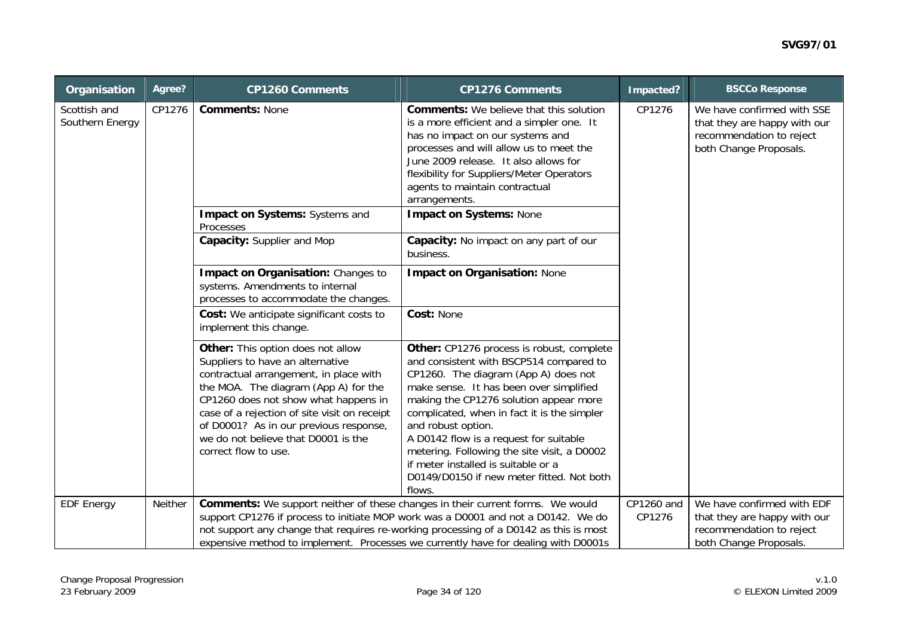| Organisation                    | Agree?  | <b>CP1260 Comments</b>                                                                                                                                                                                                                                                                                                                                   | <b>CP1276 Comments</b>                                                                                                                                                                                                                                                                                                                                                                                                                                                        | Impacted?            | <b>BSCCo Response</b>                                                                                            |  |                                                                                                                  |
|---------------------------------|---------|----------------------------------------------------------------------------------------------------------------------------------------------------------------------------------------------------------------------------------------------------------------------------------------------------------------------------------------------------------|-------------------------------------------------------------------------------------------------------------------------------------------------------------------------------------------------------------------------------------------------------------------------------------------------------------------------------------------------------------------------------------------------------------------------------------------------------------------------------|----------------------|------------------------------------------------------------------------------------------------------------------|--|------------------------------------------------------------------------------------------------------------------|
| Scottish and<br>Southern Energy | CP1276  | <b>Comments: None</b>                                                                                                                                                                                                                                                                                                                                    | <b>Comments:</b> We believe that this solution<br>is a more efficient and a simpler one. It<br>has no impact on our systems and<br>processes and will allow us to meet the<br>June 2009 release. It also allows for<br>flexibility for Suppliers/Meter Operators<br>agents to maintain contractual<br>arrangements.                                                                                                                                                           | CP1276               |                                                                                                                  |  | We have confirmed with SSE<br>that they are happy with our<br>recommendation to reject<br>both Change Proposals. |
|                                 |         | Impact on Systems: Systems and<br>Processes                                                                                                                                                                                                                                                                                                              | <b>Impact on Systems: None</b>                                                                                                                                                                                                                                                                                                                                                                                                                                                |                      |                                                                                                                  |  |                                                                                                                  |
|                                 |         | Capacity: Supplier and Mop                                                                                                                                                                                                                                                                                                                               | Capacity: No impact on any part of our<br>business.                                                                                                                                                                                                                                                                                                                                                                                                                           |                      |                                                                                                                  |  |                                                                                                                  |
|                                 |         | Impact on Organisation: Changes to<br>systems. Amendments to internal<br>processes to accommodate the changes.                                                                                                                                                                                                                                           | <b>Impact on Organisation: None</b>                                                                                                                                                                                                                                                                                                                                                                                                                                           |                      |                                                                                                                  |  |                                                                                                                  |
|                                 |         | Cost: We anticipate significant costs to<br>implement this change.                                                                                                                                                                                                                                                                                       | Cost: None                                                                                                                                                                                                                                                                                                                                                                                                                                                                    |                      |                                                                                                                  |  |                                                                                                                  |
|                                 |         | Other: This option does not allow<br>Suppliers to have an alternative<br>contractual arrangement, in place with<br>the MOA. The diagram (App A) for the<br>CP1260 does not show what happens in<br>case of a rejection of site visit on receipt<br>of D0001? As in our previous response,<br>we do not believe that D0001 is the<br>correct flow to use. | Other: CP1276 process is robust, complete<br>and consistent with BSCP514 compared to<br>CP1260. The diagram (App A) does not<br>make sense. It has been over simplified<br>making the CP1276 solution appear more<br>complicated, when in fact it is the simpler<br>and robust option.<br>A D0142 flow is a request for suitable<br>metering. Following the site visit, a D0002<br>if meter installed is suitable or a<br>D0149/D0150 if new meter fitted. Not both<br>flows. |                      |                                                                                                                  |  |                                                                                                                  |
| <b>EDF Energy</b>               | Neither | Comments: We support neither of these changes in their current forms. We would                                                                                                                                                                                                                                                                           | support CP1276 if process to initiate MOP work was a D0001 and not a D0142. We do<br>not support any change that requires re-working processing of a D0142 as this is most<br>expensive method to implement. Processes we currently have for dealing with D0001s                                                                                                                                                                                                              | CP1260 and<br>CP1276 | We have confirmed with EDF<br>that they are happy with our<br>recommendation to reject<br>both Change Proposals. |  |                                                                                                                  |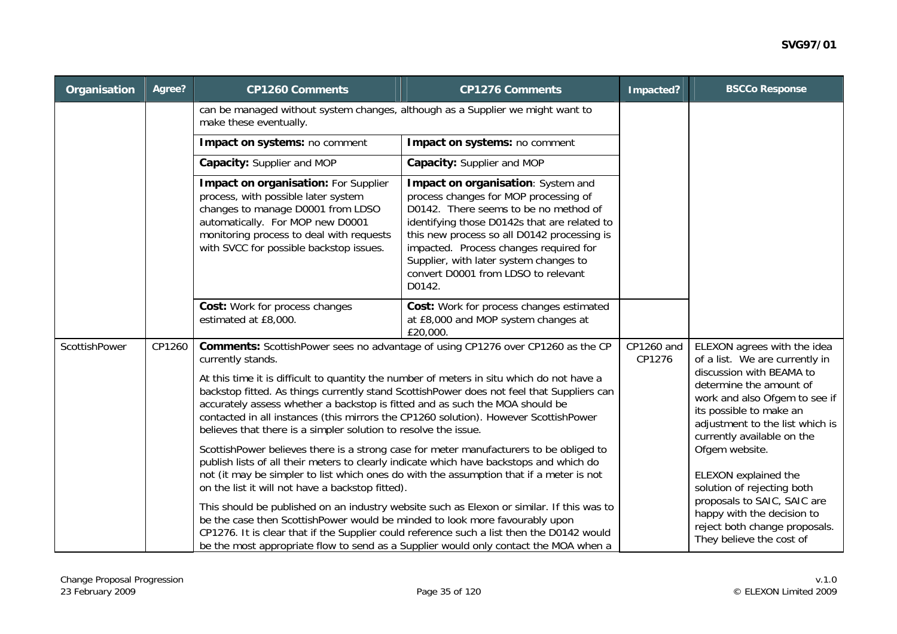| Organisation  | Agree? | <b>CP1260 Comments</b>                                                                                                                                                                                                                                                                                                               | <b>CP1276 Comments</b>                                                                                                                                                                                                                                                                                                                                   | Impacted?                                                            | <b>BSCCo Response</b>                                                                                                                                                            |
|---------------|--------|--------------------------------------------------------------------------------------------------------------------------------------------------------------------------------------------------------------------------------------------------------------------------------------------------------------------------------------|----------------------------------------------------------------------------------------------------------------------------------------------------------------------------------------------------------------------------------------------------------------------------------------------------------------------------------------------------------|----------------------------------------------------------------------|----------------------------------------------------------------------------------------------------------------------------------------------------------------------------------|
|               |        | can be managed without system changes, although as a Supplier we might want to<br>make these eventually.                                                                                                                                                                                                                             |                                                                                                                                                                                                                                                                                                                                                          |                                                                      |                                                                                                                                                                                  |
|               |        | Impact on systems: no comment                                                                                                                                                                                                                                                                                                        | Impact on systems: no comment                                                                                                                                                                                                                                                                                                                            |                                                                      |                                                                                                                                                                                  |
|               |        | Capacity: Supplier and MOP                                                                                                                                                                                                                                                                                                           | Capacity: Supplier and MOP                                                                                                                                                                                                                                                                                                                               |                                                                      |                                                                                                                                                                                  |
|               |        | Impact on organisation: For Supplier<br>process, with possible later system<br>changes to manage D0001 from LDSO<br>automatically. For MOP new D0001<br>monitoring process to deal with requests<br>with SVCC for possible backstop issues.                                                                                          | Impact on organisation: System and<br>process changes for MOP processing of<br>D0142. There seems to be no method of<br>identifying those D0142s that are related to<br>this new process so all D0142 processing is<br>impacted. Process changes required for<br>Supplier, with later system changes to<br>convert D0001 from LDSO to relevant<br>D0142. |                                                                      | ELEXON agrees with the idea<br>of a list. We are currently in                                                                                                                    |
|               |        | Cost: Work for process changes<br>estimated at £8,000.                                                                                                                                                                                                                                                                               | Cost: Work for process changes estimated<br>at £8,000 and MOP system changes at<br>£20,000.                                                                                                                                                                                                                                                              |                                                                      |                                                                                                                                                                                  |
| ScottishPower | CP1260 | currently stands.                                                                                                                                                                                                                                                                                                                    | Comments: ScottishPower sees no advantage of using CP1276 over CP1260 as the CP                                                                                                                                                                                                                                                                          | CP1260 and<br>CP1276                                                 |                                                                                                                                                                                  |
|               |        | At this time it is difficult to quantity the number of meters in situ which do not have a<br>accurately assess whether a backstop is fitted and as such the MOA should be<br>contacted in all instances (this mirrors the CP1260 solution). However ScottishPower<br>believes that there is a simpler solution to resolve the issue. | backstop fitted. As things currently stand ScottishPower does not feel that Suppliers can                                                                                                                                                                                                                                                                |                                                                      | discussion with BEAMA to<br>determine the amount of<br>work and also Ofgem to see if<br>its possible to make an<br>adjustment to the list which is<br>currently available on the |
|               |        | publish lists of all their meters to clearly indicate which have backstops and which do<br>not (it may be simpler to list which ones do with the assumption that if a meter is not<br>on the list it will not have a backstop fitted).                                                                                               | ScottishPower believes there is a strong case for meter manufacturers to be obliged to                                                                                                                                                                                                                                                                   | Ofgem website.<br>ELEXON explained the<br>solution of rejecting both |                                                                                                                                                                                  |
|               |        | be the case then ScottishPower would be minded to look more favourably upon                                                                                                                                                                                                                                                          | This should be published on an industry website such as Elexon or similar. If this was to<br>CP1276. It is clear that if the Supplier could reference such a list then the D0142 would<br>be the most appropriate flow to send as a Supplier would only contact the MOA when a                                                                           |                                                                      | proposals to SAIC, SAIC are<br>happy with the decision to<br>reject both change proposals.<br>They believe the cost of                                                           |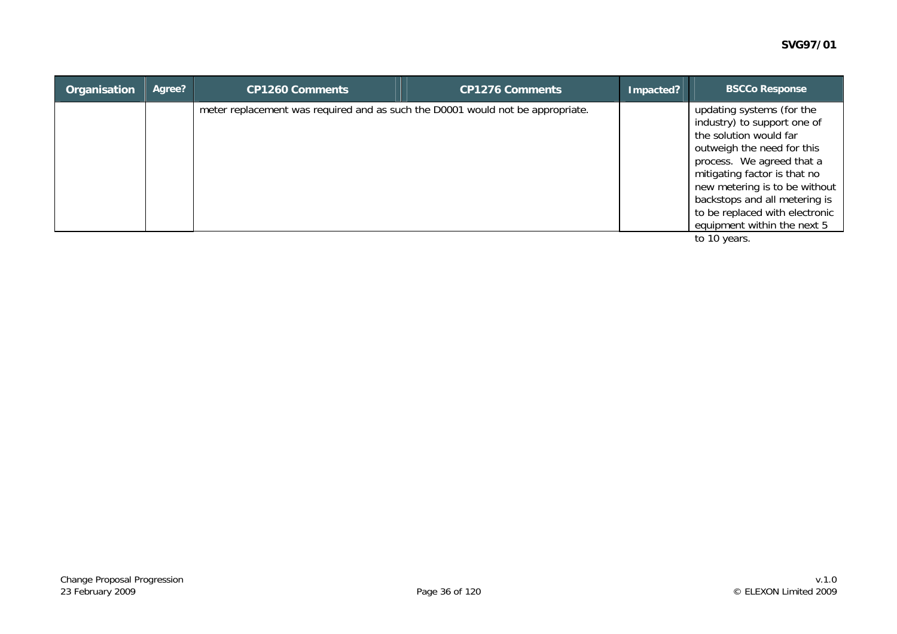| updating systems (for the<br>meter replacement was required and as such the D0001 would not be appropriate.<br>industry) to support one of<br>the solution would far<br>outweigh the need for this<br>process. We agreed that a<br>mitigating factor is that no | Organisation | Agree? | <b>CP1260 Comments</b> | <b>CP1276 Comments</b> | Impacted? | <b>BSCCo Response</b>                                                                                                           |
|-----------------------------------------------------------------------------------------------------------------------------------------------------------------------------------------------------------------------------------------------------------------|--------------|--------|------------------------|------------------------|-----------|---------------------------------------------------------------------------------------------------------------------------------|
|                                                                                                                                                                                                                                                                 |              |        |                        |                        |           | new metering is to be without<br>backstops and all metering is<br>to be replaced with electronic<br>equipment within the next 5 |

to 10 years.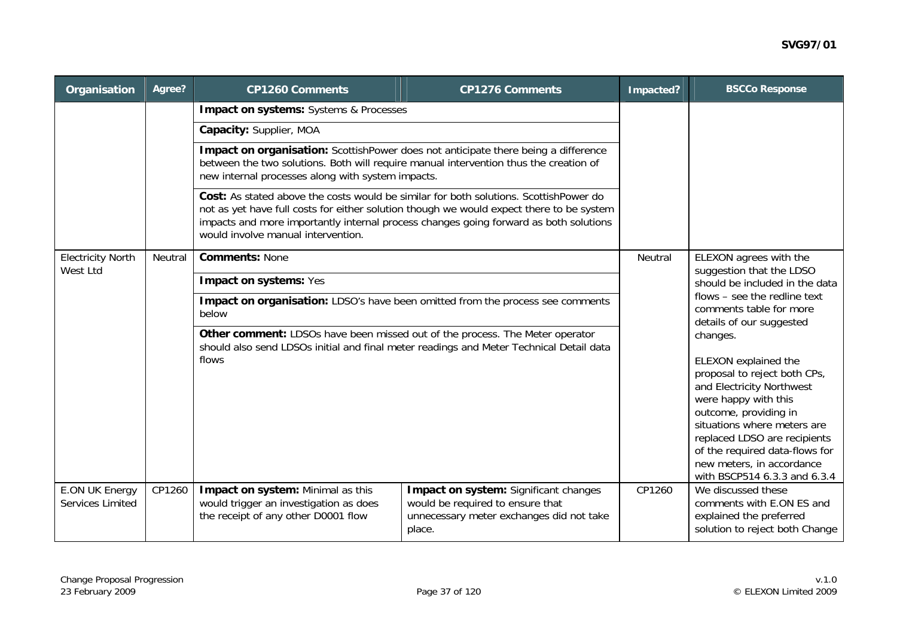| Organisation                         | Agree?  | <b>CP1260 Comments</b>                                                                                                                     | <b>CP1276 Comments</b>                                                                                                                                                            | Impacted?                                                                                                             | <b>BSCCo Response</b>                                                                                                                                                                                                                                                                                        |  |  |  |  |
|--------------------------------------|---------|--------------------------------------------------------------------------------------------------------------------------------------------|-----------------------------------------------------------------------------------------------------------------------------------------------------------------------------------|-----------------------------------------------------------------------------------------------------------------------|--------------------------------------------------------------------------------------------------------------------------------------------------------------------------------------------------------------------------------------------------------------------------------------------------------------|--|--|--|--|
|                                      |         |                                                                                                                                            | <b>Impact on systems:</b> Systems & Processes                                                                                                                                     |                                                                                                                       |                                                                                                                                                                                                                                                                                                              |  |  |  |  |
|                                      |         | Capacity: Supplier, MOA                                                                                                                    |                                                                                                                                                                                   |                                                                                                                       |                                                                                                                                                                                                                                                                                                              |  |  |  |  |
|                                      |         | between the two solutions. Both will require manual intervention thus the creation of<br>new internal processes along with system impacts. | Impact on organisation: ScottishPower does not anticipate there being a difference                                                                                                |                                                                                                                       |                                                                                                                                                                                                                                                                                                              |  |  |  |  |
|                                      |         | Cost: As stated above the costs would be similar for both solutions. ScottishPower do<br>would involve manual intervention.                | not as yet have full costs for either solution though we would expect there to be system<br>impacts and more importantly internal process changes going forward as both solutions |                                                                                                                       |                                                                                                                                                                                                                                                                                                              |  |  |  |  |
| <b>Electricity North</b><br>West Ltd | Neutral | <b>Comments: None</b>                                                                                                                      | Neutral                                                                                                                                                                           | ELEXON agrees with the<br>suggestion that the LDSO                                                                    |                                                                                                                                                                                                                                                                                                              |  |  |  |  |
|                                      |         | Impact on systems: Yes                                                                                                                     |                                                                                                                                                                                   | should be included in the data<br>flows - see the redline text<br>comments table for more<br>details of our suggested |                                                                                                                                                                                                                                                                                                              |  |  |  |  |
|                                      |         | Impact on organisation: LDSO's have been omitted from the process see comments<br>below                                                    |                                                                                                                                                                                   |                                                                                                                       |                                                                                                                                                                                                                                                                                                              |  |  |  |  |
|                                      |         | Other comment: LDSOs have been missed out of the process. The Meter operator<br>flows                                                      | should also send LDSOs initial and final meter readings and Meter Technical Detail data                                                                                           |                                                                                                                       | changes.<br>ELEXON explained the<br>proposal to reject both CPs,<br>and Electricity Northwest<br>were happy with this<br>outcome, providing in<br>situations where meters are<br>replaced LDSO are recipients<br>of the required data-flows for<br>new meters, in accordance<br>with BSCP514 6.3.3 and 6.3.4 |  |  |  |  |
| E.ON UK Energy<br>Services Limited   | CP1260  | Impact on system: Minimal as this<br>would trigger an investigation as does<br>the receipt of any other D0001 flow                         | CP1260                                                                                                                                                                            | We discussed these<br>comments with E.ON ES and<br>explained the preferred<br>solution to reject both Change          |                                                                                                                                                                                                                                                                                                              |  |  |  |  |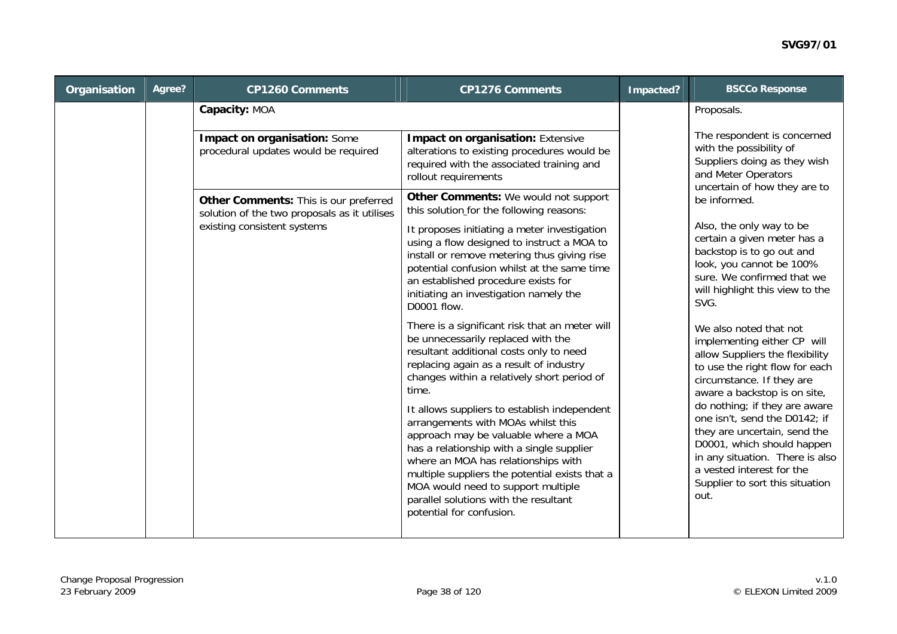| Organisation | Agree? | <b>CP1260 Comments</b>                                                                | <b>CP1276 Comments</b>                                                                                                                                                                                                                                                                                                                                                                                                                                                                                                                                                                                            | Impacted? | <b>BSCCo Response</b>                                                                                                                                                                                                                                                                                                                                                                                                              |
|--------------|--------|---------------------------------------------------------------------------------------|-------------------------------------------------------------------------------------------------------------------------------------------------------------------------------------------------------------------------------------------------------------------------------------------------------------------------------------------------------------------------------------------------------------------------------------------------------------------------------------------------------------------------------------------------------------------------------------------------------------------|-----------|------------------------------------------------------------------------------------------------------------------------------------------------------------------------------------------------------------------------------------------------------------------------------------------------------------------------------------------------------------------------------------------------------------------------------------|
|              |        | Capacity: MOA                                                                         |                                                                                                                                                                                                                                                                                                                                                                                                                                                                                                                                                                                                                   |           | Proposals.                                                                                                                                                                                                                                                                                                                                                                                                                         |
|              |        | Impact on organisation: Some<br>procedural updates would be required                  | <b>Impact on organisation: Extensive</b><br>alterations to existing procedures would be<br>required with the associated training and<br>rollout requirements                                                                                                                                                                                                                                                                                                                                                                                                                                                      |           | The respondent is concerned<br>with the possibility of<br>Suppliers doing as they wish<br>and Meter Operators<br>uncertain of how they are to                                                                                                                                                                                                                                                                                      |
|              |        | Other Comments: This is our preferred<br>solution of the two proposals as it utilises | Other Comments: We would not support<br>this solution for the following reasons:                                                                                                                                                                                                                                                                                                                                                                                                                                                                                                                                  |           | be informed.                                                                                                                                                                                                                                                                                                                                                                                                                       |
|              |        | existing consistent systems                                                           | It proposes initiating a meter investigation<br>using a flow designed to instruct a MOA to<br>install or remove metering thus giving rise<br>potential confusion whilst at the same time<br>an established procedure exists for<br>initiating an investigation namely the<br>D0001 flow.                                                                                                                                                                                                                                                                                                                          |           | Also, the only way to be<br>certain a given meter has a<br>backstop is to go out and<br>look, you cannot be 100%<br>sure. We confirmed that we<br>will highlight this view to the<br>SVG.                                                                                                                                                                                                                                          |
|              |        |                                                                                       | There is a significant risk that an meter will<br>be unnecessarily replaced with the<br>resultant additional costs only to need<br>replacing again as a result of industry<br>changes within a relatively short period of<br>time.<br>It allows suppliers to establish independent<br>arrangements with MOAs whilst this<br>approach may be valuable where a MOA<br>has a relationship with a single supplier<br>where an MOA has relationships with<br>multiple suppliers the potential exists that a<br>MOA would need to support multiple<br>parallel solutions with the resultant<br>potential for confusion. |           | We also noted that not<br>implementing either CP will<br>allow Suppliers the flexibility<br>to use the right flow for each<br>circumstance. If they are<br>aware a backstop is on site,<br>do nothing; if they are aware<br>one isn't, send the D0142; if<br>they are uncertain, send the<br>D0001, which should happen<br>in any situation. There is also<br>a vested interest for the<br>Supplier to sort this situation<br>out. |
|              |        |                                                                                       |                                                                                                                                                                                                                                                                                                                                                                                                                                                                                                                                                                                                                   |           |                                                                                                                                                                                                                                                                                                                                                                                                                                    |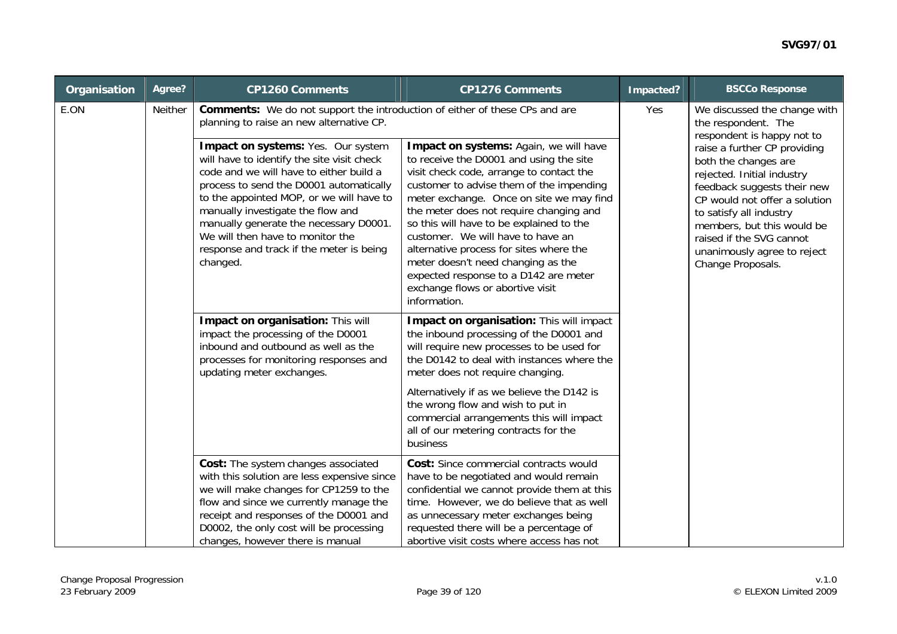| Organisation | Agree?  | <b>CP1260 Comments</b>                                                                                                                                                                                                                                                                            | <b>CP1276 Comments</b>                                                                                                                                                                                                                                                                                                                             | Impacted? | <b>BSCCo Response</b>                                                                                                                                                                                  |
|--------------|---------|---------------------------------------------------------------------------------------------------------------------------------------------------------------------------------------------------------------------------------------------------------------------------------------------------|----------------------------------------------------------------------------------------------------------------------------------------------------------------------------------------------------------------------------------------------------------------------------------------------------------------------------------------------------|-----------|--------------------------------------------------------------------------------------------------------------------------------------------------------------------------------------------------------|
| E.ON         | Neither | Comments: We do not support the introduction of either of these CPs and are<br>planning to raise an new alternative CP.<br>Impact on systems: Yes. Our system<br>will have to identify the site visit check<br>code and we will have to either build a<br>process to send the D0001 automatically | Impact on systems: Again, we will have<br>to receive the D0001 and using the site<br>visit check code, arrange to contact the<br>customer to advise them of the impending                                                                                                                                                                          | Yes       | We discussed the change with<br>the respondent. The<br>respondent is happy not to<br>raise a further CP providing<br>both the changes are<br>rejected. Initial industry<br>feedback suggests their new |
|              |         | to the appointed MOP, or we will have to<br>manually investigate the flow and<br>manually generate the necessary D0001.<br>We will then have to monitor the<br>response and track if the meter is being<br>changed.                                                                               | meter exchange. Once on site we may find<br>the meter does not require changing and<br>so this will have to be explained to the<br>customer. We will have to have an<br>alternative process for sites where the<br>meter doesn't need changing as the<br>expected response to a D142 are meter<br>exchange flows or abortive visit<br>information. |           | CP would not offer a solution<br>to satisfy all industry<br>members, but this would be<br>raised if the SVG cannot<br>unanimously agree to reject<br>Change Proposals.                                 |
|              |         | Impact on organisation: This will<br>impact the processing of the D0001<br>inbound and outbound as well as the<br>processes for monitoring responses and<br>updating meter exchanges.                                                                                                             | Impact on organisation: This will impact<br>the inbound processing of the D0001 and<br>will require new processes to be used for<br>the D0142 to deal with instances where the<br>meter does not require changing.                                                                                                                                 |           |                                                                                                                                                                                                        |
|              |         |                                                                                                                                                                                                                                                                                                   | Alternatively if as we believe the D142 is<br>the wrong flow and wish to put in<br>commercial arrangements this will impact<br>all of our metering contracts for the<br>business                                                                                                                                                                   |           |                                                                                                                                                                                                        |
|              |         | Cost: The system changes associated<br>with this solution are less expensive since<br>we will make changes for CP1259 to the<br>flow and since we currently manage the<br>receipt and responses of the D0001 and<br>D0002, the only cost will be processing<br>changes, however there is manual   | Cost: Since commercial contracts would<br>have to be negotiated and would remain<br>confidential we cannot provide them at this<br>time. However, we do believe that as well<br>as unnecessary meter exchanges being<br>requested there will be a percentage of<br>abortive visit costs where access has not                                       |           |                                                                                                                                                                                                        |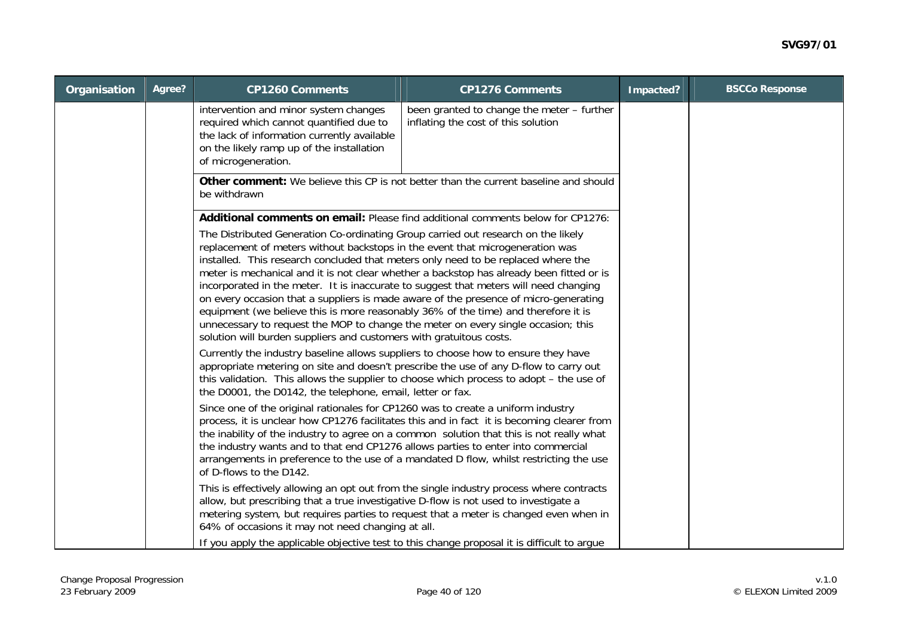| Organisation | Agree? | <b>CP1260 Comments</b>                                                                                                                                                                                                                                                                                                                                                                                                                                                                                                                                                                                                                                                                                                                                                                                                                                                                                                                                                                                                                                                                                                                                                                                                                                                                   | Impacted?                                                                                                                                                                                                                                                                                                                                                                                                                                                                                                                                                                                                                                                                                                                                       | <b>BSCCo Response</b> |  |
|--------------|--------|------------------------------------------------------------------------------------------------------------------------------------------------------------------------------------------------------------------------------------------------------------------------------------------------------------------------------------------------------------------------------------------------------------------------------------------------------------------------------------------------------------------------------------------------------------------------------------------------------------------------------------------------------------------------------------------------------------------------------------------------------------------------------------------------------------------------------------------------------------------------------------------------------------------------------------------------------------------------------------------------------------------------------------------------------------------------------------------------------------------------------------------------------------------------------------------------------------------------------------------------------------------------------------------|-------------------------------------------------------------------------------------------------------------------------------------------------------------------------------------------------------------------------------------------------------------------------------------------------------------------------------------------------------------------------------------------------------------------------------------------------------------------------------------------------------------------------------------------------------------------------------------------------------------------------------------------------------------------------------------------------------------------------------------------------|-----------------------|--|
|              |        | intervention and minor system changes<br>required which cannot quantified due to<br>the lack of information currently available<br>on the likely ramp up of the installation<br>of microgeneration.                                                                                                                                                                                                                                                                                                                                                                                                                                                                                                                                                                                                                                                                                                                                                                                                                                                                                                                                                                                                                                                                                      | been granted to change the meter - further<br>inflating the cost of this solution                                                                                                                                                                                                                                                                                                                                                                                                                                                                                                                                                                                                                                                               |                       |  |
|              |        | be withdrawn                                                                                                                                                                                                                                                                                                                                                                                                                                                                                                                                                                                                                                                                                                                                                                                                                                                                                                                                                                                                                                                                                                                                                                                                                                                                             | <b>Other comment:</b> We believe this CP is not better than the current baseline and should                                                                                                                                                                                                                                                                                                                                                                                                                                                                                                                                                                                                                                                     |                       |  |
|              |        | The Distributed Generation Co-ordinating Group carried out research on the likely<br>replacement of meters without backstops in the event that microgeneration was<br>installed. This research concluded that meters only need to be replaced where the<br>incorporated in the meter. It is inaccurate to suggest that meters will need changing<br>on every occasion that a suppliers is made aware of the presence of micro-generating<br>equipment (we believe this is more reasonably 36% of the time) and therefore it is<br>unnecessary to request the MOP to change the meter on every single occasion; this<br>solution will burden suppliers and customers with gratuitous costs.<br>Currently the industry baseline allows suppliers to choose how to ensure they have<br>appropriate metering on site and doesn't prescribe the use of any D-flow to carry out<br>the D0001, the D0142, the telephone, email, letter or fax.<br>Since one of the original rationales for CP1260 was to create a uniform industry<br>the industry wants and to that end CP1276 allows parties to enter into commercial<br>of D-flows to the D142.<br>allow, but prescribing that a true investigative D-flow is not used to investigate a<br>64% of occasions it may not need changing at all. | Additional comments on email: Please find additional comments below for CP1276:<br>meter is mechanical and it is not clear whether a backstop has already been fitted or is<br>this validation. This allows the supplier to choose which process to adopt - the use of<br>process, it is unclear how CP1276 facilitates this and in fact it is becoming clearer from<br>the inability of the industry to agree on a common solution that this is not really what<br>arrangements in preference to the use of a mandated D flow, whilst restricting the use<br>This is effectively allowing an opt out from the single industry process where contracts<br>metering system, but requires parties to request that a meter is changed even when in |                       |  |
|              |        |                                                                                                                                                                                                                                                                                                                                                                                                                                                                                                                                                                                                                                                                                                                                                                                                                                                                                                                                                                                                                                                                                                                                                                                                                                                                                          | If you apply the applicable objective test to this change proposal it is difficult to argue                                                                                                                                                                                                                                                                                                                                                                                                                                                                                                                                                                                                                                                     |                       |  |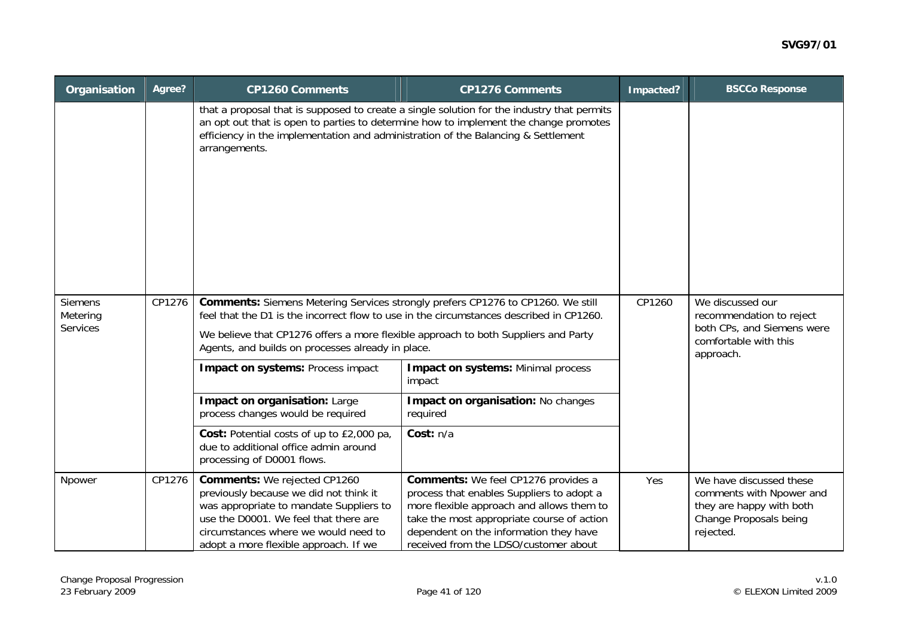| Organisation                                  | Agree? | <b>CP1260 Comments</b>                                                                                                                                                                                                                                                                                                | Impacted?                                                                                                                                                                                                                                                             | <b>BSCCo Response</b>                                                                                            |                                                                                                                        |
|-----------------------------------------------|--------|-----------------------------------------------------------------------------------------------------------------------------------------------------------------------------------------------------------------------------------------------------------------------------------------------------------------------|-----------------------------------------------------------------------------------------------------------------------------------------------------------------------------------------------------------------------------------------------------------------------|------------------------------------------------------------------------------------------------------------------|------------------------------------------------------------------------------------------------------------------------|
|                                               |        | efficiency in the implementation and administration of the Balancing & Settlement<br>arrangements.                                                                                                                                                                                                                    | that a proposal that is supposed to create a single solution for the industry that permits<br>an opt out that is open to parties to determine how to implement the change promotes                                                                                    |                                                                                                                  |                                                                                                                        |
| <b>Siemens</b><br>Metering<br><b>Services</b> | CP1276 | Comments: Siemens Metering Services strongly prefers CP1276 to CP1260. We still<br>feel that the D1 is the incorrect flow to use in the circumstances described in CP1260.<br>We believe that CP1276 offers a more flexible approach to both Suppliers and Party<br>Agents, and builds on processes already in place. | CP1260                                                                                                                                                                                                                                                                | We discussed our<br>recommendation to reject<br>both CPs, and Siemens were<br>comfortable with this<br>approach. |                                                                                                                        |
|                                               |        | Impact on systems: Process impact                                                                                                                                                                                                                                                                                     | <b>Impact on systems: Minimal process</b><br>impact                                                                                                                                                                                                                   |                                                                                                                  |                                                                                                                        |
|                                               |        | Impact on organisation: Large<br>process changes would be required                                                                                                                                                                                                                                                    | Impact on organisation: No changes<br>required                                                                                                                                                                                                                        |                                                                                                                  |                                                                                                                        |
|                                               |        | Cost: Potential costs of up to £2,000 pa,<br>due to additional office admin around<br>processing of D0001 flows.                                                                                                                                                                                                      | Cost: n/a                                                                                                                                                                                                                                                             |                                                                                                                  |                                                                                                                        |
| Npower                                        | CP1276 | <b>Comments:</b> We rejected CP1260<br>previously because we did not think it<br>was appropriate to mandate Suppliers to<br>use the D0001. We feel that there are<br>circumstances where we would need to<br>adopt a more flexible approach. If we                                                                    | <b>Comments:</b> We feel CP1276 provides a<br>process that enables Suppliers to adopt a<br>more flexible approach and allows them to<br>take the most appropriate course of action<br>dependent on the information they have<br>received from the LDSO/customer about |                                                                                                                  | We have discussed these<br>comments with Npower and<br>they are happy with both<br>Change Proposals being<br>rejected. |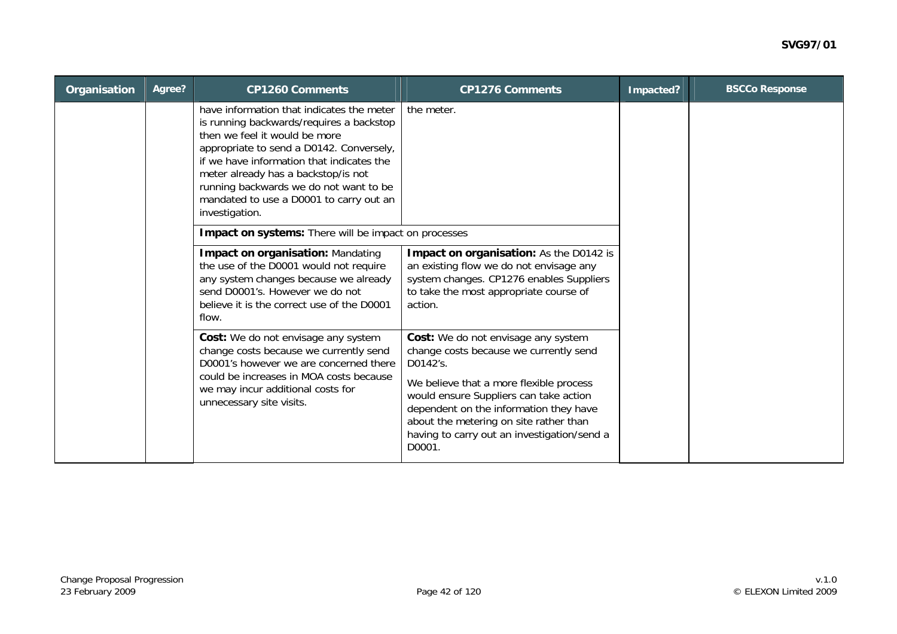| Organisation | Agree? | <b>CP1260 Comments</b>                                                                                                                                                                                                                                                                                                                                        | <b>CP1276 Comments</b>                                                                                                                                                                                                         | Impacted? | <b>BSCCo Response</b> |
|--------------|--------|---------------------------------------------------------------------------------------------------------------------------------------------------------------------------------------------------------------------------------------------------------------------------------------------------------------------------------------------------------------|--------------------------------------------------------------------------------------------------------------------------------------------------------------------------------------------------------------------------------|-----------|-----------------------|
|              |        | have information that indicates the meter<br>is running backwards/requires a backstop<br>then we feel it would be more<br>appropriate to send a D0142. Conversely,<br>if we have information that indicates the<br>meter already has a backstop/is not<br>running backwards we do not want to be<br>mandated to use a D0001 to carry out an<br>investigation. | the meter.                                                                                                                                                                                                                     |           |                       |
|              |        | Impact on systems: There will be impact on processes                                                                                                                                                                                                                                                                                                          |                                                                                                                                                                                                                                |           |                       |
|              |        | <b>Impact on organisation: Mandating</b><br>the use of the D0001 would not require<br>any system changes because we already<br>send D0001's. However we do not<br>believe it is the correct use of the D0001<br>flow.                                                                                                                                         | Impact on organisation: As the D0142 is<br>an existing flow we do not envisage any<br>system changes. CP1276 enables Suppliers<br>to take the most appropriate course of<br>action.                                            |           |                       |
|              |        | Cost: We do not envisage any system<br>change costs because we currently send<br>D0001's however we are concerned there                                                                                                                                                                                                                                       | Cost: We do not envisage any system<br>change costs because we currently send<br>D0142's.                                                                                                                                      |           |                       |
|              |        | could be increases in MOA costs because<br>we may incur additional costs for<br>unnecessary site visits.                                                                                                                                                                                                                                                      | We believe that a more flexible process<br>would ensure Suppliers can take action<br>dependent on the information they have<br>about the metering on site rather than<br>having to carry out an investigation/send a<br>D0001. |           |                       |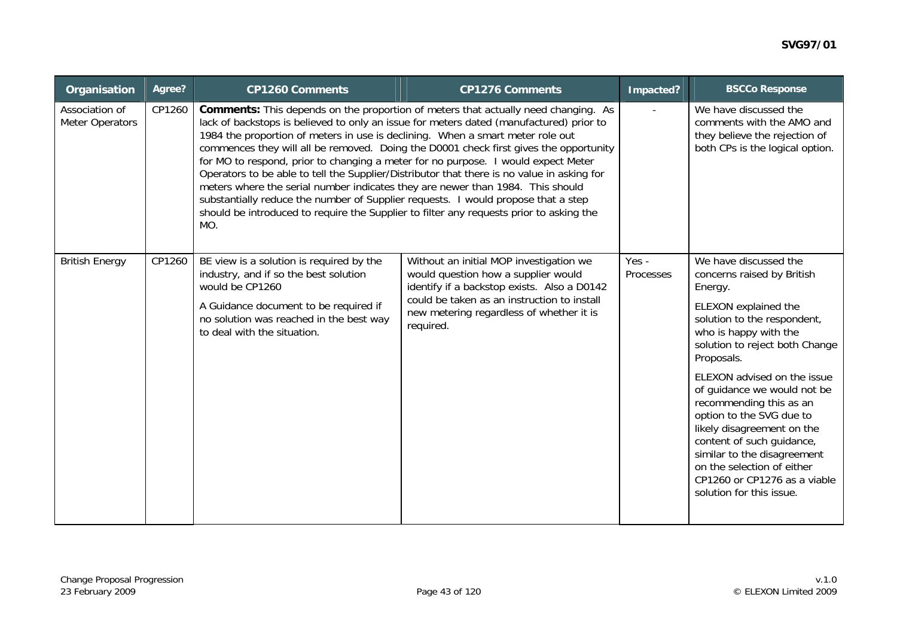| Organisation                      | Agree? | <b>CP1260 Comments</b>                                                                                                                                                                                                                                                                                                                                                                                                                                                                                                                                                                                                                                                                                                                                                                                                      | <b>CP1276 Comments</b>                                                                                                                                                                                                                | Impacted?                                                                                                              | <b>BSCCo Response</b>                                                                                                                                                                                                                                                                                                                                                                                                                                                                                   |
|-----------------------------------|--------|-----------------------------------------------------------------------------------------------------------------------------------------------------------------------------------------------------------------------------------------------------------------------------------------------------------------------------------------------------------------------------------------------------------------------------------------------------------------------------------------------------------------------------------------------------------------------------------------------------------------------------------------------------------------------------------------------------------------------------------------------------------------------------------------------------------------------------|---------------------------------------------------------------------------------------------------------------------------------------------------------------------------------------------------------------------------------------|------------------------------------------------------------------------------------------------------------------------|---------------------------------------------------------------------------------------------------------------------------------------------------------------------------------------------------------------------------------------------------------------------------------------------------------------------------------------------------------------------------------------------------------------------------------------------------------------------------------------------------------|
| Association of<br>Meter Operators | CP1260 | <b>Comments:</b> This depends on the proportion of meters that actually need changing. As<br>lack of backstops is believed to only an issue for meters dated (manufactured) prior to<br>1984 the proportion of meters in use is declining. When a smart meter role out<br>commences they will all be removed. Doing the D0001 check first gives the opportunity<br>for MO to respond, prior to changing a meter for no purpose. I would expect Meter<br>Operators to be able to tell the Supplier/Distributor that there is no value in asking for<br>meters where the serial number indicates they are newer than 1984. This should<br>substantially reduce the number of Supplier requests. I would propose that a step<br>should be introduced to require the Supplier to filter any requests prior to asking the<br>MO. |                                                                                                                                                                                                                                       | We have discussed the<br>comments with the AMO and<br>they believe the rejection of<br>both CPs is the logical option. |                                                                                                                                                                                                                                                                                                                                                                                                                                                                                                         |
| <b>British Energy</b>             | CP1260 | BE view is a solution is required by the<br>industry, and if so the best solution<br>would be CP1260<br>A Guidance document to be required if<br>no solution was reached in the best way<br>to deal with the situation.                                                                                                                                                                                                                                                                                                                                                                                                                                                                                                                                                                                                     | Without an initial MOP investigation we<br>would question how a supplier would<br>identify if a backstop exists. Also a D0142<br>could be taken as an instruction to install<br>new metering regardless of whether it is<br>required. | Yes -<br>Processes                                                                                                     | We have discussed the<br>concerns raised by British<br>Energy.<br>ELEXON explained the<br>solution to the respondent,<br>who is happy with the<br>solution to reject both Change<br>Proposals.<br>ELEXON advised on the issue<br>of guidance we would not be<br>recommending this as an<br>option to the SVG due to<br>likely disagreement on the<br>content of such guidance,<br>similar to the disagreement<br>on the selection of either<br>CP1260 or CP1276 as a viable<br>solution for this issue. |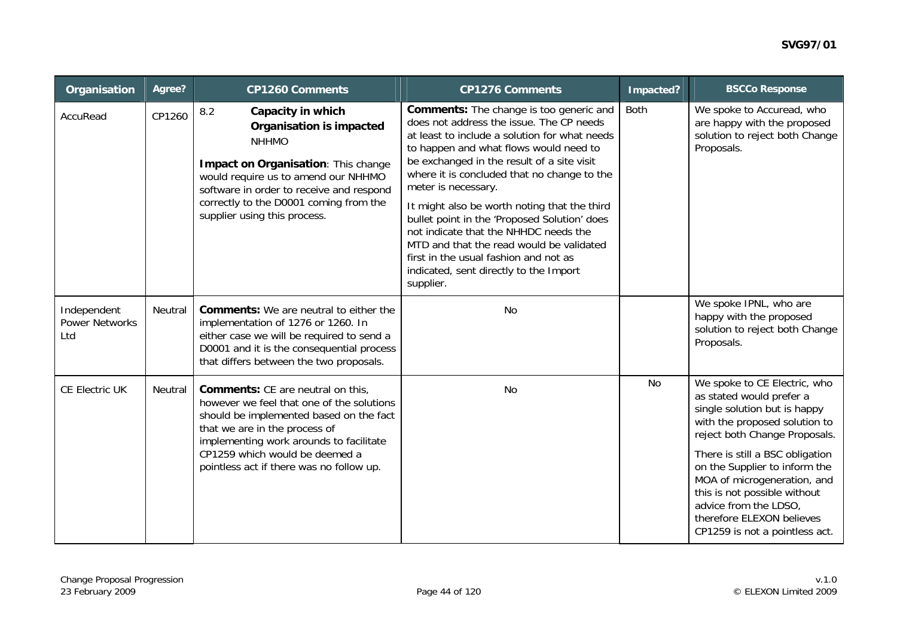| Organisation                                | Agree?  | <b>CP1260 Comments</b>                                                                                                                                                                                                                                                          | <b>CP1276 Comments</b>                                                                                                                                                                                                                                                                                                                                                                                                                                                                                                                                                                         | Impacted?   | <b>BSCCo Response</b>                                                                                                                                                                                                   |
|---------------------------------------------|---------|---------------------------------------------------------------------------------------------------------------------------------------------------------------------------------------------------------------------------------------------------------------------------------|------------------------------------------------------------------------------------------------------------------------------------------------------------------------------------------------------------------------------------------------------------------------------------------------------------------------------------------------------------------------------------------------------------------------------------------------------------------------------------------------------------------------------------------------------------------------------------------------|-------------|-------------------------------------------------------------------------------------------------------------------------------------------------------------------------------------------------------------------------|
| AccuRead                                    | CP1260  | 8.2<br>Capacity in which<br><b>Organisation is impacted</b><br><b>NHHMO</b><br>Impact on Organisation: This change<br>would require us to amend our NHHMO<br>software in order to receive and respond<br>correctly to the D0001 coming from the<br>supplier using this process. | <b>Comments:</b> The change is too generic and<br>does not address the issue. The CP needs<br>at least to include a solution for what needs<br>to happen and what flows would need to<br>be exchanged in the result of a site visit<br>where it is concluded that no change to the<br>meter is necessary.<br>It might also be worth noting that the third<br>bullet point in the 'Proposed Solution' does<br>not indicate that the NHHDC needs the<br>MTD and that the read would be validated<br>first in the usual fashion and not as<br>indicated, sent directly to the Import<br>supplier. | <b>Both</b> | We spoke to Accuread, who<br>are happy with the proposed<br>solution to reject both Change<br>Proposals.                                                                                                                |
| Independent<br><b>Power Networks</b><br>Ltd | Neutral | <b>Comments:</b> We are neutral to either the<br>implementation of 1276 or 1260. In<br>either case we will be required to send a<br>D0001 and it is the consequential process<br>that differs between the two proposals.                                                        | <b>No</b>                                                                                                                                                                                                                                                                                                                                                                                                                                                                                                                                                                                      |             | We spoke IPNL, who are<br>happy with the proposed<br>solution to reject both Change<br>Proposals.                                                                                                                       |
| CE Electric UK                              | Neutral | <b>Comments:</b> CE are neutral on this,<br>however we feel that one of the solutions<br>should be implemented based on the fact<br>that we are in the process of<br>implementing work arounds to facilitate                                                                    | No                                                                                                                                                                                                                                                                                                                                                                                                                                                                                                                                                                                             | <b>No</b>   | We spoke to CE Electric, who<br>as stated would prefer a<br>single solution but is happy<br>with the proposed solution to<br>reject both Change Proposals.                                                              |
|                                             |         | CP1259 which would be deemed a<br>pointless act if there was no follow up.                                                                                                                                                                                                      |                                                                                                                                                                                                                                                                                                                                                                                                                                                                                                                                                                                                |             | There is still a BSC obligation<br>on the Supplier to inform the<br>MOA of microgeneration, and<br>this is not possible without<br>advice from the LDSO,<br>therefore ELEXON believes<br>CP1259 is not a pointless act. |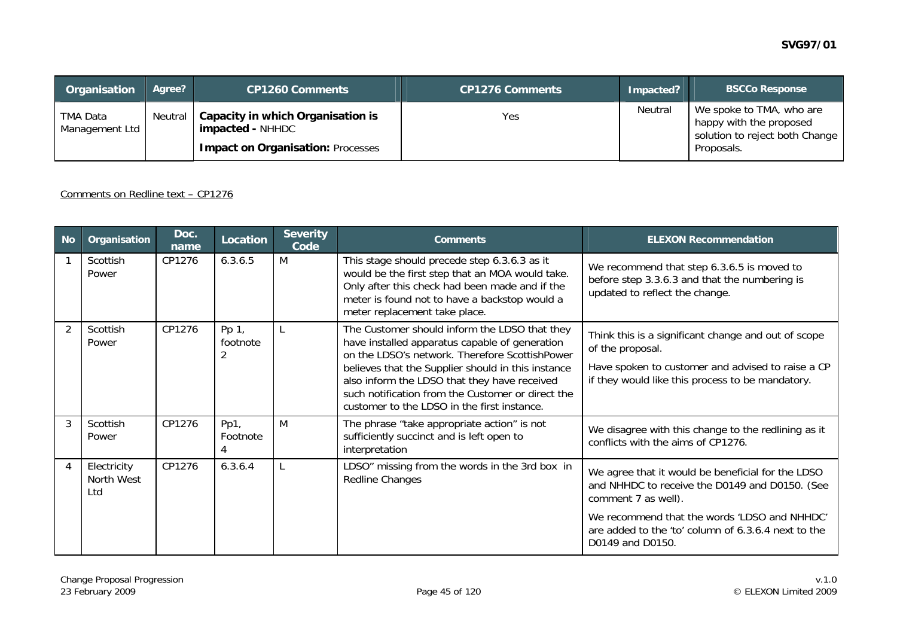| Organisation               | Agree? | <b>CP1260 Comments</b>                                                                                             | <b>CP1276 Comments</b> | Impacted? | <b>BSCCo Response</b>                                                                               |
|----------------------------|--------|--------------------------------------------------------------------------------------------------------------------|------------------------|-----------|-----------------------------------------------------------------------------------------------------|
| TMA Data<br>Management Ltd |        | Neutral   Capacity in which Organisation is<br><b>impacted - NHHDC</b><br><b>Impact on Organisation: Processes</b> | Yes                    | Neutral   | We spoke to TMA, who are<br>happy with the proposed<br>solution to reject both Change<br>Proposals. |

#### Comments on Redline text – CP1276

| <b>No</b>      | Organisation                     | Doc.<br>name | Location          | <b>Severity</b><br>Code | <b>Comments</b>                                                                                                                                                                                                                                                                                                                                             | <b>ELEXON Recommendation</b>                                                                                                                                                     |
|----------------|----------------------------------|--------------|-------------------|-------------------------|-------------------------------------------------------------------------------------------------------------------------------------------------------------------------------------------------------------------------------------------------------------------------------------------------------------------------------------------------------------|----------------------------------------------------------------------------------------------------------------------------------------------------------------------------------|
|                | Scottish<br>Power                | CP1276       | 6.3.6.5           | M                       | This stage should precede step 6.3.6.3 as it<br>would be the first step that an MOA would take.<br>Only after this check had been made and if the<br>meter is found not to have a backstop would a<br>meter replacement take place.                                                                                                                         | We recommend that step 6.3.6.5 is moved to<br>before step 3.3.6.3 and that the numbering is<br>updated to reflect the change.                                                    |
| $\mathfrak{D}$ | Scottish<br>Power                | CP1276       | Pp 1,<br>footnote |                         | The Customer should inform the LDSO that they<br>have installed apparatus capable of generation<br>on the LDSO's network. Therefore ScottishPower<br>believes that the Supplier should in this instance<br>also inform the LDSO that they have received<br>such notification from the Customer or direct the<br>customer to the LDSO in the first instance. | Think this is a significant change and out of scope<br>of the proposal.<br>Have spoken to customer and advised to raise a CP<br>if they would like this process to be mandatory. |
| 3              | Scottish<br>Power                | CP1276       | Pp1,<br>Footnote  | M                       | The phrase "take appropriate action" is not<br>sufficiently succinct and is left open to<br>interpretation                                                                                                                                                                                                                                                  | We disagree with this change to the redlining as it<br>conflicts with the aims of CP1276.                                                                                        |
|                | Electricity<br>North West<br>Ltd | CP1276       | 6.3.6.4           |                         | LDSO" missing from the words in the 3rd box in<br>Redline Changes                                                                                                                                                                                                                                                                                           | We agree that it would be beneficial for the LDSO<br>and NHHDC to receive the D0149 and D0150. (See<br>comment 7 as well).                                                       |
|                |                                  |              |                   |                         |                                                                                                                                                                                                                                                                                                                                                             | We recommend that the words 'LDSO and NHHDC'<br>are added to the 'to' column of 6.3.6.4 next to the<br>D0149 and D0150.                                                          |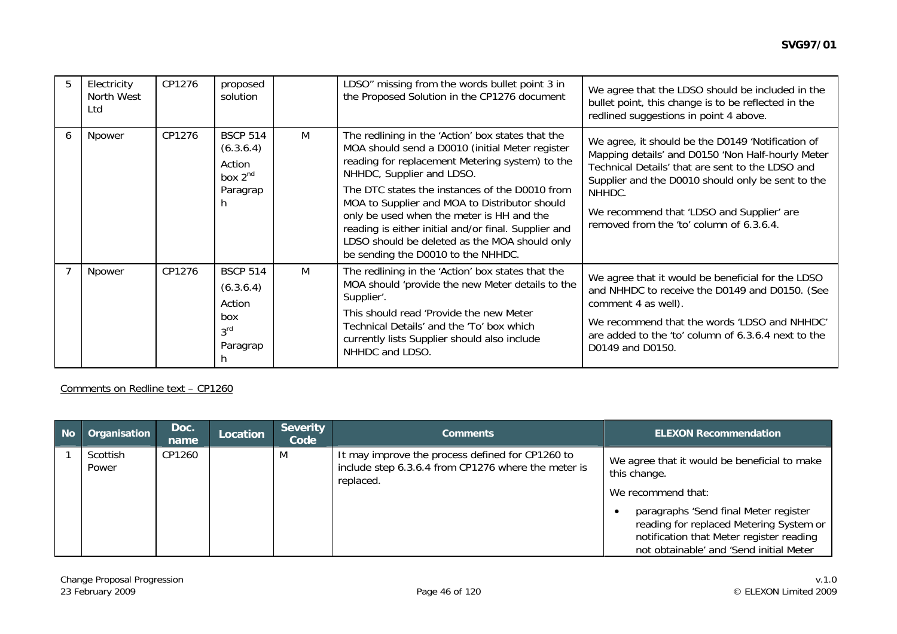|   | Electricity<br>North West<br>Ltd | CP1276 | proposed<br>solution                                                         |   | LDSO" missing from the words bullet point 3 in<br>the Proposed Solution in the CP1276 document                                                                                                                                                                                                                                                                                                                                                                                      | We agree that the LDSO should be included in the<br>bullet point, this change is to be reflected in the<br>redlined suggestions in point 4 above.                                                                                                                                                                  |
|---|----------------------------------|--------|------------------------------------------------------------------------------|---|-------------------------------------------------------------------------------------------------------------------------------------------------------------------------------------------------------------------------------------------------------------------------------------------------------------------------------------------------------------------------------------------------------------------------------------------------------------------------------------|--------------------------------------------------------------------------------------------------------------------------------------------------------------------------------------------------------------------------------------------------------------------------------------------------------------------|
| 6 | Npower                           | CP1276 | <b>BSCP 514</b><br>(6.3.6.4)<br>Action<br>box $2^{nd}$<br>Paragrap<br>h      | M | The redlining in the 'Action' box states that the<br>MOA should send a D0010 (initial Meter register<br>reading for replacement Metering system) to the<br>NHHDC, Supplier and LDSO.<br>The DTC states the instances of the D0010 from<br>MOA to Supplier and MOA to Distributor should<br>only be used when the meter is HH and the<br>reading is either initial and/or final. Supplier and<br>LDSO should be deleted as the MOA should only<br>be sending the D0010 to the NHHDC. | We agree, it should be the D0149 'Notification of<br>Mapping details' and D0150 'Non Half-hourly Meter<br>Technical Details' that are sent to the LDSO and<br>Supplier and the D0010 should only be sent to the<br>NHHDC.<br>We recommend that 'LDSO and Supplier' are<br>removed from the 'to' column of 6.3.6.4. |
|   | Npower                           | CP1276 | <b>BSCP 514</b><br>(6.3.6.4)<br>Action<br>box<br>3 <sup>rd</sup><br>Paragrap | M | The redlining in the 'Action' box states that the<br>MOA should 'provide the new Meter details to the<br>Supplier'.<br>This should read 'Provide the new Meter<br>Technical Details' and the 'To' box which<br>currently lists Supplier should also include<br>NHHDC and LDSO.                                                                                                                                                                                                      | We agree that it would be beneficial for the LDSO<br>and NHHDC to receive the D0149 and D0150. (See<br>comment 4 as well).<br>We recommend that the words 'LDSO and NHHDC'<br>are added to the 'to' column of 6.3.6.4 next to the<br>D0149 and D0150.                                                              |

Comments on Redline text – CP1260

| $\blacksquare$ No | Organisation      | Doc.<br>name | Location | <b>Severity</b><br>Code | <b>Comments</b>                                                                                                      | <b>ELEXON Recommendation</b>                                                                                                                                                                                                                                  |
|-------------------|-------------------|--------------|----------|-------------------------|----------------------------------------------------------------------------------------------------------------------|---------------------------------------------------------------------------------------------------------------------------------------------------------------------------------------------------------------------------------------------------------------|
|                   | Scottish<br>Power | CP1260       |          | M                       | It may improve the process defined for CP1260 to<br>include step 6.3.6.4 from CP1276 where the meter is<br>replaced. | We agree that it would be beneficial to make<br>this change.<br>We recommend that:<br>paragraphs 'Send final Meter register<br>reading for replaced Metering System or<br>notification that Meter register reading<br>not obtainable' and 'Send initial Meter |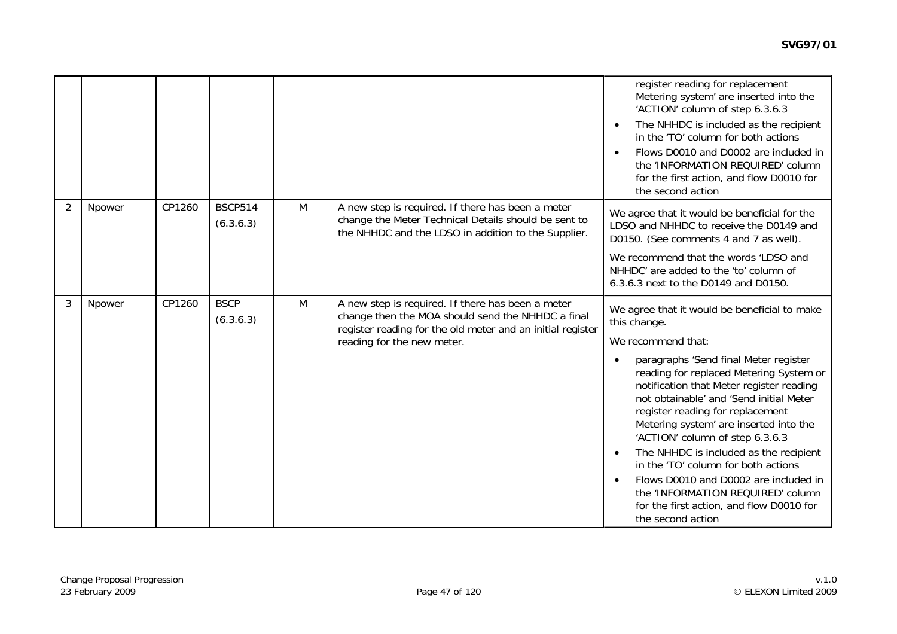|                |        |        |                             |   |                                                                                                                                                                      | register reading for replacement<br>Metering system' are inserted into the<br>'ACTION' column of step 6.3.6.3<br>The NHHDC is included as the recipient<br>in the 'TO' column for both actions<br>Flows D0010 and D0002 are included in<br>the 'INFORMATION REQUIRED' column<br>for the first action, and flow D0010 for<br>the second action                                                                                                                                                                            |
|----------------|--------|--------|-----------------------------|---|----------------------------------------------------------------------------------------------------------------------------------------------------------------------|--------------------------------------------------------------------------------------------------------------------------------------------------------------------------------------------------------------------------------------------------------------------------------------------------------------------------------------------------------------------------------------------------------------------------------------------------------------------------------------------------------------------------|
| $\overline{2}$ | Npower | CP1260 | <b>BSCP514</b><br>(6.3.6.3) | M | A new step is required. If there has been a meter<br>change the Meter Technical Details should be sent to<br>the NHHDC and the LDSO in addition to the Supplier.     | We agree that it would be beneficial for the<br>LDSO and NHHDC to receive the D0149 and<br>D0150. (See comments 4 and 7 as well).                                                                                                                                                                                                                                                                                                                                                                                        |
|                |        |        |                             |   |                                                                                                                                                                      | We recommend that the words 'LDSO and<br>NHHDC' are added to the 'to' column of<br>6.3.6.3 next to the D0149 and D0150.                                                                                                                                                                                                                                                                                                                                                                                                  |
| 3              | Npower | CP1260 | <b>BSCP</b><br>(6.3.6.3)    | M | A new step is required. If there has been a meter<br>change then the MOA should send the NHHDC a final<br>register reading for the old meter and an initial register | We agree that it would be beneficial to make<br>this change.                                                                                                                                                                                                                                                                                                                                                                                                                                                             |
|                |        |        |                             |   | reading for the new meter.                                                                                                                                           | We recommend that:                                                                                                                                                                                                                                                                                                                                                                                                                                                                                                       |
|                |        |        |                             |   |                                                                                                                                                                      | paragraphs 'Send final Meter register<br>reading for replaced Metering System or<br>notification that Meter register reading<br>not obtainable' and 'Send initial Meter<br>register reading for replacement<br>Metering system' are inserted into the<br>'ACTION' column of step 6.3.6.3<br>The NHHDC is included as the recipient<br>in the 'TO' column for both actions<br>Flows D0010 and D0002 are included in<br>the 'INFORMATION REQUIRED' column<br>for the first action, and flow D0010 for<br>the second action |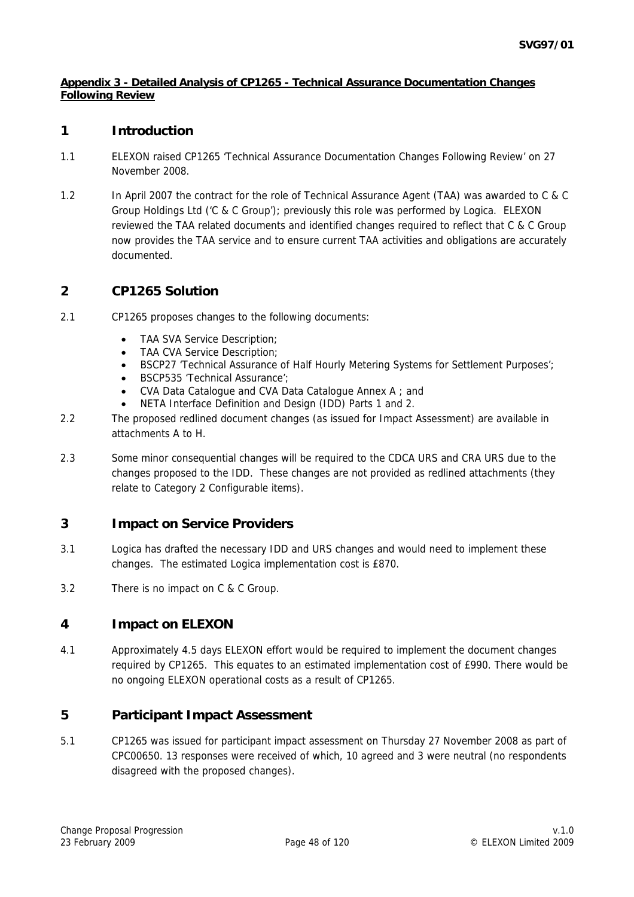### **Appendix 3 - Detailed Analysis of CP1265 - Technical Assurance Documentation Changes Following Review**

## **1 Introduction**

- 1.1 ELEXON raised CP1265 'Technical Assurance Documentation Changes Following Review' on 27 November 2008.
- 1.2 In April 2007 the contract for the role of Technical Assurance Agent (TAA) was awarded to C & C Group Holdings Ltd ('C & C Group'); previously this role was performed by Logica. ELEXON reviewed the TAA related documents and identified changes required to reflect that C & C Group now provides the TAA service and to ensure current TAA activities and obligations are accurately documented.

## **2 CP1265 Solution**

- 2.1 CP1265 proposes changes to the following documents:
	- TAA SVA Service Description;
	- TAA CVA Service Description;
	- BSCP27 'Technical Assurance of Half Hourly Metering Systems for Settlement Purposes';
	- BSCP535 'Technical Assurance';
	- CVA Data Catalogue and CVA Data Catalogue Annex A ; and
	- NETA Interface Definition and Design (IDD) Parts 1 and 2.
- 2.2 The proposed redlined document changes (as issued for Impact Assessment) are available in attachments A to H.
- 2.3 Some minor consequential changes will be required to the CDCA URS and CRA URS due to the changes proposed to the IDD. These changes are not provided as redlined attachments (they relate to Category 2 Configurable items).

# **3 Impact on Service Providers**

- 3.1 Logica has drafted the necessary IDD and URS changes and would need to implement these changes. The estimated Logica implementation cost is £870.
- 3.2 There is no impact on C & C Group.

# **4 Impact on ELEXON**

4.1 Approximately 4.5 days ELEXON effort would be required to implement the document changes required by CP1265. This equates to an estimated implementation cost of £990. There would be no ongoing ELEXON operational costs as a result of CP1265.

## **5 Participant Impact Assessment**

5.1 CP1265 was issued for participant impact assessment on Thursday 27 November 2008 as part of CPC00650. 13 responses were received of which, 10 agreed and 3 were neutral (no respondents disagreed with the proposed changes).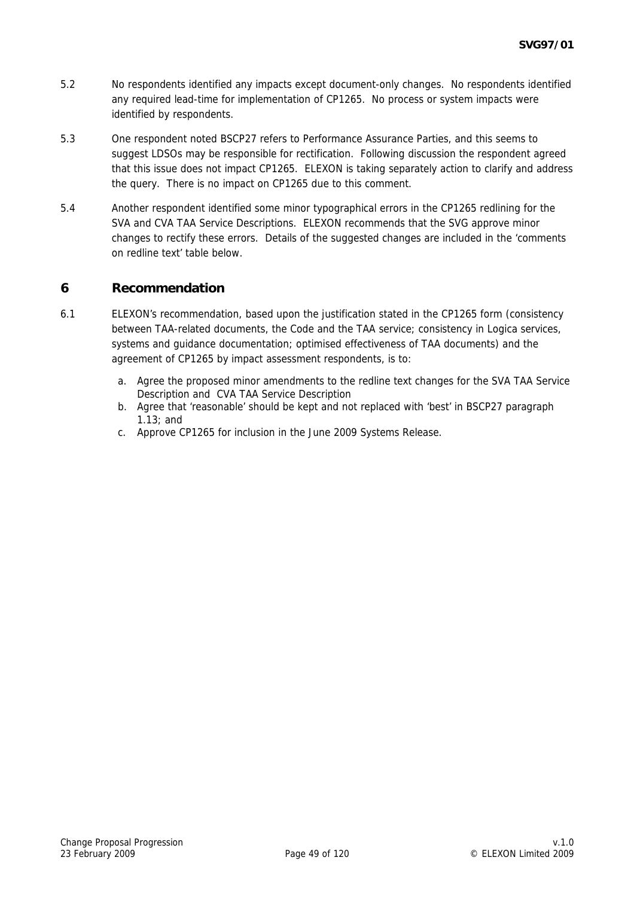- 5.2 No respondents identified any impacts except document-only changes. No respondents identified any required lead-time for implementation of CP1265. No process or system impacts were identified by respondents.
- 5.3 One respondent noted BSCP27 refers to Performance Assurance Parties, and this seems to suggest LDSOs may be responsible for rectification. Following discussion the respondent agreed that this issue does not impact CP1265. ELEXON is taking separately action to clarify and address the query. There is no impact on CP1265 due to this comment.
- 5.4 Another respondent identified some minor typographical errors in the CP1265 redlining for the SVA and CVA TAA Service Descriptions. ELEXON recommends that the SVG approve minor changes to rectify these errors. Details of the suggested changes are included in the 'comments on redline text' table below.

## **6 Recommendation**

- 6.1 ELEXON's recommendation, based upon the justification stated in the CP1265 form (consistency between TAA-related documents, the Code and the TAA service; consistency in Logica services, systems and guidance documentation; optimised effectiveness of TAA documents) and the agreement of CP1265 by impact assessment respondents, is to:
	- a. Agree the proposed minor amendments to the redline text changes for the SVA TAA Service Description and CVA TAA Service Description
	- b. Agree that 'reasonable' should be kept and not replaced with 'best' in BSCP27 paragraph 1.13; and
	- c. Approve CP1265 for inclusion in the June 2009 Systems Release.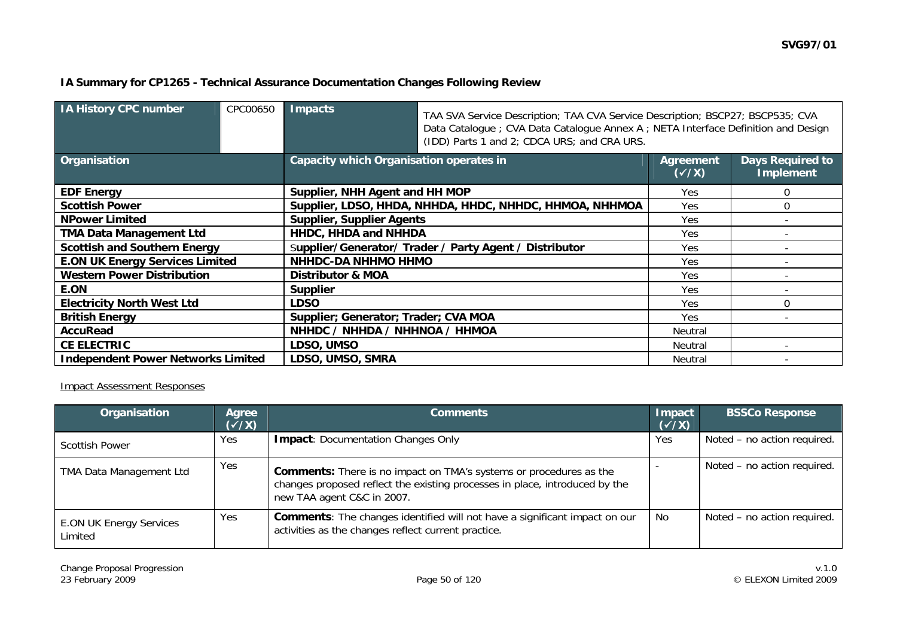### **IA Summary for CP1265 - Technical Assurance Documentation Changes Following Review**

| <b>IA History CPC number</b>              | CPC00650 | <b>Impacts</b>                                          | TAA SVA Service Description; TAA CVA Service Description; BSCP27; BSCP535; CVA<br>Data Catalogue ; CVA Data Catalogue Annex A ; NETA Interface Definition and Design<br>(IDD) Parts 1 and 2; CDCA URS; and CRA URS. |                           |                                             |  |  |
|-------------------------------------------|----------|---------------------------------------------------------|---------------------------------------------------------------------------------------------------------------------------------------------------------------------------------------------------------------------|---------------------------|---------------------------------------------|--|--|
| Organisation                              |          | <b>Capacity which Organisation operates in</b>          |                                                                                                                                                                                                                     | Agreement<br>$(\sqrt{x})$ | <b>Days Required to</b><br><b>Implement</b> |  |  |
| <b>EDF Energy</b>                         |          | Supplier, NHH Agent and HH MOP                          |                                                                                                                                                                                                                     | Yes.                      | 0                                           |  |  |
| <b>Scottish Power</b>                     |          | Supplier, LDSO, HHDA, NHHDA, HHDC, NHHDC, HHMOA, NHHMOA | Yes                                                                                                                                                                                                                 | 0                         |                                             |  |  |
| <b>NPower Limited</b>                     |          | Supplier, Supplier Agents                               |                                                                                                                                                                                                                     | Yes.                      |                                             |  |  |
| <b>TMA Data Management Ltd</b>            |          | HHDC, HHDA and NHHDA                                    |                                                                                                                                                                                                                     | Yes.                      |                                             |  |  |
| <b>Scottish and Southern Energy</b>       |          | Supplier/Generator/ Trader / Party Agent / Distributor  |                                                                                                                                                                                                                     | Yes.                      |                                             |  |  |
| <b>E.ON UK Energy Services Limited</b>    |          | <b>NHHDC-DA NHHMO HHMO</b>                              | Yes                                                                                                                                                                                                                 |                           |                                             |  |  |
| <b>Western Power Distribution</b>         |          | <b>Distributor &amp; MOA</b>                            | Yes                                                                                                                                                                                                                 |                           |                                             |  |  |
| E.ON                                      |          | <b>Supplier</b>                                         | Yes.                                                                                                                                                                                                                |                           |                                             |  |  |
| <b>Electricity North West Ltd</b>         |          | <b>LDSO</b>                                             | Yes                                                                                                                                                                                                                 | $\Omega$                  |                                             |  |  |
| <b>British Energy</b>                     |          | Supplier; Generator; Trader; CVA MOA                    |                                                                                                                                                                                                                     | Yes                       |                                             |  |  |
| <b>AccuRead</b>                           |          | NHHDC / NHHDA / NHHNOA / HHMOA                          | Neutral                                                                                                                                                                                                             |                           |                                             |  |  |
| <b>CE ELECTRIC</b>                        |          | LDSO, UMSO                                              |                                                                                                                                                                                                                     | Neutral                   |                                             |  |  |
| <b>Independent Power Networks Limited</b> |          | LDSO, UMSO, SMRA                                        |                                                                                                                                                                                                                     | Neutral                   |                                             |  |  |

### Impact Assessment Responses

| Organisation                              | Agree<br>$(\sqrt{x})$ | <b>Comments</b>                                                                                                                                                                        | <b>Impact</b><br>$(\checkmark$ /X) | <b>BSSCo Response</b>       |
|-------------------------------------------|-----------------------|----------------------------------------------------------------------------------------------------------------------------------------------------------------------------------------|------------------------------------|-----------------------------|
| <b>Scottish Power</b>                     | Yes                   | <b>Impact: Documentation Changes Only</b>                                                                                                                                              | Yes                                | Noted - no action required. |
| TMA Data Management Ltd                   | Yes                   | <b>Comments:</b> There is no impact on TMA's systems or procedures as the<br>changes proposed reflect the existing processes in place, introduced by the<br>new TAA agent C&C in 2007. |                                    | Noted – no action required. |
| <b>E.ON UK Energy Services</b><br>Limited | Yes                   | <b>Comments:</b> The changes identified will not have a significant impact on our<br>activities as the changes reflect current practice.                                               | No.                                | Noted - no action required. |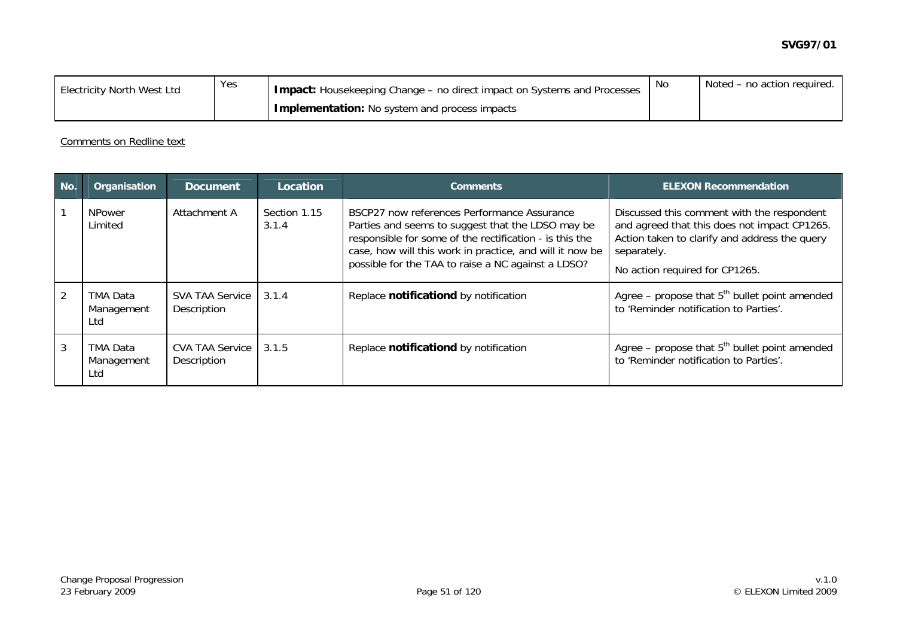| <b>Electricity North West Ltd</b> | Yes | I Impact: Housekeeping Change - no direct impact on Systems and Processes. |  | Noted – no action required. |
|-----------------------------------|-----|----------------------------------------------------------------------------|--|-----------------------------|
|                                   |     | <b>Implementation:</b> No system and process impacts                       |  |                             |

#### Comments on Redline text

| No.            | Organisation                  | <b>Document</b>                       | Location              | <b>Comments</b>                                                                                                                                                                                                                                                               | <b>ELEXON Recommendation</b>                                                                                                                                                                 |
|----------------|-------------------------------|---------------------------------------|-----------------------|-------------------------------------------------------------------------------------------------------------------------------------------------------------------------------------------------------------------------------------------------------------------------------|----------------------------------------------------------------------------------------------------------------------------------------------------------------------------------------------|
|                | <b>NPower</b><br>Limited      | Attachment A                          | Section 1.15<br>3.1.4 | BSCP27 now references Performance Assurance<br>Parties and seems to suggest that the LDSO may be<br>responsible for some of the rectification - is this the<br>case, how will this work in practice, and will it now be<br>possible for the TAA to raise a NC against a LDSO? | Discussed this comment with the respondent<br>and agreed that this does not impact CP1265.<br>Action taken to clarify and address the query<br>separately.<br>No action required for CP1265. |
| $\overline{2}$ | TMA Data<br>Management<br>Ltd | <b>SVA TAA Service</b><br>Description | 3.1.4                 | Replace notificationd by notification                                                                                                                                                                                                                                         | Agree – propose that $5th$ bullet point amended<br>to 'Reminder notification to Parties'.                                                                                                    |
| $\mathbf{3}$   | TMA Data<br>Management<br>Ltd | <b>CVA TAA Service</b><br>Description | 3.1.5                 | Replace notificationd by notification                                                                                                                                                                                                                                         | Agree – propose that $5th$ bullet point amended<br>to 'Reminder notification to Parties'.                                                                                                    |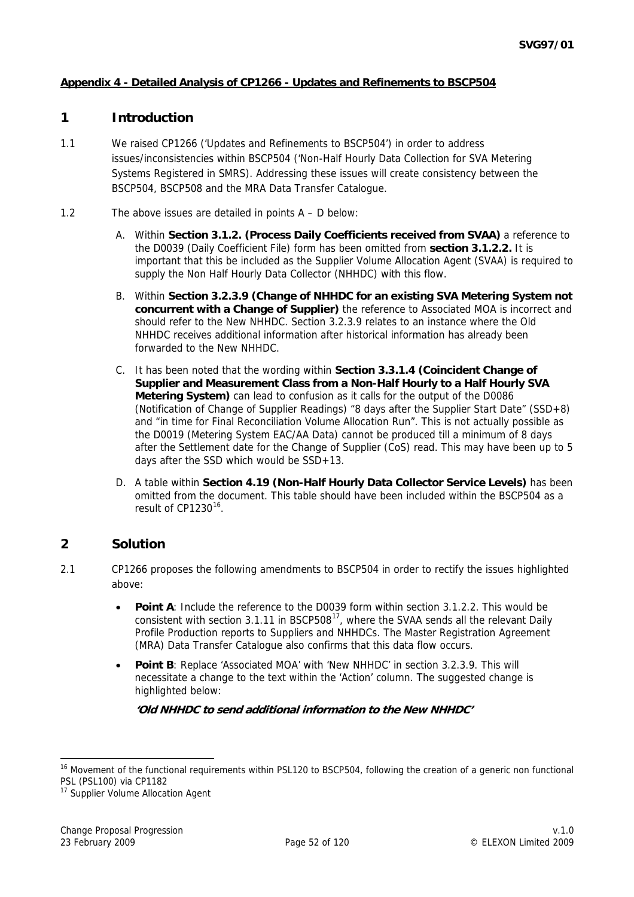## <span id="page-51-0"></span>**Appendix 4 - Detailed Analysis of CP1266 - Updates and Refinements to BSCP504**

## **1 Introduction**

- 1.1 We raised CP1266 ('Updates and Refinements to BSCP504') in order to address issues/inconsistencies within BSCP504 ('Non-Half Hourly Data Collection for SVA Metering Systems Registered in SMRS). Addressing these issues will create consistency between the BSCP504, BSCP508 and the MRA Data Transfer Catalogue.
- 1.2 The above issues are detailed in points A D below:
	- A. Within **Section 3.1.2. (Process Daily Coefficients received from SVAA)** a reference to the D0039 (Daily Coefficient File) form has been omitted from **section 3.1.2.2.** It is important that this be included as the Supplier Volume Allocation Agent (SVAA) is required to supply the Non Half Hourly Data Collector (NHHDC) with this flow.
	- B. Within **Section 3.2.3.9 (Change of NHHDC for an existing SVA Metering System not concurrent with a Change of Supplier)** the reference to Associated MOA is incorrect and should refer to the New NHHDC. Section 3.2.3.9 relates to an instance where the Old NHHDC receives additional information after historical information has already been forwarded to the New NHHDC.
	- C. It has been noted that the wording within **Section 3.3.1.4 (Coincident Change of Supplier and Measurement Class from a Non-Half Hourly to a Half Hourly SVA Metering System)** can lead to confusion as it calls for the output of the D0086 (Notification of Change of Supplier Readings) "8 days after the Supplier Start Date" (SSD+8) and "in time for Final Reconciliation Volume Allocation Run". This is not actually possible as the D0019 (Metering System EAC/AA Data) cannot be produced till a minimum of 8 days after the Settlement date for the Change of Supplier (CoS) read. This may have been up to 5 days after the SSD which would be SSD+13.
	- D. A table within **Section 4.19 (Non-Half Hourly Data Collector Service Levels)** has been omitted from the document. This table should have been included within the BSCP504 as a result of CP1230<sup>[16](#page-51-0)</sup>

## **2 Solution**

- 2.1 CP1266 proposes the following amendments to BSCP504 in order to rectify the issues highlighted above:
	- **Point A:** Include the reference to the D0039 form within section 3.1.2.2. This would be consistent with section 3.[1](#page-51-0).11 in BSCP508 $^{17}$ , where the SVAA sends all the relevant Daily Profile Production reports to Suppliers and NHHDCs. The Master Registration Agreement (MRA) Data Transfer Catalogue also confirms that this data flow occurs.
	- **Point B**: Replace 'Associated MOA' with 'New NHHDC' in section 3.2.3.9. This will necessitate a change to the text within the 'Action' column. The suggested change is highlighted below:

**'Old NHHDC to send additional information to the New NHHDC'** 

-

<sup>&</sup>lt;sup>16</sup> Movement of the functional requirements within PSL120 to BSCP504, following the creation of a generic non functional PSL (PSL100) via CP1182

<sup>&</sup>lt;sup>17</sup> Supplier Volume Allocation Agent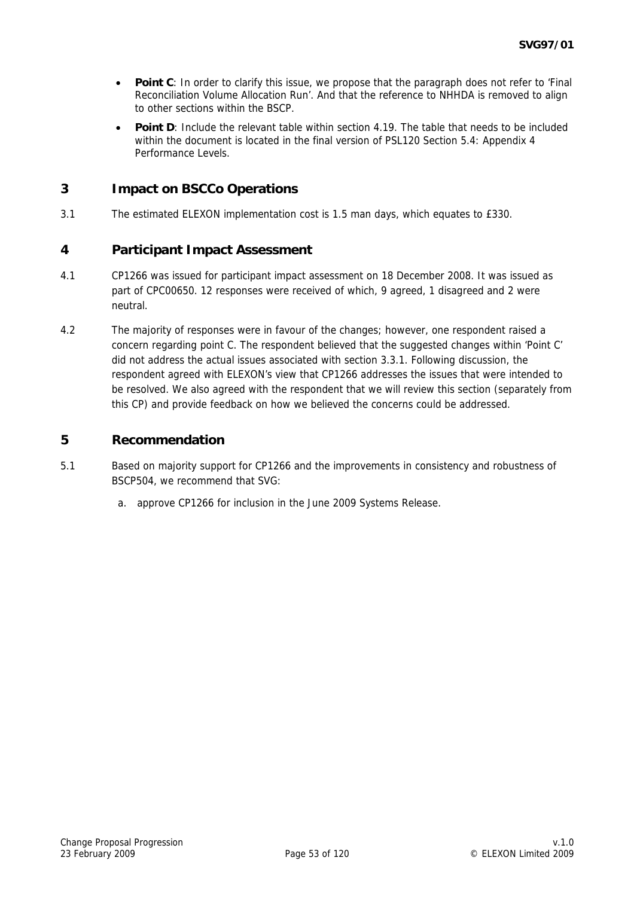- **Point C**: In order to clarify this issue, we propose that the paragraph does not refer to 'Final Reconciliation Volume Allocation Run'. And that the reference to NHHDA is removed to align to other sections within the BSCP.
- **Point D**: Include the relevant table within section 4.19. The table that needs to be included within the document is located in the final version of PSL120 Section 5.4: Appendix 4 Performance Levels.

## **3 Impact on BSCCo Operations**

3.1 The estimated ELEXON implementation cost is 1.5 man days, which equates to £330.

## **4 Participant Impact Assessment**

- 4.1 CP1266 was issued for participant impact assessment on 18 December 2008. It was issued as part of CPC00650. 12 responses were received of which, 9 agreed, 1 disagreed and 2 were neutral.
- 4.2 The majority of responses were in favour of the changes; however, one respondent raised a concern regarding point C. The respondent believed that the suggested changes within 'Point C' did not address the actual issues associated with section 3.3.1. Following discussion, the respondent agreed with ELEXON's view that CP1266 addresses the issues that were intended to be resolved. We also agreed with the respondent that we will review this section (separately from this CP) and provide feedback on how we believed the concerns could be addressed.

## **5 Recommendation**

- 5.1 Based on majority support for CP1266 and the improvements in consistency and robustness of BSCP504, we recommend that SVG:
	- a. approve CP1266 for inclusion in the June 2009 Systems Release.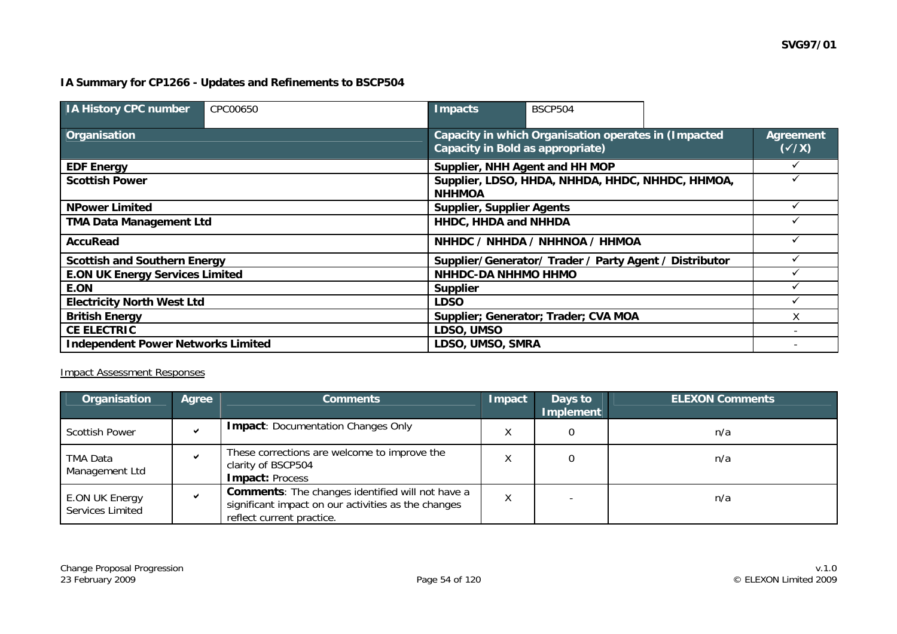### **IA Summary for CP1266 - Updates and Refinements to BSCP504**

| <b>IA History CPC number</b>              | CPC00650 | <b>Impacts</b>                   | <b>BSCP504</b>                                                                                        |  |  |  |  |
|-------------------------------------------|----------|----------------------------------|-------------------------------------------------------------------------------------------------------|--|--|--|--|
| Organisation                              |          |                                  | Capacity in which Organisation operates in (Impacted<br>Agreement<br>Capacity in Bold as appropriate) |  |  |  |  |
| <b>EDF Energy</b>                         |          |                                  | Supplier, NHH Agent and HH MOP                                                                        |  |  |  |  |
| <b>Scottish Power</b>                     |          | <b>NHHMOA</b>                    | Supplier, LDSO, HHDA, NHHDA, HHDC, NHHDC, HHMOA,                                                      |  |  |  |  |
| <b>NPower Limited</b>                     |          | <b>Supplier, Supplier Agents</b> |                                                                                                       |  |  |  |  |
| <b>TMA Data Management Ltd</b>            |          |                                  | HHDC, HHDA and NHHDA                                                                                  |  |  |  |  |
| <b>AccuRead</b>                           |          |                                  | NHHDC / NHHDA / NHHNOA / HHMOA                                                                        |  |  |  |  |
| <b>Scottish and Southern Energy</b>       |          |                                  | Supplier/Generator/ Trader / Party Agent / Distributor                                                |  |  |  |  |
| <b>E.ON UK Energy Services Limited</b>    |          |                                  | <b>NHHDC-DA NHHMO HHMO</b>                                                                            |  |  |  |  |
| E.ON                                      |          | <b>Supplier</b>                  |                                                                                                       |  |  |  |  |
| <b>Electricity North West Ltd</b>         |          | <b>LDSO</b>                      |                                                                                                       |  |  |  |  |
| <b>British Energy</b>                     |          |                                  | Supplier; Generator; Trader; CVA MOA                                                                  |  |  |  |  |
| <b>CE ELECTRIC</b>                        |          | LDSO, UMSO                       |                                                                                                       |  |  |  |  |
| <b>Independent Power Networks Limited</b> |          | LDSO, UMSO, SMRA                 |                                                                                                       |  |  |  |  |

### Impact Assessment Responses

| Organisation                       | <b>Agree</b> | <b>Comments</b>                                                                                                                             | Impact | Days to<br>Implement | <b>ELEXON Comments</b> |
|------------------------------------|--------------|---------------------------------------------------------------------------------------------------------------------------------------------|--------|----------------------|------------------------|
| <b>Scottish Power</b>              |              | <b>Impact: Documentation Changes Only</b>                                                                                                   |        |                      | n/a                    |
| TMA Data<br>Management Ltd         |              | These corrections are welcome to improve the<br>clarity of BSCP504<br><b>Impact: Process</b>                                                |        |                      | n/a                    |
| E.ON UK Energy<br>Services Limited |              | <b>Comments:</b> The changes identified will not have a<br>significant impact on our activities as the changes<br>reflect current practice. | Χ      |                      | n/a                    |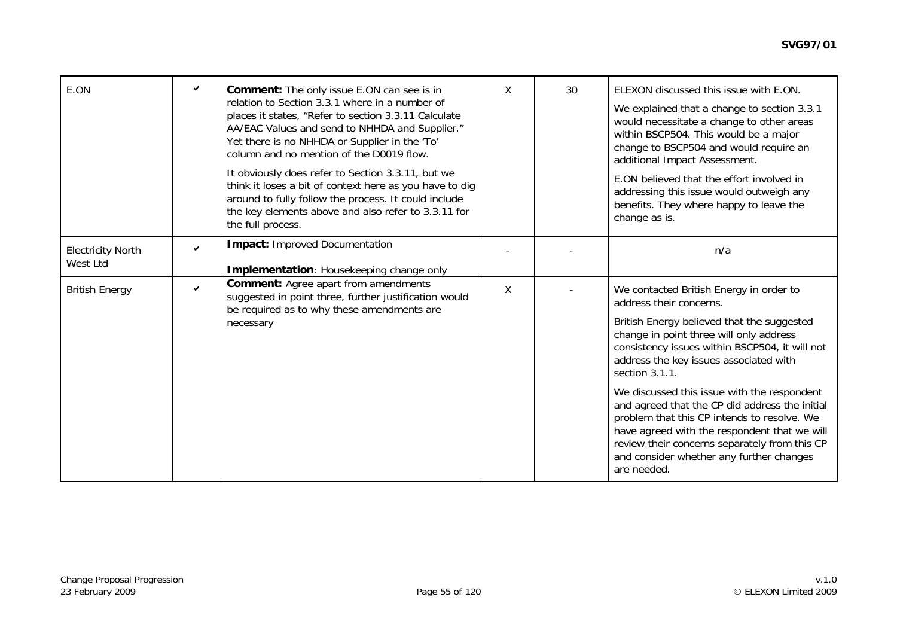| E.ON                                 | ✓ | Comment: The only issue E.ON can see is in<br>relation to Section 3.3.1 where in a number of<br>places it states, "Refer to section 3.3.11 Calculate<br>AA/EAC Values and send to NHHDA and Supplier."<br>Yet there is no NHHDA or Supplier in the 'To'<br>column and no mention of the D0019 flow.<br>It obviously does refer to Section 3.3.11, but we<br>think it loses a bit of context here as you have to dig<br>around to fully follow the process. It could include<br>the key elements above and also refer to 3.3.11 for<br>the full process. | X | 30 <sup>2</sup> | ELEXON discussed this issue with E.ON.<br>We explained that a change to section 3.3.1<br>would necessitate a change to other areas<br>within BSCP504. This would be a major<br>change to BSCP504 and would require an<br>additional Impact Assessment.<br>E.ON believed that the effort involved in<br>addressing this issue would outweigh any<br>benefits. They where happy to leave the<br>change as is.                                                                                                                                                                           |
|--------------------------------------|---|---------------------------------------------------------------------------------------------------------------------------------------------------------------------------------------------------------------------------------------------------------------------------------------------------------------------------------------------------------------------------------------------------------------------------------------------------------------------------------------------------------------------------------------------------------|---|-----------------|---------------------------------------------------------------------------------------------------------------------------------------------------------------------------------------------------------------------------------------------------------------------------------------------------------------------------------------------------------------------------------------------------------------------------------------------------------------------------------------------------------------------------------------------------------------------------------------|
| <b>Electricity North</b><br>West Ltd | ✓ | <b>Impact: Improved Documentation</b><br>Implementation: Housekeeping change only                                                                                                                                                                                                                                                                                                                                                                                                                                                                       |   |                 | n/a                                                                                                                                                                                                                                                                                                                                                                                                                                                                                                                                                                                   |
| <b>British Energy</b>                | ✔ | <b>Comment:</b> Agree apart from amendments<br>suggested in point three, further justification would<br>be required as to why these amendments are<br>necessary                                                                                                                                                                                                                                                                                                                                                                                         | Χ |                 | We contacted British Energy in order to<br>address their concerns.<br>British Energy believed that the suggested<br>change in point three will only address<br>consistency issues within BSCP504, it will not<br>address the key issues associated with<br>section 3.1.1.<br>We discussed this issue with the respondent<br>and agreed that the CP did address the initial<br>problem that this CP intends to resolve. We<br>have agreed with the respondent that we will<br>review their concerns separately from this CP<br>and consider whether any further changes<br>are needed. |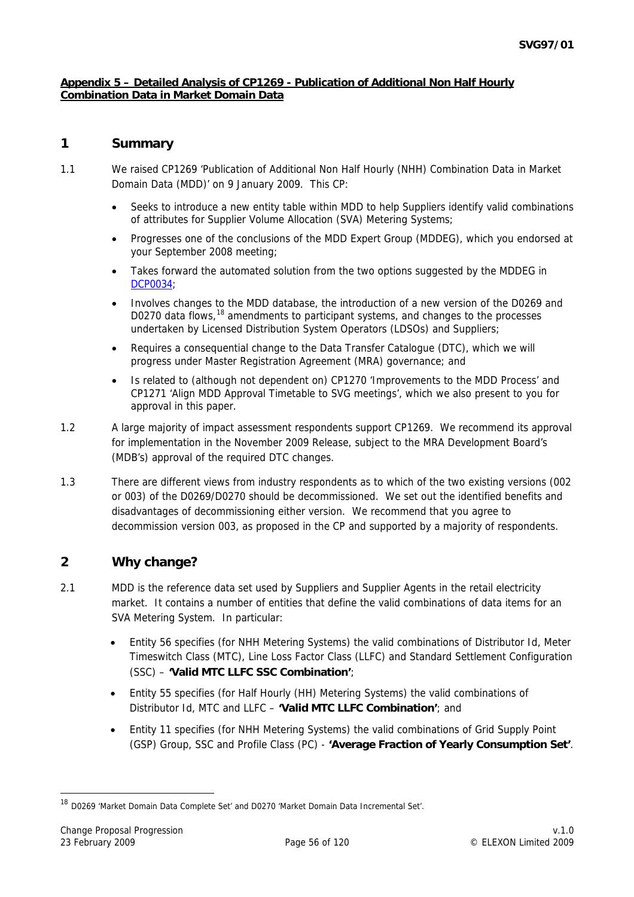### <span id="page-55-0"></span>**Appendix 5 – Detailed Analysis of CP1269 - Publication of Additional Non Half Hourly Combination Data in Market Domain Data**

## **1 Summary**

- 1.1 We raised CP1269 'Publication of Additional Non Half Hourly (NHH) Combination Data in Market Domain Data (MDD)' on 9 January 2009. This CP:
	- Seeks to introduce a new entity table within MDD to help Suppliers identify valid combinations of attributes for Supplier Volume Allocation (SVA) Metering Systems;
	- Progresses one of the conclusions of the MDD Expert Group (MDDEG), which you endorsed at your September 2008 meeting;
	- Takes forward the automated solution from the two options suggested by the MDDEG in [DCP0034;](http://www.elexon.co.uk/changeimplementation/changeprocess/draft_change_proposals/proposal_details.aspx?proposalId=781)
	- Involves changes to the MDD database, the introduction of a new version of the D0269 and D0270 data flows,<sup>[1](#page-55-0)8</sup> amendments to participant systems, and changes to the processes undertaken by Licensed Distribution System Operators (LDSOs) and Suppliers;
	- Requires a consequential change to the Data Transfer Catalogue (DTC), which we will progress under Master Registration Agreement (MRA) governance; and
	- Is related to (although not dependent on) CP1270 'Improvements to the MDD Process' and CP1271 'Align MDD Approval Timetable to SVG meetings', which we also present to you for approval in this paper.
- 1.2 A large majority of impact assessment respondents support CP1269. We recommend its approval for implementation in the November 2009 Release, subject to the MRA Development Board's (MDB's) approval of the required DTC changes.
- 1.3 There are different views from industry respondents as to which of the two existing versions (002 or 003) of the D0269/D0270 should be decommissioned. We set out the identified benefits and disadvantages of decommissioning either version. We recommend that you agree to decommission version 003, as proposed in the CP and supported by a majority of respondents.

## **2 Why change?**

- 2.1 MDD is the reference data set used by Suppliers and Supplier Agents in the retail electricity market. It contains a number of entities that define the valid combinations of data items for an SVA Metering System. In particular:
	- Entity 56 specifies (for NHH Metering Systems) the valid combinations of Distributor Id, Meter Timeswitch Class (MTC), Line Loss Factor Class (LLFC) and Standard Settlement Configuration (SSC) – **'Valid MTC LLFC SSC Combination'**;
	- Entity 55 specifies (for Half Hourly (HH) Metering Systems) the valid combinations of Distributor Id, MTC and LLFC – **'Valid MTC LLFC Combination'**; and
	- Entity 11 specifies (for NHH Metering Systems) the valid combinations of Grid Supply Point (GSP) Group, SSC and Profile Class (PC) - **'Average Fraction of Yearly Consumption Set'**.

<sup>18</sup> D0269 'Market Domain Data Complete Set' and D0270 'Market Domain Data Incremental Set'.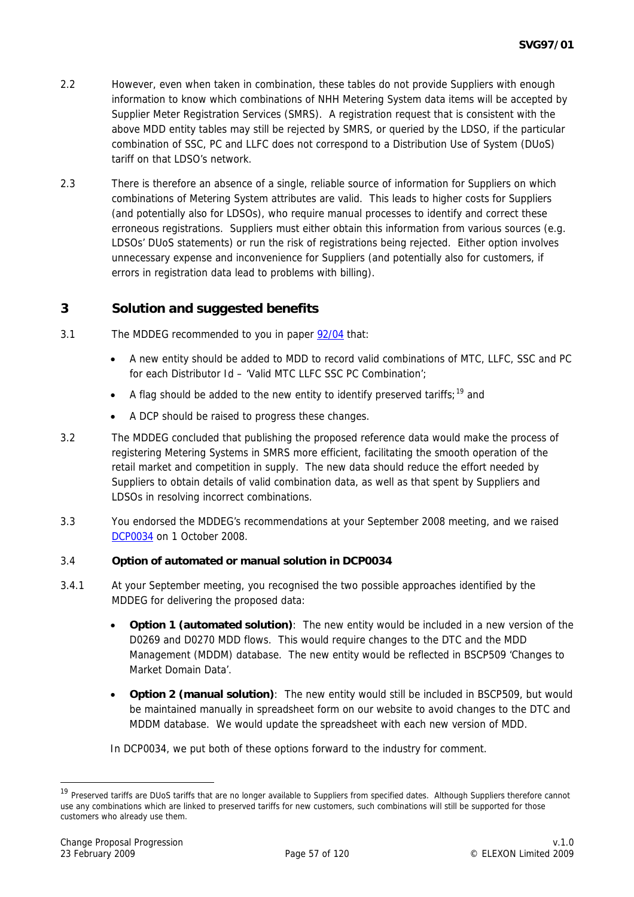- <span id="page-56-0"></span>2.2 However, even when taken in combination, these tables do not provide Suppliers with enough information to know which combinations of NHH Metering System data items will be accepted by Supplier Meter Registration Services (SMRS). A registration request that is consistent with the above MDD entity tables may still be rejected by SMRS, or queried by the LDSO, if the particular combination of SSC, PC and LLFC does not correspond to a Distribution Use of System (DUoS) tariff on that LDSO's network.
- 2.3 There is therefore an absence of a single, reliable source of information for Suppliers on which combinations of Metering System attributes are valid. This leads to higher costs for Suppliers (and potentially also for LDSOs), who require manual processes to identify and correct these erroneous registrations. Suppliers must either obtain this information from various sources (e.g. LDSOs' DUoS statements) or run the risk of registrations being rejected. Either option involves unnecessary expense and inconvenience for Suppliers (and potentially also for customers, if errors in registration data lead to problems with billing).

## **3 Solution and suggested benefits**

- 3.1 The MDDEG recommended to you in paper [92/04](http://www.elexon.co.uk/documents/BSC_Panel_and_Panel_Committees/SVG_Meeting_2008_-_092_-_Papers/SVG92_04_Recommendations_of_MDD_Expert_Group_Review_Final.pdf) that:
	- A new entity should be added to MDD to record valid combinations of MTC, LLFC, SSC and PC for each Distributor Id – 'Valid MTC LLFC SSC PC Combination';
	- A flag should be added to the new entity to identify preserved tariffs;  $19$  and
	- A DCP should be raised to progress these changes.
- 3.2 The MDDEG concluded that publishing the proposed reference data would make the process of registering Metering Systems in SMRS more efficient, facilitating the smooth operation of the retail market and competition in supply. The new data should reduce the effort needed by Suppliers to obtain details of valid combination data, as well as that spent by Suppliers and LDSOs in resolving incorrect combinations.
- 3.3 You endorsed the MDDEG's recommendations at your September 2008 meeting, and we raised [DCP0034](http://www.elexon.co.uk/changeimplementation/changeprocess/draft_change_proposals/proposal_details.aspx?proposalId=781) on 1 October 2008.

### 3.4 **Option of automated or manual solution in DCP0034**

- 3.4.1 At your September meeting, you recognised the two possible approaches identified by the MDDEG for delivering the proposed data:
	- **Option 1 (automated solution)**: The new entity would be included in a new version of the D0269 and D0270 MDD flows. This would require changes to the DTC and the MDD Management (MDDM) database. The new entity would be reflected in BSCP509 'Changes to Market Domain Data'.
	- **Option 2 (manual solution)**: The new entity would still be included in BSCP509, but would be maintained manually in spreadsheet form on our website to avoid changes to the DTC and MDDM database. We would update the spreadsheet with each new version of MDD.

In DCP0034, we put both of these options forward to the industry for comment.

<sup>&</sup>lt;sup>19</sup> Preserved tariffs are DUoS tariffs that are no longer available to Suppliers from specified dates. Although Suppliers therefore cannot use any combinations which are linked to preserved tariffs for new customers, such combinations will still be supported for those customers who already use them.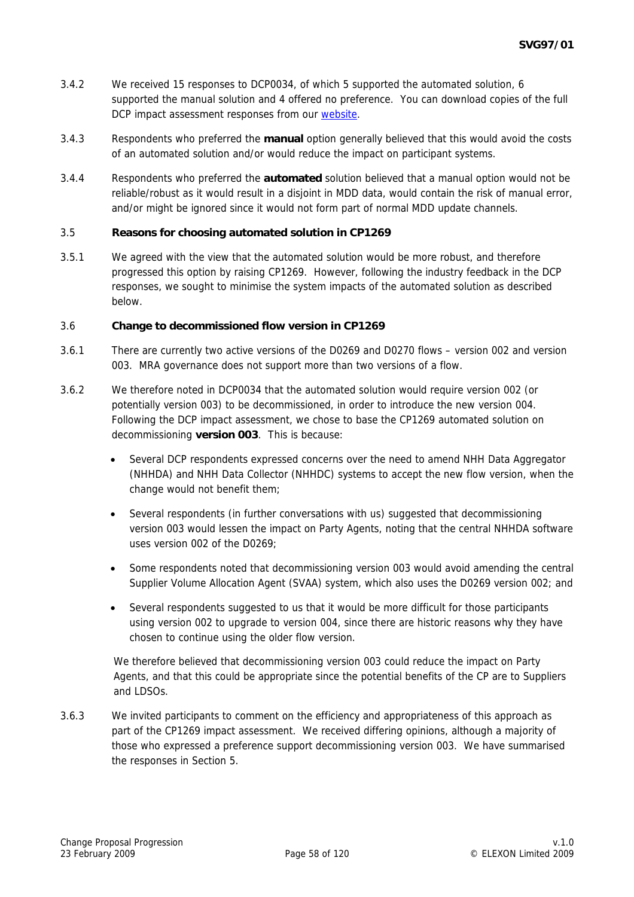- 3.4.2 We received 15 responses to DCP0034, of which 5 supported the automated solution, 6 supported the manual solution and 4 offered no preference. You can download copies of the full DCP impact assessment responses from our [website](http://www.elexon.co.uk/changeimplementation/changeprocess/draft_change_proposals/proposal_details.aspx?proposalId=781).
- 3.4.3 Respondents who preferred the **manual** option generally believed that this would avoid the costs of an automated solution and/or would reduce the impact on participant systems.
- 3.4.4 Respondents who preferred the **automated** solution believed that a manual option would not be reliable/robust as it would result in a disjoint in MDD data, would contain the risk of manual error, and/or might be ignored since it would not form part of normal MDD update channels.

### 3.5 **Reasons for choosing automated solution in CP1269**

3.5.1 We agreed with the view that the automated solution would be more robust, and therefore progressed this option by raising CP1269. However, following the industry feedback in the DCP responses, we sought to minimise the system impacts of the automated solution as described below.

#### 3.6 **Change to decommissioned flow version in CP1269**

- 3.6.1 There are currently two active versions of the D0269 and D0270 flows version 002 and version 003. MRA governance does not support more than two versions of a flow.
- 3.6.2 We therefore noted in DCP0034 that the automated solution would require version 002 (or potentially version 003) to be decommissioned, in order to introduce the new version 004. Following the DCP impact assessment, we chose to base the CP1269 automated solution on decommissioning **version 003**. This is because:
	- Several DCP respondents expressed concerns over the need to amend NHH Data Aggregator (NHHDA) and NHH Data Collector (NHHDC) systems to accept the new flow version, when the change would not benefit them;
	- Several respondents (in further conversations with us) suggested that decommissioning version 003 would lessen the impact on Party Agents, noting that the central NHHDA software uses version 002 of the D0269;
	- Some respondents noted that decommissioning version 003 would avoid amending the central Supplier Volume Allocation Agent (SVAA) system, which also uses the D0269 version 002; and
	- Several respondents suggested to us that it would be more difficult for those participants using version 002 to upgrade to version 004, since there are historic reasons why they have chosen to continue using the older flow version.

We therefore believed that decommissioning version 003 could reduce the impact on Party Agents, and that this could be appropriate since the potential benefits of the CP are to Suppliers and LDSOs.

3.6.3 We invited participants to comment on the efficiency and appropriateness of this approach as part of the CP1269 impact assessment. We received differing opinions, although a majority of those who expressed a preference support decommissioning version 003. We have summarised the responses in Section 5.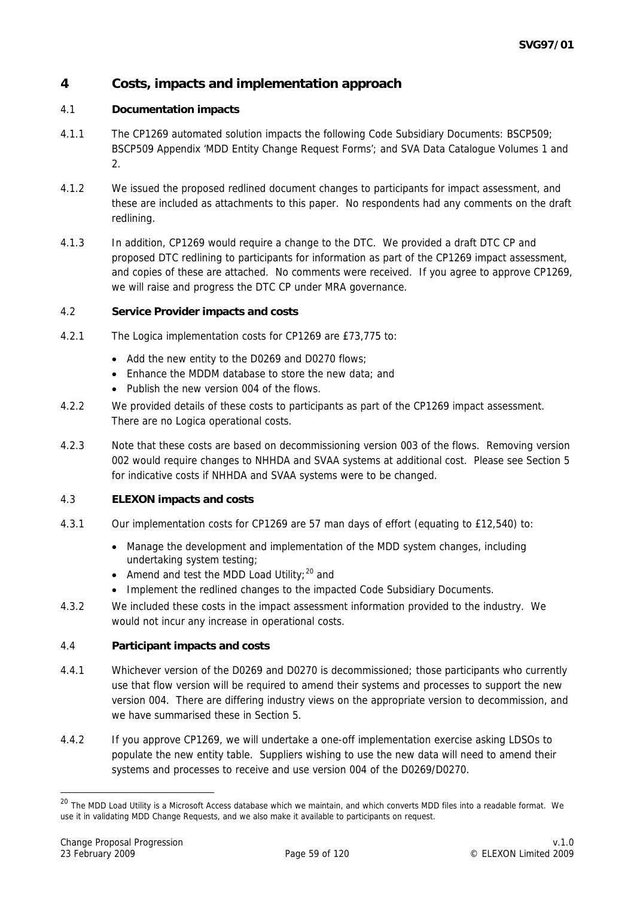## <span id="page-58-0"></span>**4 Costs, impacts and implementation approach**

### 4.1 **Documentation impacts**

- 4.1.1 The CP1269 automated solution impacts the following Code Subsidiary Documents: BSCP509; BSCP509 Appendix 'MDD Entity Change Request Forms'; and SVA Data Catalogue Volumes 1 and 2.
- 4.1.2 We issued the proposed redlined document changes to participants for impact assessment, and these are included as attachments to this paper. No respondents had any comments on the draft redlining.
- 4.1.3 In addition, CP1269 would require a change to the DTC. We provided a draft DTC CP and proposed DTC redlining to participants for information as part of the CP1269 impact assessment, and copies of these are attached. No comments were received. If you agree to approve CP1269, we will raise and progress the DTC CP under MRA governance.

### 4.2 **Service Provider impacts and costs**

- 4.2.1 The Logica implementation costs for CP1269 are £73,775 to:
	- Add the new entity to the D0269 and D0270 flows;
	- Enhance the MDDM database to store the new data; and
	- Publish the new version 004 of the flows.
- 4.2.2 We provided details of these costs to participants as part of the CP1269 impact assessment. There are no Logica operational costs.
- 4.2.3 Note that these costs are based on decommissioning version 003 of the flows. Removing version 002 would require changes to NHHDA and SVAA systems at additional cost. Please see Section 5 for indicative costs if NHHDA and SVAA systems were to be changed.

### 4.3 **ELEXON impacts and costs**

- 4.3.1 Our implementation costs for CP1269 are 57 man days of effort (equating to £12,540) to:
	- Manage the development and implementation of the MDD system changes, including undertaking system testing;
	- Amend and test the MDD Load Utility;  $20$  and
	- Implement the redlined changes to the impacted Code Subsidiary Documents.
- 4.3.2 We included these costs in the impact assessment information provided to the industry. We would not incur any increase in operational costs.

#### 4.4 **Participant impacts and costs**

- 4.4.1 Whichever version of the D0269 and D0270 is decommissioned; those participants who currently use that flow version will be required to amend their systems and processes to support the new version 004. There are differing industry views on the appropriate version to decommission, and we have summarised these in Section 5.
- 4.4.2 If you approve CP1269, we will undertake a one-off implementation exercise asking LDSOs to populate the new entity table. Suppliers wishing to use the new data will need to amend their systems and processes to receive and use version 004 of the D0269/D0270.

<sup>&</sup>lt;sup>20</sup> The MDD Load Utility is a Microsoft Access database which we maintain, and which converts MDD files into a readable format. We use it in validating MDD Change Requests, and we also make it available to participants on request.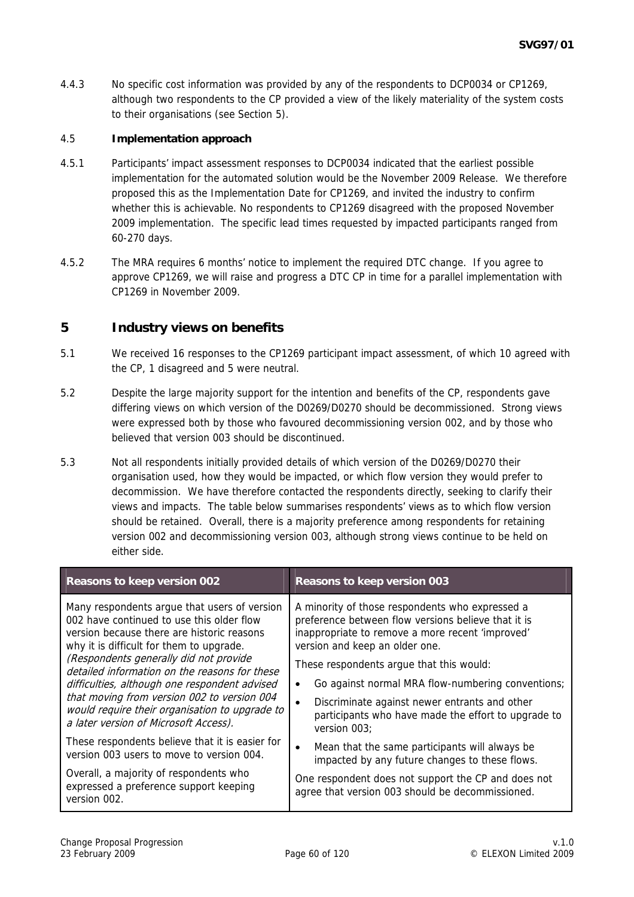4.4.3 No specific cost information was provided by any of the respondents to DCP0034 or CP1269, although two respondents to the CP provided a view of the likely materiality of the system costs to their organisations (see Section 5).

### 4.5 **Implementation approach**

- 4.5.1 Participants' impact assessment responses to DCP0034 indicated that the earliest possible implementation for the automated solution would be the November 2009 Release. We therefore proposed this as the Implementation Date for CP1269, and invited the industry to confirm whether this is achievable. No respondents to CP1269 disagreed with the proposed November 2009 implementation. The specific lead times requested by impacted participants ranged from 60-270 days.
- 4.5.2 The MRA requires 6 months' notice to implement the required DTC change. If you agree to approve CP1269, we will raise and progress a DTC CP in time for a parallel implementation with CP1269 in November 2009.

### **5 Industry views on benefits**

- 5.1 We received 16 responses to the CP1269 participant impact assessment, of which 10 agreed with the CP, 1 disagreed and 5 were neutral.
- 5.2 Despite the large majority support for the intention and benefits of the CP, respondents gave differing views on which version of the D0269/D0270 should be decommissioned. Strong views were expressed both by those who favoured decommissioning version 002, and by those who believed that version 003 should be discontinued.
- 5.3 Not all respondents initially provided details of which version of the D0269/D0270 their organisation used, how they would be impacted, or which flow version they would prefer to decommission. We have therefore contacted the respondents directly, seeking to clarify their views and impacts. The table below summarises respondents' views as to which flow version should be retained. Overall, there is a majority preference among respondents for retaining version 002 and decommissioning version 003, although strong views continue to be held on either side.

| Reasons to keep version 002                                                                                                                                                                                                                                                                                                                                                                                                                                               | Reasons to keep version 003                                                                                                                                                                                                                                                                                                                                                                                                                     |
|---------------------------------------------------------------------------------------------------------------------------------------------------------------------------------------------------------------------------------------------------------------------------------------------------------------------------------------------------------------------------------------------------------------------------------------------------------------------------|-------------------------------------------------------------------------------------------------------------------------------------------------------------------------------------------------------------------------------------------------------------------------------------------------------------------------------------------------------------------------------------------------------------------------------------------------|
| Many respondents argue that users of version<br>002 have continued to use this older flow<br>version because there are historic reasons<br>why it is difficult for them to upgrade.<br>(Respondents generally did not provide<br>detailed information on the reasons for these<br>difficulties, although one respondent advised<br>that moving from version 002 to version 004<br>would require their organisation to upgrade to<br>a later version of Microsoft Access). | A minority of those respondents who expressed a<br>preference between flow versions believe that it is<br>inappropriate to remove a more recent 'improved'<br>version and keep an older one.<br>These respondents argue that this would:<br>Go against normal MRA flow-numbering conventions;<br>$\bullet$<br>Discriminate against newer entrants and other<br>$\bullet$<br>participants who have made the effort to upgrade to<br>version 003: |
| These respondents believe that it is easier for<br>version 003 users to move to version 004.                                                                                                                                                                                                                                                                                                                                                                              | Mean that the same participants will always be<br>$\bullet$<br>impacted by any future changes to these flows.                                                                                                                                                                                                                                                                                                                                   |
| Overall, a majority of respondents who<br>expressed a preference support keeping<br>version 002.                                                                                                                                                                                                                                                                                                                                                                          | One respondent does not support the CP and does not<br>agree that version 003 should be decommissioned.                                                                                                                                                                                                                                                                                                                                         |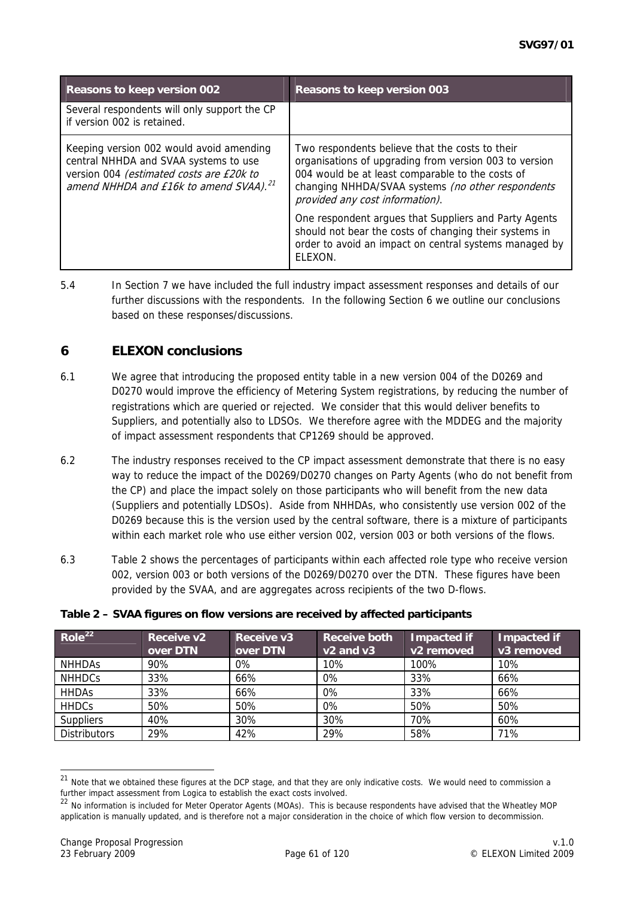<span id="page-60-0"></span>

| Reasons to keep version 002                                                                                                                                                         | Reasons to keep version 003                                                                                                                                                                                                                           |  |
|-------------------------------------------------------------------------------------------------------------------------------------------------------------------------------------|-------------------------------------------------------------------------------------------------------------------------------------------------------------------------------------------------------------------------------------------------------|--|
| Several respondents will only support the CP<br>if version 002 is retained.                                                                                                         |                                                                                                                                                                                                                                                       |  |
| Keeping version 002 would avoid amending<br>central NHHDA and SVAA systems to use<br>version 004 (estimated costs are £20k to<br>amend NHHDA and £16k to amend SVAA). <sup>21</sup> | Two respondents believe that the costs to their<br>organisations of upgrading from version 003 to version<br>004 would be at least comparable to the costs of<br>changing NHHDA/SVAA systems (no other respondents<br>provided any cost information). |  |
|                                                                                                                                                                                     | One respondent argues that Suppliers and Party Agents<br>should not bear the costs of changing their systems in<br>order to avoid an impact on central systems managed by<br>FI FXON.                                                                 |  |

5.4 In Section 7 we have included the full industry impact assessment responses and details of our further discussions with the respondents. In the following Section 6 we outline our conclusions based on these responses/discussions.

## **6 ELEXON conclusions**

- 6.1 We agree that introducing the proposed entity table in a new version 004 of the D0269 and D0270 would improve the efficiency of Metering System registrations, by reducing the number of registrations which are queried or rejected. We consider that this would deliver benefits to Suppliers, and potentially also to LDSOs. We therefore agree with the MDDEG and the majority of impact assessment respondents that CP1269 should be approved.
- 6.2 The industry responses received to the CP impact assessment demonstrate that there is no easy way to reduce the impact of the D0269/D0270 changes on Party Agents (who do not benefit from the CP) and place the impact solely on those participants who will benefit from the new data (Suppliers and potentially LDSOs). Aside from NHHDAs, who consistently use version 002 of the D0269 because this is the version used by the central software, there is a mixture of participants within each market role who use either version 002, version 003 or both versions of the flows.
- 6.3 Table 2 shows the percentages of participants within each affected role type who receive version 002, version 003 or both versions of the D0269/D0270 over the DTN. These figures have been provided by the SVAA, and are aggregates across recipients of the two D-flows.

| Role <sup>22</sup>  | Receive v2<br>over DTN | Receive v3<br>over DTN | <b>Receive both</b><br>$v2$ and $v3$ | Impacted if<br>v2 removed | <b>Impacted if</b><br>v3 removed |
|---------------------|------------------------|------------------------|--------------------------------------|---------------------------|----------------------------------|
| <b>NHHDAS</b>       | 90%                    | $0\%$                  | 10%                                  | 100%                      | 10%                              |
| <b>NHHDCs</b>       | 33%                    | 66%                    | $0\%$                                | 33%                       | 66%                              |
| <b>HHDAS</b>        | 33%                    | 66%                    | 0%                                   | 33%                       | 66%                              |
| <b>HHDCs</b>        | 50%                    | 50%                    | $0\%$                                | 50%                       | 50%                              |
| <b>Suppliers</b>    | 40%                    | 30%                    | 30%                                  | 70%                       | 60%                              |
| <b>Distributors</b> | 29%                    | 42%                    | 29%                                  | 58%                       | 71%                              |

#### **Table 2 – SVAA figures on flow versions are received by affected participants**

<sup>&</sup>lt;sup>21</sup> Note that we obtained these figures at the DCP stage, and that they are only indicative costs. We would need to commission a further impact assessment from Logica to establish the exact costs involved.

<sup>&</sup>lt;sup>22</sup> No information is included for Meter Operator Agents (MOAs). This is because respondents have advised that the Wheatley MOP application is manually updated, and is therefore not a major consideration in the choice of which flow version to decommission.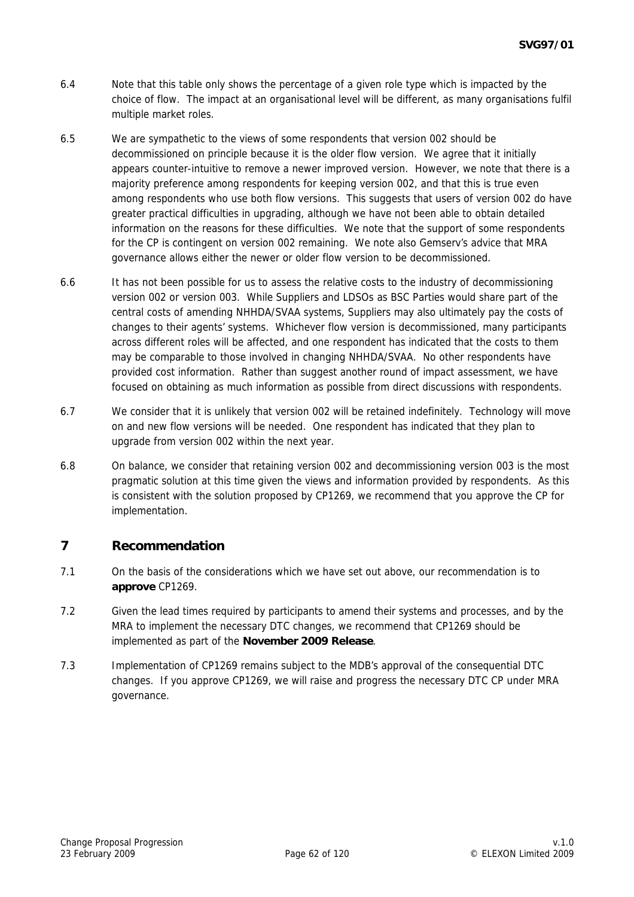- 6.4 Note that this table only shows the percentage of a given role type which is impacted by the choice of flow. The impact at an organisational level will be different, as many organisations fulfil multiple market roles.
- 6.5 We are sympathetic to the views of some respondents that version 002 should be decommissioned on principle because it is the older flow version. We agree that it initially appears counter-intuitive to remove a newer improved version. However, we note that there is a majority preference among respondents for keeping version 002, and that this is true even among respondents who use both flow versions. This suggests that users of version 002 do have greater practical difficulties in upgrading, although we have not been able to obtain detailed information on the reasons for these difficulties. We note that the support of some respondents for the CP is contingent on version 002 remaining. We note also Gemserv's advice that MRA governance allows either the newer or older flow version to be decommissioned.
- 6.6 It has not been possible for us to assess the relative costs to the industry of decommissioning version 002 or version 003. While Suppliers and LDSOs as BSC Parties would share part of the central costs of amending NHHDA/SVAA systems, Suppliers may also ultimately pay the costs of changes to their agents' systems. Whichever flow version is decommissioned, many participants across different roles will be affected, and one respondent has indicated that the costs to them may be comparable to those involved in changing NHHDA/SVAA. No other respondents have provided cost information. Rather than suggest another round of impact assessment, we have focused on obtaining as much information as possible from direct discussions with respondents.
- 6.7 We consider that it is unlikely that version 002 will be retained indefinitely. Technology will move on and new flow versions will be needed. One respondent has indicated that they plan to upgrade from version 002 within the next year.
- 6.8 On balance, we consider that retaining version 002 and decommissioning version 003 is the most pragmatic solution at this time given the views and information provided by respondents. As this is consistent with the solution proposed by CP1269, we recommend that you approve the CP for implementation.

## **7 Recommendation**

- 7.1 On the basis of the considerations which we have set out above, our recommendation is to **approve** CP1269.
- 7.2 Given the lead times required by participants to amend their systems and processes, and by the MRA to implement the necessary DTC changes, we recommend that CP1269 should be implemented as part of the **November 2009 Release**.
- 7.3 Implementation of CP1269 remains subject to the MDB's approval of the consequential DTC changes. If you approve CP1269, we will raise and progress the necessary DTC CP under MRA governance.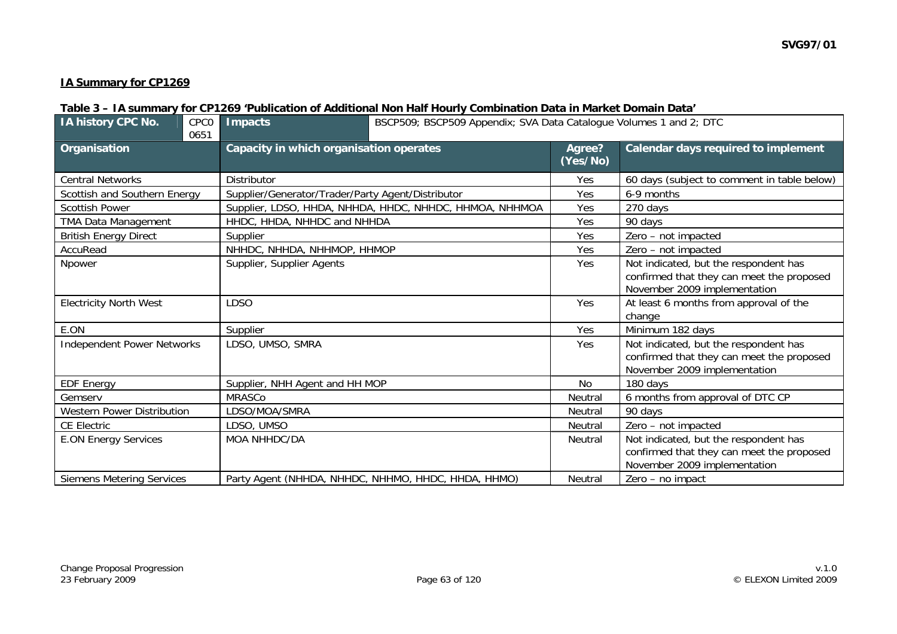### **IA Summary for CP1269**

### **Table 3 – IA summary for CP1269 'Publication of Additional Non Half Hourly Combination Data in Market Domain Data'**

| IA history CPC No.                | CPC <sub>0</sub><br>0651 | <b>Impacts</b>                                    | BSCP509; BSCP509 Appendix; SVA Data Catalogue Volumes 1 and 2; DTC |                    |                                                                                                                    |  |
|-----------------------------------|--------------------------|---------------------------------------------------|--------------------------------------------------------------------|--------------------|--------------------------------------------------------------------------------------------------------------------|--|
| Organisation                      |                          | Capacity in which organisation operates           |                                                                    | Agree?<br>(Yes/No) | Calendar days required to implement                                                                                |  |
| <b>Central Networks</b>           |                          | Distributor                                       |                                                                    | Yes                | 60 days (subject to comment in table below)                                                                        |  |
| Scottish and Southern Energy      |                          | Supplier/Generator/Trader/Party Agent/Distributor |                                                                    | Yes                | 6-9 months                                                                                                         |  |
| <b>Scottish Power</b>             |                          |                                                   | Supplier, LDSO, HHDA, NHHDA, HHDC, NHHDC, HHMOA, NHHMOA            | Yes                | 270 days                                                                                                           |  |
| <b>TMA Data Management</b>        |                          | HHDC, HHDA, NHHDC and NHHDA                       |                                                                    | Yes                | 90 days                                                                                                            |  |
| <b>British Energy Direct</b>      |                          | Supplier                                          |                                                                    | Yes                | Zero - not impacted                                                                                                |  |
| AccuRead                          |                          | NHHDC, NHHDA, NHHMOP, HHMOP                       |                                                                    | Yes                | Zero - not impacted                                                                                                |  |
| Npower                            |                          | Supplier, Supplier Agents                         |                                                                    | Yes                | Not indicated, but the respondent has<br>confirmed that they can meet the proposed<br>November 2009 implementation |  |
| <b>Electricity North West</b>     |                          | <b>LDSO</b>                                       |                                                                    | Yes                | At least 6 months from approval of the<br>change                                                                   |  |
| E.ON                              |                          | Supplier                                          |                                                                    | Yes                | Minimum 182 days                                                                                                   |  |
| <b>Independent Power Networks</b> |                          | LDSO, UMSO, SMRA                                  |                                                                    | Yes                | Not indicated, but the respondent has<br>confirmed that they can meet the proposed<br>November 2009 implementation |  |
| <b>EDF Energy</b>                 |                          | Supplier, NHH Agent and HH MOP                    |                                                                    | No.                | 180 days                                                                                                           |  |
| Gemserv                           |                          | <b>MRASCo</b>                                     |                                                                    | Neutral            | 6 months from approval of DTC CP                                                                                   |  |
| <b>Western Power Distribution</b> |                          | LDSO/MOA/SMRA                                     |                                                                    | Neutral            | 90 days                                                                                                            |  |
| <b>CE Electric</b>                |                          | LDSO, UMSO                                        |                                                                    | Neutral            | Zero - not impacted                                                                                                |  |
| <b>E.ON Energy Services</b>       |                          | MOA NHHDC/DA                                      |                                                                    | Neutral            | Not indicated, but the respondent has<br>confirmed that they can meet the proposed<br>November 2009 implementation |  |
| <b>Siemens Metering Services</b>  |                          |                                                   | Party Agent (NHHDA, NHHDC, NHHMO, HHDC, HHDA, HHMO)                | <b>Neutral</b>     | Zero - no impact                                                                                                   |  |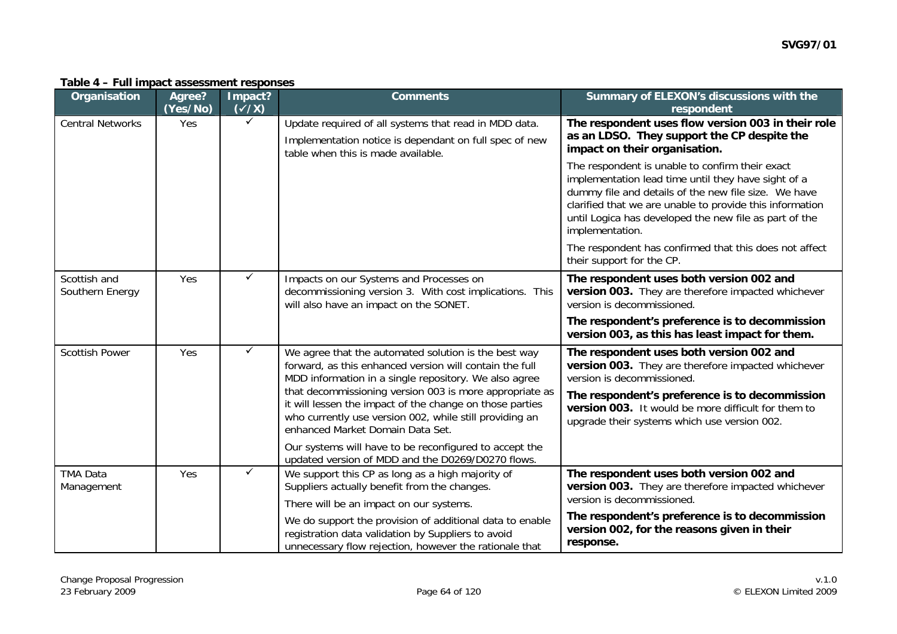| Organisation                    | Agree?<br>(Yes/No) | Impact?<br>$(\checkmark$ /X) | <b>Comments</b>                                                                                                                                                                                                                                                                                                                                                                                | Summary of ELEXON's discussions with the<br>respondent                                                                                                                                                                                                                                                  |
|---------------------------------|--------------------|------------------------------|------------------------------------------------------------------------------------------------------------------------------------------------------------------------------------------------------------------------------------------------------------------------------------------------------------------------------------------------------------------------------------------------|---------------------------------------------------------------------------------------------------------------------------------------------------------------------------------------------------------------------------------------------------------------------------------------------------------|
| <b>Central Networks</b>         | Yes                | $\checkmark$                 | Update required of all systems that read in MDD data.                                                                                                                                                                                                                                                                                                                                          | The respondent uses flow version 003 in their role<br>as an LDSO. They support the CP despite the                                                                                                                                                                                                       |
|                                 |                    |                              | Implementation notice is dependant on full spec of new<br>table when this is made available.                                                                                                                                                                                                                                                                                                   | impact on their organisation.                                                                                                                                                                                                                                                                           |
|                                 |                    |                              |                                                                                                                                                                                                                                                                                                                                                                                                | The respondent is unable to confirm their exact<br>implementation lead time until they have sight of a<br>dummy file and details of the new file size. We have<br>clarified that we are unable to provide this information<br>until Logica has developed the new file as part of the<br>implementation. |
|                                 |                    |                              |                                                                                                                                                                                                                                                                                                                                                                                                | The respondent has confirmed that this does not affect<br>their support for the CP.                                                                                                                                                                                                                     |
| Scottish and<br>Southern Energy | Yes                | $\checkmark$                 | Impacts on our Systems and Processes on<br>decommissioning version 3. With cost implications. This<br>will also have an impact on the SONET.                                                                                                                                                                                                                                                   | The respondent uses both version 002 and<br>version 003. They are therefore impacted whichever<br>version is decommissioned.                                                                                                                                                                            |
|                                 |                    |                              |                                                                                                                                                                                                                                                                                                                                                                                                | The respondent's preference is to decommission<br>version 003, as this has least impact for them.                                                                                                                                                                                                       |
| <b>Scottish Power</b>           | Yes                | $\checkmark$                 | We agree that the automated solution is the best way<br>forward, as this enhanced version will contain the full<br>MDD information in a single repository. We also agree<br>that decommissioning version 003 is more appropriate as<br>it will lessen the impact of the change on those parties<br>who currently use version 002, while still providing an<br>enhanced Market Domain Data Set. | The respondent uses both version 002 and<br>version 003. They are therefore impacted whichever<br>version is decommissioned.                                                                                                                                                                            |
|                                 |                    |                              |                                                                                                                                                                                                                                                                                                                                                                                                | The respondent's preference is to decommission<br>version 003. It would be more difficult for them to<br>upgrade their systems which use version 002.                                                                                                                                                   |
|                                 |                    |                              | Our systems will have to be reconfigured to accept the<br>updated version of MDD and the D0269/D0270 flows.                                                                                                                                                                                                                                                                                    |                                                                                                                                                                                                                                                                                                         |
| <b>TMA Data</b><br>Management   |                    | $\checkmark$<br>Yes          | We support this CP as long as a high majority of<br>Suppliers actually benefit from the changes.                                                                                                                                                                                                                                                                                               | The respondent uses both version 002 and<br>version 003. They are therefore impacted whichever<br>version is decommissioned.                                                                                                                                                                            |
|                                 |                    |                              | There will be an impact on our systems.                                                                                                                                                                                                                                                                                                                                                        |                                                                                                                                                                                                                                                                                                         |
|                                 |                    |                              | We do support the provision of additional data to enable<br>registration data validation by Suppliers to avoid<br>unnecessary flow rejection, however the rationale that                                                                                                                                                                                                                       | The respondent's preference is to decommission<br>version 002, for the reasons given in their<br>response.                                                                                                                                                                                              |

#### **Table 4 – Full impact assessment responses**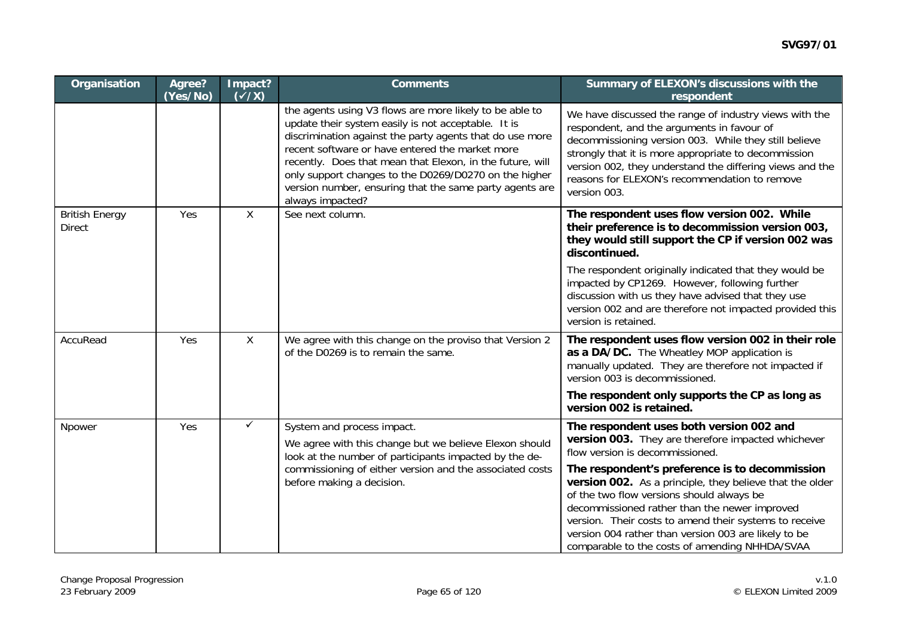| Organisation                           | Agree?<br>(Yes/No) | Impact?<br>$\overline{(x/x)}$ | <b>Comments</b>                                                                                                                                                                                                                                                                                                                                                                                                                    | Summary of ELEXON's discussions with the<br>respondent                                                                                                                                                                                                                                                                                                                       |
|----------------------------------------|--------------------|-------------------------------|------------------------------------------------------------------------------------------------------------------------------------------------------------------------------------------------------------------------------------------------------------------------------------------------------------------------------------------------------------------------------------------------------------------------------------|------------------------------------------------------------------------------------------------------------------------------------------------------------------------------------------------------------------------------------------------------------------------------------------------------------------------------------------------------------------------------|
|                                        |                    |                               | the agents using V3 flows are more likely to be able to<br>update their system easily is not acceptable. It is<br>discrimination against the party agents that do use more<br>recent software or have entered the market more<br>recently. Does that mean that Elexon, in the future, will<br>only support changes to the D0269/D0270 on the higher<br>version number, ensuring that the same party agents are<br>always impacted? | We have discussed the range of industry views with the<br>respondent, and the arguments in favour of<br>decommissioning version 003. While they still believe<br>strongly that it is more appropriate to decommission<br>version 002, they understand the differing views and the<br>reasons for ELEXON's recommendation to remove<br>version 003.                           |
| <b>British Energy</b><br><b>Direct</b> | Yes                | X                             | See next column.                                                                                                                                                                                                                                                                                                                                                                                                                   | The respondent uses flow version 002. While<br>their preference is to decommission version 003,<br>they would still support the CP if version 002 was<br>discontinued.                                                                                                                                                                                                       |
|                                        |                    |                               |                                                                                                                                                                                                                                                                                                                                                                                                                                    | The respondent originally indicated that they would be<br>impacted by CP1269. However, following further<br>discussion with us they have advised that they use<br>version 002 and are therefore not impacted provided this<br>version is retained.                                                                                                                           |
| AccuRead                               | Yes                | $\sf X$                       | We agree with this change on the proviso that Version 2<br>of the D0269 is to remain the same.                                                                                                                                                                                                                                                                                                                                     | The respondent uses flow version 002 in their role<br>as a DA/DC. The Wheatley MOP application is<br>manually updated. They are therefore not impacted if<br>version 003 is decommissioned.                                                                                                                                                                                  |
|                                        |                    |                               |                                                                                                                                                                                                                                                                                                                                                                                                                                    | The respondent only supports the CP as long as<br>version 002 is retained.                                                                                                                                                                                                                                                                                                   |
| Npower                                 | Yes                | $\checkmark$                  | System and process impact.<br>We agree with this change but we believe Elexon should<br>look at the number of participants impacted by the de-<br>commissioning of either version and the associated costs<br>before making a decision.                                                                                                                                                                                            | The respondent uses both version 002 and<br>version 003. They are therefore impacted whichever<br>flow version is decommissioned.                                                                                                                                                                                                                                            |
|                                        |                    |                               |                                                                                                                                                                                                                                                                                                                                                                                                                                    | The respondent's preference is to decommission<br>version 002. As a principle, they believe that the older<br>of the two flow versions should always be<br>decommissioned rather than the newer improved<br>version. Their costs to amend their systems to receive<br>version 004 rather than version 003 are likely to be<br>comparable to the costs of amending NHHDA/SVAA |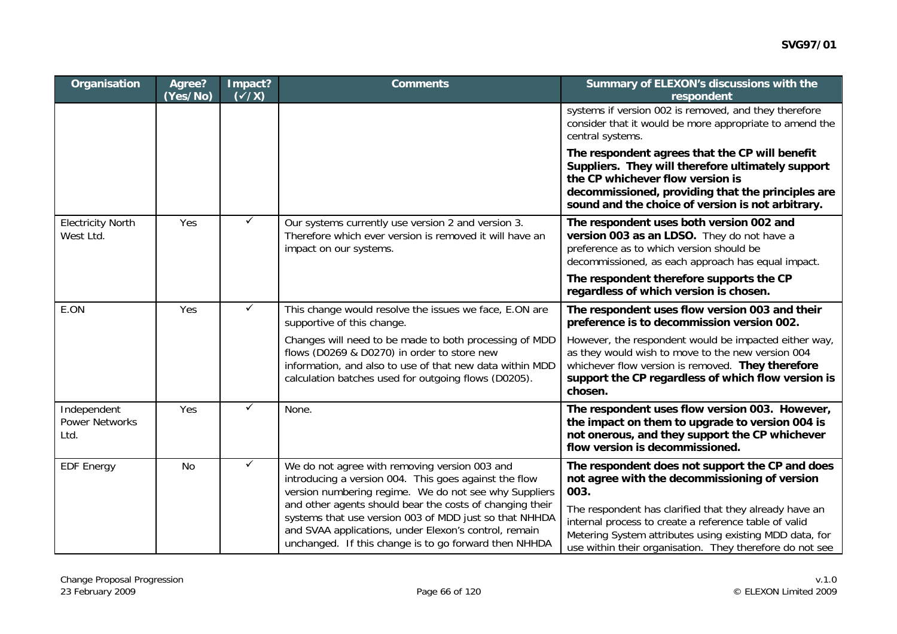| Organisation                                 | Agree?<br>(Yes/No) | Impact?<br>$(\sqrt{x})$ | <b>Comments</b>                                                                                                                                                                                                                                                                                                                                                                                         | Summary of ELEXON's discussions with the<br>respondent                                                                                                                                                                                                                                                                                             |
|----------------------------------------------|--------------------|-------------------------|---------------------------------------------------------------------------------------------------------------------------------------------------------------------------------------------------------------------------------------------------------------------------------------------------------------------------------------------------------------------------------------------------------|----------------------------------------------------------------------------------------------------------------------------------------------------------------------------------------------------------------------------------------------------------------------------------------------------------------------------------------------------|
|                                              |                    |                         |                                                                                                                                                                                                                                                                                                                                                                                                         | systems if version 002 is removed, and they therefore<br>consider that it would be more appropriate to amend the<br>central systems.                                                                                                                                                                                                               |
|                                              |                    |                         |                                                                                                                                                                                                                                                                                                                                                                                                         | The respondent agrees that the CP will benefit<br>Suppliers. They will therefore ultimately support<br>the CP whichever flow version is<br>decommissioned, providing that the principles are<br>sound and the choice of version is not arbitrary.                                                                                                  |
| <b>Electricity North</b><br>West Ltd.        | Yes                | ✓                       | Our systems currently use version 2 and version 3.<br>Therefore which ever version is removed it will have an<br>impact on our systems.                                                                                                                                                                                                                                                                 | The respondent uses both version 002 and<br>version 003 as an LDSO. They do not have a<br>preference as to which version should be<br>decommissioned, as each approach has equal impact.                                                                                                                                                           |
|                                              |                    |                         |                                                                                                                                                                                                                                                                                                                                                                                                         | The respondent therefore supports the CP<br>regardless of which version is chosen.                                                                                                                                                                                                                                                                 |
| E.ON                                         | Yes                | $\checkmark$            | This change would resolve the issues we face, E.ON are<br>supportive of this change.                                                                                                                                                                                                                                                                                                                    | The respondent uses flow version 003 and their<br>preference is to decommission version 002.                                                                                                                                                                                                                                                       |
|                                              |                    |                         | Changes will need to be made to both processing of MDD<br>flows (D0269 & D0270) in order to store new<br>information, and also to use of that new data within MDD<br>calculation batches used for outgoing flows (D0205).                                                                                                                                                                               | However, the respondent would be impacted either way,<br>as they would wish to move to the new version 004<br>whichever flow version is removed. They therefore<br>support the CP regardless of which flow version is<br>chosen.                                                                                                                   |
| Independent<br><b>Power Networks</b><br>Ltd. | Yes                | $\checkmark$            | None.                                                                                                                                                                                                                                                                                                                                                                                                   | The respondent uses flow version 003. However,<br>the impact on them to upgrade to version 004 is<br>not onerous, and they support the CP whichever<br>flow version is decommissioned.                                                                                                                                                             |
| <b>EDF Energy</b>                            | <b>No</b>          | $\checkmark$            | We do not agree with removing version 003 and<br>introducing a version 004. This goes against the flow<br>version numbering regime. We do not see why Suppliers<br>and other agents should bear the costs of changing their<br>systems that use version 003 of MDD just so that NHHDA<br>and SVAA applications, under Elexon's control, remain<br>unchanged. If this change is to go forward then NHHDA | The respondent does not support the CP and does<br>not agree with the decommissioning of version<br>003.<br>The respondent has clarified that they already have an<br>internal process to create a reference table of valid<br>Metering System attributes using existing MDD data, for<br>use within their organisation. They therefore do not see |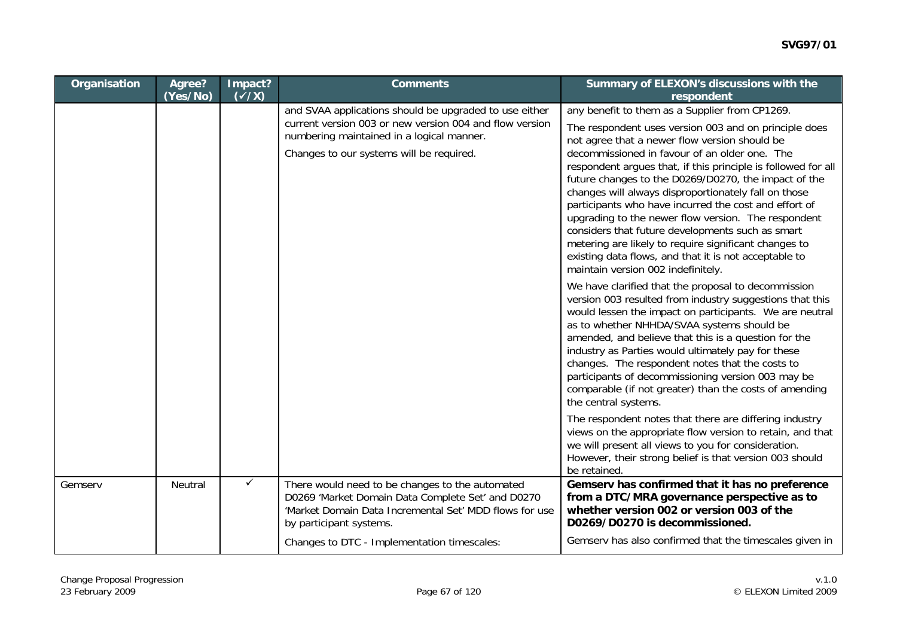| Organisation | Agree?<br>(Yes/No) | Impact?<br>$(\sqrt{X})$ | <b>Comments</b>                                                                                                                                                                                            | Summary of ELEXON's discussions with the<br>respondent                                                                                                                                                                                                                                                                                                                                                                                                                                                                                                                                                                                                                                                                 |
|--------------|--------------------|-------------------------|------------------------------------------------------------------------------------------------------------------------------------------------------------------------------------------------------------|------------------------------------------------------------------------------------------------------------------------------------------------------------------------------------------------------------------------------------------------------------------------------------------------------------------------------------------------------------------------------------------------------------------------------------------------------------------------------------------------------------------------------------------------------------------------------------------------------------------------------------------------------------------------------------------------------------------------|
|              |                    |                         | and SVAA applications should be upgraded to use either<br>current version 003 or new version 004 and flow version<br>numbering maintained in a logical manner.<br>Changes to our systems will be required. | any benefit to them as a Supplier from CP1269.<br>The respondent uses version 003 and on principle does<br>not agree that a newer flow version should be<br>decommissioned in favour of an older one. The<br>respondent argues that, if this principle is followed for all<br>future changes to the D0269/D0270, the impact of the<br>changes will always disproportionately fall on those<br>participants who have incurred the cost and effort of<br>upgrading to the newer flow version. The respondent<br>considers that future developments such as smart<br>metering are likely to require significant changes to<br>existing data flows, and that it is not acceptable to<br>maintain version 002 indefinitely. |
|              |                    |                         |                                                                                                                                                                                                            | We have clarified that the proposal to decommission<br>version 003 resulted from industry suggestions that this<br>would lessen the impact on participants. We are neutral<br>as to whether NHHDA/SVAA systems should be<br>amended, and believe that this is a question for the<br>industry as Parties would ultimately pay for these<br>changes. The respondent notes that the costs to<br>participants of decommissioning version 003 may be<br>comparable (if not greater) than the costs of amending<br>the central systems.                                                                                                                                                                                      |
|              |                    |                         |                                                                                                                                                                                                            | The respondent notes that there are differing industry<br>views on the appropriate flow version to retain, and that<br>we will present all views to you for consideration.<br>However, their strong belief is that version 003 should<br>be retained.                                                                                                                                                                                                                                                                                                                                                                                                                                                                  |
| Gemserv      | Neutral            | $\checkmark$            | There would need to be changes to the automated<br>D0269 'Market Domain Data Complete Set' and D0270<br>'Market Domain Data Incremental Set' MDD flows for use<br>by participant systems.                  | Gemserv has confirmed that it has no preference<br>from a DTC/MRA governance perspective as to<br>whether version 002 or version 003 of the<br>D0269/D0270 is decommissioned.                                                                                                                                                                                                                                                                                                                                                                                                                                                                                                                                          |
|              |                    |                         | Changes to DTC - Implementation timescales:                                                                                                                                                                | Gemserv has also confirmed that the timescales given in                                                                                                                                                                                                                                                                                                                                                                                                                                                                                                                                                                                                                                                                |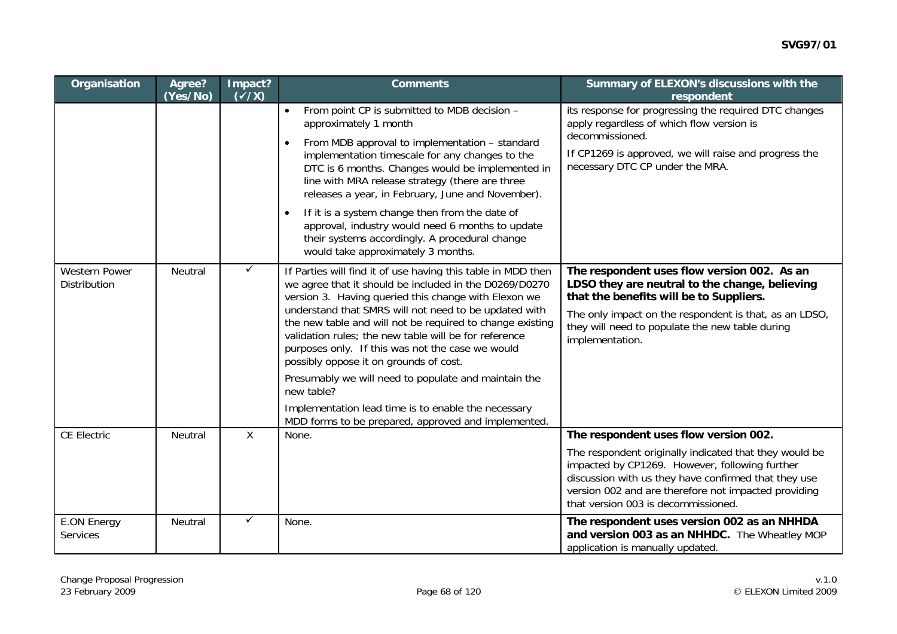| Organisation                          | Agree?<br>(Yes/No) | Impact?<br>$(\sqrt{x})$ | <b>Comments</b>                                                                                                                                                                                                                                                                                                                                                                                                                                                                                                                                                                                                                                 | Summary of ELEXON's discussions with the<br>respondent                                                                                                                                                                                                                                                   |
|---------------------------------------|--------------------|-------------------------|-------------------------------------------------------------------------------------------------------------------------------------------------------------------------------------------------------------------------------------------------------------------------------------------------------------------------------------------------------------------------------------------------------------------------------------------------------------------------------------------------------------------------------------------------------------------------------------------------------------------------------------------------|----------------------------------------------------------------------------------------------------------------------------------------------------------------------------------------------------------------------------------------------------------------------------------------------------------|
|                                       |                    |                         | From point CP is submitted to MDB decision -<br>$\bullet$<br>approximately 1 month<br>From MDB approval to implementation - standard<br>$\bullet$<br>implementation timescale for any changes to the<br>DTC is 6 months. Changes would be implemented in<br>line with MRA release strategy (there are three<br>releases a year, in February, June and November).<br>If it is a system change then from the date of<br>$\bullet$<br>approval, industry would need 6 months to update<br>their systems accordingly. A procedural change<br>would take approximately 3 months.                                                                     | its response for progressing the required DTC changes<br>apply regardless of which flow version is<br>decommissioned.<br>If CP1269 is approved, we will raise and progress the<br>necessary DTC CP under the MRA.                                                                                        |
| <b>Western Power</b><br>Distribution  | Neutral            | $\checkmark$            | If Parties will find it of use having this table in MDD then<br>we agree that it should be included in the D0269/D0270<br>version 3. Having queried this change with Elexon we<br>understand that SMRS will not need to be updated with<br>the new table and will not be required to change existing<br>validation rules; the new table will be for reference<br>purposes only. If this was not the case we would<br>possibly oppose it on grounds of cost.<br>Presumably we will need to populate and maintain the<br>new table?<br>Implementation lead time is to enable the necessary<br>MDD forms to be prepared, approved and implemented. | The respondent uses flow version 002. As an<br>LDSO they are neutral to the change, believing<br>that the benefits will be to Suppliers.<br>The only impact on the respondent is that, as an LDSO,<br>they will need to populate the new table during<br>implementation.                                 |
| <b>CE Electric</b>                    | Neutral            | $\sf X$                 | None.                                                                                                                                                                                                                                                                                                                                                                                                                                                                                                                                                                                                                                           | The respondent uses flow version 002.<br>The respondent originally indicated that they would be<br>impacted by CP1269. However, following further<br>discussion with us they have confirmed that they use<br>version 002 and are therefore not impacted providing<br>that version 003 is decommissioned. |
| <b>E.ON Energy</b><br><b>Services</b> | Neutral            | $\checkmark$            | None.                                                                                                                                                                                                                                                                                                                                                                                                                                                                                                                                                                                                                                           | The respondent uses version 002 as an NHHDA<br>and version 003 as an NHHDC. The Wheatley MOP<br>application is manually updated.                                                                                                                                                                         |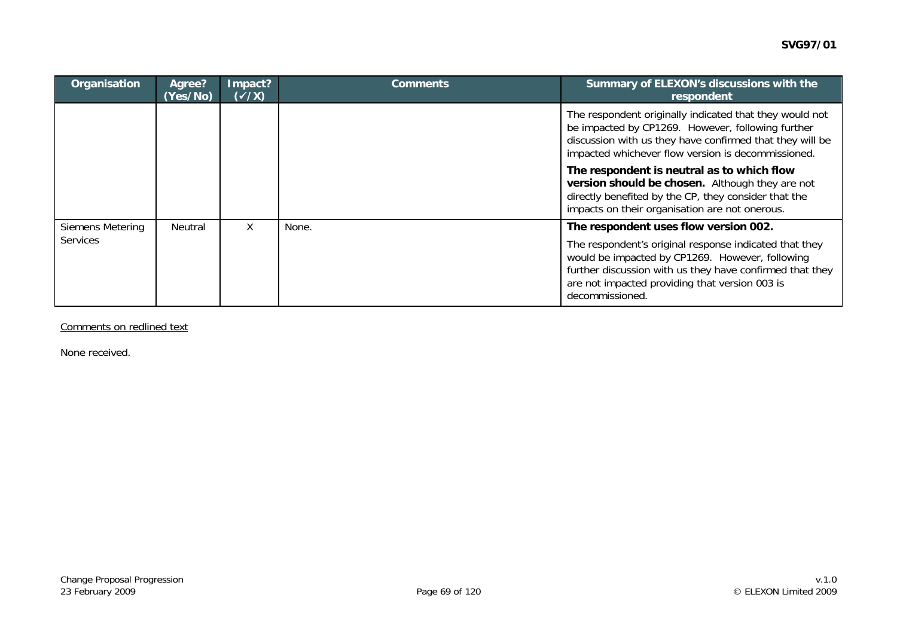| Organisation     | Agree?<br>(Yes/No) | Impact?<br>$(\sqrt{X})$ | <b>Comments</b> | Summary of ELEXON's discussions with the<br>respondent                                                                                                                                                                                     |
|------------------|--------------------|-------------------------|-----------------|--------------------------------------------------------------------------------------------------------------------------------------------------------------------------------------------------------------------------------------------|
|                  |                    |                         |                 | The respondent originally indicated that they would not<br>be impacted by CP1269. However, following further<br>discussion with us they have confirmed that they will be<br>impacted whichever flow version is decommissioned.             |
|                  |                    |                         |                 | The respondent is neutral as to which flow<br>version should be chosen. Although they are not<br>directly benefited by the CP, they consider that the<br>impacts on their organisation are not onerous.                                    |
| Siemens Metering | Neutral            | X                       | None.           | The respondent uses flow version 002.                                                                                                                                                                                                      |
| Services         |                    |                         |                 | The respondent's original response indicated that they<br>would be impacted by CP1269. However, following<br>further discussion with us they have confirmed that they<br>are not impacted providing that version 003 is<br>decommissioned. |

Comments on redlined text

None received.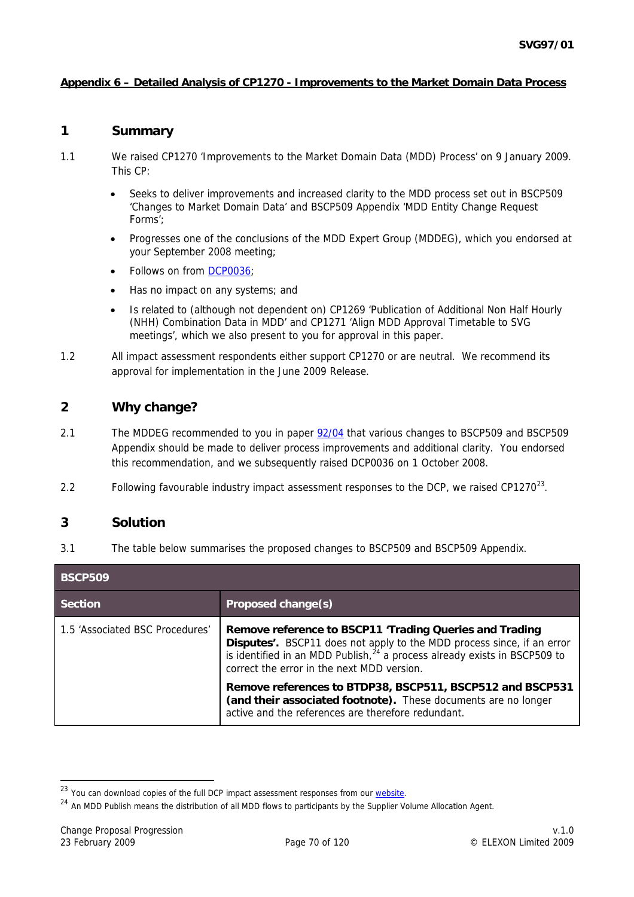### <span id="page-69-0"></span>**Appendix 6 – Detailed Analysis of CP1270 - Improvements to the Market Domain Data Process**

### **1 Summary**

- 1.1 We raised CP1270 'Improvements to the Market Domain Data (MDD) Process' on 9 January 2009. This CP:
	- Seeks to deliver improvements and increased clarity to the MDD process set out in BSCP509 'Changes to Market Domain Data' and BSCP509 Appendix 'MDD Entity Change Request Forms';
	- Progresses one of the conclusions of the MDD Expert Group (MDDEG), which you endorsed at your September 2008 meeting;
	- Follows on from [DCP0036](http://www.elexon.co.uk/changeimplementation/changeprocess/draft_change_proposals/proposal_details.aspx?proposalId=783);
	- Has no impact on any systems; and
	- Is related to (although not dependent on) CP1269 'Publication of Additional Non Half Hourly (NHH) Combination Data in MDD' and CP1271 'Align MDD Approval Timetable to SVG meetings', which we also present to you for approval in this paper.
- 1.2 All impact assessment respondents either support CP1270 or are neutral. We recommend its approval for implementation in the June 2009 Release.

## **2 Why change?**

- 2.1 The MDDEG recommended to you in paper [92/04](http://www.elexon.co.uk/documents/BSC_Panel_and_Panel_Committees/SVG_Meeting_2008_-_092_-_Papers/SVG92_04_Recommendations_of_MDD_Expert_Group_Review_Final.pdf) that various changes to BSCP509 and BSCP509 Appendix should be made to deliver process improvements and additional clarity. You endorsed this recommendation, and we subsequently raised DCP0036 on 1 October 2008.
- 2.2 Following favourable industry impact assessment responses to the DCP, we raised CP1270 $^{23}$  $^{23}$  $^{23}$ .

### **3 Solution**

3.1 The table below summarises the proposed changes to BSCP509 and BSCP509 Appendix.

| <b>BSCP509</b>                  |                                                                                                                                                                                                                                                                          |  |
|---------------------------------|--------------------------------------------------------------------------------------------------------------------------------------------------------------------------------------------------------------------------------------------------------------------------|--|
| <b>Section</b>                  | Proposed change(s)                                                                                                                                                                                                                                                       |  |
| 1.5 'Associated BSC Procedures' | Remove reference to BSCP11 'Trading Queries and Trading<br>Disputes'. BSCP11 does not apply to the MDD process since, if an error<br>is identified in an MDD Publish, <sup>24</sup> a process already exists in BSCP509 to<br>correct the error in the next MDD version. |  |
|                                 | Remove references to BTDP38, BSCP511, BSCP512 and BSCP531<br>(and their associated footnote). These documents are no longer<br>active and the references are therefore redundant.                                                                                        |  |

<sup>&</sup>lt;sup>23</sup> You can download copies of the full DCP impact assessment responses from our website.<br><sup>24</sup> An MDD Publish means the distribution of all MDD flows to participants by the Supplier Volume Allocation Agent.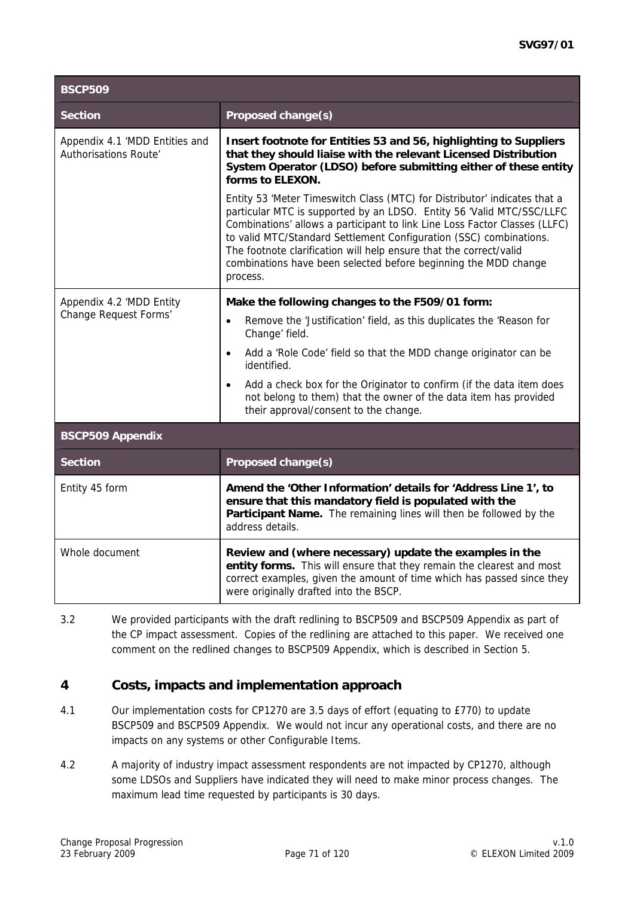| <b>BSCP509</b>                                          |                                                                                                                                                                                                                                                                                                                                                                                                                                                             |  |
|---------------------------------------------------------|-------------------------------------------------------------------------------------------------------------------------------------------------------------------------------------------------------------------------------------------------------------------------------------------------------------------------------------------------------------------------------------------------------------------------------------------------------------|--|
| <b>Section</b>                                          | Proposed change(s)                                                                                                                                                                                                                                                                                                                                                                                                                                          |  |
| Appendix 4.1 'MDD Entities and<br>Authorisations Route' | Insert footnote for Entities 53 and 56, highlighting to Suppliers<br>that they should liaise with the relevant Licensed Distribution<br>System Operator (LDSO) before submitting either of these entity<br>forms to ELEXON.                                                                                                                                                                                                                                 |  |
|                                                         | Entity 53 'Meter Timeswitch Class (MTC) for Distributor' indicates that a<br>particular MTC is supported by an LDSO. Entity 56 'Valid MTC/SSC/LLFC<br>Combinations' allows a participant to link Line Loss Factor Classes (LLFC)<br>to valid MTC/Standard Settlement Configuration (SSC) combinations.<br>The footnote clarification will help ensure that the correct/valid<br>combinations have been selected before beginning the MDD change<br>process. |  |
| Appendix 4.2 'MDD Entity                                | Make the following changes to the F509/01 form:                                                                                                                                                                                                                                                                                                                                                                                                             |  |
| Change Request Forms'                                   | Remove the 'Justification' field, as this duplicates the 'Reason for<br>$\bullet$<br>Change' field.                                                                                                                                                                                                                                                                                                                                                         |  |
|                                                         | Add a 'Role Code' field so that the MDD change originator can be<br>$\bullet$<br>identified.                                                                                                                                                                                                                                                                                                                                                                |  |
|                                                         | Add a check box for the Originator to confirm (if the data item does<br>$\bullet$<br>not belong to them) that the owner of the data item has provided<br>their approval/consent to the change.                                                                                                                                                                                                                                                              |  |
| <b>BSCP509 Appendix</b>                                 |                                                                                                                                                                                                                                                                                                                                                                                                                                                             |  |
| <b>Section</b>                                          | Proposed change(s)                                                                                                                                                                                                                                                                                                                                                                                                                                          |  |
| Entity 45 form                                          | Amend the 'Other Information' details for 'Address Line 1', to<br>ensure that this mandatory field is populated with the<br>Participant Name. The remaining lines will then be followed by the<br>address details.                                                                                                                                                                                                                                          |  |
| Whole document                                          | Review and (where necessary) update the examples in the<br>entity forms. This will ensure that they remain the clearest and most<br>correct examples, given the amount of time which has passed since they<br>were originally drafted into the BSCP.                                                                                                                                                                                                        |  |

3.2 We provided participants with the draft redlining to BSCP509 and BSCP509 Appendix as part of the CP impact assessment. Copies of the redlining are attached to this paper. We received one comment on the redlined changes to BSCP509 Appendix, which is described in Section 5.

# **4 Costs, impacts and implementation approach**

- 4.1 Our implementation costs for CP1270 are 3.5 days of effort (equating to £770) to update BSCP509 and BSCP509 Appendix. We would not incur any operational costs, and there are no impacts on any systems or other Configurable Items.
- 4.2 A majority of industry impact assessment respondents are not impacted by CP1270, although some LDSOs and Suppliers have indicated they will need to make minor process changes. The maximum lead time requested by participants is 30 days.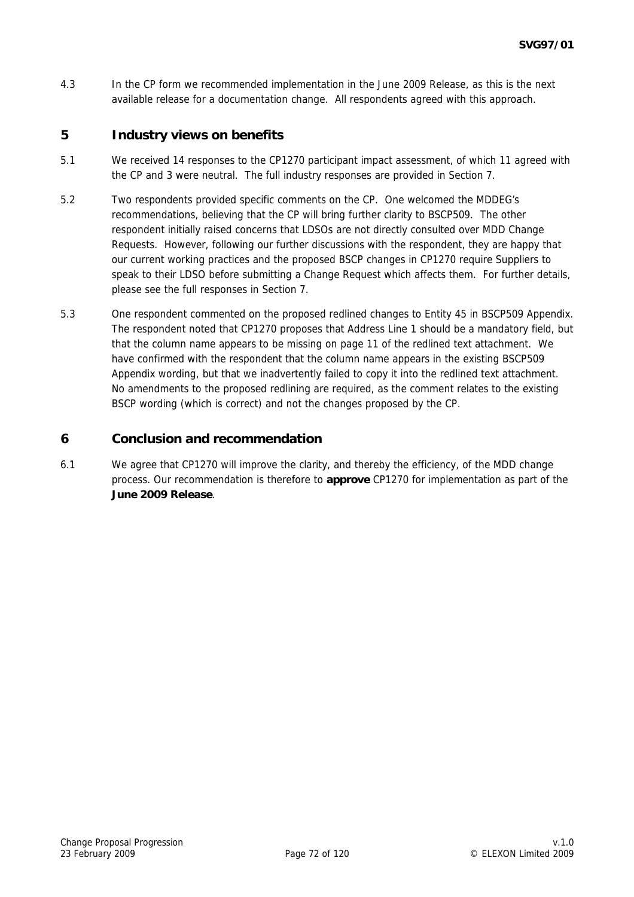4.3 In the CP form we recommended implementation in the June 2009 Release, as this is the next available release for a documentation change. All respondents agreed with this approach.

## **5 Industry views on benefits**

- 5.1 We received 14 responses to the CP1270 participant impact assessment, of which 11 agreed with the CP and 3 were neutral. The full industry responses are provided in Section 7.
- 5.2 Two respondents provided specific comments on the CP. One welcomed the MDDEG's recommendations, believing that the CP will bring further clarity to BSCP509. The other respondent initially raised concerns that LDSOs are not directly consulted over MDD Change Requests. However, following our further discussions with the respondent, they are happy that our current working practices and the proposed BSCP changes in CP1270 require Suppliers to speak to their LDSO before submitting a Change Request which affects them. For further details, please see the full responses in Section 7.
- 5.3 One respondent commented on the proposed redlined changes to Entity 45 in BSCP509 Appendix. The respondent noted that CP1270 proposes that Address Line 1 should be a mandatory field, but that the column name appears to be missing on page 11 of the redlined text attachment. We have confirmed with the respondent that the column name appears in the existing BSCP509 Appendix wording, but that we inadvertently failed to copy it into the redlined text attachment. No amendments to the proposed redlining are required, as the comment relates to the existing BSCP wording (which is correct) and not the changes proposed by the CP.

## **6 Conclusion and recommendation**

6.1 We agree that CP1270 will improve the clarity, and thereby the efficiency, of the MDD change process. Our recommendation is therefore to **approve** CP1270 for implementation as part of the **June 2009 Release**.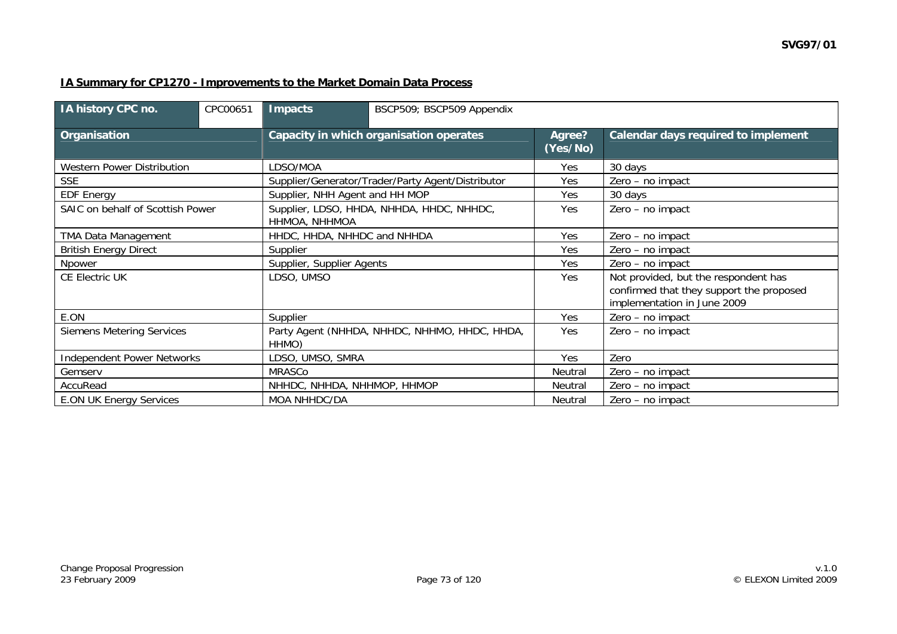#### **IA Summary for CP1270 - Improvements to the Market Domain Data Process**

| IA history CPC no.                | CPC00651 | Impacts                                                | BSCP509; BSCP509 Appendix                         |                    |                                                                                                                 |  |  |
|-----------------------------------|----------|--------------------------------------------------------|---------------------------------------------------|--------------------|-----------------------------------------------------------------------------------------------------------------|--|--|
| <b>Organisation</b>               |          | Capacity in which organisation operates                |                                                   | Agree?<br>(Yes/No) | Calendar days required to implement                                                                             |  |  |
| Western Power Distribution        |          | LDSO/MOA                                               |                                                   | Yes                | 30 days                                                                                                         |  |  |
| <b>SSE</b>                        |          |                                                        | Supplier/Generator/Trader/Party Agent/Distributor | Yes                | Zero - no impact                                                                                                |  |  |
| <b>EDF Energy</b>                 |          | Supplier, NHH Agent and HH MOP                         |                                                   | Yes                | 30 days                                                                                                         |  |  |
| SAIC on behalf of Scottish Power  |          | HHMOA, NHHMOA                                          | Supplier, LDSO, HHDA, NHHDA, HHDC, NHHDC,         | Yes                | Zero - no impact                                                                                                |  |  |
| TMA Data Management               |          | HHDC, HHDA, NHHDC and NHHDA                            |                                                   | Yes                | Zero - no impact                                                                                                |  |  |
| <b>British Energy Direct</b>      |          | Supplier                                               |                                                   | <b>Yes</b>         | Zero - no impact                                                                                                |  |  |
| Npower                            |          |                                                        | Supplier, Supplier Agents                         | <b>Yes</b>         | Zero - no impact                                                                                                |  |  |
| <b>CE Electric UK</b>             |          | LDSO, UMSO                                             |                                                   | Yes                | Not provided, but the respondent has<br>confirmed that they support the proposed<br>implementation in June 2009 |  |  |
| E.ON                              |          | Supplier                                               |                                                   | Yes                | Zero - no impact                                                                                                |  |  |
| <b>Siemens Metering Services</b>  |          | Party Agent (NHHDA, NHHDC, NHHMO, HHDC, HHDA,<br>HHMO) |                                                   | <b>Yes</b>         | Zero - no impact                                                                                                |  |  |
| <b>Independent Power Networks</b> |          | LDSO, UMSO, SMRA                                       |                                                   | Yes                | Zero                                                                                                            |  |  |
| Gemserv                           |          | MRASCo                                                 |                                                   | Neutral            | Zero - no impact                                                                                                |  |  |
| AccuRead                          |          | NHHDC, NHHDA, NHHMOP, HHMOP                            |                                                   | Neutral            | Zero - no impact                                                                                                |  |  |
| <b>E.ON UK Energy Services</b>    |          | MOA NHHDC/DA                                           |                                                   | Neutral            | Zero - no impact                                                                                                |  |  |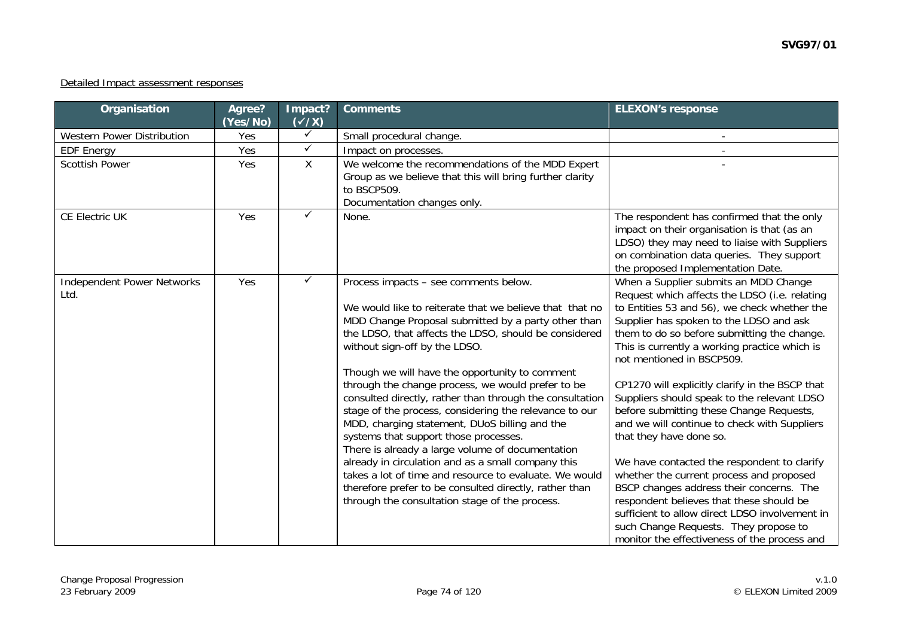#### Detailed Impact assessment responses

| Organisation                              | Agree?<br>(Yes/No) | Impact?<br>$(\sqrt{x})$ | <b>Comments</b>                                                                                                                                                                                                                                                                                                                                                                                                                                                                                                                                                                                                                                                                                                                                                                                                                                          | <b>ELEXON's response</b>                                                                                                                                                                                                                                                                                                                                                                                                                                                                                                                                                                                                                                                                                                                                                                                                                                              |
|-------------------------------------------|--------------------|-------------------------|----------------------------------------------------------------------------------------------------------------------------------------------------------------------------------------------------------------------------------------------------------------------------------------------------------------------------------------------------------------------------------------------------------------------------------------------------------------------------------------------------------------------------------------------------------------------------------------------------------------------------------------------------------------------------------------------------------------------------------------------------------------------------------------------------------------------------------------------------------|-----------------------------------------------------------------------------------------------------------------------------------------------------------------------------------------------------------------------------------------------------------------------------------------------------------------------------------------------------------------------------------------------------------------------------------------------------------------------------------------------------------------------------------------------------------------------------------------------------------------------------------------------------------------------------------------------------------------------------------------------------------------------------------------------------------------------------------------------------------------------|
| Western Power Distribution                | Yes                | $\checkmark$            | Small procedural change.                                                                                                                                                                                                                                                                                                                                                                                                                                                                                                                                                                                                                                                                                                                                                                                                                                 |                                                                                                                                                                                                                                                                                                                                                                                                                                                                                                                                                                                                                                                                                                                                                                                                                                                                       |
| <b>EDF Energy</b>                         | Yes                | $\checkmark$            | Impact on processes.                                                                                                                                                                                                                                                                                                                                                                                                                                                                                                                                                                                                                                                                                                                                                                                                                                     |                                                                                                                                                                                                                                                                                                                                                                                                                                                                                                                                                                                                                                                                                                                                                                                                                                                                       |
| <b>Scottish Power</b>                     | Yes                | X                       | We welcome the recommendations of the MDD Expert<br>Group as we believe that this will bring further clarity<br>to BSCP509.<br>Documentation changes only.                                                                                                                                                                                                                                                                                                                                                                                                                                                                                                                                                                                                                                                                                               |                                                                                                                                                                                                                                                                                                                                                                                                                                                                                                                                                                                                                                                                                                                                                                                                                                                                       |
| <b>CE Electric UK</b>                     | Yes                | ✓                       | None.                                                                                                                                                                                                                                                                                                                                                                                                                                                                                                                                                                                                                                                                                                                                                                                                                                                    | The respondent has confirmed that the only<br>impact on their organisation is that (as an<br>LDSO) they may need to liaise with Suppliers<br>on combination data queries. They support<br>the proposed Implementation Date.                                                                                                                                                                                                                                                                                                                                                                                                                                                                                                                                                                                                                                           |
| <b>Independent Power Networks</b><br>Ltd. | Yes                | ✓                       | Process impacts - see comments below.<br>We would like to reiterate that we believe that that no<br>MDD Change Proposal submitted by a party other than<br>the LDSO, that affects the LDSO, should be considered<br>without sign-off by the LDSO.<br>Though we will have the opportunity to comment<br>through the change process, we would prefer to be<br>consulted directly, rather than through the consultation<br>stage of the process, considering the relevance to our<br>MDD, charging statement, DUoS billing and the<br>systems that support those processes.<br>There is already a large volume of documentation<br>already in circulation and as a small company this<br>takes a lot of time and resource to evaluate. We would<br>therefore prefer to be consulted directly, rather than<br>through the consultation stage of the process. | When a Supplier submits an MDD Change<br>Request which affects the LDSO (i.e. relating<br>to Entities 53 and 56), we check whether the<br>Supplier has spoken to the LDSO and ask<br>them to do so before submitting the change.<br>This is currently a working practice which is<br>not mentioned in BSCP509.<br>CP1270 will explicitly clarify in the BSCP that<br>Suppliers should speak to the relevant LDSO<br>before submitting these Change Requests,<br>and we will continue to check with Suppliers<br>that they have done so.<br>We have contacted the respondent to clarify<br>whether the current process and proposed<br>BSCP changes address their concerns. The<br>respondent believes that these should be<br>sufficient to allow direct LDSO involvement in<br>such Change Requests. They propose to<br>monitor the effectiveness of the process and |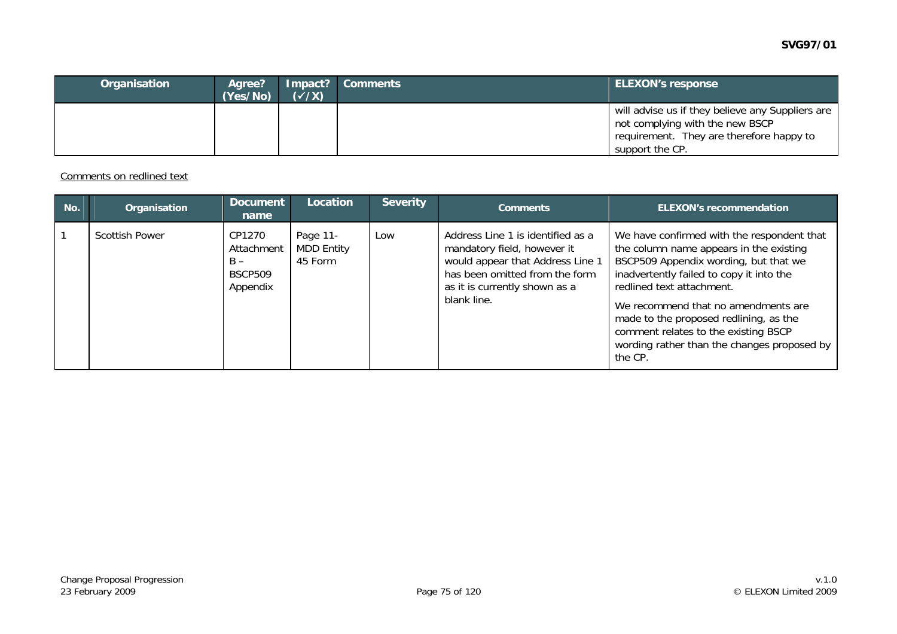| Organisation | Agree?<br>(Yes/No) | $(\checkmark/\checkmark)$ | Impact? Comments | <b>ELEXON's response</b>                                                                                                                           |
|--------------|--------------------|---------------------------|------------------|----------------------------------------------------------------------------------------------------------------------------------------------------|
|              |                    |                           |                  | will advise us if they believe any Suppliers are<br>not complying with the new BSCP<br>requirement. They are therefore happy to<br>support the CP. |

Comments on redlined text

| No.          | Organisation          | Document<br>name                                            | Location                                 | <b>Severity</b> | <b>Comments</b>                                                                                                                                                                        | <b>ELEXON's recommendation</b>                                                                                                                                                                                                                                                                                                                                                             |
|--------------|-----------------------|-------------------------------------------------------------|------------------------------------------|-----------------|----------------------------------------------------------------------------------------------------------------------------------------------------------------------------------------|--------------------------------------------------------------------------------------------------------------------------------------------------------------------------------------------------------------------------------------------------------------------------------------------------------------------------------------------------------------------------------------------|
| $\mathbf{1}$ | <b>Scottish Power</b> | CP1270<br>Attachment<br>$B -$<br><b>BSCP509</b><br>Appendix | Page 11-<br><b>MDD Entity</b><br>45 Form | Low             | Address Line 1 is identified as a<br>mandatory field, however it<br>would appear that Address Line 1<br>has been omitted from the form<br>as it is currently shown as a<br>blank line. | We have confirmed with the respondent that<br>the column name appears in the existing<br>BSCP509 Appendix wording, but that we<br>inadvertently failed to copy it into the<br>redlined text attachment.<br>We recommend that no amendments are<br>made to the proposed redlining, as the<br>comment relates to the existing BSCP<br>wording rather than the changes proposed by<br>the CP. |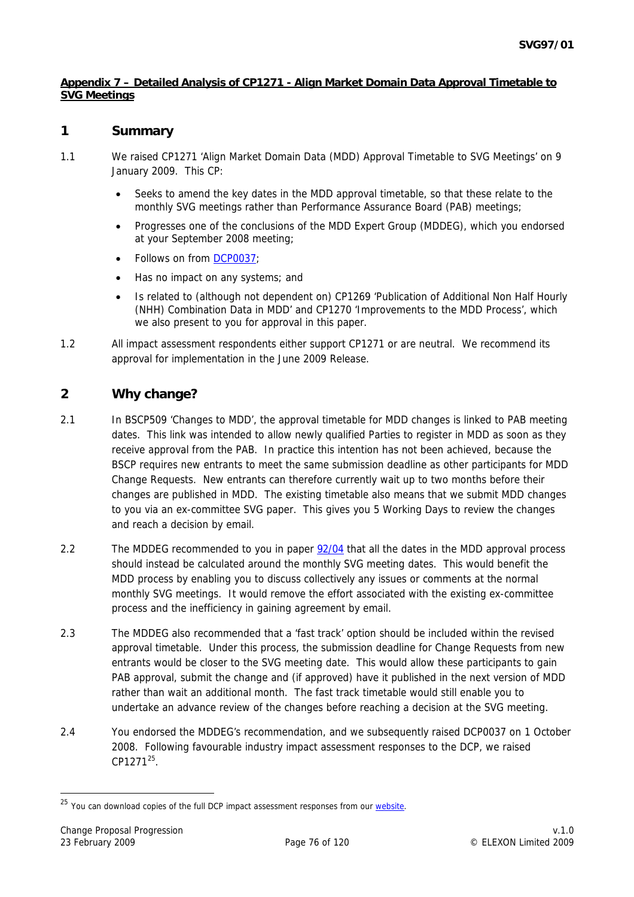#### <span id="page-75-0"></span>**Appendix 7 – Detailed Analysis of CP1271 - Align Market Domain Data Approval Timetable to SVG Meetings**

## **1 Summary**

- 1.1 We raised CP1271 'Align Market Domain Data (MDD) Approval Timetable to SVG Meetings' on 9 January 2009. This CP:
	- Seeks to amend the key dates in the MDD approval timetable, so that these relate to the monthly SVG meetings rather than Performance Assurance Board (PAB) meetings;
	- Progresses one of the conclusions of the MDD Expert Group (MDDEG), which you endorsed at your September 2008 meeting;
	- Follows on from [DCP0037](http://www.elexon.co.uk/changeimplementation/changeprocess/draft_change_proposals/proposal_details.aspx?proposalId=784);
	- Has no impact on any systems; and
	- Is related to (although not dependent on) CP1269 'Publication of Additional Non Half Hourly (NHH) Combination Data in MDD' and CP1270 'Improvements to the MDD Process', which we also present to you for approval in this paper.
- 1.2 All impact assessment respondents either support CP1271 or are neutral. We recommend its approval for implementation in the June 2009 Release.

# **2 Why change?**

- 2.1 In BSCP509 'Changes to MDD', the approval timetable for MDD changes is linked to PAB meeting dates. This link was intended to allow newly qualified Parties to register in MDD as soon as they receive approval from the PAB. In practice this intention has not been achieved, because the BSCP requires new entrants to meet the same submission deadline as other participants for MDD Change Requests. New entrants can therefore currently wait up to two months before their changes are published in MDD. The existing timetable also means that we submit MDD changes to you via an ex-committee SVG paper. This gives you 5 Working Days to review the changes and reach a decision by email.
- 2.2 The MDDEG recommended to you in paper [92/04](http://www.elexon.co.uk/documents/BSC_Panel_and_Panel_Committees/SVG_Meeting_2008_-_092_-_Papers/SVG92_04_Recommendations_of_MDD_Expert_Group_Review_Final.pdf) that all the dates in the MDD approval process should instead be calculated around the monthly SVG meeting dates. This would benefit the MDD process by enabling you to discuss collectively any issues or comments at the normal monthly SVG meetings. It would remove the effort associated with the existing ex-committee process and the inefficiency in gaining agreement by email.
- 2.3 The MDDEG also recommended that a 'fast track' option should be included within the revised approval timetable. Under this process, the submission deadline for Change Requests from new entrants would be closer to the SVG meeting date. This would allow these participants to gain PAB approval, submit the change and (if approved) have it published in the next version of MDD rather than wait an additional month. The fast track timetable would still enable you to undertake an advance review of the changes before reaching a decision at the SVG meeting.
- 2.4 You endorsed the MDDEG's recommendation, and we subsequently raised DCP0037 on 1 October 2008. Following favourable industry impact assessment responses to the DCP, we raised CP1[2](#page-75-0)71<sup>25</sup>.

<sup>&</sup>lt;sup>25</sup> You can download copies of the full DCP impact assessment responses from our website.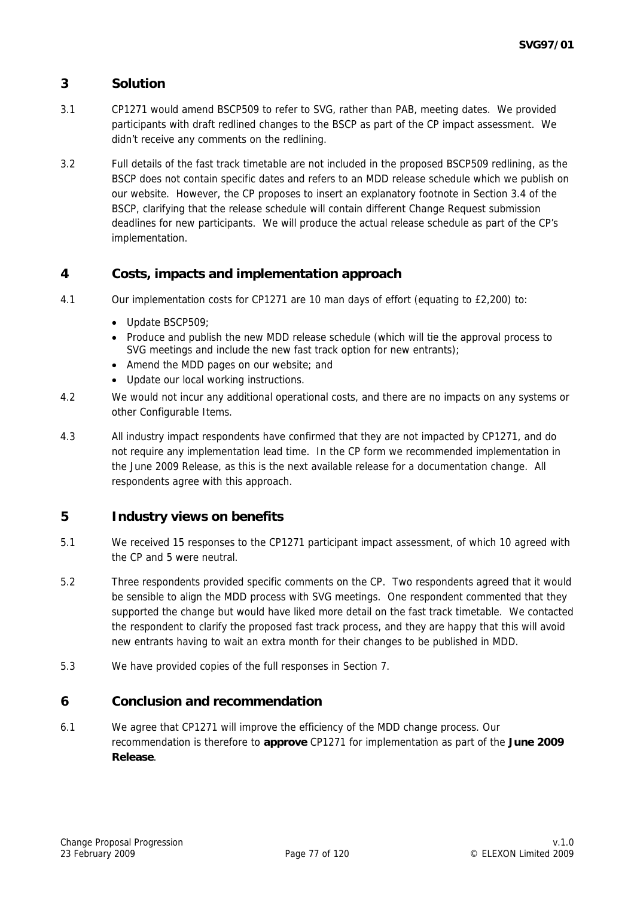# **3 Solution**

- 3.1 CP1271 would amend BSCP509 to refer to SVG, rather than PAB, meeting dates. We provided participants with draft redlined changes to the BSCP as part of the CP impact assessment. We didn't receive any comments on the redlining.
- 3.2 Full details of the fast track timetable are not included in the proposed BSCP509 redlining, as the BSCP does not contain specific dates and refers to an MDD release schedule which we publish on our website. However, the CP proposes to insert an explanatory footnote in Section 3.4 of the BSCP, clarifying that the release schedule will contain different Change Request submission deadlines for new participants. We will produce the actual release schedule as part of the CP's implementation.

# **4 Costs, impacts and implementation approach**

- 4.1 Our implementation costs for CP1271 are 10 man days of effort (equating to £2,200) to:
	- Update BSCP509:
	- Produce and publish the new MDD release schedule (which will tie the approval process to SVG meetings and include the new fast track option for new entrants);
	- Amend the MDD pages on our website; and
	- Update our local working instructions.
- 4.2 We would not incur any additional operational costs, and there are no impacts on any systems or other Configurable Items.
- 4.3 All industry impact respondents have confirmed that they are not impacted by CP1271, and do not require any implementation lead time. In the CP form we recommended implementation in the June 2009 Release, as this is the next available release for a documentation change. All respondents agree with this approach.

## **5 Industry views on benefits**

- 5.1 We received 15 responses to the CP1271 participant impact assessment, of which 10 agreed with the CP and 5 were neutral.
- 5.2 Three respondents provided specific comments on the CP. Two respondents agreed that it would be sensible to align the MDD process with SVG meetings. One respondent commented that they supported the change but would have liked more detail on the fast track timetable. We contacted the respondent to clarify the proposed fast track process, and they are happy that this will avoid new entrants having to wait an extra month for their changes to be published in MDD.
- 5.3 We have provided copies of the full responses in Section 7.

#### **6 Conclusion and recommendation**

6.1 We agree that CP1271 will improve the efficiency of the MDD change process. Our recommendation is therefore to **approve** CP1271 for implementation as part of the **June 2009 Release**.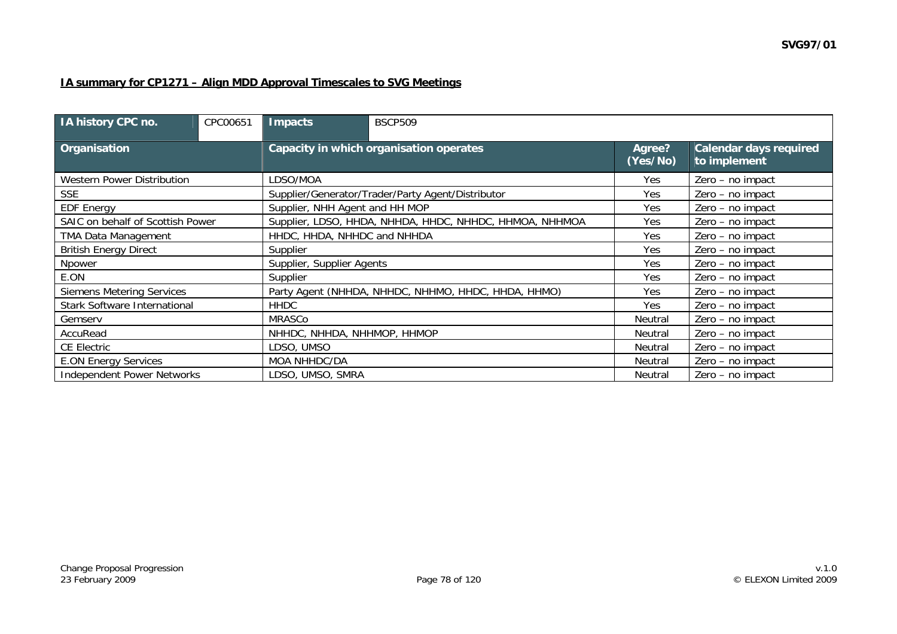## **IA summary for CP1271 – Align MDD Approval Timescales to SVG Meetings**

| IA history CPC no.                  | CPC00651 | <b>Impacts</b>                 | <b>BSCP509</b>                                          |                    |                                               |  |  |  |
|-------------------------------------|----------|--------------------------------|---------------------------------------------------------|--------------------|-----------------------------------------------|--|--|--|
| Organisation                        |          |                                | Capacity in which organisation operates                 | Agree?<br>(Yes/No) | <b>Calendar days required</b><br>to implement |  |  |  |
| <b>Western Power Distribution</b>   |          | LDSO/MOA                       |                                                         | Yes                | Zero - no impact                              |  |  |  |
| <b>SSE</b>                          |          |                                | Supplier/Generator/Trader/Party Agent/Distributor       | Yes                | Zero - no impact                              |  |  |  |
| <b>EDF Energy</b>                   |          | Supplier, NHH Agent and HH MOP |                                                         | Yes                | Zero - no impact                              |  |  |  |
| SAIC on behalf of Scottish Power    |          |                                | Supplier, LDSO, HHDA, NHHDA, HHDC, NHHDC, HHMOA, NHHMOA | Yes                | Zero - no impact                              |  |  |  |
| <b>TMA Data Management</b>          |          | HHDC, HHDA, NHHDC and NHHDA    |                                                         | Yes                | Zero - no impact                              |  |  |  |
| <b>British Energy Direct</b>        |          | Supplier                       |                                                         | Yes                | Zero - no impact                              |  |  |  |
| Npower                              |          | Supplier, Supplier Agents      |                                                         | Yes                | Zero - no impact                              |  |  |  |
| E.ON                                |          | Supplier                       |                                                         | Yes                | Zero - no impact                              |  |  |  |
| <b>Siemens Metering Services</b>    |          |                                | Party Agent (NHHDA, NHHDC, NHHMO, HHDC, HHDA, HHMO)     | Yes                | Zero - no impact                              |  |  |  |
| <b>Stark Software International</b> |          | <b>HHDC</b>                    |                                                         | Yes                | Zero - no impact                              |  |  |  |
| Gemserv                             |          | MRASCo                         |                                                         | Neutral            | Zero - no impact                              |  |  |  |
| AccuRead                            |          | NHHDC, NHHDA, NHHMOP, HHMOP    |                                                         | Neutral            | Zero - no impact                              |  |  |  |
| <b>CE Electric</b>                  |          | LDSO, UMSO                     |                                                         | Neutral            | Zero - no impact                              |  |  |  |
| <b>E.ON Energy Services</b>         |          | MOA NHHDC/DA                   |                                                         | Neutral            | Zero - no impact                              |  |  |  |
| <b>Independent Power Networks</b>   |          | LDSO, UMSO, SMRA               |                                                         | Neutral            | Zero - no impact                              |  |  |  |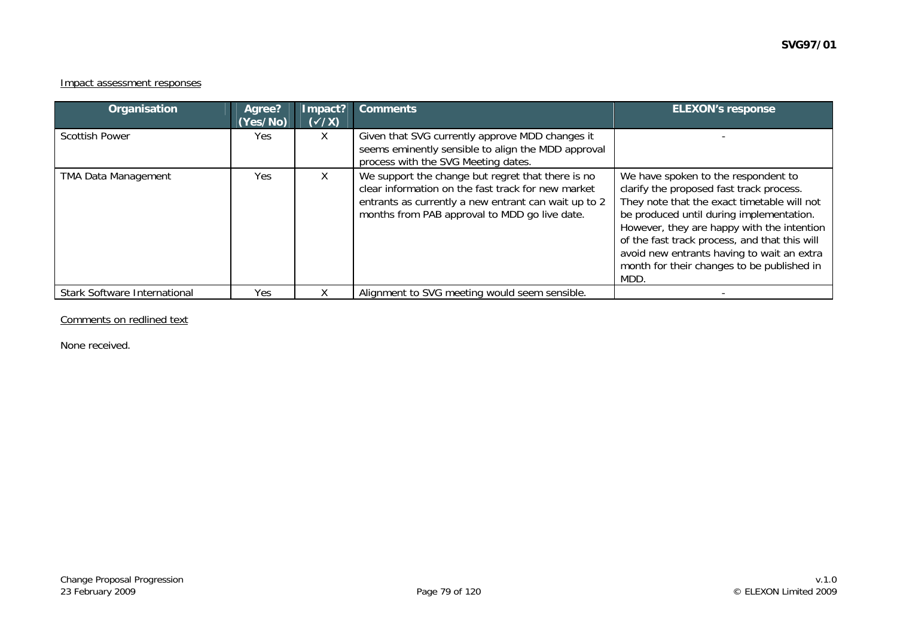#### Impact assessment responses

| Organisation                        | Agree?<br>(Yes/No) | Impact?<br>$(\sqrt{x})$ | <b>Comments</b>                                                                                                                                                                                                  | <b>ELEXON's response</b>                                                                                                                                                                                                                                                                                                                                                      |
|-------------------------------------|--------------------|-------------------------|------------------------------------------------------------------------------------------------------------------------------------------------------------------------------------------------------------------|-------------------------------------------------------------------------------------------------------------------------------------------------------------------------------------------------------------------------------------------------------------------------------------------------------------------------------------------------------------------------------|
| <b>Scottish Power</b>               | Yes                | X.                      | Given that SVG currently approve MDD changes it<br>seems eminently sensible to align the MDD approval<br>process with the SVG Meeting dates.                                                                     |                                                                                                                                                                                                                                                                                                                                                                               |
| <b>TMA Data Management</b>          | Yes                | X.                      | We support the change but regret that there is no<br>clear information on the fast track for new market<br>entrants as currently a new entrant can wait up to 2<br>months from PAB approval to MDD go live date. | We have spoken to the respondent to<br>clarify the proposed fast track process.<br>They note that the exact timetable will not<br>be produced until during implementation.<br>However, they are happy with the intention<br>of the fast track process, and that this will<br>avoid new entrants having to wait an extra<br>month for their changes to be published in<br>MDD. |
| <b>Stark Software International</b> | Yes                |                         | Alignment to SVG meeting would seem sensible.                                                                                                                                                                    |                                                                                                                                                                                                                                                                                                                                                                               |

#### Comments on redlined text

None received.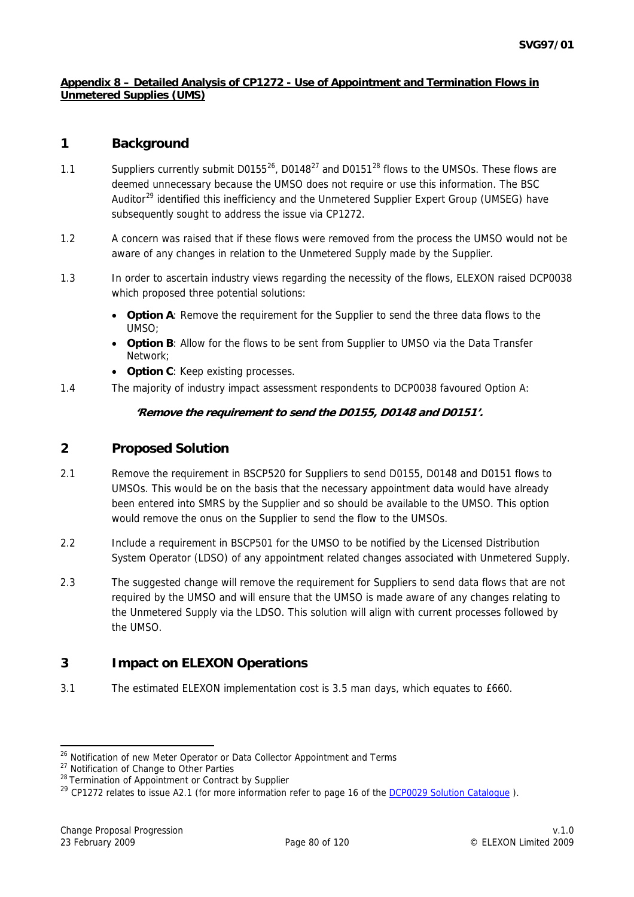#### <span id="page-79-0"></span>**Appendix 8 – Detailed Analysis of CP1272 - Use of Appointment and Termination Flows in Unmetered Supplies (UMS)**

# **1 Background**

- 1.1 Suppliers currently submit  $D0155^{26}$  $D0155^{26}$  $D0155^{26}$ , D0148<sup>[2](#page-79-0)7</sup> and D0151<sup>28</sup> flows to the UMSOs. These flows are deemed unnecessary because the UMSO does not require or use this information. The BSC Auditor<sup>[29](#page-79-0)</sup> identified this inefficiency and the Unmetered Supplier Expert Group (UMSEG) have subsequently sought to address the issue via CP1272.
- 1.2 A concern was raised that if these flows were removed from the process the UMSO would not be aware of any changes in relation to the Unmetered Supply made by the Supplier.
- 1.3 In order to ascertain industry views regarding the necessity of the flows, ELEXON raised DCP0038 which proposed three potential solutions:
	- **Option A**: Remove the requirement for the Supplier to send the three data flows to the UMSO;
	- **Option B**: Allow for the flows to be sent from Supplier to UMSO via the Data Transfer Network;
	- **Option C**: Keep existing processes.
- 1.4 The majority of industry impact assessment respondents to DCP0038 favoured Option A:

## **'Remove the requirement to send the D0155, D0148 and D0151'.**

# **2 Proposed Solution**

- 2.1 Remove the requirement in BSCP520 for Suppliers to send D0155, D0148 and D0151 flows to UMSOs. This would be on the basis that the necessary appointment data would have already been entered into SMRS by the Supplier and so should be available to the UMSO. This option would remove the onus on the Supplier to send the flow to the UMSOs.
- 2.2 Include a requirement in BSCP501 for the UMSO to be notified by the Licensed Distribution System Operator (LDSO) of any appointment related changes associated with Unmetered Supply.
- 2.3 The suggested change will remove the requirement for Suppliers to send data flows that are not required by the UMSO and will ensure that the UMSO is made aware of any changes relating to the Unmetered Supply via the LDSO. This solution will align with current processes followed by the UMSO.

# **3 Impact on ELEXON Operations**

3.1 The estimated ELEXON implementation cost is 3.5 man days, which equates to £660.

 <sup>26</sup> Notification of new Meter Operator or Data Collector Appointment and Terms

<sup>&</sup>lt;sup>27</sup> Notification of Change to Other Parties

<sup>&</sup>lt;sup>28</sup> Termination of Appointment or Contract by Supplier

<sup>&</sup>lt;sup>29</sup> CP1272 relates to issue A2.1 (for more information refer to page 16 of the DCP0029 Solution Catalogue).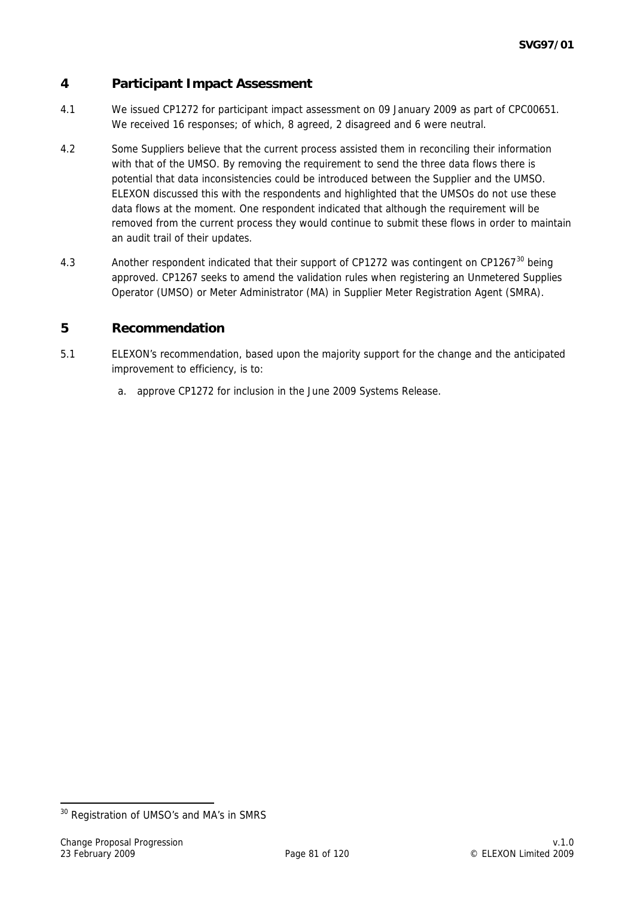# <span id="page-80-0"></span>**4 Participant Impact Assessment**

- 4.1 We issued CP1272 for participant impact assessment on 09 January 2009 as part of CPC00651. We received 16 responses; of which, 8 agreed, 2 disagreed and 6 were neutral.
- 4.2 Some Suppliers believe that the current process assisted them in reconciling their information with that of the UMSO. By removing the requirement to send the three data flows there is potential that data inconsistencies could be introduced between the Supplier and the UMSO. ELEXON discussed this with the respondents and highlighted that the UMSOs do not use these data flows at the moment. One respondent indicated that although the requirement will be removed from the current process they would continue to submit these flows in order to maintain an audit trail of their updates.
- 4.[3](#page-80-0) Another respondent indicated that their support of CP1272 was contingent on CP1267<sup>30</sup> being approved. CP1267 seeks to amend the validation rules when registering an Unmetered Supplies Operator (UMSO) or Meter Administrator (MA) in Supplier Meter Registration Agent (SMRA).

## **5 Recommendation**

- 5.1 ELEXON's recommendation, based upon the majority support for the change and the anticipated improvement to efficiency, is to:
	- a. approve CP1272 for inclusion in the June 2009 Systems Release.

-

<sup>&</sup>lt;sup>30</sup> Registration of UMSO's and MA's in SMRS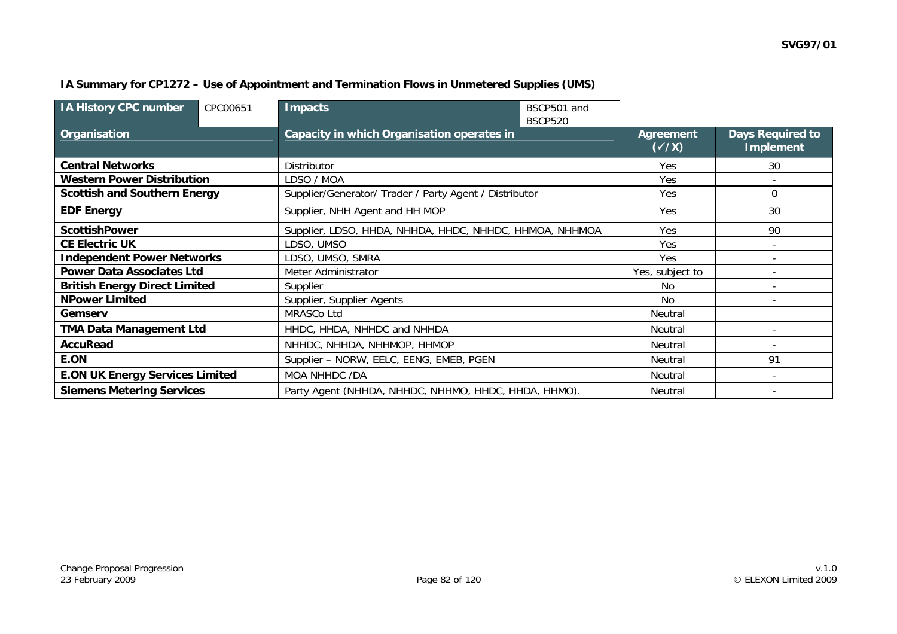| IA History CPC number                  | CPC00651 | Impacts                                                 | BSCP501 and<br><b>BSCP520</b> |                           |                                      |
|----------------------------------------|----------|---------------------------------------------------------|-------------------------------|---------------------------|--------------------------------------|
| <b>Organisation</b>                    |          | Capacity in which Organisation operates in              |                               | Agreement<br>$(\sqrt{X})$ | Days Required to<br><b>Implement</b> |
| <b>Central Networks</b>                |          | Distributor                                             |                               | <b>Yes</b>                | 30                                   |
| <b>Western Power Distribution</b>      |          | LDSO / MOA                                              |                               | Yes                       |                                      |
| <b>Scottish and Southern Energy</b>    |          | Supplier/Generator/ Trader / Party Agent / Distributor  |                               | Yes                       | 0                                    |
| <b>EDF Energy</b>                      |          | Supplier, NHH Agent and HH MOP                          | Yes                           | 30                        |                                      |
| <b>ScottishPower</b>                   |          | Supplier, LDSO, HHDA, NHHDA, HHDC, NHHDC, HHMOA, NHHMOA | <b>Yes</b>                    | 90                        |                                      |
| <b>CE Electric UK</b>                  |          | LDSO, UMSO                                              | Yes                           |                           |                                      |
| <b>Independent Power Networks</b>      |          | LDSO, UMSO, SMRA                                        | Yes                           |                           |                                      |
| <b>Power Data Associates Ltd</b>       |          | Meter Administrator                                     | Yes, subject to               |                           |                                      |
| <b>British Energy Direct Limited</b>   |          | Supplier                                                | No.                           |                           |                                      |
| <b>NPower Limited</b>                  |          | Supplier, Supplier Agents                               | No                            |                           |                                      |
| Gemserv                                |          | MRASCo Ltd                                              | Neutral                       |                           |                                      |
| <b>TMA Data Management Ltd</b>         |          | HHDC, HHDA, NHHDC and NHHDA                             | Neutral                       |                           |                                      |
| <b>AccuRead</b>                        |          | NHHDC, NHHDA, NHHMOP, HHMOP                             | Neutral                       |                           |                                      |
| E.ON                                   |          | Supplier - NORW, EELC, EENG, EMEB, PGEN                 |                               | Neutral                   | 91                                   |
| <b>E.ON UK Energy Services Limited</b> |          | <b>MOA NHHDC /DA</b>                                    | Neutral                       |                           |                                      |
| <b>Siemens Metering Services</b>       |          | Party Agent (NHHDA, NHHDC, NHHMO, HHDC, HHDA, HHMO).    | <b>Neutral</b>                |                           |                                      |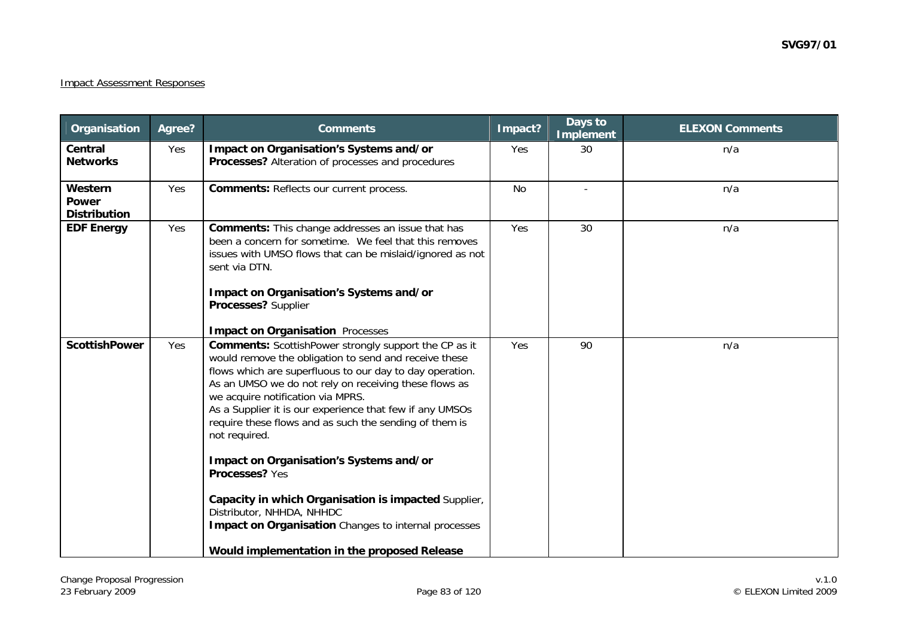## Impact Assessment Responses

| Organisation                                   | Agree? | <b>Comments</b>                                                                                                                                                                                                                                                                                                                                                                                                                                                                                                                                                                                                                                                                         | Impact?   | Days to<br><b>Implement</b> | <b>ELEXON Comments</b> |
|------------------------------------------------|--------|-----------------------------------------------------------------------------------------------------------------------------------------------------------------------------------------------------------------------------------------------------------------------------------------------------------------------------------------------------------------------------------------------------------------------------------------------------------------------------------------------------------------------------------------------------------------------------------------------------------------------------------------------------------------------------------------|-----------|-----------------------------|------------------------|
| Central<br><b>Networks</b>                     | Yes    | Impact on Organisation's Systems and/or<br>Processes? Alteration of processes and procedures                                                                                                                                                                                                                                                                                                                                                                                                                                                                                                                                                                                            | Yes       | 30                          | n/a                    |
| Western<br><b>Power</b><br><b>Distribution</b> | Yes    | <b>Comments: Reflects our current process.</b>                                                                                                                                                                                                                                                                                                                                                                                                                                                                                                                                                                                                                                          | <b>No</b> |                             | n/a                    |
| <b>EDF Energy</b>                              | Yes    | <b>Comments:</b> This change addresses an issue that has<br>been a concern for sometime. We feel that this removes<br>issues with UMSO flows that can be mislaid/ignored as not<br>sent via DTN.<br>Impact on Organisation's Systems and/or<br>Processes? Supplier<br><b>Impact on Organisation Processes</b>                                                                                                                                                                                                                                                                                                                                                                           | Yes       | 30                          | n/a                    |
| <b>ScottishPower</b>                           | Yes    | <b>Comments:</b> ScottishPower strongly support the CP as it<br>would remove the obligation to send and receive these<br>flows which are superfluous to our day to day operation.<br>As an UMSO we do not rely on receiving these flows as<br>we acquire notification via MPRS.<br>As a Supplier it is our experience that few if any UMSOs<br>require these flows and as such the sending of them is<br>not required.<br>Impact on Organisation's Systems and/or<br>Processes? Yes<br>Capacity in which Organisation is impacted Supplier,<br>Distributor, NHHDA, NHHDC<br><b>Impact on Organisation</b> Changes to internal processes<br>Would implementation in the proposed Release | Yes       | 90                          | n/a                    |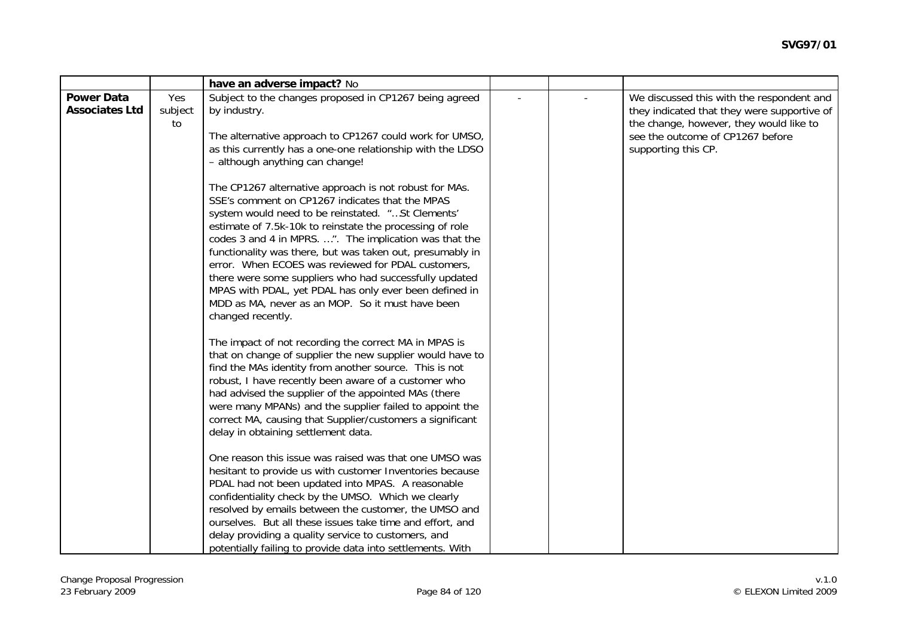|                                            |                      | have an adverse impact? No                                                                                                                                                                                                                                                                                                                                                                                                                                                                                                                                                                           |  |                                                                                                                                                                                                |
|--------------------------------------------|----------------------|------------------------------------------------------------------------------------------------------------------------------------------------------------------------------------------------------------------------------------------------------------------------------------------------------------------------------------------------------------------------------------------------------------------------------------------------------------------------------------------------------------------------------------------------------------------------------------------------------|--|------------------------------------------------------------------------------------------------------------------------------------------------------------------------------------------------|
| <b>Power Data</b><br><b>Associates Ltd</b> | Yes<br>subject<br>to | Subject to the changes proposed in CP1267 being agreed<br>by industry.<br>The alternative approach to CP1267 could work for UMSO,<br>as this currently has a one-one relationship with the LDSO<br>- although anything can change!                                                                                                                                                                                                                                                                                                                                                                   |  | We discussed this with the respondent and<br>they indicated that they were supportive of<br>the change, however, they would like to<br>see the outcome of CP1267 before<br>supporting this CP. |
|                                            |                      | The CP1267 alternative approach is not robust for MAs.<br>SSE's comment on CP1267 indicates that the MPAS<br>system would need to be reinstated. "St Clements'<br>estimate of 7.5k-10k to reinstate the processing of role<br>codes 3 and 4 in MPRS. ". The implication was that the<br>functionality was there, but was taken out, presumably in<br>error. When ECOES was reviewed for PDAL customers,<br>there were some suppliers who had successfully updated<br>MPAS with PDAL, yet PDAL has only ever been defined in<br>MDD as MA, never as an MOP. So it must have been<br>changed recently. |  |                                                                                                                                                                                                |
|                                            |                      | The impact of not recording the correct MA in MPAS is<br>that on change of supplier the new supplier would have to<br>find the MAs identity from another source. This is not<br>robust, I have recently been aware of a customer who<br>had advised the supplier of the appointed MAs (there<br>were many MPANs) and the supplier failed to appoint the<br>correct MA, causing that Supplier/customers a significant<br>delay in obtaining settlement data.                                                                                                                                          |  |                                                                                                                                                                                                |
|                                            |                      | One reason this issue was raised was that one UMSO was<br>hesitant to provide us with customer Inventories because<br>PDAL had not been updated into MPAS. A reasonable<br>confidentiality check by the UMSO. Which we clearly<br>resolved by emails between the customer, the UMSO and<br>ourselves. But all these issues take time and effort, and<br>delay providing a quality service to customers, and<br>potentially failing to provide data into settlements. With                                                                                                                            |  |                                                                                                                                                                                                |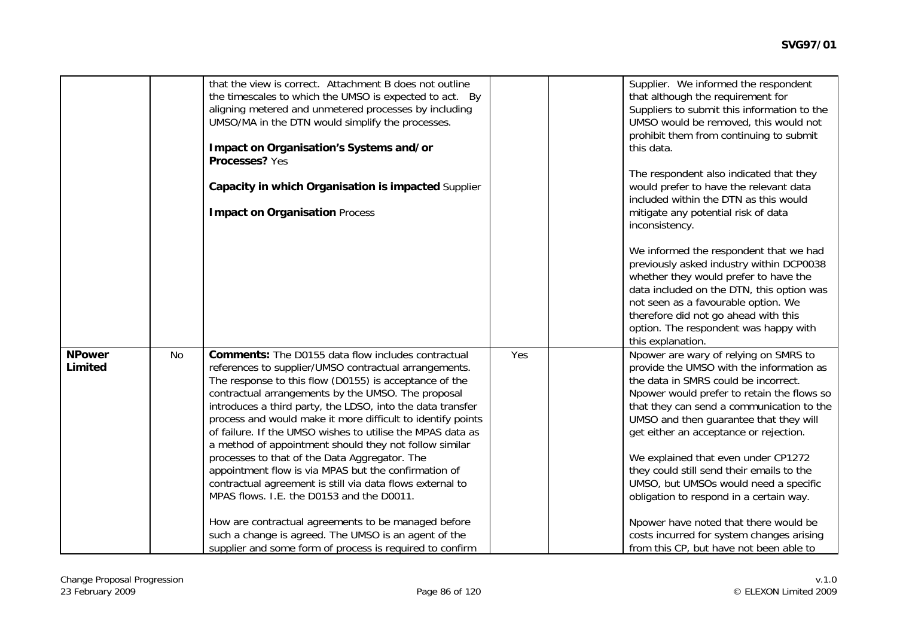|                          |           | that the view is correct. Attachment B does not outline<br>the timescales to which the UMSO is expected to act. By<br>aligning metered and unmetered processes by including<br>UMSO/MA in the DTN would simplify the processes.<br>Impact on Organisation's Systems and/or<br>Processes? Yes<br>Capacity in which Organisation is impacted Supplier<br><b>Impact on Organisation Process</b>                                                                                                                                                                                                                                                                                                               |     | Supplier. We informed the respondent<br>that although the requirement for<br>Suppliers to submit this information to the<br>UMSO would be removed, this would not<br>prohibit them from continuing to submit<br>this data.<br>The respondent also indicated that they<br>would prefer to have the relevant data<br>included within the DTN as this would<br>mitigate any potential risk of data<br>inconsistency.<br>We informed the respondent that we had<br>previously asked industry within DCP0038<br>whether they would prefer to have the<br>data included on the DTN, this option was<br>not seen as a favourable option. We |
|--------------------------|-----------|------------------------------------------------------------------------------------------------------------------------------------------------------------------------------------------------------------------------------------------------------------------------------------------------------------------------------------------------------------------------------------------------------------------------------------------------------------------------------------------------------------------------------------------------------------------------------------------------------------------------------------------------------------------------------------------------------------|-----|--------------------------------------------------------------------------------------------------------------------------------------------------------------------------------------------------------------------------------------------------------------------------------------------------------------------------------------------------------------------------------------------------------------------------------------------------------------------------------------------------------------------------------------------------------------------------------------------------------------------------------------|
|                          |           |                                                                                                                                                                                                                                                                                                                                                                                                                                                                                                                                                                                                                                                                                                            |     | therefore did not go ahead with this<br>option. The respondent was happy with<br>this explanation.                                                                                                                                                                                                                                                                                                                                                                                                                                                                                                                                   |
| <b>NPower</b><br>Limited | <b>No</b> | <b>Comments:</b> The D0155 data flow includes contractual<br>references to supplier/UMSO contractual arrangements.<br>The response to this flow (D0155) is acceptance of the<br>contractual arrangements by the UMSO. The proposal<br>introduces a third party, the LDSO, into the data transfer<br>process and would make it more difficult to identify points<br>of failure. If the UMSO wishes to utilise the MPAS data as<br>a method of appointment should they not follow similar<br>processes to that of the Data Aggregator. The<br>appointment flow is via MPAS but the confirmation of<br>contractual agreement is still via data flows external to<br>MPAS flows. I.E. the D0153 and the D0011. | Yes | Npower are wary of relying on SMRS to<br>provide the UMSO with the information as<br>the data in SMRS could be incorrect.<br>Npower would prefer to retain the flows so<br>that they can send a communication to the<br>UMSO and then guarantee that they will<br>get either an acceptance or rejection.<br>We explained that even under CP1272<br>they could still send their emails to the<br>UMSO, but UMSOs would need a specific<br>obligation to respond in a certain way.                                                                                                                                                     |
|                          |           | How are contractual agreements to be managed before<br>such a change is agreed. The UMSO is an agent of the<br>supplier and some form of process is required to confirm                                                                                                                                                                                                                                                                                                                                                                                                                                                                                                                                    |     | Npower have noted that there would be<br>costs incurred for system changes arising<br>from this CP, but have not been able to                                                                                                                                                                                                                                                                                                                                                                                                                                                                                                        |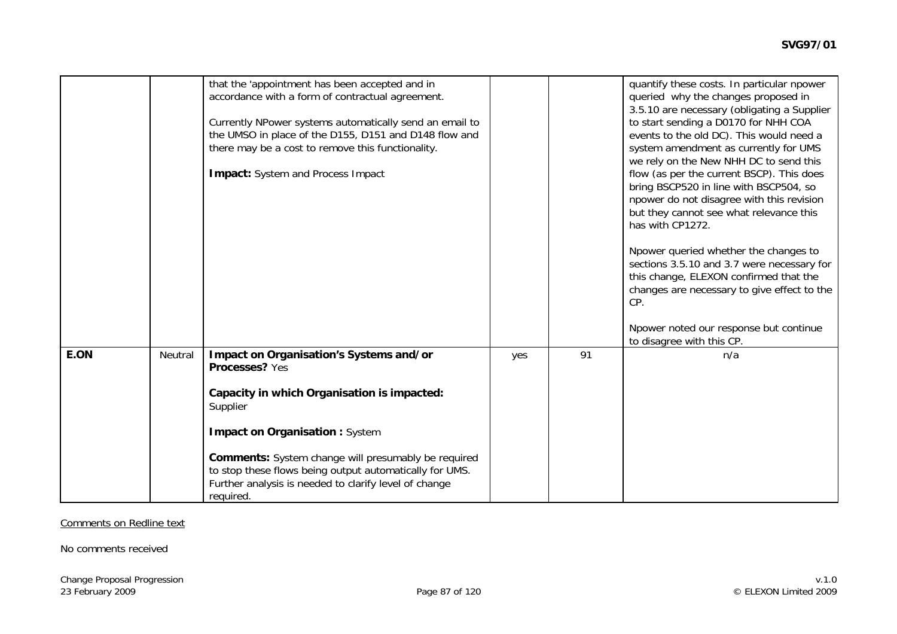|      |         | that the 'appointment has been accepted and in<br>accordance with a form of contractual agreement.<br>Currently NPower systems automatically send an email to<br>the UMSO in place of the D155, D151 and D148 flow and<br>there may be a cost to remove this functionality.<br>Impact: System and Process Impact                                             |     |    | quantify these costs. In particular npower<br>queried why the changes proposed in<br>3.5.10 are necessary (obligating a Supplier<br>to start sending a D0170 for NHH COA<br>events to the old DC). This would need a<br>system amendment as currently for UMS<br>we rely on the New NHH DC to send this<br>flow (as per the current BSCP). This does<br>bring BSCP520 in line with BSCP504, so<br>npower do not disagree with this revision<br>but they cannot see what relevance this<br>has with CP1272.<br>Npower queried whether the changes to<br>sections 3.5.10 and 3.7 were necessary for<br>this change, ELEXON confirmed that the<br>changes are necessary to give effect to the<br>CP.<br>Npower noted our response but continue<br>to disagree with this CP. |
|------|---------|--------------------------------------------------------------------------------------------------------------------------------------------------------------------------------------------------------------------------------------------------------------------------------------------------------------------------------------------------------------|-----|----|--------------------------------------------------------------------------------------------------------------------------------------------------------------------------------------------------------------------------------------------------------------------------------------------------------------------------------------------------------------------------------------------------------------------------------------------------------------------------------------------------------------------------------------------------------------------------------------------------------------------------------------------------------------------------------------------------------------------------------------------------------------------------|
| E.ON | Neutral | Impact on Organisation's Systems and/or<br>Processes? Yes<br>Capacity in which Organisation is impacted:<br>Supplier<br><b>Impact on Organisation: System</b><br><b>Comments:</b> System change will presumably be required<br>to stop these flows being output automatically for UMS.<br>Further analysis is needed to clarify level of change<br>required. | yes | 91 | n/a                                                                                                                                                                                                                                                                                                                                                                                                                                                                                                                                                                                                                                                                                                                                                                      |

#### Comments on Redline text

No comments received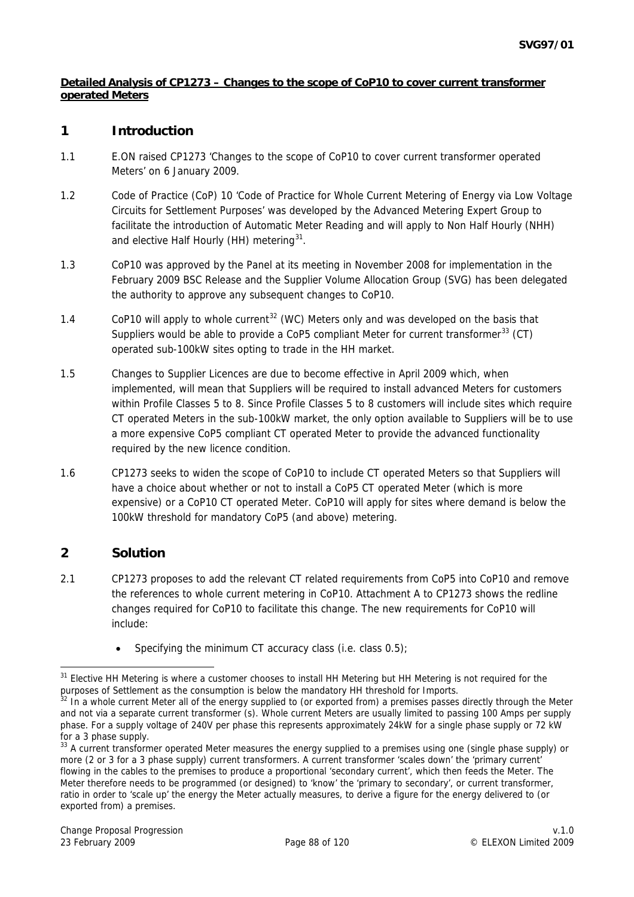#### <span id="page-87-0"></span>**Detailed Analysis of CP1273 – Changes to the scope of CoP10 to cover current transformer operated Meters**

## **1 Introduction**

- 1.1 E.ON raised CP1273 'Changes to the scope of CoP10 to cover current transformer operated Meters' on 6 January 2009.
- 1.2 Code of Practice (CoP) 10 'Code of Practice for Whole Current Metering of Energy via Low Voltage Circuits for Settlement Purposes' was developed by the Advanced Metering Expert Group to facilitate the introduction of Automatic Meter Reading and will apply to Non Half Hourly (NHH) and elective Half Hourly (HH) metering<sup>[31](#page-87-0)</sup>.
- 1.3 CoP10 was approved by the Panel at its meeting in November 2008 for implementation in the February 2009 BSC Release and the Supplier Volume Allocation Group (SVG) has been delegated the authority to approve any subsequent changes to CoP10.
- 1.4 CoP10 will apply to whole current<sup>[32](#page-87-0)</sup> (WC) Meters only and was developed on the basis that Suppliers would be able to provide a CoP5 compliant Meter for current transformer<sup>[3](#page-87-0)3</sup> (CT) operated sub-100kW sites opting to trade in the HH market.
- 1.5 Changes to Supplier Licences are due to become effective in April 2009 which, when implemented, will mean that Suppliers will be required to install advanced Meters for customers within Profile Classes 5 to 8. Since Profile Classes 5 to 8 customers will include sites which require CT operated Meters in the sub-100kW market, the only option available to Suppliers will be to use a more expensive CoP5 compliant CT operated Meter to provide the advanced functionality required by the new licence condition.
- 1.6 CP1273 seeks to widen the scope of CoP10 to include CT operated Meters so that Suppliers will have a choice about whether or not to install a CoP5 CT operated Meter (which is more expensive) or a CoP10 CT operated Meter. CoP10 will apply for sites where demand is below the 100kW threshold for mandatory CoP5 (and above) metering.

## **2 Solution**

- 2.1 CP1273 proposes to add the relevant CT related requirements from CoP5 into CoP10 and remove the references to whole current metering in CoP10. Attachment A to CP1273 shows the redline changes required for CoP10 to facilitate this change. The new requirements for CoP10 will include:
	- Specifying the minimum CT accuracy class  $(i.e.$  class  $0.5)$ ;

<sup>-</sup> $31$  Elective HH Metering is where a customer chooses to install HH Metering but HH Metering is not required for the

purposes of Settlement as the consumption is below the mandatory HH threshold for Imports.<br><sup>32</sup> In a whole current Meter all of the energy supplied to (or exported from) a premises passes directly through the Meter and not via a separate current transformer (s). Whole current Meters are usually limited to passing 100 Amps per supply phase. For a supply voltage of 240V per phase this represents approximately 24kW for a single phase supply or 72 kW for a 3 phase supply.

<sup>&</sup>lt;sup>33</sup> A current transformer operated Meter measures the energy supplied to a premises using one (single phase supply) or more (2 or 3 for a 3 phase supply) current transformers. A current transformer 'scales down' the 'primary current' flowing in the cables to the premises to produce a proportional 'secondary current', which then feeds the Meter. The Meter therefore needs to be programmed (or designed) to 'know' the 'primary to secondary', or current transformer, ratio in order to 'scale up' the energy the Meter actually measures, to derive a figure for the energy delivered to (or exported from) a premises.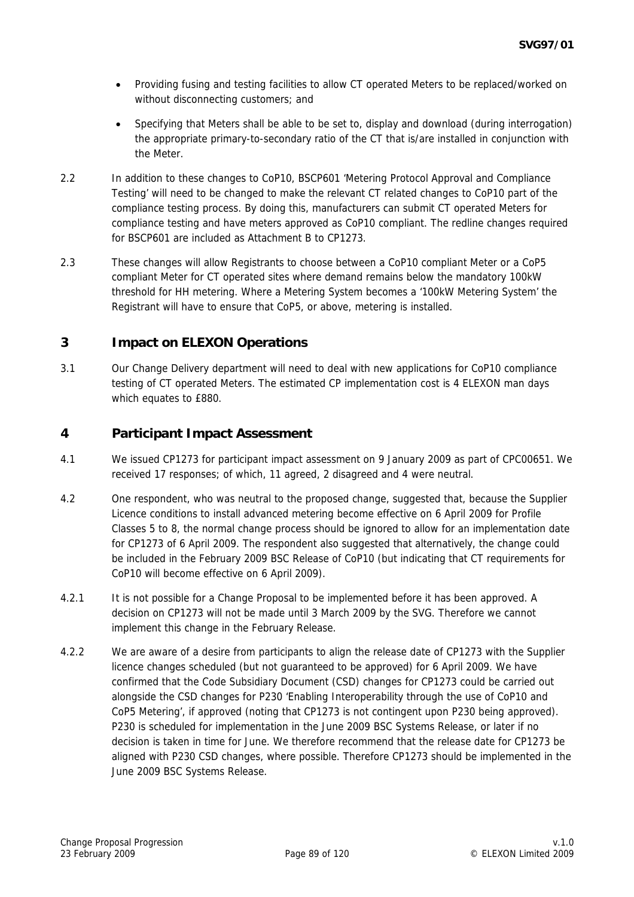- Providing fusing and testing facilities to allow CT operated Meters to be replaced/worked on without disconnecting customers; and
- Specifying that Meters shall be able to be set to, display and download (during interrogation) the appropriate primary-to-secondary ratio of the CT that is/are installed in conjunction with the Meter.
- 2.2 In addition to these changes to CoP10, BSCP601 'Metering Protocol Approval and Compliance Testing' will need to be changed to make the relevant CT related changes to CoP10 part of the compliance testing process. By doing this, manufacturers can submit CT operated Meters for compliance testing and have meters approved as CoP10 compliant. The redline changes required for BSCP601 are included as Attachment B to CP1273.
- 2.3 These changes will allow Registrants to choose between a CoP10 compliant Meter or a CoP5 compliant Meter for CT operated sites where demand remains below the mandatory 100kW threshold for HH metering. Where a Metering System becomes a '100kW Metering System' the Registrant will have to ensure that CoP5, or above, metering is installed.

## **3 Impact on ELEXON Operations**

3.1 Our Change Delivery department will need to deal with new applications for CoP10 compliance testing of CT operated Meters. The estimated CP implementation cost is 4 ELEXON man days which equates to £880.

## **4 Participant Impact Assessment**

- 4.1 We issued CP1273 for participant impact assessment on 9 January 2009 as part of CPC00651. We received 17 responses; of which, 11 agreed, 2 disagreed and 4 were neutral.
- 4.2 One respondent, who was neutral to the proposed change, suggested that, because the Supplier Licence conditions to install advanced metering become effective on 6 April 2009 for Profile Classes 5 to 8, the normal change process should be ignored to allow for an implementation date for CP1273 of 6 April 2009. The respondent also suggested that alternatively, the change could be included in the February 2009 BSC Release of CoP10 (but indicating that CT requirements for CoP10 will become effective on 6 April 2009).
- 4.2.1 It is not possible for a Change Proposal to be implemented before it has been approved. A decision on CP1273 will not be made until 3 March 2009 by the SVG. Therefore we cannot implement this change in the February Release.
- 4.2.2 We are aware of a desire from participants to align the release date of CP1273 with the Supplier licence changes scheduled (but not guaranteed to be approved) for 6 April 2009. We have confirmed that the Code Subsidiary Document (CSD) changes for CP1273 could be carried out alongside the CSD changes for P230 'Enabling Interoperability through the use of CoP10 and CoP5 Metering', if approved (noting that CP1273 is not contingent upon P230 being approved). P230 is scheduled for implementation in the June 2009 BSC Systems Release, or later if no decision is taken in time for June. We therefore recommend that the release date for CP1273 be aligned with P230 CSD changes, where possible. Therefore CP1273 should be implemented in the June 2009 BSC Systems Release.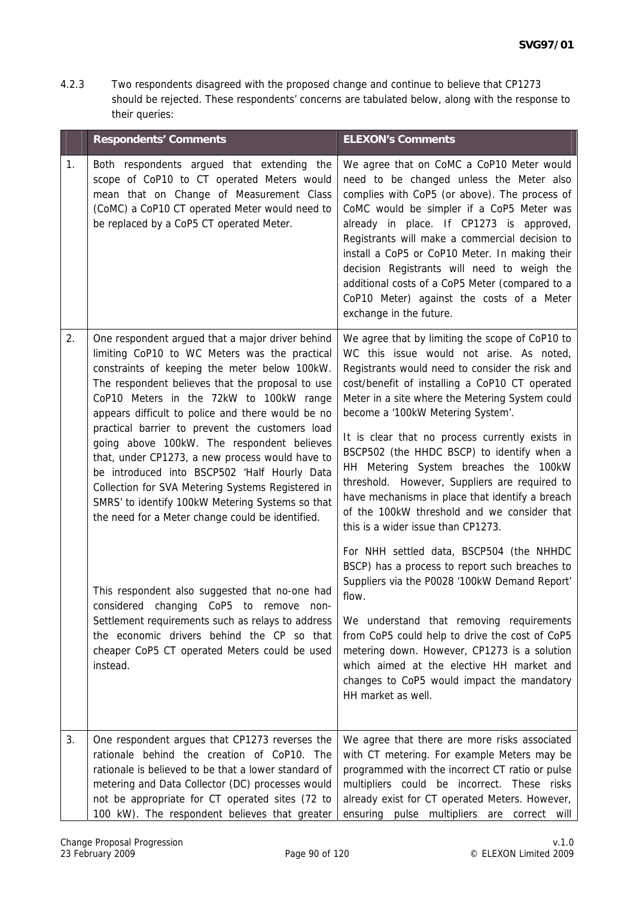4.2.3 Two respondents disagreed with the proposed change and continue to believe that CP1273 should be rejected. These respondents' concerns are tabulated below, along with the response to their queries:

|    | <b>Respondents' Comments</b>                                                                                                                                                                                                                                                                                                                                                                                                                                                                                                                                                                                                                                            | <b>ELEXON's Comments</b>                                                                                                                                                                                                                                                                                                                                                                                                                                                                                                                                                                                                    |
|----|-------------------------------------------------------------------------------------------------------------------------------------------------------------------------------------------------------------------------------------------------------------------------------------------------------------------------------------------------------------------------------------------------------------------------------------------------------------------------------------------------------------------------------------------------------------------------------------------------------------------------------------------------------------------------|-----------------------------------------------------------------------------------------------------------------------------------------------------------------------------------------------------------------------------------------------------------------------------------------------------------------------------------------------------------------------------------------------------------------------------------------------------------------------------------------------------------------------------------------------------------------------------------------------------------------------------|
| 1. | Both respondents argued that extending the<br>scope of CoP10 to CT operated Meters would<br>mean that on Change of Measurement Class<br>(CoMC) a CoP10 CT operated Meter would need to<br>be replaced by a CoP5 CT operated Meter.                                                                                                                                                                                                                                                                                                                                                                                                                                      | We agree that on CoMC a CoP10 Meter would<br>need to be changed unless the Meter also<br>complies with CoP5 (or above). The process of<br>CoMC would be simpler if a CoP5 Meter was<br>already in place. If CP1273 is approved,<br>Registrants will make a commercial decision to<br>install a CoP5 or CoP10 Meter. In making their<br>decision Registrants will need to weigh the<br>additional costs of a CoP5 Meter (compared to a<br>CoP10 Meter) against the costs of a Meter<br>exchange in the future.                                                                                                               |
| 2. | One respondent argued that a major driver behind<br>limiting CoP10 to WC Meters was the practical<br>constraints of keeping the meter below 100kW.<br>The respondent believes that the proposal to use<br>CoP10 Meters in the 72kW to 100kW range<br>appears difficult to police and there would be no<br>practical barrier to prevent the customers load<br>going above 100kW. The respondent believes<br>that, under CP1273, a new process would have to<br>be introduced into BSCP502 'Half Hourly Data<br>Collection for SVA Metering Systems Registered in<br>SMRS' to identify 100kW Metering Systems so that<br>the need for a Meter change could be identified. | We agree that by limiting the scope of CoP10 to<br>WC this issue would not arise. As noted,<br>Registrants would need to consider the risk and<br>cost/benefit of installing a CoP10 CT operated<br>Meter in a site where the Metering System could<br>become a '100kW Metering System'.<br>It is clear that no process currently exists in<br>BSCP502 (the HHDC BSCP) to identify when a<br>HH Metering System breaches the 100kW<br>threshold. However, Suppliers are required to<br>have mechanisms in place that identify a breach<br>of the 100kW threshold and we consider that<br>this is a wider issue than CP1273. |
|    | This respondent also suggested that no-one had<br>considered changing CoP5 to remove non-<br>Settlement requirements such as relays to address<br>the economic drivers behind the CP so that<br>cheaper CoP5 CT operated Meters could be used<br>instead.                                                                                                                                                                                                                                                                                                                                                                                                               | For NHH settled data, BSCP504 (the NHHDC<br>BSCP) has a process to report such breaches to<br>Suppliers via the P0028 '100kW Demand Report'<br>flow.<br>We understand that removing requirements<br>from CoP5 could help to drive the cost of CoP5<br>metering down. However, CP1273 is a solution<br>which aimed at the elective HH market and<br>changes to CoP5 would impact the mandatory<br>HH market as well.                                                                                                                                                                                                         |
| 3. | One respondent argues that CP1273 reverses the<br>rationale behind the creation of CoP10. The<br>rationale is believed to be that a lower standard of<br>metering and Data Collector (DC) processes would<br>not be appropriate for CT operated sites (72 to<br>100 kW). The respondent believes that greater                                                                                                                                                                                                                                                                                                                                                           | We agree that there are more risks associated<br>with CT metering. For example Meters may be<br>programmed with the incorrect CT ratio or pulse<br>multipliers could be incorrect. These risks<br>already exist for CT operated Meters. However,<br>ensuring pulse multipliers are correct will                                                                                                                                                                                                                                                                                                                             |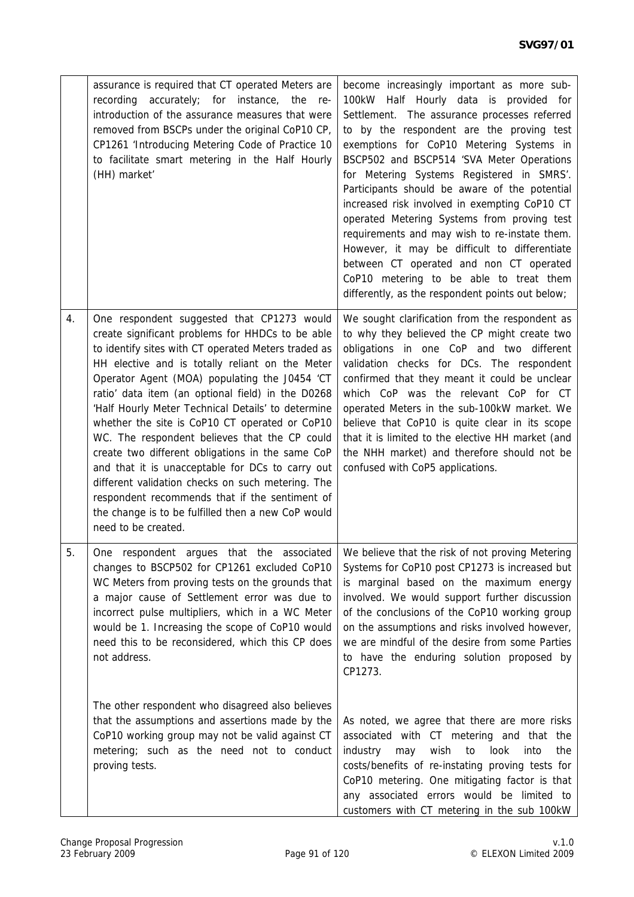|    | assurance is required that CT operated Meters are<br>accurately; for instance, the<br>recording<br>- re-<br>introduction of the assurance measures that were<br>removed from BSCPs under the original CoP10 CP,<br>CP1261 'Introducing Metering Code of Practice 10<br>to facilitate smart metering in the Half Hourly<br>(HH) market'                                                                                                                                                                                                                                                                                                                                                                                                                              | become increasingly important as more sub-<br>100kW Half Hourly data is provided for<br>Settlement. The assurance processes referred<br>to by the respondent are the proving test<br>exemptions for CoP10 Metering Systems in<br>BSCP502 and BSCP514 'SVA Meter Operations<br>for Metering Systems Registered in SMRS'.<br>Participants should be aware of the potential<br>increased risk involved in exempting CoP10 CT<br>operated Metering Systems from proving test<br>requirements and may wish to re-instate them.<br>However, it may be difficult to differentiate<br>between CT operated and non CT operated<br>CoP10 metering to be able to treat them<br>differently, as the respondent points out below; |
|----|---------------------------------------------------------------------------------------------------------------------------------------------------------------------------------------------------------------------------------------------------------------------------------------------------------------------------------------------------------------------------------------------------------------------------------------------------------------------------------------------------------------------------------------------------------------------------------------------------------------------------------------------------------------------------------------------------------------------------------------------------------------------|----------------------------------------------------------------------------------------------------------------------------------------------------------------------------------------------------------------------------------------------------------------------------------------------------------------------------------------------------------------------------------------------------------------------------------------------------------------------------------------------------------------------------------------------------------------------------------------------------------------------------------------------------------------------------------------------------------------------|
| 4. | One respondent suggested that CP1273 would<br>create significant problems for HHDCs to be able<br>to identify sites with CT operated Meters traded as<br>HH elective and is totally reliant on the Meter<br>Operator Agent (MOA) populating the J0454 'CT<br>ratio' data item (an optional field) in the D0268<br>'Half Hourly Meter Technical Details' to determine<br>whether the site is CoP10 CT operated or CoP10<br>WC. The respondent believes that the CP could<br>create two different obligations in the same CoP<br>and that it is unacceptable for DCs to carry out<br>different validation checks on such metering. The<br>respondent recommends that if the sentiment of<br>the change is to be fulfilled then a new CoP would<br>need to be created. | We sought clarification from the respondent as<br>to why they believed the CP might create two<br>obligations in one CoP and two different<br>validation checks for DCs. The respondent<br>confirmed that they meant it could be unclear<br>which CoP was the relevant CoP for CT<br>operated Meters in the sub-100kW market. We<br>believe that CoP10 is quite clear in its scope<br>that it is limited to the elective HH market (and<br>the NHH market) and therefore should not be<br>confused with CoP5 applications.                                                                                                                                                                                           |
| 5. | One respondent argues that the associated   We believe that the risk of not proving Metering<br>changes to BSCP502 for CP1261 excluded CoP10<br>WC Meters from proving tests on the grounds that<br>a major cause of Settlement error was due to<br>incorrect pulse multipliers, which in a WC Meter<br>would be 1. Increasing the scope of CoP10 would<br>need this to be reconsidered, which this CP does<br>not address.                                                                                                                                                                                                                                                                                                                                         | Systems for CoP10 post CP1273 is increased but<br>is marginal based on the maximum energy<br>involved. We would support further discussion<br>of the conclusions of the CoP10 working group<br>on the assumptions and risks involved however,<br>we are mindful of the desire from some Parties<br>to have the enduring solution proposed by<br>CP1273.                                                                                                                                                                                                                                                                                                                                                              |
|    | The other respondent who disagreed also believes<br>that the assumptions and assertions made by the<br>CoP10 working group may not be valid against CT<br>metering; such as the need not to conduct<br>proving tests.                                                                                                                                                                                                                                                                                                                                                                                                                                                                                                                                               | As noted, we agree that there are more risks<br>associated with CT metering and that the<br>wish<br>industry<br>may<br>to<br>look<br>into<br>the<br>costs/benefits of re-instating proving tests for<br>CoP10 metering. One mitigating factor is that<br>any associated errors would be limited to<br>customers with CT metering in the sub 100kW                                                                                                                                                                                                                                                                                                                                                                    |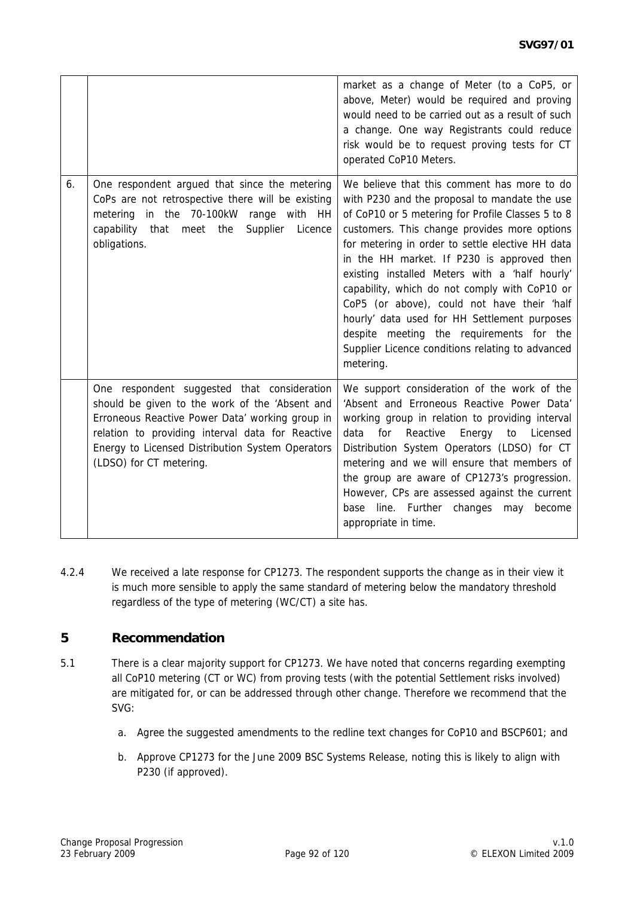|    |                                                                                                                                                                                                                                                                                     | market as a change of Meter (to a CoP5, or<br>above, Meter) would be required and proving<br>would need to be carried out as a result of such<br>a change. One way Registrants could reduce<br>risk would be to request proving tests for CT<br>operated CoP10 Meters.                                                                                                                                                                                                                                                                                                                                             |
|----|-------------------------------------------------------------------------------------------------------------------------------------------------------------------------------------------------------------------------------------------------------------------------------------|--------------------------------------------------------------------------------------------------------------------------------------------------------------------------------------------------------------------------------------------------------------------------------------------------------------------------------------------------------------------------------------------------------------------------------------------------------------------------------------------------------------------------------------------------------------------------------------------------------------------|
| 6. | One respondent argued that since the metering<br>CoPs are not retrospective there will be existing<br>metering in the 70-100kW range with HH<br>capability that meet the<br>Supplier<br>Licence<br>obligations.                                                                     | We believe that this comment has more to do<br>with P230 and the proposal to mandate the use<br>of CoP10 or 5 metering for Profile Classes 5 to 8<br>customers. This change provides more options<br>for metering in order to settle elective HH data<br>in the HH market. If P230 is approved then<br>existing installed Meters with a 'half hourly'<br>capability, which do not comply with CoP10 or<br>CoP5 (or above), could not have their 'half<br>hourly' data used for HH Settlement purposes<br>despite meeting the requirements for the<br>Supplier Licence conditions relating to advanced<br>metering. |
|    | One respondent suggested that consideration<br>should be given to the work of the 'Absent and<br>Erroneous Reactive Power Data' working group in<br>relation to providing interval data for Reactive<br>Energy to Licensed Distribution System Operators<br>(LDSO) for CT metering. | We support consideration of the work of the<br>'Absent and Erroneous Reactive Power Data'<br>working group in relation to providing interval<br>for<br>Reactive<br>data<br>Energy<br>to<br>Licensed<br>Distribution System Operators (LDSO) for CT<br>metering and we will ensure that members of<br>the group are aware of CP1273's progression.<br>However, CPs are assessed against the current<br>base line. Further<br>changes may<br>become<br>appropriate in time.                                                                                                                                          |

4.2.4 We received a late response for CP1273. The respondent supports the change as in their view it is much more sensible to apply the same standard of metering below the mandatory threshold regardless of the type of metering (WC/CT) a site has.

## **5 Recommendation**

- 5.1 There is a clear majority support for CP1273. We have noted that concerns regarding exempting all CoP10 metering (CT or WC) from proving tests (with the potential Settlement risks involved) are mitigated for, or can be addressed through other change. Therefore we recommend that the SVG:
	- a. Agree the suggested amendments to the redline text changes for CoP10 and BSCP601; and
	- b. Approve CP1273 for the June 2009 BSC Systems Release, noting this is likely to align with P230 (if approved).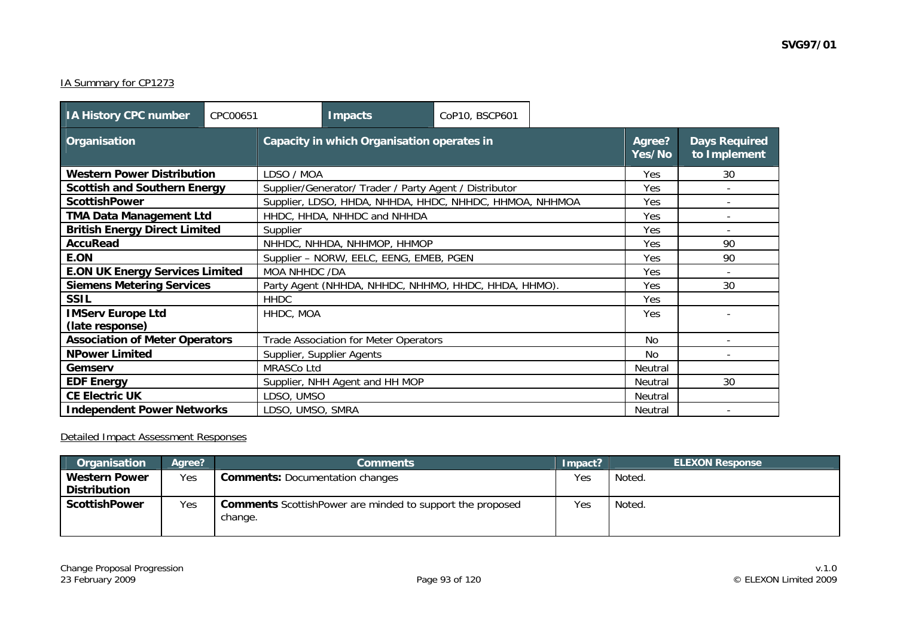#### IA Summary for CP1273

| <b>IA History CPC number</b><br>CPC00651 |  |                                                      | <b>Impacts</b>              | CoP10, BSCP601                                          |                  |                                      |    |
|------------------------------------------|--|------------------------------------------------------|-----------------------------|---------------------------------------------------------|------------------|--------------------------------------|----|
| Organisation                             |  | Capacity in which Organisation operates in           |                             |                                                         | Agree?<br>Yes/No | <b>Days Required</b><br>to Implement |    |
| <b>Western Power Distribution</b>        |  | LDSO / MOA                                           |                             |                                                         |                  | <b>Yes</b>                           | 30 |
| <b>Scottish and Southern Energy</b>      |  |                                                      |                             | Supplier/Generator/ Trader / Party Agent / Distributor  |                  | Yes                                  |    |
| <b>ScottishPower</b>                     |  |                                                      |                             | Supplier, LDSO, HHDA, NHHDA, HHDC, NHHDC, HHMOA, NHHMOA |                  | Yes                                  |    |
| <b>TMA Data Management Ltd</b>           |  |                                                      | HHDC, HHDA, NHHDC and NHHDA |                                                         |                  | Yes                                  |    |
| <b>British Energy Direct Limited</b>     |  | Supplier                                             |                             |                                                         |                  | Yes                                  |    |
| <b>AccuRead</b>                          |  | NHHDC, NHHDA, NHHMOP, HHMOP                          |                             |                                                         |                  | Yes                                  | 90 |
| E.ON                                     |  | Supplier - NORW, EELC, EENG, EMEB, PGEN              |                             |                                                         |                  | Yes                                  | 90 |
| <b>E.ON UK Energy Services Limited</b>   |  | MOA NHHDC /DA                                        |                             |                                                         |                  | Yes                                  |    |
| <b>Siemens Metering Services</b>         |  | Party Agent (NHHDA, NHHDC, NHHMO, HHDC, HHDA, HHMO). |                             |                                                         |                  | Yes                                  | 30 |
| <b>SSIL</b>                              |  | <b>HHDC</b>                                          |                             |                                                         |                  | Yes                                  |    |
| <b>IMServ Europe Ltd</b>                 |  | HHDC, MOA                                            |                             |                                                         | <b>Yes</b>       |                                      |    |
| (late response)                          |  |                                                      |                             |                                                         |                  |                                      |    |
| <b>Association of Meter Operators</b>    |  | Trade Association for Meter Operators                |                             |                                                         |                  | N <sub>0</sub>                       |    |
| <b>NPower Limited</b>                    |  | Supplier, Supplier Agents                            |                             |                                                         |                  | N <sub>0</sub>                       |    |
| Gemserv                                  |  | MRASCo Ltd                                           |                             |                                                         |                  | Neutral                              |    |
| <b>EDF Energy</b>                        |  | Supplier, NHH Agent and HH MOP                       |                             |                                                         |                  | Neutral                              | 30 |
| <b>CE Electric UK</b>                    |  | LDSO, UMSO                                           |                             |                                                         |                  | Neutral                              |    |
| <b>Independent Power Networks</b>        |  | LDSO, UMSO, SMRA                                     |                             |                                                         |                  | Neutral                              |    |

## Detailed Impact Assessment Responses

| Organisation         | Agree? | Comments                                                          | Impact? | <b>ELEXON Response</b> |
|----------------------|--------|-------------------------------------------------------------------|---------|------------------------|
| <b>Western Power</b> | Yes    | <b>Comments: Documentation changes</b>                            | Yes     | Noted.                 |
| <b>Distribution</b>  |        |                                                                   |         |                        |
| <b>ScottishPower</b> | Yes    | <b>Comments</b> Scottish Power are minded to support the proposed | Yes     | Noted.                 |
|                      |        | change.                                                           |         |                        |
|                      |        |                                                                   |         |                        |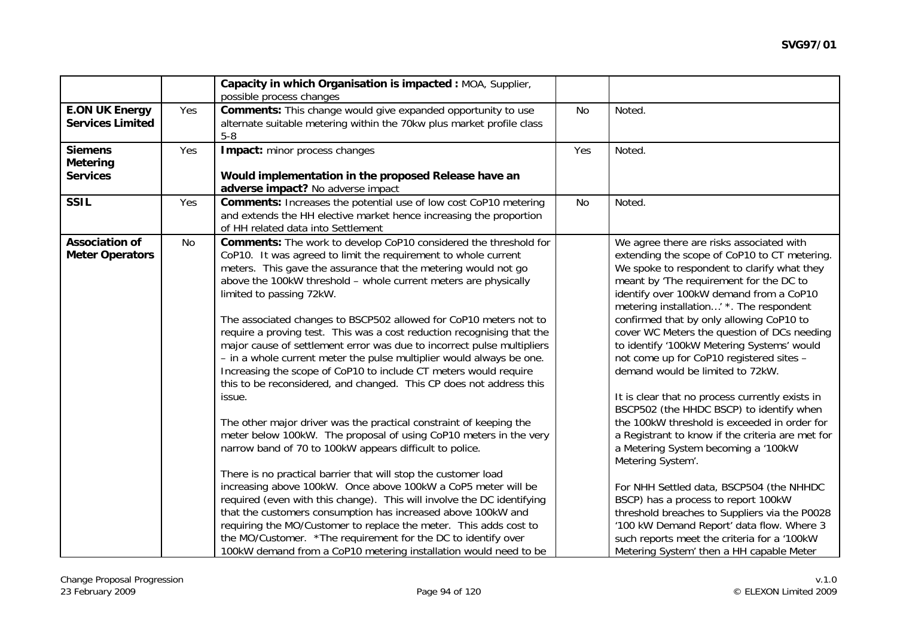|                                                      |     | Capacity in which Organisation is impacted : MOA, Supplier,<br>possible process changes                                                                                                                                                                                                                                                                                                                                                                                                                                                                                                                                                                                                                                                                                                                                                                                                                                                                                                                                                                                                                                                                                                                                                                                                                                                                                                                                                                 |           |                                                                                                                                                                                                                                                                                                                                                                                                                                                                                                                                                                                                                                                                                                                                                                                                                                                                                                                                                                                                                                               |
|------------------------------------------------------|-----|---------------------------------------------------------------------------------------------------------------------------------------------------------------------------------------------------------------------------------------------------------------------------------------------------------------------------------------------------------------------------------------------------------------------------------------------------------------------------------------------------------------------------------------------------------------------------------------------------------------------------------------------------------------------------------------------------------------------------------------------------------------------------------------------------------------------------------------------------------------------------------------------------------------------------------------------------------------------------------------------------------------------------------------------------------------------------------------------------------------------------------------------------------------------------------------------------------------------------------------------------------------------------------------------------------------------------------------------------------------------------------------------------------------------------------------------------------|-----------|-----------------------------------------------------------------------------------------------------------------------------------------------------------------------------------------------------------------------------------------------------------------------------------------------------------------------------------------------------------------------------------------------------------------------------------------------------------------------------------------------------------------------------------------------------------------------------------------------------------------------------------------------------------------------------------------------------------------------------------------------------------------------------------------------------------------------------------------------------------------------------------------------------------------------------------------------------------------------------------------------------------------------------------------------|
| <b>E.ON UK Energy</b><br><b>Services Limited</b>     | Yes | <b>Comments:</b> This change would give expanded opportunity to use<br>alternate suitable metering within the 70kw plus market profile class<br>$5-8$                                                                                                                                                                                                                                                                                                                                                                                                                                                                                                                                                                                                                                                                                                                                                                                                                                                                                                                                                                                                                                                                                                                                                                                                                                                                                                   | <b>No</b> | Noted.                                                                                                                                                                                                                                                                                                                                                                                                                                                                                                                                                                                                                                                                                                                                                                                                                                                                                                                                                                                                                                        |
| <b>Siemens</b><br><b>Metering</b><br><b>Services</b> | Yes | Impact: minor process changes<br>Would implementation in the proposed Release have an<br>adverse impact? No adverse impact                                                                                                                                                                                                                                                                                                                                                                                                                                                                                                                                                                                                                                                                                                                                                                                                                                                                                                                                                                                                                                                                                                                                                                                                                                                                                                                              | Yes       | Noted.                                                                                                                                                                                                                                                                                                                                                                                                                                                                                                                                                                                                                                                                                                                                                                                                                                                                                                                                                                                                                                        |
| <b>SSIL</b>                                          | Yes | <b>Comments:</b> Increases the potential use of low cost CoP10 metering<br>and extends the HH elective market hence increasing the proportion<br>of HH related data into Settlement                                                                                                                                                                                                                                                                                                                                                                                                                                                                                                                                                                                                                                                                                                                                                                                                                                                                                                                                                                                                                                                                                                                                                                                                                                                                     | <b>No</b> | Noted.                                                                                                                                                                                                                                                                                                                                                                                                                                                                                                                                                                                                                                                                                                                                                                                                                                                                                                                                                                                                                                        |
| <b>Association of</b><br><b>Meter Operators</b>      | No  | Comments: The work to develop CoP10 considered the threshold for<br>CoP10. It was agreed to limit the requirement to whole current<br>meters. This gave the assurance that the metering would not go<br>above the 100kW threshold - whole current meters are physically<br>limited to passing 72kW.<br>The associated changes to BSCP502 allowed for CoP10 meters not to<br>require a proving test. This was a cost reduction recognising that the<br>major cause of settlement error was due to incorrect pulse multipliers<br>- in a whole current meter the pulse multiplier would always be one.<br>Increasing the scope of CoP10 to include CT meters would require<br>this to be reconsidered, and changed. This CP does not address this<br>issue.<br>The other major driver was the practical constraint of keeping the<br>meter below 100kW. The proposal of using CoP10 meters in the very<br>narrow band of 70 to 100kW appears difficult to police.<br>There is no practical barrier that will stop the customer load<br>increasing above 100kW. Once above 100kW a CoP5 meter will be<br>required (even with this change). This will involve the DC identifying<br>that the customers consumption has increased above 100kW and<br>requiring the MO/Customer to replace the meter. This adds cost to<br>the MO/Customer. * The requirement for the DC to identify over<br>100kW demand from a CoP10 metering installation would need to be |           | We agree there are risks associated with<br>extending the scope of CoP10 to CT metering.<br>We spoke to respondent to clarify what they<br>meant by 'The requirement for the DC to<br>identify over 100kW demand from a CoP10<br>metering installation' *. The respondent<br>confirmed that by only allowing CoP10 to<br>cover WC Meters the question of DCs needing<br>to identify '100kW Metering Systems' would<br>not come up for CoP10 registered sites -<br>demand would be limited to 72kW.<br>It is clear that no process currently exists in<br>BSCP502 (the HHDC BSCP) to identify when<br>the 100kW threshold is exceeded in order for<br>a Registrant to know if the criteria are met for<br>a Metering System becoming a '100kW<br>Metering System'.<br>For NHH Settled data, BSCP504 (the NHHDC<br>BSCP) has a process to report 100kW<br>threshold breaches to Suppliers via the P0028<br>'100 kW Demand Report' data flow. Where 3<br>such reports meet the criteria for a '100kW<br>Metering System' then a HH capable Meter |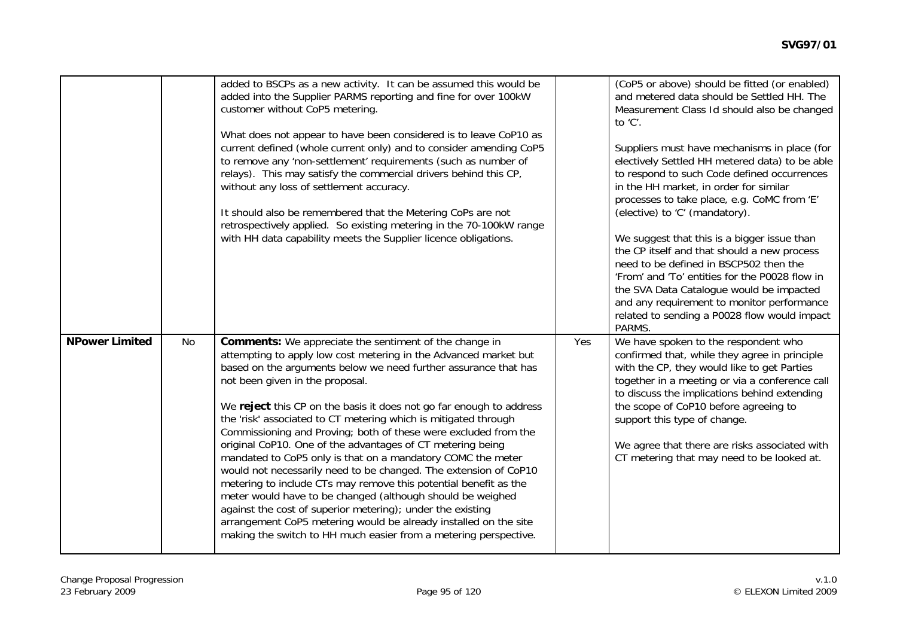|                       |    | added to BSCPs as a new activity. It can be assumed this would be<br>added into the Supplier PARMS reporting and fine for over 100kW<br>customer without CoP5 metering.<br>What does not appear to have been considered is to leave CoP10 as<br>current defined (whole current only) and to consider amending CoP5<br>to remove any 'non-settlement' requirements (such as number of<br>relays). This may satisfy the commercial drivers behind this CP,<br>without any loss of settlement accuracy.<br>It should also be remembered that the Metering CoPs are not<br>retrospectively applied. So existing metering in the 70-100kW range<br>with HH data capability meets the Supplier licence obligations.                                                                                                                                                                                                                                                                                 |     | (CoP5 or above) should be fitted (or enabled)<br>and metered data should be Settled HH. The<br>Measurement Class Id should also be changed<br>to 'C'.<br>Suppliers must have mechanisms in place (for<br>electively Settled HH metered data) to be able<br>to respond to such Code defined occurrences<br>in the HH market, in order for similar<br>processes to take place, e.g. CoMC from 'E'<br>(elective) to 'C' (mandatory).<br>We suggest that this is a bigger issue than<br>the CP itself and that should a new process<br>need to be defined in BSCP502 then the<br>'From' and 'To' entities for the P0028 flow in<br>the SVA Data Catalogue would be impacted<br>and any requirement to monitor performance<br>related to sending a P0028 flow would impact<br>PARMS. |
|-----------------------|----|-----------------------------------------------------------------------------------------------------------------------------------------------------------------------------------------------------------------------------------------------------------------------------------------------------------------------------------------------------------------------------------------------------------------------------------------------------------------------------------------------------------------------------------------------------------------------------------------------------------------------------------------------------------------------------------------------------------------------------------------------------------------------------------------------------------------------------------------------------------------------------------------------------------------------------------------------------------------------------------------------|-----|---------------------------------------------------------------------------------------------------------------------------------------------------------------------------------------------------------------------------------------------------------------------------------------------------------------------------------------------------------------------------------------------------------------------------------------------------------------------------------------------------------------------------------------------------------------------------------------------------------------------------------------------------------------------------------------------------------------------------------------------------------------------------------|
| <b>NPower Limited</b> | No | <b>Comments:</b> We appreciate the sentiment of the change in<br>attempting to apply low cost metering in the Advanced market but<br>based on the arguments below we need further assurance that has<br>not been given in the proposal.<br>We reject this CP on the basis it does not go far enough to address<br>the 'risk' associated to CT metering which is mitigated through<br>Commissioning and Proving; both of these were excluded from the<br>original CoP10. One of the advantages of CT metering being<br>mandated to CoP5 only is that on a mandatory COMC the meter<br>would not necessarily need to be changed. The extension of CoP10<br>metering to include CTs may remove this potential benefit as the<br>meter would have to be changed (although should be weighed<br>against the cost of superior metering); under the existing<br>arrangement CoP5 metering would be already installed on the site<br>making the switch to HH much easier from a metering perspective. | Yes | We have spoken to the respondent who<br>confirmed that, while they agree in principle<br>with the CP, they would like to get Parties<br>together in a meeting or via a conference call<br>to discuss the implications behind extending<br>the scope of CoP10 before agreeing to<br>support this type of change.<br>We agree that there are risks associated with<br>CT metering that may need to be looked at.                                                                                                                                                                                                                                                                                                                                                                  |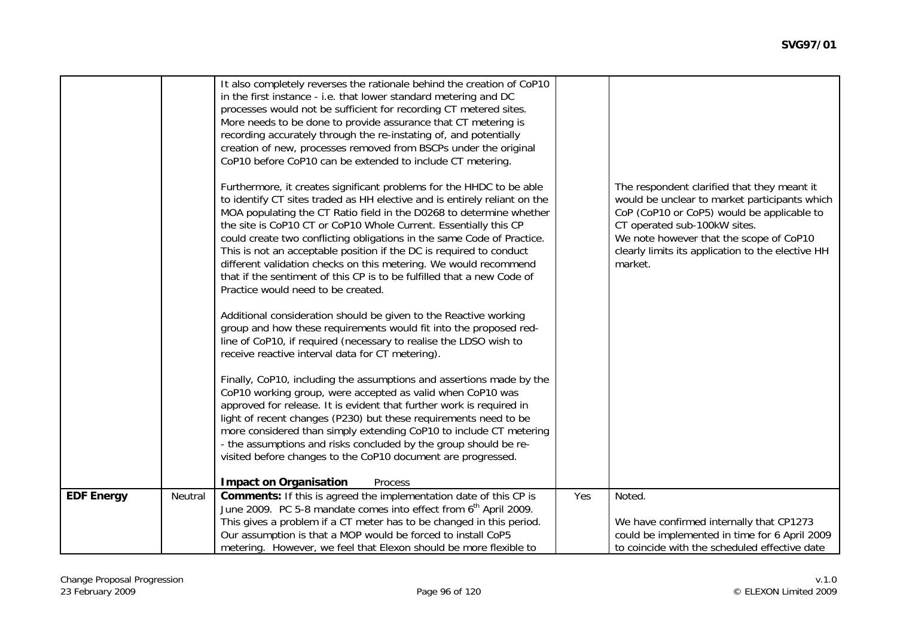|                   |         | It also completely reverses the rationale behind the creation of CoP10<br>in the first instance - i.e. that lower standard metering and DC<br>processes would not be sufficient for recording CT metered sites.<br>More needs to be done to provide assurance that CT metering is<br>recording accurately through the re-instating of, and potentially<br>creation of new, processes removed from BSCPs under the original<br>CoP10 before CoP10 can be extended to include CT metering.<br>Furthermore, it creates significant problems for the HHDC to be able<br>to identify CT sites traded as HH elective and is entirely reliant on the<br>MOA populating the CT Ratio field in the D0268 to determine whether<br>the site is CoP10 CT or CoP10 Whole Current. Essentially this CP<br>could create two conflicting obligations in the same Code of Practice.<br>This is not an acceptable position if the DC is required to conduct<br>different validation checks on this metering. We would recommend<br>that if the sentiment of this CP is to be fulfilled that a new Code of<br>Practice would need to be created.<br>Additional consideration should be given to the Reactive working<br>group and how these requirements would fit into the proposed red-<br>line of CoP10, if required (necessary to realise the LDSO wish to<br>receive reactive interval data for CT metering).<br>Finally, CoP10, including the assumptions and assertions made by the<br>CoP10 working group, were accepted as valid when CoP10 was<br>approved for release. It is evident that further work is required in<br>light of recent changes (P230) but these requirements need to be<br>more considered than simply extending CoP10 to include CT metering<br>- the assumptions and risks concluded by the group should be re-<br>visited before changes to the CoP10 document are progressed. |     | The respondent clarified that they meant it<br>would be unclear to market participants which<br>CoP (CoP10 or CoP5) would be applicable to<br>CT operated sub-100kW sites.<br>We note however that the scope of CoP10<br>clearly limits its application to the elective HH<br>market. |
|-------------------|---------|---------------------------------------------------------------------------------------------------------------------------------------------------------------------------------------------------------------------------------------------------------------------------------------------------------------------------------------------------------------------------------------------------------------------------------------------------------------------------------------------------------------------------------------------------------------------------------------------------------------------------------------------------------------------------------------------------------------------------------------------------------------------------------------------------------------------------------------------------------------------------------------------------------------------------------------------------------------------------------------------------------------------------------------------------------------------------------------------------------------------------------------------------------------------------------------------------------------------------------------------------------------------------------------------------------------------------------------------------------------------------------------------------------------------------------------------------------------------------------------------------------------------------------------------------------------------------------------------------------------------------------------------------------------------------------------------------------------------------------------------------------------------------------------------------------------------------------------------------------------------------------------------|-----|---------------------------------------------------------------------------------------------------------------------------------------------------------------------------------------------------------------------------------------------------------------------------------------|
|                   |         | <b>Impact on Organisation</b><br>Process                                                                                                                                                                                                                                                                                                                                                                                                                                                                                                                                                                                                                                                                                                                                                                                                                                                                                                                                                                                                                                                                                                                                                                                                                                                                                                                                                                                                                                                                                                                                                                                                                                                                                                                                                                                                                                                    |     |                                                                                                                                                                                                                                                                                       |
| <b>EDF Energy</b> | Neutral | <b>Comments:</b> If this is agreed the implementation date of this CP is<br>June 2009. PC 5-8 mandate comes into effect from 6 <sup>th</sup> April 2009.<br>This gives a problem if a CT meter has to be changed in this period.<br>Our assumption is that a MOP would be forced to install CoP5                                                                                                                                                                                                                                                                                                                                                                                                                                                                                                                                                                                                                                                                                                                                                                                                                                                                                                                                                                                                                                                                                                                                                                                                                                                                                                                                                                                                                                                                                                                                                                                            | Yes | Noted.<br>We have confirmed internally that CP1273<br>could be implemented in time for 6 April 2009                                                                                                                                                                                   |
|                   |         | metering. However, we feel that Elexon should be more flexible to                                                                                                                                                                                                                                                                                                                                                                                                                                                                                                                                                                                                                                                                                                                                                                                                                                                                                                                                                                                                                                                                                                                                                                                                                                                                                                                                                                                                                                                                                                                                                                                                                                                                                                                                                                                                                           |     | to coincide with the scheduled effective date                                                                                                                                                                                                                                         |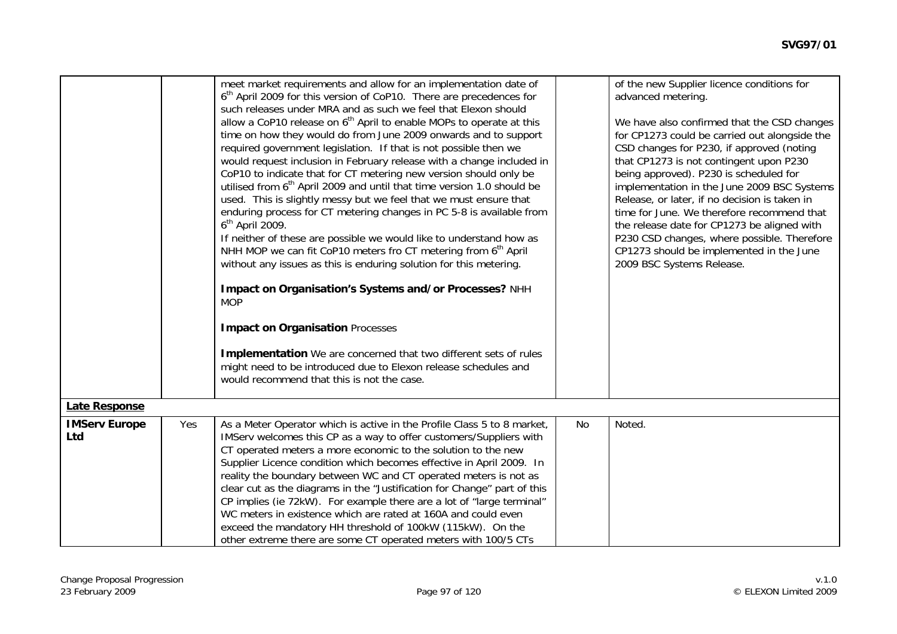|                             |     | meet market requirements and allow for an implementation date of<br>6 <sup>th</sup> April 2009 for this version of CoP10. There are precedences for<br>such releases under MRA and as such we feel that Elexon should<br>allow a CoP10 release on 6 <sup>th</sup> April to enable MOPs to operate at this<br>time on how they would do from June 2009 onwards and to support<br>required government legislation. If that is not possible then we<br>would request inclusion in February release with a change included in<br>CoP10 to indicate that for CT metering new version should only be<br>utilised from 6 <sup>th</sup> April 2009 and until that time version 1.0 should be<br>used. This is slightly messy but we feel that we must ensure that<br>enduring process for CT metering changes in PC 5-8 is available from<br>$6th$ April 2009.<br>If neither of these are possible we would like to understand how as<br>NHH MOP we can fit CoP10 meters fro CT metering from 6 <sup>th</sup> April<br>without any issues as this is enduring solution for this metering.<br>Impact on Organisation's Systems and/or Processes? NHH<br><b>MOP</b><br><b>Impact on Organisation Processes</b><br>Implementation We are concerned that two different sets of rules<br>might need to be introduced due to Elexon release schedules and<br>would recommend that this is not the case. |     | of the new Supplier licence conditions for<br>advanced metering.<br>We have also confirmed that the CSD changes<br>for CP1273 could be carried out alongside the<br>CSD changes for P230, if approved (noting<br>that CP1273 is not contingent upon P230<br>being approved). P230 is scheduled for<br>implementation in the June 2009 BSC Systems<br>Release, or later, if no decision is taken in<br>time for June. We therefore recommend that<br>the release date for CP1273 be aligned with<br>P230 CSD changes, where possible. Therefore<br>CP1273 should be implemented in the June<br>2009 BSC Systems Release. |
|-----------------------------|-----|-------------------------------------------------------------------------------------------------------------------------------------------------------------------------------------------------------------------------------------------------------------------------------------------------------------------------------------------------------------------------------------------------------------------------------------------------------------------------------------------------------------------------------------------------------------------------------------------------------------------------------------------------------------------------------------------------------------------------------------------------------------------------------------------------------------------------------------------------------------------------------------------------------------------------------------------------------------------------------------------------------------------------------------------------------------------------------------------------------------------------------------------------------------------------------------------------------------------------------------------------------------------------------------------------------------------------------------------------------------------------------------------|-----|-------------------------------------------------------------------------------------------------------------------------------------------------------------------------------------------------------------------------------------------------------------------------------------------------------------------------------------------------------------------------------------------------------------------------------------------------------------------------------------------------------------------------------------------------------------------------------------------------------------------------|
| <b>Late Response</b>        |     |                                                                                                                                                                                                                                                                                                                                                                                                                                                                                                                                                                                                                                                                                                                                                                                                                                                                                                                                                                                                                                                                                                                                                                                                                                                                                                                                                                                           |     |                                                                                                                                                                                                                                                                                                                                                                                                                                                                                                                                                                                                                         |
| <b>IMServ Europe</b><br>Ltd | Yes | As a Meter Operator which is active in the Profile Class 5 to 8 market,<br>IMServ welcomes this CP as a way to offer customers/Suppliers with<br>CT operated meters a more economic to the solution to the new<br>Supplier Licence condition which becomes effective in April 2009. In<br>reality the boundary between WC and CT operated meters is not as<br>clear cut as the diagrams in the "Justification for Change" part of this<br>CP implies (ie 72kW). For example there are a lot of "large terminal"<br>WC meters in existence which are rated at 160A and could even<br>exceed the mandatory HH threshold of 100kW (115kW). On the<br>other extreme there are some CT operated meters with 100/5 CTs                                                                                                                                                                                                                                                                                                                                                                                                                                                                                                                                                                                                                                                                          | No. | Noted.                                                                                                                                                                                                                                                                                                                                                                                                                                                                                                                                                                                                                  |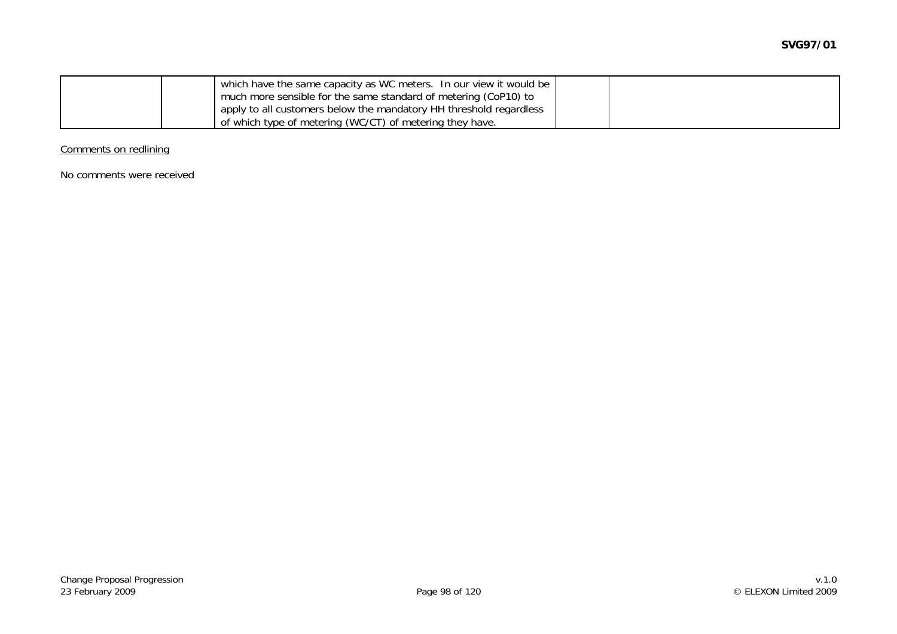|  | which have the same capacity as WC meters. In our view it would be |  |
|--|--------------------------------------------------------------------|--|
|  | much more sensible for the same standard of metering (CoP10) to    |  |
|  | apply to all customers below the mandatory HH threshold regardless |  |
|  | of which type of metering (WC/CT) of metering they have.           |  |

Comments on redlining

No comments were received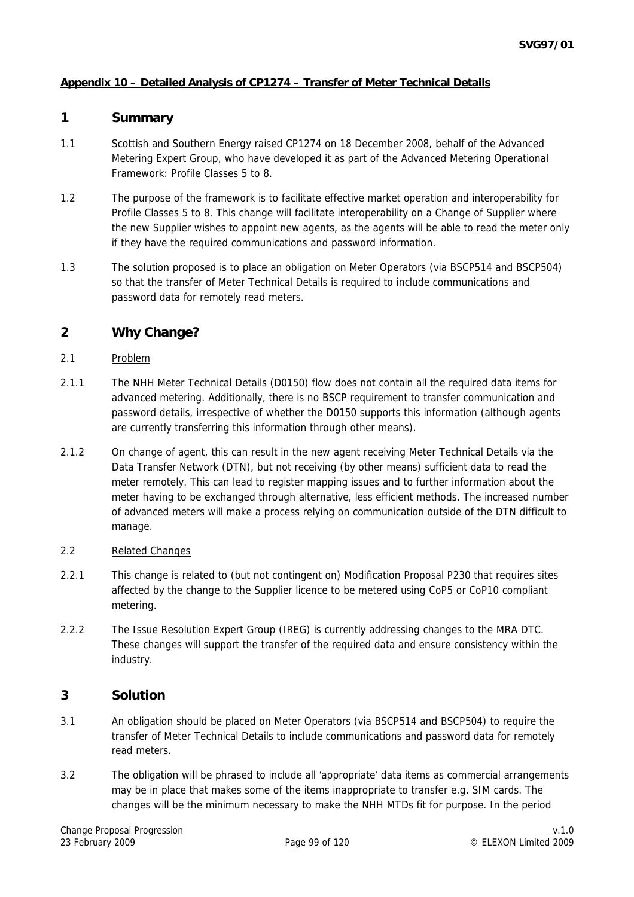## **Appendix 10 – Detailed Analysis of CP1274 – Transfer of Meter Technical Details**

#### **1 Summary**

- 1.1 Scottish and Southern Energy raised CP1274 on 18 December 2008, behalf of the Advanced Metering Expert Group, who have developed it as part of the Advanced Metering Operational Framework: Profile Classes 5 to 8.
- 1.2 The purpose of the framework is to facilitate effective market operation and interoperability for Profile Classes 5 to 8. This change will facilitate interoperability on a Change of Supplier where the new Supplier wishes to appoint new agents, as the agents will be able to read the meter only if they have the required communications and password information.
- 1.3 The solution proposed is to place an obligation on Meter Operators (via BSCP514 and BSCP504) so that the transfer of Meter Technical Details is required to include communications and password data for remotely read meters.

# **2 Why Change?**

- 2.1 Problem
- 2.1.1 The NHH Meter Technical Details (D0150) flow does not contain all the required data items for advanced metering. Additionally, there is no BSCP requirement to transfer communication and password details, irrespective of whether the D0150 supports this information (although agents are currently transferring this information through other means).
- 2.1.2 On change of agent, this can result in the new agent receiving Meter Technical Details via the Data Transfer Network (DTN), but not receiving (by other means) sufficient data to read the meter remotely. This can lead to register mapping issues and to further information about the meter having to be exchanged through alternative, less efficient methods. The increased number of advanced meters will make a process relying on communication outside of the DTN difficult to manage.
- 2.2 Related Changes
- 2.2.1 This change is related to (but not contingent on) Modification Proposal P230 that requires sites affected by the change to the Supplier licence to be metered using CoP5 or CoP10 compliant metering.
- 2.2.2 The Issue Resolution Expert Group (IREG) is currently addressing changes to the MRA DTC. These changes will support the transfer of the required data and ensure consistency within the industry.

## **3 Solution**

- 3.1 An obligation should be placed on Meter Operators (via BSCP514 and BSCP504) to require the transfer of Meter Technical Details to include communications and password data for remotely read meters.
- 3.2 The obligation will be phrased to include all 'appropriate' data items as commercial arrangements may be in place that makes some of the items inappropriate to transfer e.g. SIM cards. The changes will be the minimum necessary to make the NHH MTDs fit for purpose. In the period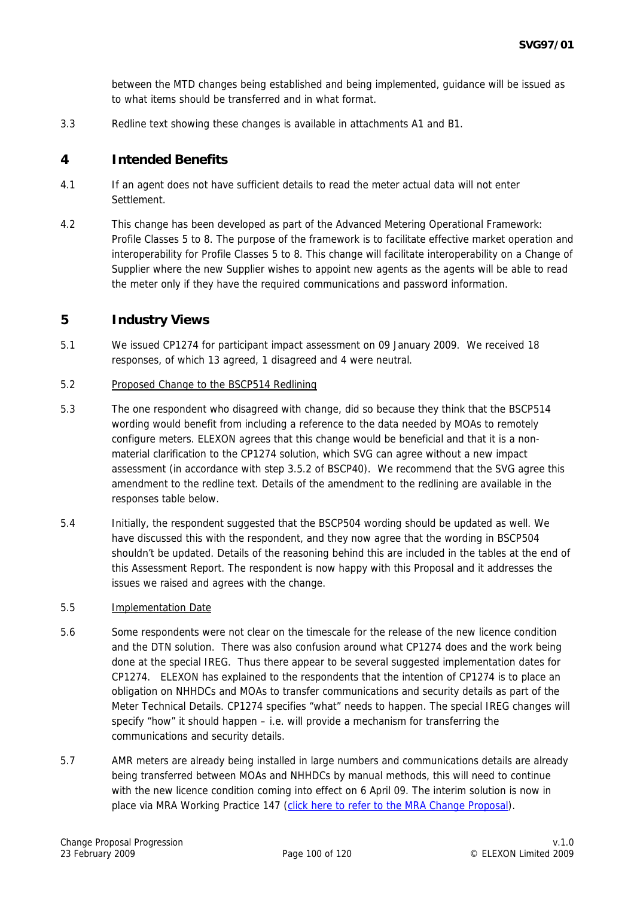between the MTD changes being established and being implemented, guidance will be issued as to what items should be transferred and in what format.

3.3 Redline text showing these changes is available in attachments A1 and B1.

#### **4 Intended Benefits**

- 4.1 If an agent does not have sufficient details to read the meter actual data will not enter Settlement.
- 4.2 This change has been developed as part of the Advanced Metering Operational Framework: Profile Classes 5 to 8. The purpose of the framework is to facilitate effective market operation and interoperability for Profile Classes 5 to 8. This change will facilitate interoperability on a Change of Supplier where the new Supplier wishes to appoint new agents as the agents will be able to read the meter only if they have the required communications and password information.

#### **5 Industry Views**

- 5.1 We issued CP1274 for participant impact assessment on 09 January 2009. We received 18 responses, of which 13 agreed, 1 disagreed and 4 were neutral.
- 5.2 Proposed Change to the BSCP514 Redlining
- 5.3 The one respondent who disagreed with change, did so because they think that the BSCP514 wording would benefit from including a reference to the data needed by MOAs to remotely configure meters. ELEXON agrees that this change would be beneficial and that it is a nonmaterial clarification to the CP1274 solution, which SVG can agree without a new impact assessment (in accordance with step 3.5.2 of BSCP40). We recommend that the SVG agree this amendment to the redline text. Details of the amendment to the redlining are available in the responses table below.
- 5.4 Initially, the respondent suggested that the BSCP504 wording should be updated as well. We have discussed this with the respondent, and they now agree that the wording in BSCP504 shouldn't be updated. Details of the reasoning behind this are included in the tables at the end of this Assessment Report. The respondent is now happy with this Proposal and it addresses the issues we raised and agrees with the change.

#### 5.5 Implementation Date

- 5.6 Some respondents were not clear on the timescale for the release of the new licence condition and the DTN solution. There was also confusion around what CP1274 does and the work being done at the special IREG. Thus there appear to be several suggested implementation dates for CP1274. ELEXON has explained to the respondents that the intention of CP1274 is to place an obligation on NHHDCs and MOAs to transfer communications and security details as part of the Meter Technical Details. CP1274 specifies "what" needs to happen. The special IREG changes will specify "how" it should happen – i.e. will provide a mechanism for transferring the communications and security details.
- 5.7 AMR meters are already being installed in large numbers and communications details are already being transferred between MOAs and NHHDCs by manual methods, this will need to continue with the new licence condition coming into effect on 6 April 09. The interim solution is now in place via MRA Working Practice 147 [\(click here to refer to the MRA Change Proposal\)](http://www.mrasco.com/ewcommon/tools/download.ashx?docId=2197).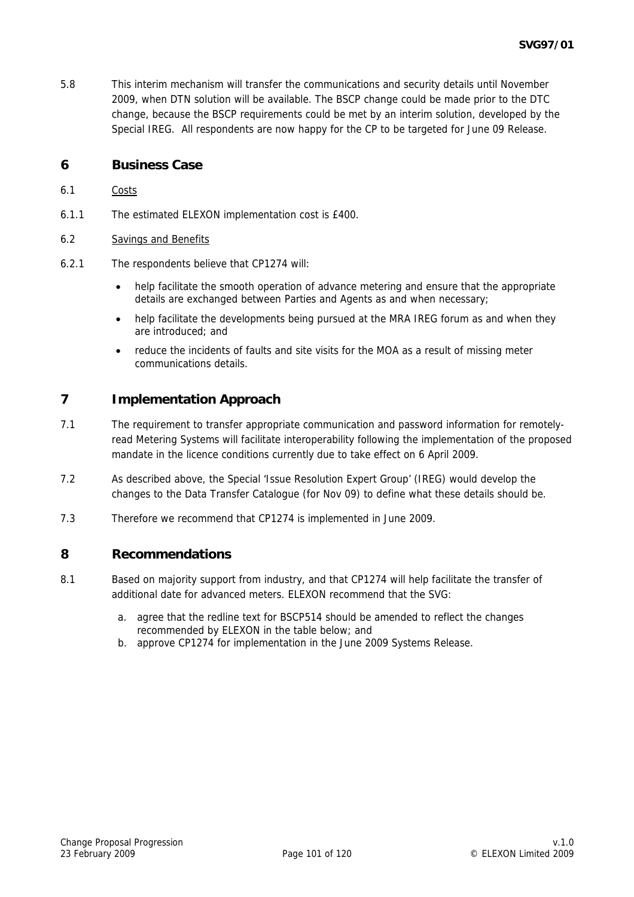5.8 This interim mechanism will transfer the communications and security details until November 2009, when DTN solution will be available. The BSCP change could be made prior to the DTC change, because the BSCP requirements could be met by an interim solution, developed by the Special IREG. All respondents are now happy for the CP to be targeted for June 09 Release.

## **6 Business Case**

- 6.1 Costs
- 6.1.1 The estimated ELEXON implementation cost is £400.
- 6.2 Savings and Benefits
- 6.2.1 The respondents believe that CP1274 will:
	- help facilitate the smooth operation of advance metering and ensure that the appropriate details are exchanged between Parties and Agents as and when necessary;
	- help facilitate the developments being pursued at the MRA IREG forum as and when they are introduced; and
	- reduce the incidents of faults and site visits for the MOA as a result of missing meter communications details.

## **7 Implementation Approach**

- 7.1 The requirement to transfer appropriate communication and password information for remotelyread Metering Systems will facilitate interoperability following the implementation of the proposed mandate in the licence conditions currently due to take effect on 6 April 2009.
- 7.2 As described above, the Special 'Issue Resolution Expert Group' (IREG) would develop the changes to the Data Transfer Catalogue (for Nov 09) to define what these details should be.
- 7.3 Therefore we recommend that CP1274 is implemented in June 2009.

#### **8 Recommendations**

- 8.1 Based on majority support from industry, and that CP1274 will help facilitate the transfer of additional date for advanced meters. ELEXON recommend that the SVG:
	- a. agree that the redline text for BSCP514 should be amended to reflect the changes recommended by ELEXON in the table below; and
	- b. approve CP1274 for implementation in the June 2009 Systems Release.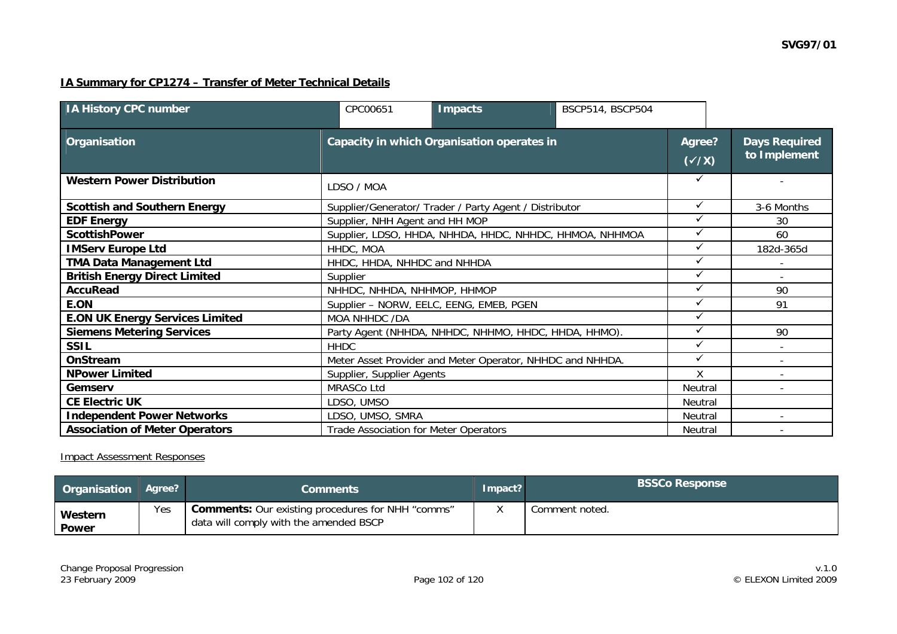## **IA Summary for CP1274 – Transfer of Meter Technical Details**

| <b>IA History CPC number</b>           | CPC00651                                                | <b>Impacts</b>                                            | BSCP514, BSCP504 |              |                                      |
|----------------------------------------|---------------------------------------------------------|-----------------------------------------------------------|------------------|--------------|--------------------------------------|
| Organisation                           | Capacity in which Organisation operates in              |                                                           |                  |              | <b>Days Required</b><br>to Implement |
| <b>Western Power Distribution</b>      | LDSO / MOA                                              |                                                           |                  |              |                                      |
| <b>Scottish and Southern Energy</b>    |                                                         | Supplier/Generator/ Trader / Party Agent / Distributor    |                  | $\checkmark$ | 3-6 Months                           |
| <b>EDF Energy</b>                      | Supplier, NHH Agent and HH MOP                          |                                                           |                  |              | 30                                   |
| <b>ScottishPower</b>                   | Supplier, LDSO, HHDA, NHHDA, HHDC, NHHDC, HHMOA, NHHMOA |                                                           |                  |              | 60                                   |
| <b>IMServ Europe Ltd</b>               | HHDC, MOA                                               |                                                           |                  |              | 182d-365d                            |
| <b>TMA Data Management Ltd</b>         | HHDC, HHDA, NHHDC and NHHDA                             |                                                           |                  |              |                                      |
| <b>British Energy Direct Limited</b>   | Supplier                                                |                                                           |                  | ✓            |                                      |
| <b>AccuRead</b>                        | NHHDC, NHHDA, NHHMOP, HHMOP                             |                                                           |                  | $\checkmark$ | 90                                   |
| E.ON                                   |                                                         | Supplier - NORW, EELC, EENG, EMEB, PGEN                   |                  | ✓            | 91                                   |
| <b>E.ON UK Energy Services Limited</b> | MOA NHHDC /DA                                           |                                                           |                  | ✓            |                                      |
| <b>Siemens Metering Services</b>       |                                                         | Party Agent (NHHDA, NHHDC, NHHMO, HHDC, HHDA, HHMO).      |                  |              | 90                                   |
| <b>SSIL</b>                            | <b>HHDC</b>                                             |                                                           |                  | $\checkmark$ |                                      |
| OnStream                               |                                                         | Meter Asset Provider and Meter Operator, NHHDC and NHHDA. |                  | ✓            |                                      |
| <b>NPower Limited</b>                  | Supplier, Supplier Agents                               |                                                           |                  | X            |                                      |
| Gemserv                                | MRASCo Ltd                                              |                                                           |                  | Neutral      |                                      |
| <b>CE Electric UK</b>                  | LDSO, UMSO                                              |                                                           |                  | Neutral      |                                      |
| <b>Independent Power Networks</b>      | LDSO, UMSO, SMRA                                        |                                                           |                  |              | $\overline{\phantom{0}}$             |
| <b>Association of Meter Operators</b>  | Trade Association for Meter Operators                   |                                                           |                  | Neutral      |                                      |

#### Impact Assessment Responses

| <b>Organisation Agree?</b> |     | <b>Comments</b>                                                                                    | Impact? | <b>BSSCo Response</b> |
|----------------------------|-----|----------------------------------------------------------------------------------------------------|---------|-----------------------|
| <b>Western</b><br>Power    | Yes | <b>Comments:</b> Our existing procedures for NHH "comms"<br>data will comply with the amended BSCP |         | Comment noted.        |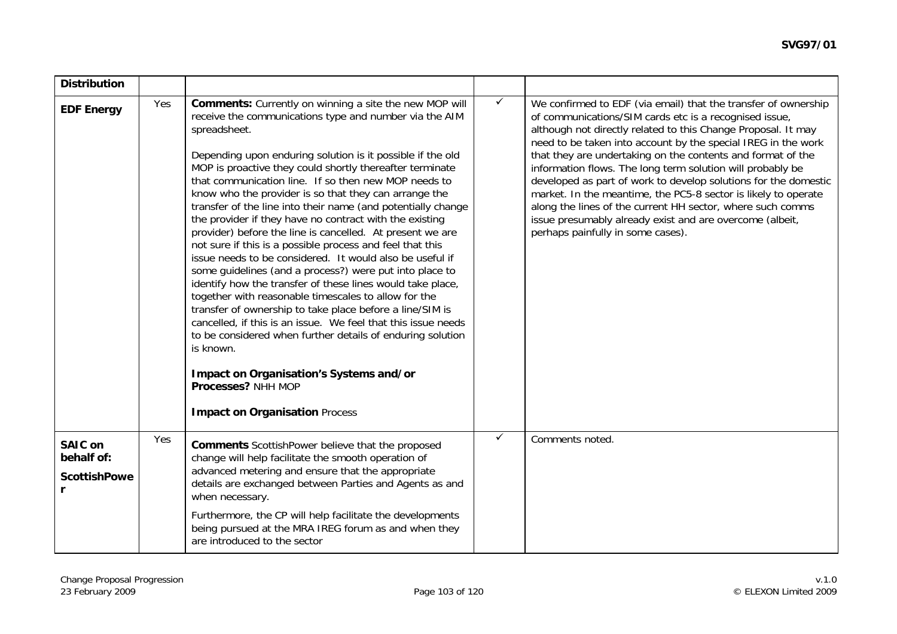| <b>Distribution</b>                                 |     |                                                                                                                                                                                                                                                                                                                                                                                                                                                                                                                                                                                                                                                                                                                                                                                                                                                                                                                                                                                                                                                                                                                                                                                                 |              |                                                                                                                                                                                                                                                                                                                                                                                                                                                                                                                                                                                                                                                                                             |
|-----------------------------------------------------|-----|-------------------------------------------------------------------------------------------------------------------------------------------------------------------------------------------------------------------------------------------------------------------------------------------------------------------------------------------------------------------------------------------------------------------------------------------------------------------------------------------------------------------------------------------------------------------------------------------------------------------------------------------------------------------------------------------------------------------------------------------------------------------------------------------------------------------------------------------------------------------------------------------------------------------------------------------------------------------------------------------------------------------------------------------------------------------------------------------------------------------------------------------------------------------------------------------------|--------------|---------------------------------------------------------------------------------------------------------------------------------------------------------------------------------------------------------------------------------------------------------------------------------------------------------------------------------------------------------------------------------------------------------------------------------------------------------------------------------------------------------------------------------------------------------------------------------------------------------------------------------------------------------------------------------------------|
| <b>EDF Energy</b>                                   | Yes | Comments: Currently on winning a site the new MOP will<br>receive the communications type and number via the AIM<br>spreadsheet.<br>Depending upon enduring solution is it possible if the old<br>MOP is proactive they could shortly thereafter terminate<br>that communication line. If so then new MOP needs to<br>know who the provider is so that they can arrange the<br>transfer of the line into their name (and potentially change<br>the provider if they have no contract with the existing<br>provider) before the line is cancelled. At present we are<br>not sure if this is a possible process and feel that this<br>issue needs to be considered. It would also be useful if<br>some guidelines (and a process?) were put into place to<br>identify how the transfer of these lines would take place,<br>together with reasonable timescales to allow for the<br>transfer of ownership to take place before a line/SIM is<br>cancelled, if this is an issue. We feel that this issue needs<br>to be considered when further details of enduring solution<br>is known.<br>Impact on Organisation's Systems and/or<br>Processes? NHH MOP<br><b>Impact on Organisation Process</b> | $\checkmark$ | We confirmed to EDF (via email) that the transfer of ownership<br>of communications/SIM cards etc is a recognised issue,<br>although not directly related to this Change Proposal. It may<br>need to be taken into account by the special IREG in the work<br>that they are undertaking on the contents and format of the<br>information flows. The long term solution will probably be<br>developed as part of work to develop solutions for the domestic<br>market. In the meantime, the PC5-8 sector is likely to operate<br>along the lines of the current HH sector, where such comms<br>issue presumably already exist and are overcome (albeit,<br>perhaps painfully in some cases). |
| <b>SAIC on</b><br>behalf of:<br><b>ScottishPowe</b> | Yes | <b>Comments</b> ScottishPower believe that the proposed<br>change will help facilitate the smooth operation of<br>advanced metering and ensure that the appropriate<br>details are exchanged between Parties and Agents as and<br>when necessary.<br>Furthermore, the CP will help facilitate the developments<br>being pursued at the MRA IREG forum as and when they<br>are introduced to the sector                                                                                                                                                                                                                                                                                                                                                                                                                                                                                                                                                                                                                                                                                                                                                                                          | ✓            | Comments noted.                                                                                                                                                                                                                                                                                                                                                                                                                                                                                                                                                                                                                                                                             |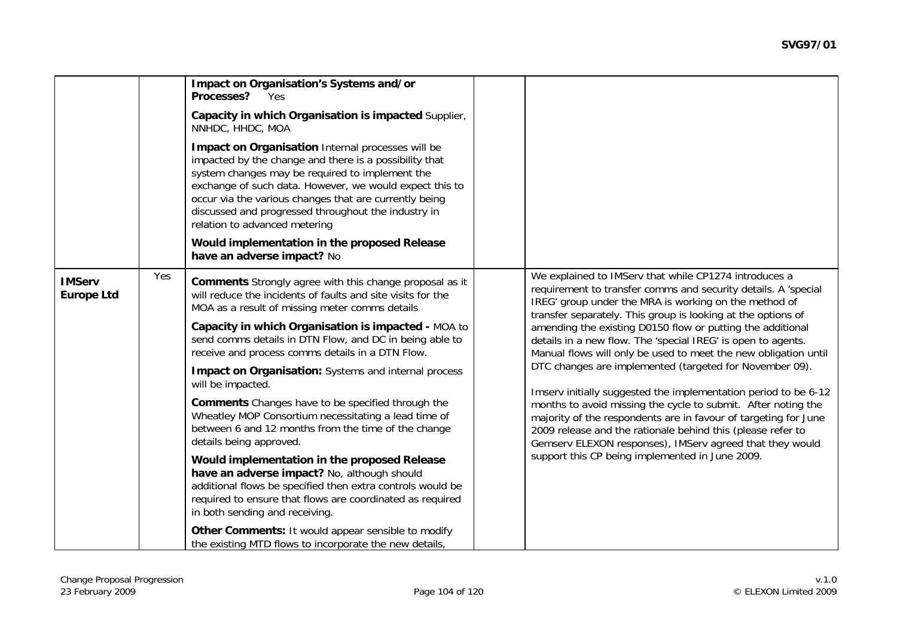|                                    |     | Impact on Organisation's Systems and/or<br>Processes? Yes<br>Capacity in which Organisation is impacted Supplier,<br>NNHDC, HHDC, MOA<br>Impact on Organisation Internal processes will be<br>impacted by the change and there is a possibility that<br>system changes may be required to implement the<br>exchange of such data. However, we would expect this to<br>occur via the various changes that are currently being<br>discussed and progressed throughout the industry in<br>relation to advanced metering<br>Would implementation in the proposed Release<br>have an adverse impact? No                                                                                                                                                                                                                                                                                                                                                                                                                          |                                                                                                                                                                                                                                                                                                                                                                                                                                                                                                                                                                                                                                                                                                                                                                                                                                                                                                   |
|------------------------------------|-----|-----------------------------------------------------------------------------------------------------------------------------------------------------------------------------------------------------------------------------------------------------------------------------------------------------------------------------------------------------------------------------------------------------------------------------------------------------------------------------------------------------------------------------------------------------------------------------------------------------------------------------------------------------------------------------------------------------------------------------------------------------------------------------------------------------------------------------------------------------------------------------------------------------------------------------------------------------------------------------------------------------------------------------|---------------------------------------------------------------------------------------------------------------------------------------------------------------------------------------------------------------------------------------------------------------------------------------------------------------------------------------------------------------------------------------------------------------------------------------------------------------------------------------------------------------------------------------------------------------------------------------------------------------------------------------------------------------------------------------------------------------------------------------------------------------------------------------------------------------------------------------------------------------------------------------------------|
| <b>IMServ</b><br><b>Europe Ltd</b> | Yes | <b>Comments</b> Strongly agree with this change proposal as it<br>will reduce the incidents of faults and site visits for the<br>MOA as a result of missing meter comms details<br>Capacity in which Organisation is impacted - MOA to<br>send comms details in DTN Flow, and DC in being able to<br>receive and process comms details in a DTN Flow.<br><b>Impact on Organisation:</b> Systems and internal process<br>will be impacted.<br><b>Comments</b> Changes have to be specified through the<br>Wheatley MOP Consortium necessitating a lead time of<br>between 6 and 12 months from the time of the change<br>details being approved.<br>Would implementation in the proposed Release<br>have an adverse impact? No, although should<br>additional flows be specified then extra controls would be<br>required to ensure that flows are coordinated as required<br>in both sending and receiving.<br>Other Comments: It would appear sensible to modify<br>the existing MTD flows to incorporate the new details, | We explained to IMServ that while CP1274 introduces a<br>requirement to transfer comms and security details. A 'special<br>IREG' group under the MRA is working on the method of<br>transfer separately. This group is looking at the options of<br>amending the existing D0150 flow or putting the additional<br>details in a new flow. The 'special IREG' is open to agents.<br>Manual flows will only be used to meet the new obligation until<br>DTC changes are implemented (targeted for November 09).<br>Imserv initially suggested the implementation period to be 6-12<br>months to avoid missing the cycle to submit. After noting the<br>majority of the respondents are in favour of targeting for June<br>2009 release and the rationale behind this (please refer to<br>Gemserv ELEXON responses), IMServ agreed that they would<br>support this CP being implemented in June 2009. |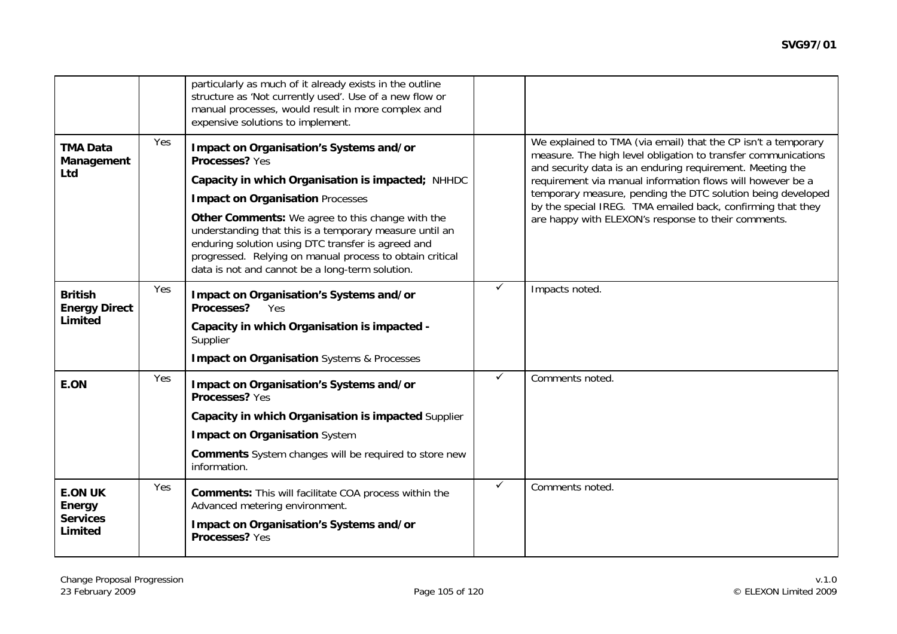|                                                        |     | particularly as much of it already exists in the outline<br>structure as 'Not currently used'. Use of a new flow or<br>manual processes, would result in more complex and<br>expensive solutions to implement.                                                                                                                                                                                                                                |              |                                                                                                                                                                                                                                                                                                                                                                                                                                                |
|--------------------------------------------------------|-----|-----------------------------------------------------------------------------------------------------------------------------------------------------------------------------------------------------------------------------------------------------------------------------------------------------------------------------------------------------------------------------------------------------------------------------------------------|--------------|------------------------------------------------------------------------------------------------------------------------------------------------------------------------------------------------------------------------------------------------------------------------------------------------------------------------------------------------------------------------------------------------------------------------------------------------|
| <b>TMA Data</b><br>Management<br><b>Ltd</b>            | Yes | Impact on Organisation's Systems and/or<br>Processes? Yes<br>Capacity in which Organisation is impacted; NHHDC<br><b>Impact on Organisation Processes</b><br>Other Comments: We agree to this change with the<br>understanding that this is a temporary measure until an<br>enduring solution using DTC transfer is agreed and<br>progressed. Relying on manual process to obtain critical<br>data is not and cannot be a long-term solution. |              | We explained to TMA (via email) that the CP isn't a temporary<br>measure. The high level obligation to transfer communications<br>and security data is an enduring requirement. Meeting the<br>requirement via manual information flows will however be a<br>temporary measure, pending the DTC solution being developed<br>by the special IREG. TMA emailed back, confirming that they<br>are happy with ELEXON's response to their comments. |
| <b>British</b><br><b>Energy Direct</b><br>Limited      | Yes | Impact on Organisation's Systems and/or<br>Processes? Yes<br>Capacity in which Organisation is impacted -<br>Supplier<br><b>Impact on Organisation Systems &amp; Processes</b>                                                                                                                                                                                                                                                                | ✓            | Impacts noted.                                                                                                                                                                                                                                                                                                                                                                                                                                 |
| E.ON                                                   | Yes | Impact on Organisation's Systems and/or<br>Processes? Yes<br>Capacity in which Organisation is impacted Supplier<br><b>Impact on Organisation System</b><br><b>Comments</b> System changes will be required to store new<br>information.                                                                                                                                                                                                      | ✓            | Comments noted.                                                                                                                                                                                                                                                                                                                                                                                                                                |
| <b>E.ON UK</b><br>Energy<br><b>Services</b><br>Limited | Yes | <b>Comments:</b> This will facilitate COA process within the<br>Advanced metering environment.<br>Impact on Organisation's Systems and/or<br>Processes? Yes                                                                                                                                                                                                                                                                                   | $\checkmark$ | Comments noted.                                                                                                                                                                                                                                                                                                                                                                                                                                |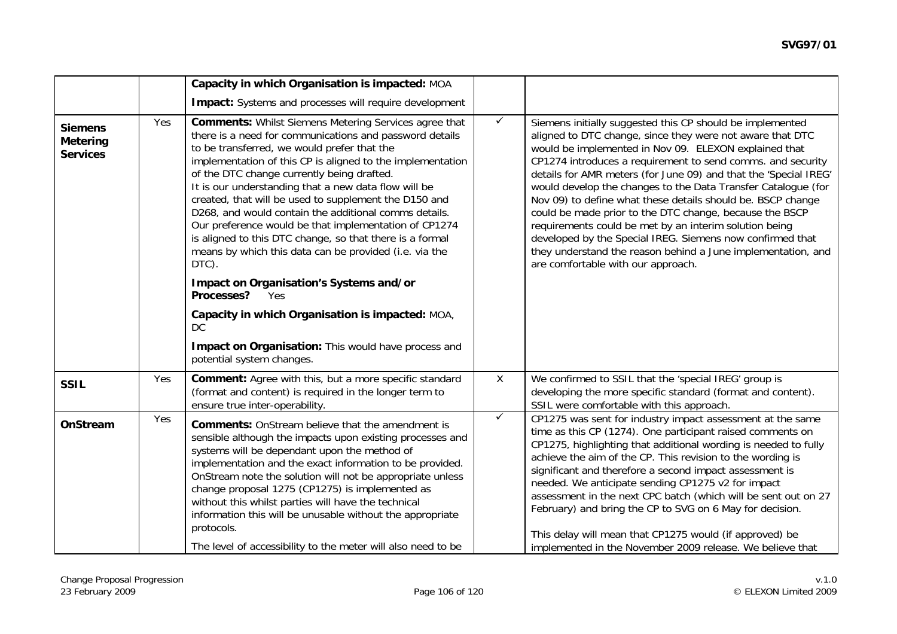|                                                      |     | Capacity in which Organisation is impacted: MOA                                                                                                                                                                                                                                                                                                                                                                                                                                                                                                                                                                                                                                                                                                                                                                                                                     |              |                                                                                                                                                                                                                                                                                                                                                                                                                                                                                                                                                                                                                                                                                                                                            |
|------------------------------------------------------|-----|---------------------------------------------------------------------------------------------------------------------------------------------------------------------------------------------------------------------------------------------------------------------------------------------------------------------------------------------------------------------------------------------------------------------------------------------------------------------------------------------------------------------------------------------------------------------------------------------------------------------------------------------------------------------------------------------------------------------------------------------------------------------------------------------------------------------------------------------------------------------|--------------|--------------------------------------------------------------------------------------------------------------------------------------------------------------------------------------------------------------------------------------------------------------------------------------------------------------------------------------------------------------------------------------------------------------------------------------------------------------------------------------------------------------------------------------------------------------------------------------------------------------------------------------------------------------------------------------------------------------------------------------------|
|                                                      |     | Impact: Systems and processes will require development                                                                                                                                                                                                                                                                                                                                                                                                                                                                                                                                                                                                                                                                                                                                                                                                              |              |                                                                                                                                                                                                                                                                                                                                                                                                                                                                                                                                                                                                                                                                                                                                            |
| <b>Siemens</b><br><b>Metering</b><br><b>Services</b> | Yes | <b>Comments: Whilst Siemens Metering Services agree that</b><br>there is a need for communications and password details<br>to be transferred, we would prefer that the<br>implementation of this CP is aligned to the implementation<br>of the DTC change currently being drafted.<br>It is our understanding that a new data flow will be<br>created, that will be used to supplement the D150 and<br>D268, and would contain the additional comms details.<br>Our preference would be that implementation of CP1274<br>is aligned to this DTC change, so that there is a formal<br>means by which this data can be provided (i.e. via the<br>DTC).<br>Impact on Organisation's Systems and/or<br>Processes?<br>Yes<br>Capacity in which Organisation is impacted: MOA,<br>DC.<br>Impact on Organisation: This would have process and<br>potential system changes. | $\checkmark$ | Siemens initially suggested this CP should be implemented<br>aligned to DTC change, since they were not aware that DTC<br>would be implemented in Nov 09. ELEXON explained that<br>CP1274 introduces a requirement to send comms. and security<br>details for AMR meters (for June 09) and that the 'Special IREG'<br>would develop the changes to the Data Transfer Catalogue (for<br>Nov 09) to define what these details should be. BSCP change<br>could be made prior to the DTC change, because the BSCP<br>requirements could be met by an interim solution being<br>developed by the Special IREG. Siemens now confirmed that<br>they understand the reason behind a June implementation, and<br>are comfortable with our approach. |
| <b>SSIL</b>                                          | Yes | <b>Comment:</b> Agree with this, but a more specific standard<br>(format and content) is required in the longer term to<br>ensure true inter-operability.                                                                                                                                                                                                                                                                                                                                                                                                                                                                                                                                                                                                                                                                                                           | $\mathsf{X}$ | We confirmed to SSIL that the 'special IREG' group is<br>developing the more specific standard (format and content).<br>SSIL were comfortable with this approach.                                                                                                                                                                                                                                                                                                                                                                                                                                                                                                                                                                          |
| OnStream                                             | Yes | <b>Comments:</b> OnStream believe that the amendment is<br>sensible although the impacts upon existing processes and<br>systems will be dependant upon the method of<br>implementation and the exact information to be provided.<br>OnStream note the solution will not be appropriate unless<br>change proposal 1275 (CP1275) is implemented as<br>without this whilst parties will have the technical<br>information this will be unusable without the appropriate<br>protocols.<br>The level of accessibility to the meter will also need to be                                                                                                                                                                                                                                                                                                                  | $\checkmark$ | CP1275 was sent for industry impact assessment at the same<br>time as this CP (1274). One participant raised comments on<br>CP1275, highlighting that additional wording is needed to fully<br>achieve the aim of the CP. This revision to the wording is<br>significant and therefore a second impact assessment is<br>needed. We anticipate sending CP1275 v2 for impact<br>assessment in the next CPC batch (which will be sent out on 27<br>February) and bring the CP to SVG on 6 May for decision.<br>This delay will mean that CP1275 would (if approved) be<br>implemented in the November 2009 release. We believe that                                                                                                           |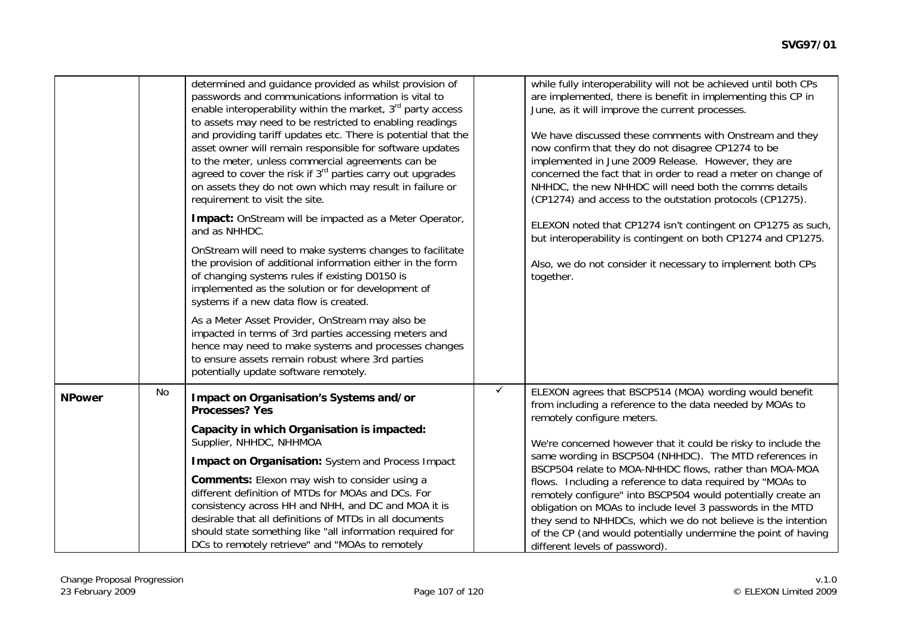|               |           | determined and guidance provided as whilst provision of<br>passwords and communications information is vital to<br>enable interoperability within the market, 3 <sup>rd</sup> party access<br>to assets may need to be restricted to enabling readings<br>and providing tariff updates etc. There is potential that the<br>asset owner will remain responsible for software updates<br>to the meter, unless commercial agreements can be<br>agreed to cover the risk if 3 <sup>rd</sup> parties carry out upgrades<br>on assets they do not own which may result in failure or<br>requirement to visit the site.<br>Impact: OnStream will be impacted as a Meter Operator,<br>and as NHHDC.<br>OnStream will need to make systems changes to facilitate<br>the provision of additional information either in the form<br>of changing systems rules if existing D0150 is<br>implemented as the solution or for development of<br>systems if a new data flow is created. |              | while fully interoperability will not be achieved until both CPs<br>are implemented, there is benefit in implementing this CP in<br>June, as it will improve the current processes.<br>We have discussed these comments with Onstream and they<br>now confirm that they do not disagree CP1274 to be<br>implemented in June 2009 Release. However, they are<br>concerned the fact that in order to read a meter on change of<br>NHHDC, the new NHHDC will need both the comms details<br>(CP1274) and access to the outstation protocols (CP1275).<br>ELEXON noted that CP1274 isn't contingent on CP1275 as such,<br>but interoperability is contingent on both CP1274 and CP1275.<br>Also, we do not consider it necessary to implement both CPs<br>together. |
|---------------|-----------|------------------------------------------------------------------------------------------------------------------------------------------------------------------------------------------------------------------------------------------------------------------------------------------------------------------------------------------------------------------------------------------------------------------------------------------------------------------------------------------------------------------------------------------------------------------------------------------------------------------------------------------------------------------------------------------------------------------------------------------------------------------------------------------------------------------------------------------------------------------------------------------------------------------------------------------------------------------------|--------------|-----------------------------------------------------------------------------------------------------------------------------------------------------------------------------------------------------------------------------------------------------------------------------------------------------------------------------------------------------------------------------------------------------------------------------------------------------------------------------------------------------------------------------------------------------------------------------------------------------------------------------------------------------------------------------------------------------------------------------------------------------------------|
|               |           | As a Meter Asset Provider, OnStream may also be<br>impacted in terms of 3rd parties accessing meters and<br>hence may need to make systems and processes changes<br>to ensure assets remain robust where 3rd parties<br>potentially update software remotely.                                                                                                                                                                                                                                                                                                                                                                                                                                                                                                                                                                                                                                                                                                          |              |                                                                                                                                                                                                                                                                                                                                                                                                                                                                                                                                                                                                                                                                                                                                                                 |
| <b>NPower</b> | <b>No</b> | Impact on Organisation's Systems and/or<br><b>Processes? Yes</b><br>Capacity in which Organisation is impacted:<br>Supplier, NHHDC, NHHMOA<br>Impact on Organisation: System and Process Impact<br><b>Comments:</b> Elexon may wish to consider using a<br>different definition of MTDs for MOAs and DCs. For<br>consistency across HH and NHH, and DC and MOA it is<br>desirable that all definitions of MTDs in all documents<br>should state something like "all information required for<br>DCs to remotely retrieve" and "MOAs to remotely                                                                                                                                                                                                                                                                                                                                                                                                                        | $\checkmark$ | ELEXON agrees that BSCP514 (MOA) wording would benefit<br>from including a reference to the data needed by MOAs to<br>remotely configure meters.<br>We're concerned however that it could be risky to include the<br>same wording in BSCP504 (NHHDC). The MTD references in<br>BSCP504 relate to MOA-NHHDC flows, rather than MOA-MOA<br>flows. Including a reference to data required by "MOAs to<br>remotely configure" into BSCP504 would potentially create an<br>obligation on MOAs to include level 3 passwords in the MTD<br>they send to NHHDCs, which we do not believe is the intention<br>of the CP (and would potentially undermine the point of having<br>different levels of password).                                                           |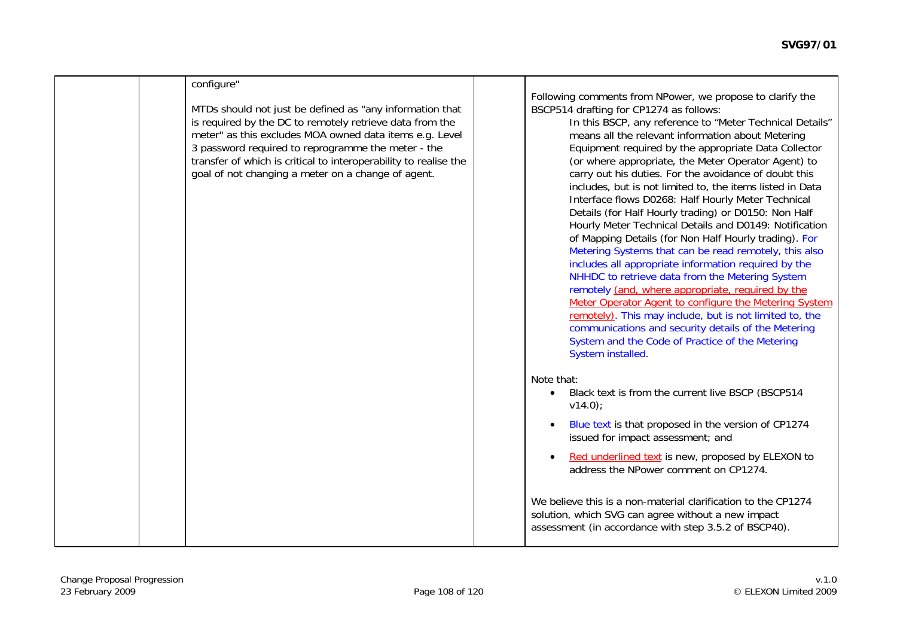|  | configure"                                                                                                                                                                                                                                                                                                                                                      |                                                                                                                                                                                                                                                                                                                                                                                                                                                                                                                                                                                                                                                                                                                                                                                                                                                                                                                                                                                                                                                                                                                                                                         |
|--|-----------------------------------------------------------------------------------------------------------------------------------------------------------------------------------------------------------------------------------------------------------------------------------------------------------------------------------------------------------------|-------------------------------------------------------------------------------------------------------------------------------------------------------------------------------------------------------------------------------------------------------------------------------------------------------------------------------------------------------------------------------------------------------------------------------------------------------------------------------------------------------------------------------------------------------------------------------------------------------------------------------------------------------------------------------------------------------------------------------------------------------------------------------------------------------------------------------------------------------------------------------------------------------------------------------------------------------------------------------------------------------------------------------------------------------------------------------------------------------------------------------------------------------------------------|
|  | MTDs should not just be defined as "any information that<br>is required by the DC to remotely retrieve data from the<br>meter" as this excludes MOA owned data items e.g. Level<br>3 password required to reprogramme the meter - the<br>transfer of which is critical to interoperability to realise the<br>goal of not changing a meter on a change of agent. | Following comments from NPower, we propose to clarify the<br>BSCP514 drafting for CP1274 as follows:<br>In this BSCP, any reference to "Meter Technical Details"<br>means all the relevant information about Metering<br>Equipment required by the appropriate Data Collector<br>(or where appropriate, the Meter Operator Agent) to<br>carry out his duties. For the avoidance of doubt this<br>includes, but is not limited to, the items listed in Data<br>Interface flows D0268: Half Hourly Meter Technical<br>Details (for Half Hourly trading) or D0150: Non Half<br>Hourly Meter Technical Details and D0149: Notification<br>of Mapping Details (for Non Half Hourly trading). For<br>Metering Systems that can be read remotely, this also<br>includes all appropriate information required by the<br>NHHDC to retrieve data from the Metering System<br>remotely (and, where appropriate, required by the<br>Meter Operator Agent to configure the Metering System<br>remotely). This may include, but is not limited to, the<br>communications and security details of the Metering<br>System and the Code of Practice of the Metering<br>System installed. |
|  |                                                                                                                                                                                                                                                                                                                                                                 | Note that:<br>Black text is from the current live BSCP (BSCP514<br>$\bullet$<br>$v14.0$ ;<br>Blue text is that proposed in the version of CP1274                                                                                                                                                                                                                                                                                                                                                                                                                                                                                                                                                                                                                                                                                                                                                                                                                                                                                                                                                                                                                        |
|  |                                                                                                                                                                                                                                                                                                                                                                 | issued for impact assessment; and<br>Red underlined text is new, proposed by ELEXON to<br>$\bullet$<br>address the NPower comment on CP1274.                                                                                                                                                                                                                                                                                                                                                                                                                                                                                                                                                                                                                                                                                                                                                                                                                                                                                                                                                                                                                            |
|  |                                                                                                                                                                                                                                                                                                                                                                 | We believe this is a non-material clarification to the CP1274<br>solution, which SVG can agree without a new impact<br>assessment (in accordance with step 3.5.2 of BSCP40).                                                                                                                                                                                                                                                                                                                                                                                                                                                                                                                                                                                                                                                                                                                                                                                                                                                                                                                                                                                            |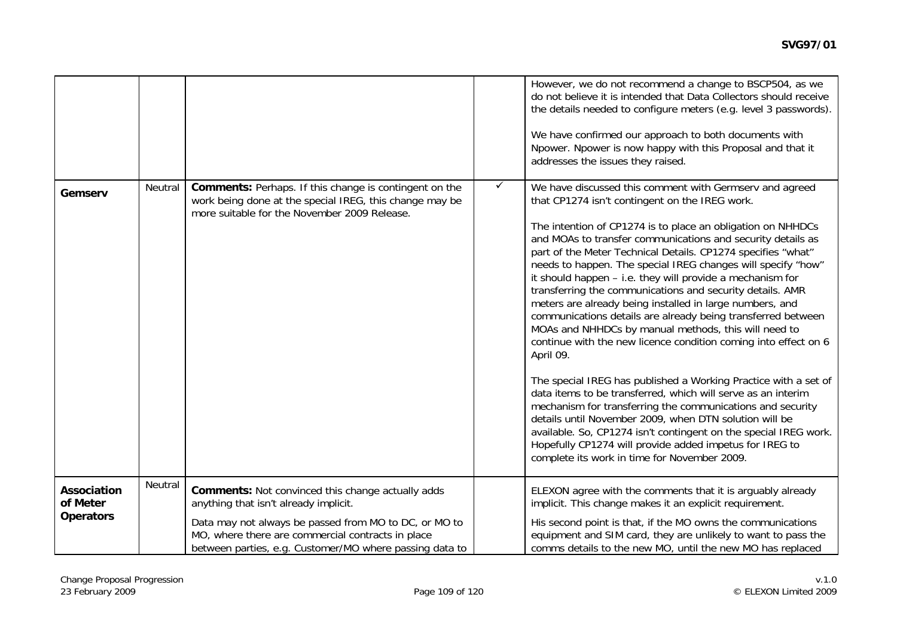|                                                    |         |                                                                                                                                                                                                                                                                            |              | However, we do not recommend a change to BSCP504, as we<br>do not believe it is intended that Data Collectors should receive<br>the details needed to configure meters (e.g. level 3 passwords).<br>We have confirmed our approach to both documents with<br>Npower. Npower is now happy with this Proposal and that it<br>addresses the issues they raised.                                                                                                                                                                                                                                                                                                                                                                                                                                                                                                                                                                                                                                                                                                                                                                                                                                                    |
|----------------------------------------------------|---------|----------------------------------------------------------------------------------------------------------------------------------------------------------------------------------------------------------------------------------------------------------------------------|--------------|-----------------------------------------------------------------------------------------------------------------------------------------------------------------------------------------------------------------------------------------------------------------------------------------------------------------------------------------------------------------------------------------------------------------------------------------------------------------------------------------------------------------------------------------------------------------------------------------------------------------------------------------------------------------------------------------------------------------------------------------------------------------------------------------------------------------------------------------------------------------------------------------------------------------------------------------------------------------------------------------------------------------------------------------------------------------------------------------------------------------------------------------------------------------------------------------------------------------|
| Gemserv                                            | Neutral | <b>Comments:</b> Perhaps. If this change is contingent on the<br>work being done at the special IREG, this change may be<br>more suitable for the November 2009 Release.                                                                                                   | $\checkmark$ | We have discussed this comment with Germserv and agreed<br>that CP1274 isn't contingent on the IREG work.<br>The intention of CP1274 is to place an obligation on NHHDCs<br>and MOAs to transfer communications and security details as<br>part of the Meter Technical Details. CP1274 specifies "what"<br>needs to happen. The special IREG changes will specify "how"<br>it should happen - i.e. they will provide a mechanism for<br>transferring the communications and security details. AMR<br>meters are already being installed in large numbers, and<br>communications details are already being transferred between<br>MOAs and NHHDCs by manual methods, this will need to<br>continue with the new licence condition coming into effect on 6<br>April 09.<br>The special IREG has published a Working Practice with a set of<br>data items to be transferred, which will serve as an interim<br>mechanism for transferring the communications and security<br>details until November 2009, when DTN solution will be<br>available. So, CP1274 isn't contingent on the special IREG work.<br>Hopefully CP1274 will provide added impetus for IREG to<br>complete its work in time for November 2009. |
| <b>Association</b><br>of Meter<br><b>Operators</b> | Neutral | <b>Comments: Not convinced this change actually adds</b><br>anything that isn't already implicit.<br>Data may not always be passed from MO to DC, or MO to<br>MO, where there are commercial contracts in place<br>between parties, e.g. Customer/MO where passing data to |              | ELEXON agree with the comments that it is arguably already<br>implicit. This change makes it an explicit requirement.<br>His second point is that, if the MO owns the communications<br>equipment and SIM card, they are unlikely to want to pass the<br>comms details to the new MO, until the new MO has replaced                                                                                                                                                                                                                                                                                                                                                                                                                                                                                                                                                                                                                                                                                                                                                                                                                                                                                             |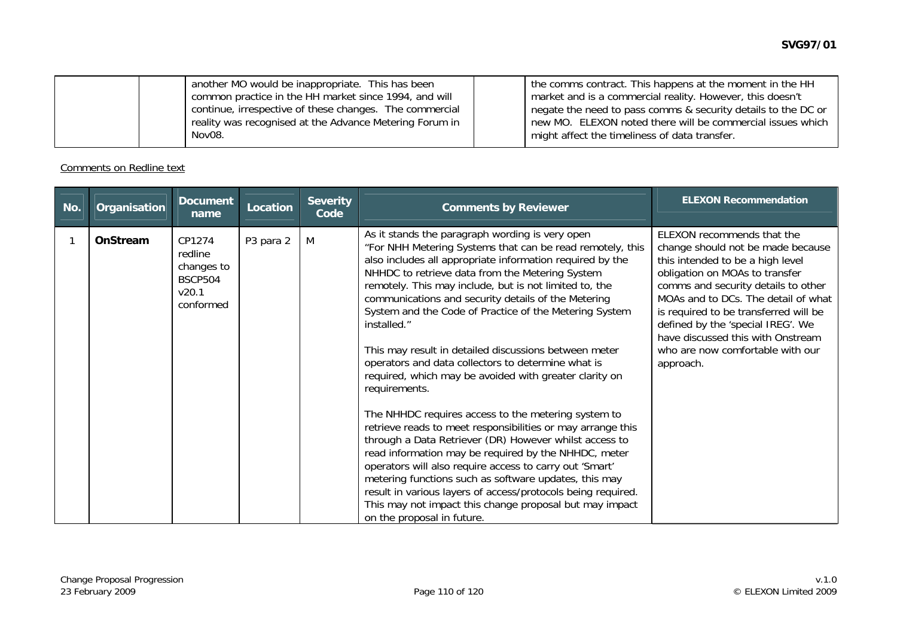| another MO would be inappropriate. This has been        | I the comms contract. This happens at the moment in the HH    |
|---------------------------------------------------------|---------------------------------------------------------------|
| common practice in the HH market since 1994, and will   | market and is a commercial reality. However, this doesn't     |
| continue, irrespective of these changes. The commercial | negate the need to pass comms & security details to the DC or |
| reality was recognised at the Advance Metering Forum in | new MO. ELEXON noted there will be commercial issues which    |
| Nov08.                                                  | might affect the timeliness of data transfer.                 |

Comments on Redline text

| No. | Organisation | <b>Document</b><br>name                                                 | Location  | <b>Severity</b><br>Code | <b>Comments by Reviewer</b>                                                                                                                                                                                                                                                                                                                                                                                                                                                                                                                                                                                                                                                                                                                                                                                                                                                                                                                                                                                                                                                                                                           | <b>ELEXON Recommendation</b>                                                                                                                                                                                                                                                                                                                                                            |
|-----|--------------|-------------------------------------------------------------------------|-----------|-------------------------|---------------------------------------------------------------------------------------------------------------------------------------------------------------------------------------------------------------------------------------------------------------------------------------------------------------------------------------------------------------------------------------------------------------------------------------------------------------------------------------------------------------------------------------------------------------------------------------------------------------------------------------------------------------------------------------------------------------------------------------------------------------------------------------------------------------------------------------------------------------------------------------------------------------------------------------------------------------------------------------------------------------------------------------------------------------------------------------------------------------------------------------|-----------------------------------------------------------------------------------------------------------------------------------------------------------------------------------------------------------------------------------------------------------------------------------------------------------------------------------------------------------------------------------------|
|     | OnStream     | CP1274<br>redline<br>changes to<br><b>BSCP504</b><br>v20.1<br>conformed | P3 para 2 | M                       | As it stands the paragraph wording is very open<br>"For NHH Metering Systems that can be read remotely, this<br>also includes all appropriate information required by the<br>NHHDC to retrieve data from the Metering System<br>remotely. This may include, but is not limited to, the<br>communications and security details of the Metering<br>System and the Code of Practice of the Metering System<br>installed."<br>This may result in detailed discussions between meter<br>operators and data collectors to determine what is<br>required, which may be avoided with greater clarity on<br>requirements.<br>The NHHDC requires access to the metering system to<br>retrieve reads to meet responsibilities or may arrange this<br>through a Data Retriever (DR) However whilst access to<br>read information may be required by the NHHDC, meter<br>operators will also require access to carry out 'Smart'<br>metering functions such as software updates, this may<br>result in various layers of access/protocols being required.<br>This may not impact this change proposal but may impact<br>on the proposal in future. | ELEXON recommends that the<br>change should not be made because<br>this intended to be a high level<br>obligation on MOAs to transfer<br>comms and security details to other<br>MOAs and to DCs. The detail of what<br>is required to be transferred will be<br>defined by the 'special IREG'. We<br>have discussed this with Onstream<br>who are now comfortable with our<br>approach. |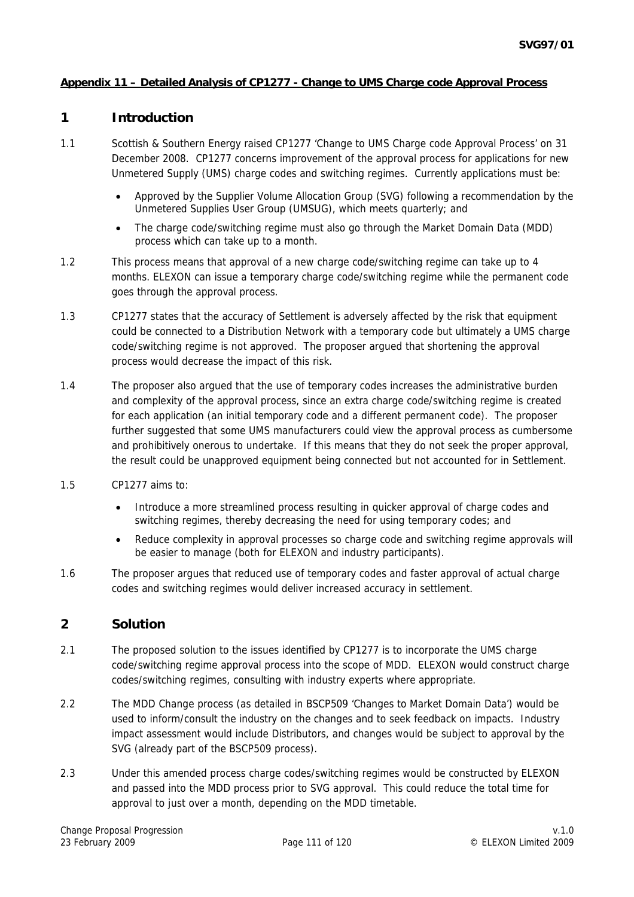## **Appendix 11 – Detailed Analysis of CP1277 - Change to UMS Charge code Approval Process**

# **1 Introduction**

- 1.1 Scottish & Southern Energy raised CP1277 'Change to UMS Charge code Approval Process' on 31 December 2008. CP1277 concerns improvement of the approval process for applications for new Unmetered Supply (UMS) charge codes and switching regimes. Currently applications must be:
	- Approved by the Supplier Volume Allocation Group (SVG) following a recommendation by the Unmetered Supplies User Group (UMSUG), which meets quarterly; and
	- The charge code/switching regime must also go through the Market Domain Data (MDD) process which can take up to a month.
- 1.2 This process means that approval of a new charge code/switching regime can take up to 4 months. ELEXON can issue a temporary charge code/switching regime while the permanent code goes through the approval process.
- 1.3 CP1277 states that the accuracy of Settlement is adversely affected by the risk that equipment could be connected to a Distribution Network with a temporary code but ultimately a UMS charge code/switching regime is not approved. The proposer argued that shortening the approval process would decrease the impact of this risk.
- 1.4 The proposer also argued that the use of temporary codes increases the administrative burden and complexity of the approval process, since an extra charge code/switching regime is created for each application (an initial temporary code and a different permanent code). The proposer further suggested that some UMS manufacturers could view the approval process as cumbersome and prohibitively onerous to undertake. If this means that they do not seek the proper approval, the result could be unapproved equipment being connected but not accounted for in Settlement.
- 1.5 CP1277 aims to:
	- Introduce a more streamlined process resulting in quicker approval of charge codes and switching regimes, thereby decreasing the need for using temporary codes; and
	- Reduce complexity in approval processes so charge code and switching regime approvals will be easier to manage (both for ELEXON and industry participants).
- 1.6 The proposer argues that reduced use of temporary codes and faster approval of actual charge codes and switching regimes would deliver increased accuracy in settlement.

# **2 Solution**

- 2.1 The proposed solution to the issues identified by CP1277 is to incorporate the UMS charge code/switching regime approval process into the scope of MDD. ELEXON would construct charge codes/switching regimes, consulting with industry experts where appropriate.
- 2.2 The MDD Change process (as detailed in BSCP509 'Changes to Market Domain Data') would be used to inform/consult the industry on the changes and to seek feedback on impacts. Industry impact assessment would include Distributors, and changes would be subject to approval by the SVG (already part of the BSCP509 process).
- 2.3 Under this amended process charge codes/switching regimes would be constructed by ELEXON and passed into the MDD process prior to SVG approval. This could reduce the total time for approval to just over a month, depending on the MDD timetable.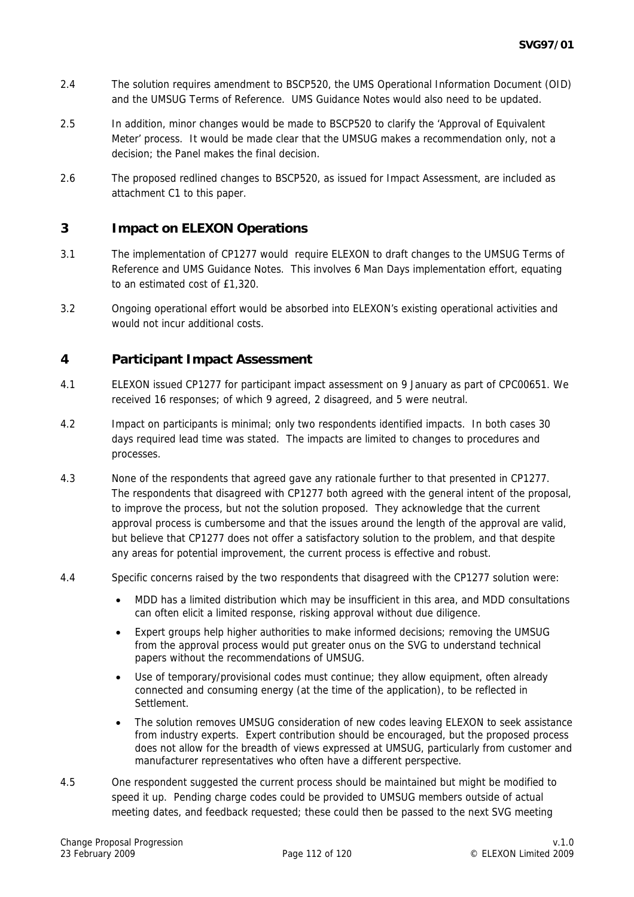- 2.4 The solution requires amendment to BSCP520, the UMS Operational Information Document (OID) and the UMSUG Terms of Reference. UMS Guidance Notes would also need to be updated.
- 2.5 In addition, minor changes would be made to BSCP520 to clarify the 'Approval of Equivalent Meter' process. It would be made clear that the UMSUG makes a recommendation only, not a decision; the Panel makes the final decision.
- 2.6 The proposed redlined changes to BSCP520, as issued for Impact Assessment, are included as attachment C1 to this paper.

# **3 Impact on ELEXON Operations**

- 3.1 The implementation of CP1277 would require ELEXON to draft changes to the UMSUG Terms of Reference and UMS Guidance Notes. This involves 6 Man Days implementation effort, equating to an estimated cost of £1,320.
- 3.2 Ongoing operational effort would be absorbed into ELEXON's existing operational activities and would not incur additional costs.

## **4 Participant Impact Assessment**

- 4.1 ELEXON issued CP1277 for participant impact assessment on 9 January as part of CPC00651. We received 16 responses; of which 9 agreed, 2 disagreed, and 5 were neutral.
- 4.2 Impact on participants is minimal; only two respondents identified impacts. In both cases 30 days required lead time was stated. The impacts are limited to changes to procedures and processes.
- 4.3 None of the respondents that agreed gave any rationale further to that presented in CP1277. The respondents that disagreed with CP1277 both agreed with the general intent of the proposal, to improve the process, but not the solution proposed. They acknowledge that the current approval process is cumbersome and that the issues around the length of the approval are valid, but believe that CP1277 does not offer a satisfactory solution to the problem, and that despite any areas for potential improvement, the current process is effective and robust.
- 4.4 Specific concerns raised by the two respondents that disagreed with the CP1277 solution were:
	- MDD has a limited distribution which may be insufficient in this area, and MDD consultations can often elicit a limited response, risking approval without due diligence.
	- Expert groups help higher authorities to make informed decisions; removing the UMSUG from the approval process would put greater onus on the SVG to understand technical papers without the recommendations of UMSUG.
	- Use of temporary/provisional codes must continue; they allow equipment, often already connected and consuming energy (at the time of the application), to be reflected in Settlement.
	- The solution removes UMSUG consideration of new codes leaving ELEXON to seek assistance from industry experts. Expert contribution should be encouraged, but the proposed process does not allow for the breadth of views expressed at UMSUG, particularly from customer and manufacturer representatives who often have a different perspective.
- 4.5 One respondent suggested the current process should be maintained but might be modified to speed it up. Pending charge codes could be provided to UMSUG members outside of actual meeting dates, and feedback requested; these could then be passed to the next SVG meeting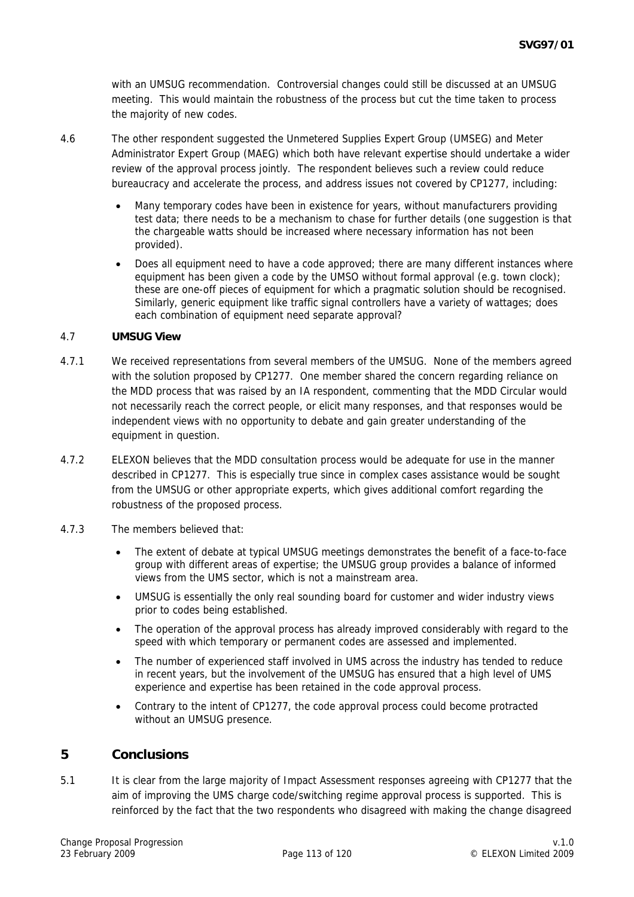with an UMSUG recommendation. Controversial changes could still be discussed at an UMSUG meeting. This would maintain the robustness of the process but cut the time taken to process the majority of new codes.

- 4.6 The other respondent suggested the Unmetered Supplies Expert Group (UMSEG) and Meter Administrator Expert Group (MAEG) which both have relevant expertise should undertake a wider review of the approval process jointly. The respondent believes such a review could reduce bureaucracy and accelerate the process, and address issues not covered by CP1277, including:
	- Many temporary codes have been in existence for years, without manufacturers providing test data; there needs to be a mechanism to chase for further details (one suggestion is that the chargeable watts should be increased where necessary information has not been provided).
	- Does all equipment need to have a code approved; there are many different instances where equipment has been given a code by the UMSO without formal approval (e.g. town clock); these are one-off pieces of equipment for which a pragmatic solution should be recognised. Similarly, generic equipment like traffic signal controllers have a variety of wattages; does each combination of equipment need separate approval?

#### 4.7 **UMSUG View**

- 4.7.1 We received representations from several members of the UMSUG. None of the members agreed with the solution proposed by CP1277. One member shared the concern regarding reliance on the MDD process that was raised by an IA respondent, commenting that the MDD Circular would not necessarily reach the correct people, or elicit many responses, and that responses would be independent views with no opportunity to debate and gain greater understanding of the equipment in question.
- 4.7.2 ELEXON believes that the MDD consultation process would be adequate for use in the manner described in CP1277. This is especially true since in complex cases assistance would be sought from the UMSUG or other appropriate experts, which gives additional comfort regarding the robustness of the proposed process.
- 4.7.3 The members believed that:
	- The extent of debate at typical UMSUG meetings demonstrates the benefit of a face-to-face group with different areas of expertise; the UMSUG group provides a balance of informed views from the UMS sector, which is not a mainstream area.
	- UMSUG is essentially the only real sounding board for customer and wider industry views prior to codes being established.
	- The operation of the approval process has already improved considerably with regard to the speed with which temporary or permanent codes are assessed and implemented.
	- The number of experienced staff involved in UMS across the industry has tended to reduce in recent years, but the involvement of the UMSUG has ensured that a high level of UMS experience and expertise has been retained in the code approval process.
	- Contrary to the intent of CP1277, the code approval process could become protracted without an UMSUG presence.

## **5 Conclusions**

5.1 It is clear from the large majority of Impact Assessment responses agreeing with CP1277 that the aim of improving the UMS charge code/switching regime approval process is supported. This is reinforced by the fact that the two respondents who disagreed with making the change disagreed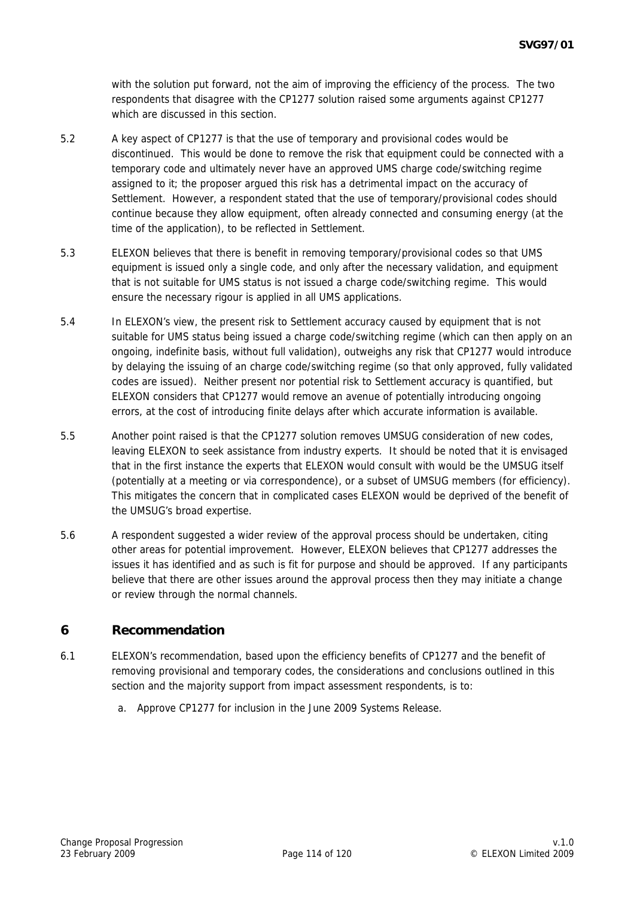with the solution put forward, not the aim of improving the efficiency of the process. The two respondents that disagree with the CP1277 solution raised some arguments against CP1277 which are discussed in this section

- 5.2 A key aspect of CP1277 is that the use of temporary and provisional codes would be discontinued. This would be done to remove the risk that equipment could be connected with a temporary code and ultimately never have an approved UMS charge code/switching regime assigned to it; the proposer argued this risk has a detrimental impact on the accuracy of Settlement. However, a respondent stated that the use of temporary/provisional codes should continue because they allow equipment, often already connected and consuming energy (at the time of the application), to be reflected in Settlement.
- 5.3 ELEXON believes that there is benefit in removing temporary/provisional codes so that UMS equipment is issued only a single code, and only after the necessary validation, and equipment that is not suitable for UMS status is not issued a charge code/switching regime. This would ensure the necessary rigour is applied in all UMS applications.
- 5.4 In ELEXON's view, the present risk to Settlement accuracy caused by equipment that is not suitable for UMS status being issued a charge code/switching regime (which can then apply on an ongoing, indefinite basis, without full validation), outweighs any risk that CP1277 would introduce by delaying the issuing of an charge code/switching regime (so that only approved, fully validated codes are issued). Neither present nor potential risk to Settlement accuracy is quantified, but ELEXON considers that CP1277 would remove an avenue of potentially introducing ongoing errors, at the cost of introducing finite delays after which accurate information is available.
- 5.5 Another point raised is that the CP1277 solution removes UMSUG consideration of new codes, leaving ELEXON to seek assistance from industry experts. It should be noted that it is envisaged that in the first instance the experts that ELEXON would consult with would be the UMSUG itself (potentially at a meeting or via correspondence), or a subset of UMSUG members (for efficiency). This mitigates the concern that in complicated cases ELEXON would be deprived of the benefit of the UMSUG's broad expertise.
- 5.6 A respondent suggested a wider review of the approval process should be undertaken, citing other areas for potential improvement. However, ELEXON believes that CP1277 addresses the issues it has identified and as such is fit for purpose and should be approved. If any participants believe that there are other issues around the approval process then they may initiate a change or review through the normal channels.

# **6 Recommendation**

- 6.1 ELEXON's recommendation, based upon the efficiency benefits of CP1277 and the benefit of removing provisional and temporary codes, the considerations and conclusions outlined in this section and the majority support from impact assessment respondents, is to:
	- a. Approve CP1277 for inclusion in the June 2009 Systems Release.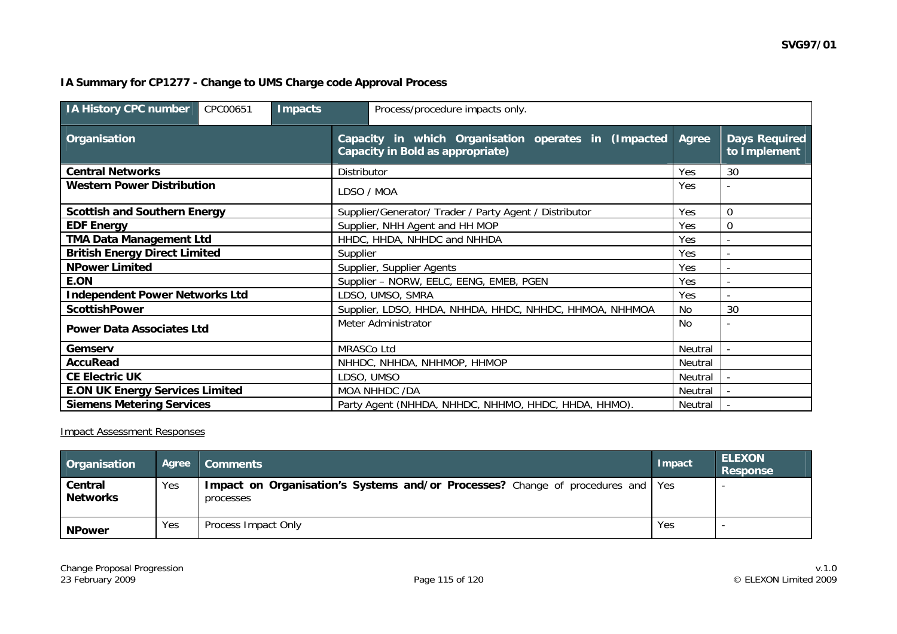# **IA Summary for CP1277 - Change to UMS Charge code Approval Process**

| <b>IA History CPC number</b><br>CPC00651<br><b>Impacts</b><br>Process/procedure impacts only. |                                                                                                 |         |                                      |  |  |  |  |
|-----------------------------------------------------------------------------------------------|-------------------------------------------------------------------------------------------------|---------|--------------------------------------|--|--|--|--|
| Organisation                                                                                  | Capacity in which Organisation operates in (Impacted<br><b>Capacity in Bold as appropriate)</b> |         | <b>Days Required</b><br>to Implement |  |  |  |  |
| <b>Central Networks</b>                                                                       | Distributor                                                                                     | Yes     | 30                                   |  |  |  |  |
| <b>Western Power Distribution</b>                                                             | LDSO / MOA                                                                                      | Yes     |                                      |  |  |  |  |
| <b>Scottish and Southern Energy</b>                                                           | Supplier/Generator/ Trader / Party Agent / Distributor                                          | Yes     | $\overline{0}$                       |  |  |  |  |
| <b>EDF Energy</b>                                                                             | Supplier, NHH Agent and HH MOP                                                                  | Yes     | $\Omega$                             |  |  |  |  |
| <b>TMA Data Management Ltd</b>                                                                | HHDC, HHDA, NHHDC and NHHDA                                                                     |         |                                      |  |  |  |  |
| <b>British Energy Direct Limited</b>                                                          | Supplier                                                                                        |         |                                      |  |  |  |  |
| <b>NPower Limited</b>                                                                         | Supplier, Supplier Agents                                                                       |         | $\overline{\phantom{a}}$             |  |  |  |  |
| E.ON                                                                                          | Supplier - NORW, EELC, EENG, EMEB, PGEN                                                         |         |                                      |  |  |  |  |
| <b>Independent Power Networks Ltd</b>                                                         | LDSO, UMSO, SMRA                                                                                |         |                                      |  |  |  |  |
| <b>ScottishPower</b>                                                                          | Supplier, LDSO, HHDA, NHHDA, HHDC, NHHDC, HHMOA, NHHMOA                                         |         | 30                                   |  |  |  |  |
| <b>Power Data Associates Ltd</b>                                                              | Meter Administrator                                                                             |         |                                      |  |  |  |  |
| Gemserv                                                                                       | <b>MRASCo Ltd</b>                                                                               |         |                                      |  |  |  |  |
| <b>AccuRead</b>                                                                               | NHHDC, NHHDA, NHHMOP, HHMOP                                                                     |         |                                      |  |  |  |  |
| <b>CE Electric UK</b>                                                                         | LDSO, UMSO                                                                                      |         |                                      |  |  |  |  |
| <b>E.ON UK Energy Services Limited</b>                                                        | MOA NHHDC /DA                                                                                   |         |                                      |  |  |  |  |
| <b>Siemens Metering Services</b>                                                              | Party Agent (NHHDA, NHHDC, NHHMO, HHDC, HHDA, HHMO).                                            | Neutral |                                      |  |  |  |  |

Impact Assessment Responses

| <b>Organisation</b>        | Agree | <b>Comments</b>                                                                                | Impact | <b>ELEXON</b><br><b>Response</b> |
|----------------------------|-------|------------------------------------------------------------------------------------------------|--------|----------------------------------|
| Central<br><b>Networks</b> | Yes   | Impact on Organisation's Systems and/or Processes? Change of procedures and   Yes<br>processes |        |                                  |
| <b>NPower</b>              | Yes   | Process Impact Only                                                                            | Yes    |                                  |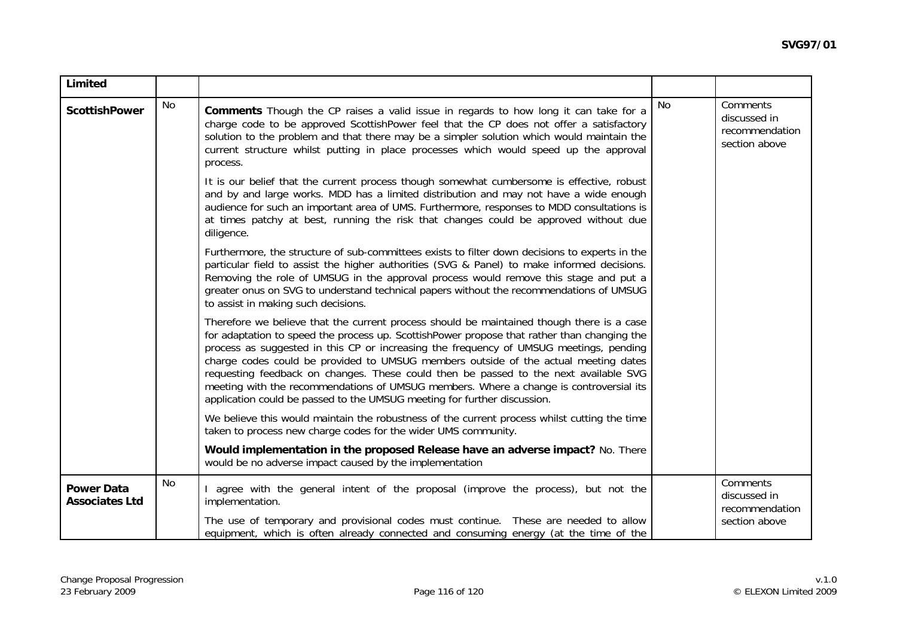| Limited                                    |    |                                                                                                                                                                                                                                                                                                                                                                                                                                                                                                                                                                                                                                         |    |                                                             |
|--------------------------------------------|----|-----------------------------------------------------------------------------------------------------------------------------------------------------------------------------------------------------------------------------------------------------------------------------------------------------------------------------------------------------------------------------------------------------------------------------------------------------------------------------------------------------------------------------------------------------------------------------------------------------------------------------------------|----|-------------------------------------------------------------|
| <b>ScottishPower</b>                       | No | <b>Comments</b> Though the CP raises a valid issue in regards to how long it can take for a<br>charge code to be approved ScottishPower feel that the CP does not offer a satisfactory<br>solution to the problem and that there may be a simpler solution which would maintain the<br>current structure whilst putting in place processes which would speed up the approval<br>process.                                                                                                                                                                                                                                                | No | Comments<br>discussed in<br>recommendation<br>section above |
|                                            |    | It is our belief that the current process though somewhat cumbersome is effective, robust<br>and by and large works. MDD has a limited distribution and may not have a wide enough<br>audience for such an important area of UMS. Furthermore, responses to MDD consultations is<br>at times patchy at best, running the risk that changes could be approved without due<br>diligence.                                                                                                                                                                                                                                                  |    |                                                             |
|                                            |    | Furthermore, the structure of sub-committees exists to filter down decisions to experts in the<br>particular field to assist the higher authorities (SVG & Panel) to make informed decisions.<br>Removing the role of UMSUG in the approval process would remove this stage and put a<br>greater onus on SVG to understand technical papers without the recommendations of UMSUG<br>to assist in making such decisions.                                                                                                                                                                                                                 |    |                                                             |
|                                            |    | Therefore we believe that the current process should be maintained though there is a case<br>for adaptation to speed the process up. ScottishPower propose that rather than changing the<br>process as suggested in this CP or increasing the frequency of UMSUG meetings, pending<br>charge codes could be provided to UMSUG members outside of the actual meeting dates<br>requesting feedback on changes. These could then be passed to the next available SVG<br>meeting with the recommendations of UMSUG members. Where a change is controversial its<br>application could be passed to the UMSUG meeting for further discussion. |    |                                                             |
|                                            |    | We believe this would maintain the robustness of the current process whilst cutting the time<br>taken to process new charge codes for the wider UMS community.                                                                                                                                                                                                                                                                                                                                                                                                                                                                          |    |                                                             |
|                                            |    | Would implementation in the proposed Release have an adverse impact? No. There<br>would be no adverse impact caused by the implementation                                                                                                                                                                                                                                                                                                                                                                                                                                                                                               |    |                                                             |
| <b>Power Data</b><br><b>Associates Ltd</b> | No | agree with the general intent of the proposal (improve the process), but not the<br>implementation.                                                                                                                                                                                                                                                                                                                                                                                                                                                                                                                                     |    | Comments<br>discussed in<br>recommendation                  |
|                                            |    | The use of temporary and provisional codes must continue. These are needed to allow<br>equipment, which is often already connected and consuming energy (at the time of the                                                                                                                                                                                                                                                                                                                                                                                                                                                             |    | section above                                               |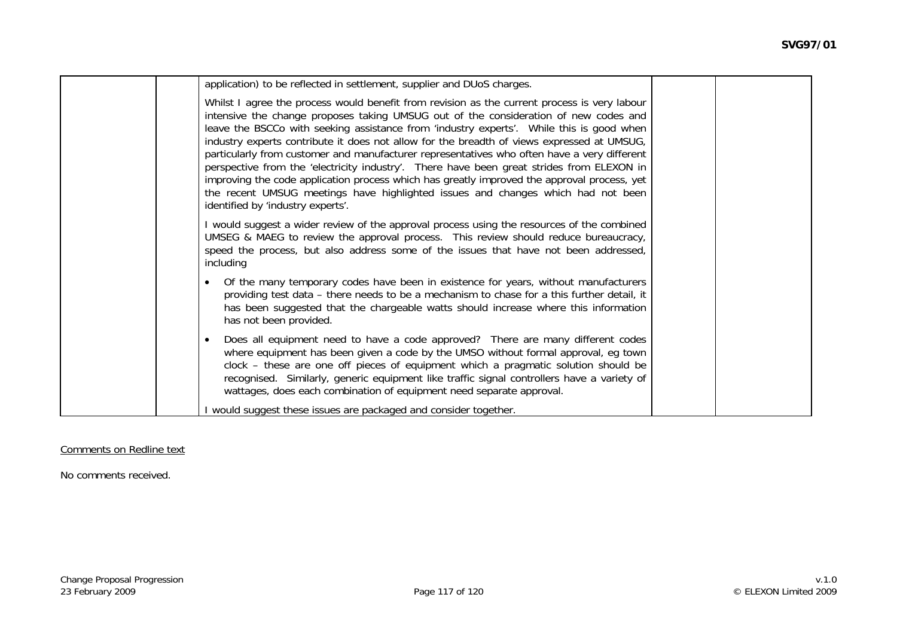| application) to be reflected in settlement, supplier and DUoS charges.                                                                                                                                                                                                                                                                                                                                                                                                                                                                                                                                                                                                                                                                                                                             |  |
|----------------------------------------------------------------------------------------------------------------------------------------------------------------------------------------------------------------------------------------------------------------------------------------------------------------------------------------------------------------------------------------------------------------------------------------------------------------------------------------------------------------------------------------------------------------------------------------------------------------------------------------------------------------------------------------------------------------------------------------------------------------------------------------------------|--|
| Whilst I agree the process would benefit from revision as the current process is very labour<br>intensive the change proposes taking UMSUG out of the consideration of new codes and<br>leave the BSCCo with seeking assistance from 'industry experts'. While this is good when<br>industry experts contribute it does not allow for the breadth of views expressed at UMSUG,<br>particularly from customer and manufacturer representatives who often have a very different<br>perspective from the 'electricity industry'. There have been great strides from ELEXON in<br>improving the code application process which has greatly improved the approval process, yet<br>the recent UMSUG meetings have highlighted issues and changes which had not been<br>identified by 'industry experts'. |  |
| I would suggest a wider review of the approval process using the resources of the combined<br>UMSEG & MAEG to review the approval process. This review should reduce bureaucracy,<br>speed the process, but also address some of the issues that have not been addressed,<br>including                                                                                                                                                                                                                                                                                                                                                                                                                                                                                                             |  |
| Of the many temporary codes have been in existence for years, without manufacturers<br>providing test data - there needs to be a mechanism to chase for a this further detail, it<br>has been suggested that the chargeable watts should increase where this information<br>has not been provided.                                                                                                                                                                                                                                                                                                                                                                                                                                                                                                 |  |
| Does all equipment need to have a code approved? There are many different codes<br>where equipment has been given a code by the UMSO without formal approval, eg town<br>clock – these are one off pieces of equipment which a pragmatic solution should be<br>recognised. Similarly, generic equipment like traffic signal controllers have a variety of<br>wattages, does each combination of equipment need separate approval.                                                                                                                                                                                                                                                                                                                                                                  |  |
| I would suggest these issues are packaged and consider together.                                                                                                                                                                                                                                                                                                                                                                                                                                                                                                                                                                                                                                                                                                                                   |  |

#### Comments on Redline text

No comments received.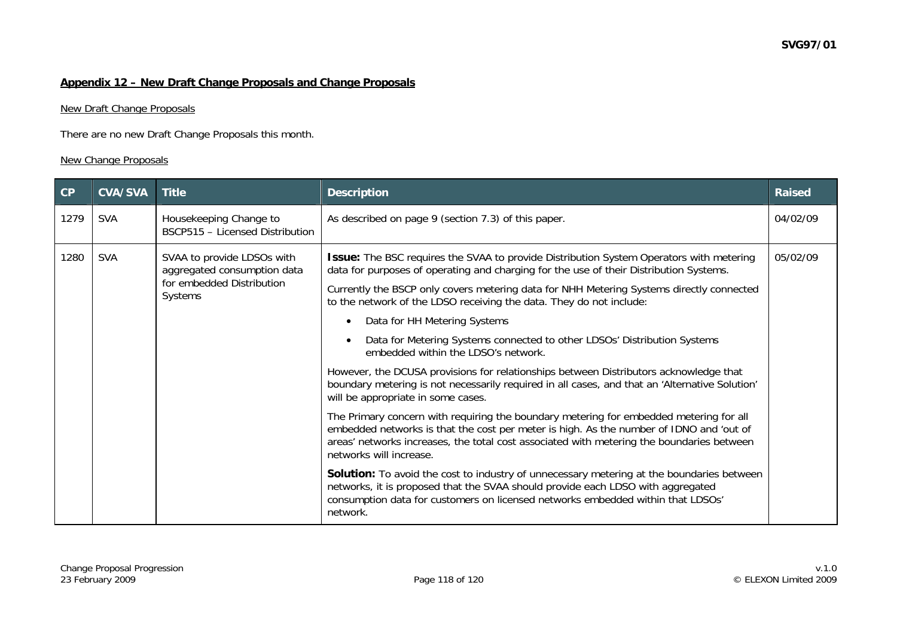## **Appendix 12 – New Draft Change Proposals and Change Proposals**

### New Draft Change Proposals

There are no new Draft Change Proposals this month.

# New Change Proposals

| CP   | <b>CVA/SVA</b> | <b>Title</b>                                              | <b>Description</b>                                                                                                                                                                                                                                                                                        | <b>Raised</b> |
|------|----------------|-----------------------------------------------------------|-----------------------------------------------------------------------------------------------------------------------------------------------------------------------------------------------------------------------------------------------------------------------------------------------------------|---------------|
| 1279 | <b>SVA</b>     | Housekeeping Change to<br>BSCP515 - Licensed Distribution | As described on page 9 (section 7.3) of this paper.                                                                                                                                                                                                                                                       | 04/02/09      |
| 1280 | <b>SVA</b>     | SVAA to provide LDSOs with<br>aggregated consumption data | <b>Issue:</b> The BSC requires the SVAA to provide Distribution System Operators with metering<br>data for purposes of operating and charging for the use of their Distribution Systems.                                                                                                                  | 05/02/09      |
|      |                | for embedded Distribution<br>Systems                      | Currently the BSCP only covers metering data for NHH Metering Systems directly connected<br>to the network of the LDSO receiving the data. They do not include:                                                                                                                                           |               |
|      |                |                                                           | Data for HH Metering Systems                                                                                                                                                                                                                                                                              |               |
|      |                |                                                           | Data for Metering Systems connected to other LDSOs' Distribution Systems<br>embedded within the LDSO's network.                                                                                                                                                                                           |               |
|      |                |                                                           | However, the DCUSA provisions for relationships between Distributors acknowledge that<br>boundary metering is not necessarily required in all cases, and that an 'Alternative Solution'<br>will be appropriate in some cases.                                                                             |               |
|      |                |                                                           | The Primary concern with requiring the boundary metering for embedded metering for all<br>embedded networks is that the cost per meter is high. As the number of IDNO and 'out of<br>areas' networks increases, the total cost associated with metering the boundaries between<br>networks will increase. |               |
|      |                |                                                           | Solution: To avoid the cost to industry of unnecessary metering at the boundaries between<br>networks, it is proposed that the SVAA should provide each LDSO with aggregated<br>consumption data for customers on licensed networks embedded within that LDSOs'<br>network.                               |               |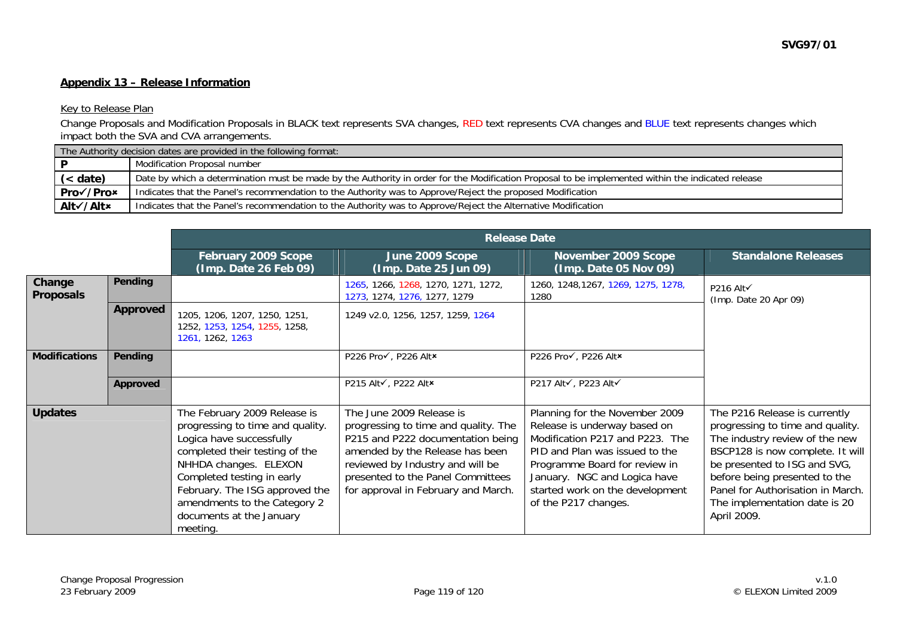# Key to Release Plan

Change Proposals and Modification Proposals in BLACK text represents SVA changes, RED text represents CVA changes and BLUE text represents changes which impact both the SVA and CVA arrangements.

|            | The Authority decision dates are provided in the following format:                                                                                |  |  |  |  |
|------------|---------------------------------------------------------------------------------------------------------------------------------------------------|--|--|--|--|
|            | Modification Proposal number                                                                                                                      |  |  |  |  |
| $(<$ date) | Date by which a determination must be made by the Authority in order for the Modification Proposal to be implemented within the indicated release |  |  |  |  |
| Pro√/Pro×  | Indicates that the Panel's recommendation to the Authority was to Approve/Reject the proposed Modification                                        |  |  |  |  |
| Alt√/Alt×  | Indicates that the Panel's recommendation to the Authority was to Approve/Reject the Alternative Modification                                     |  |  |  |  |

|                            |                 |                                                                                                                                                                                                                                                                                                 | <b>Release Date</b>                                                                                                                                                                                                                                      |                                                                                                                                                                                                                                                                 |                                                                                                                                                                                                                                                                                               |
|----------------------------|-----------------|-------------------------------------------------------------------------------------------------------------------------------------------------------------------------------------------------------------------------------------------------------------------------------------------------|----------------------------------------------------------------------------------------------------------------------------------------------------------------------------------------------------------------------------------------------------------|-----------------------------------------------------------------------------------------------------------------------------------------------------------------------------------------------------------------------------------------------------------------|-----------------------------------------------------------------------------------------------------------------------------------------------------------------------------------------------------------------------------------------------------------------------------------------------|
|                            |                 | February 2009 Scope<br>(Imp. Date 26 Feb 09)                                                                                                                                                                                                                                                    | June 2009 Scope<br>(Imp. Date 25 Jun 09)                                                                                                                                                                                                                 | November 2009 Scope<br>(Imp. Date 05 Nov 09)                                                                                                                                                                                                                    | <b>Standalone Releases</b>                                                                                                                                                                                                                                                                    |
| Change<br><b>Proposals</b> | Pending         |                                                                                                                                                                                                                                                                                                 | 1265, 1266, 1268, 1270, 1271, 1272,<br>1273, 1274, 1276, 1277, 1279                                                                                                                                                                                      | 1260, 1248, 1267, 1269, 1275, 1278,<br>1280                                                                                                                                                                                                                     | P216 Alt√<br>(Imp. Date 20 Apr 09)                                                                                                                                                                                                                                                            |
|                            | <b>Approved</b> | 1205, 1206, 1207, 1250, 1251,<br>1252, 1253, 1254, 1255, 1258,<br>1261, 1262, 1263                                                                                                                                                                                                              | 1249 v2.0, 1256, 1257, 1259, 1264                                                                                                                                                                                                                        |                                                                                                                                                                                                                                                                 |                                                                                                                                                                                                                                                                                               |
| <b>Modifications</b>       | Pending         |                                                                                                                                                                                                                                                                                                 | P226 Pro√, P226 Alt×                                                                                                                                                                                                                                     | P226 Pro√, P226 Alt*                                                                                                                                                                                                                                            |                                                                                                                                                                                                                                                                                               |
|                            | Approved        |                                                                                                                                                                                                                                                                                                 | P215 Alt√, P222 Alt×                                                                                                                                                                                                                                     | P217 Alt√, P223 Alt√                                                                                                                                                                                                                                            |                                                                                                                                                                                                                                                                                               |
| <b>Updates</b>             |                 | The February 2009 Release is<br>progressing to time and quality.<br>Logica have successfully<br>completed their testing of the<br>NHHDA changes. ELEXON<br>Completed testing in early<br>February. The ISG approved the<br>amendments to the Category 2<br>documents at the January<br>meeting. | The June 2009 Release is<br>progressing to time and quality. The<br>P215 and P222 documentation being<br>amended by the Release has been<br>reviewed by Industry and will be<br>presented to the Panel Committees<br>for approval in February and March. | Planning for the November 2009<br>Release is underway based on<br>Modification P217 and P223. The<br>PID and Plan was issued to the<br>Programme Board for review in<br>January. NGC and Logica have<br>started work on the development<br>of the P217 changes. | The P216 Release is currently<br>progressing to time and quality.<br>The industry review of the new<br>BSCP128 is now complete. It will<br>be presented to ISG and SVG,<br>before being presented to the<br>Panel for Authorisation in March.<br>The implementation date is 20<br>April 2009. |